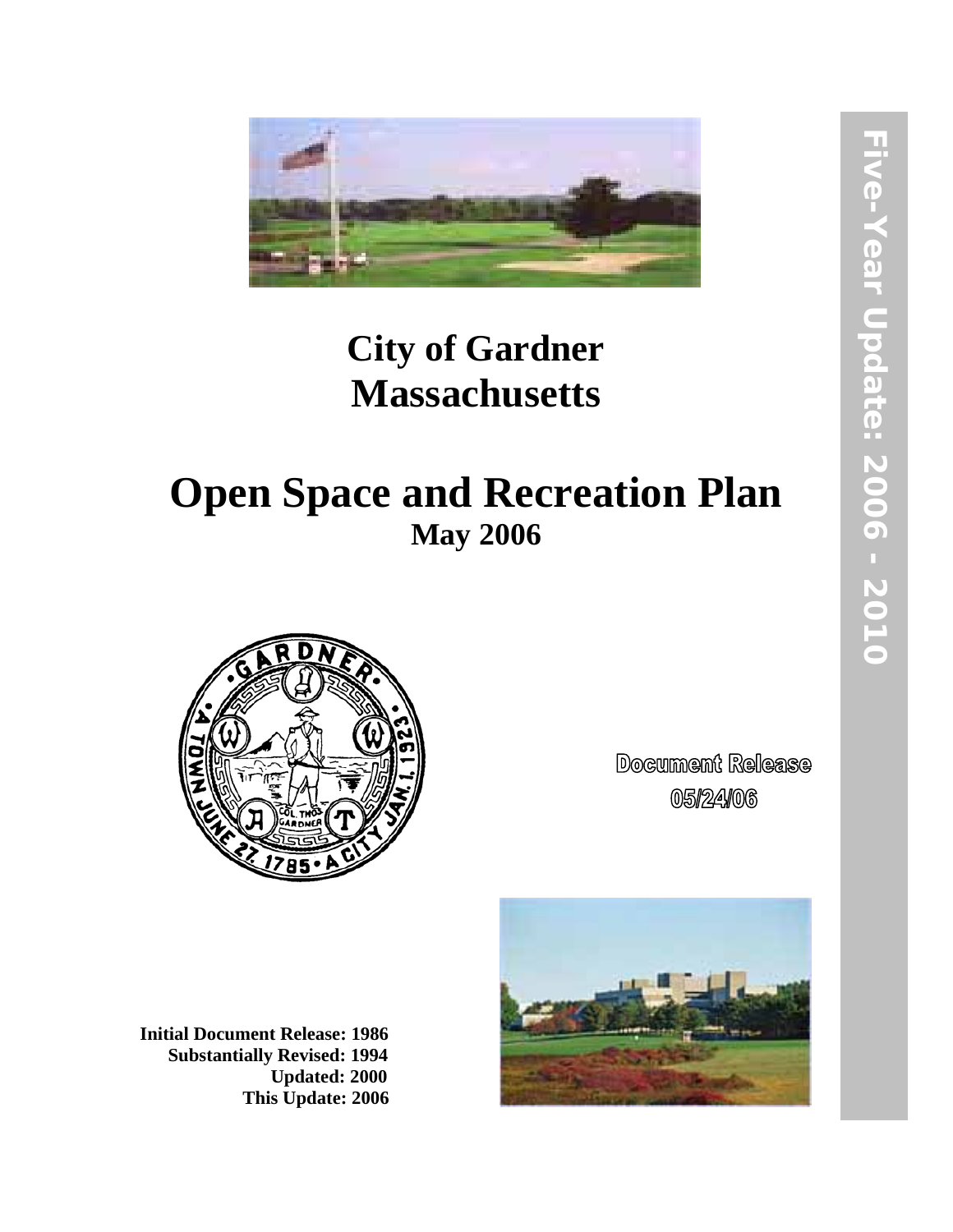

# **City of Gardner Massachusetts**

# **Open Space and Recreation Plan May 2006**



**Document Release** 05/24/06

**Initial Document Release: 1986 Substantially Revised: 1994 Updated: 2000 This Update: 2006** 

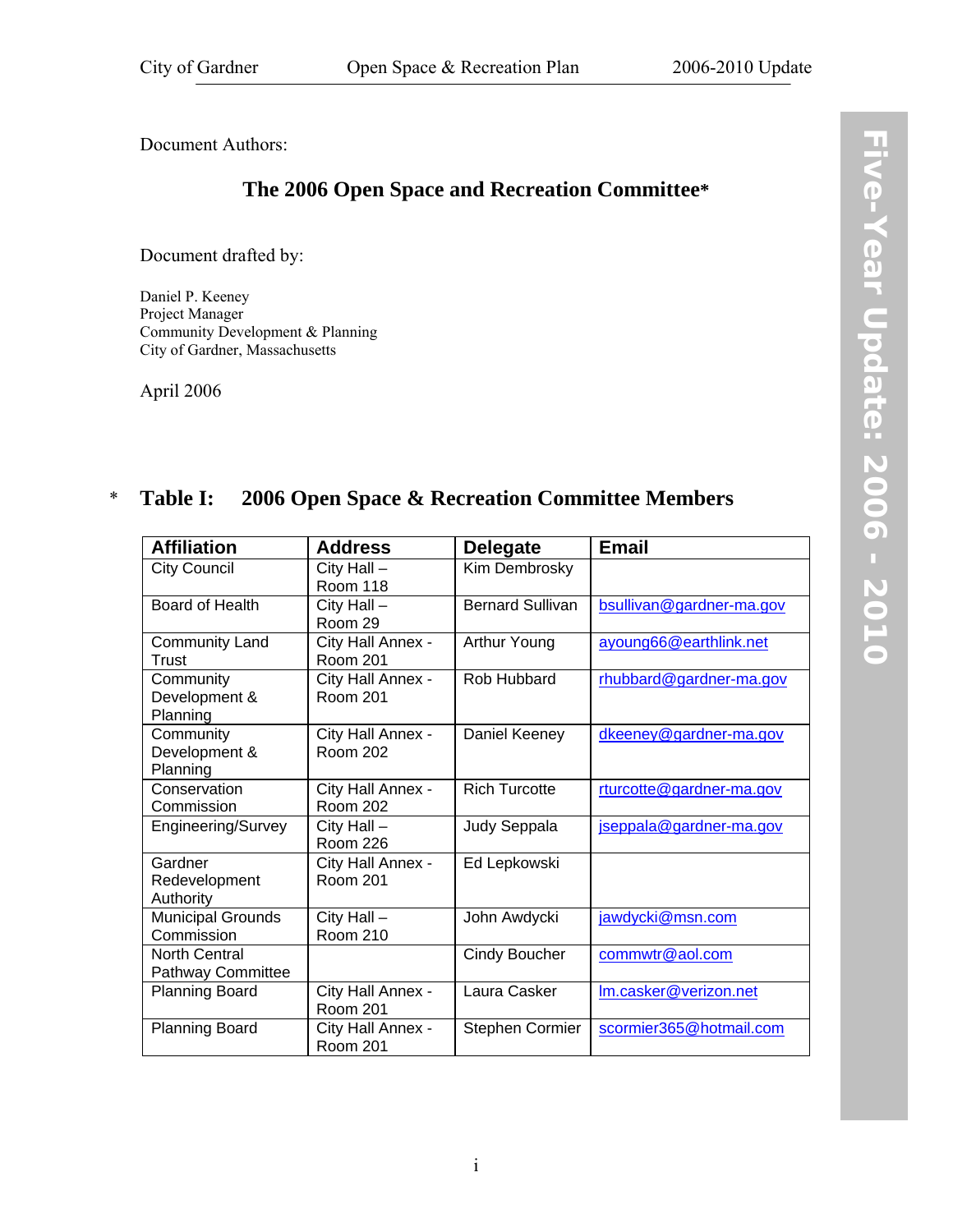<span id="page-2-1"></span><span id="page-2-0"></span>Document Authors:

## **The 2006 Open Space and Recreation Committee\***

Document drafted by:

Daniel P. Keeney Project Manager Community Development & Planning City of Gardner, Massachusetts

April 2006

#### **Table I: 2006 Open Space & Recreation Committee Members**  \*

| <b>Affiliation</b>                        | <b>Address</b>                       | <b>Delegate</b>         | <b>Email</b>             |
|-------------------------------------------|--------------------------------------|-------------------------|--------------------------|
| <b>City Council</b>                       | City Hall -<br>Room 118              | Kim Dembrosky           |                          |
| Board of Health                           | City Hall -<br>Room 29               | <b>Bernard Sullivan</b> | bsullivan@gardner-ma.gov |
| Community Land<br><b>Trust</b>            | City Hall Annex -<br>Room 201        | Arthur Young            | ayoung66@earthlink.net   |
| Community<br>Development &<br>Planning    | City Hall Annex -<br><b>Room 201</b> | Rob Hubbard             | rhubbard@gardner-ma.gov  |
| Community<br>Development &<br>Planning    | City Hall Annex -<br><b>Room 202</b> | Daniel Keeney           | dkeeney@gardner-ma.gov   |
| Conservation<br>Commission                | City Hall Annex -<br><b>Room 202</b> | <b>Rich Turcotte</b>    | rturcotte@gardner-ma.gov |
| Engineering/Survey                        | City Hall -<br><b>Room 226</b>       | Judy Seppala            | jseppala@gardner-ma.gov  |
| Gardner<br>Redevelopment<br>Authority     | City Hall Annex -<br>Room 201        | Ed Lepkowski            |                          |
| <b>Municipal Grounds</b><br>Commission    | City Hall -<br><b>Room 210</b>       | John Awdycki            | jawdycki@msn.com         |
| <b>North Central</b><br>Pathway Committee |                                      | <b>Cindy Boucher</b>    | commwtr@aol.com          |
| <b>Planning Board</b>                     | City Hall Annex -<br><b>Room 201</b> | Laura Casker            | Im.casker@verizon.net    |
| Planning Board                            | City Hall Annex -<br><b>Room 201</b> | Stephen Cormier         | scormier365@hotmail.com  |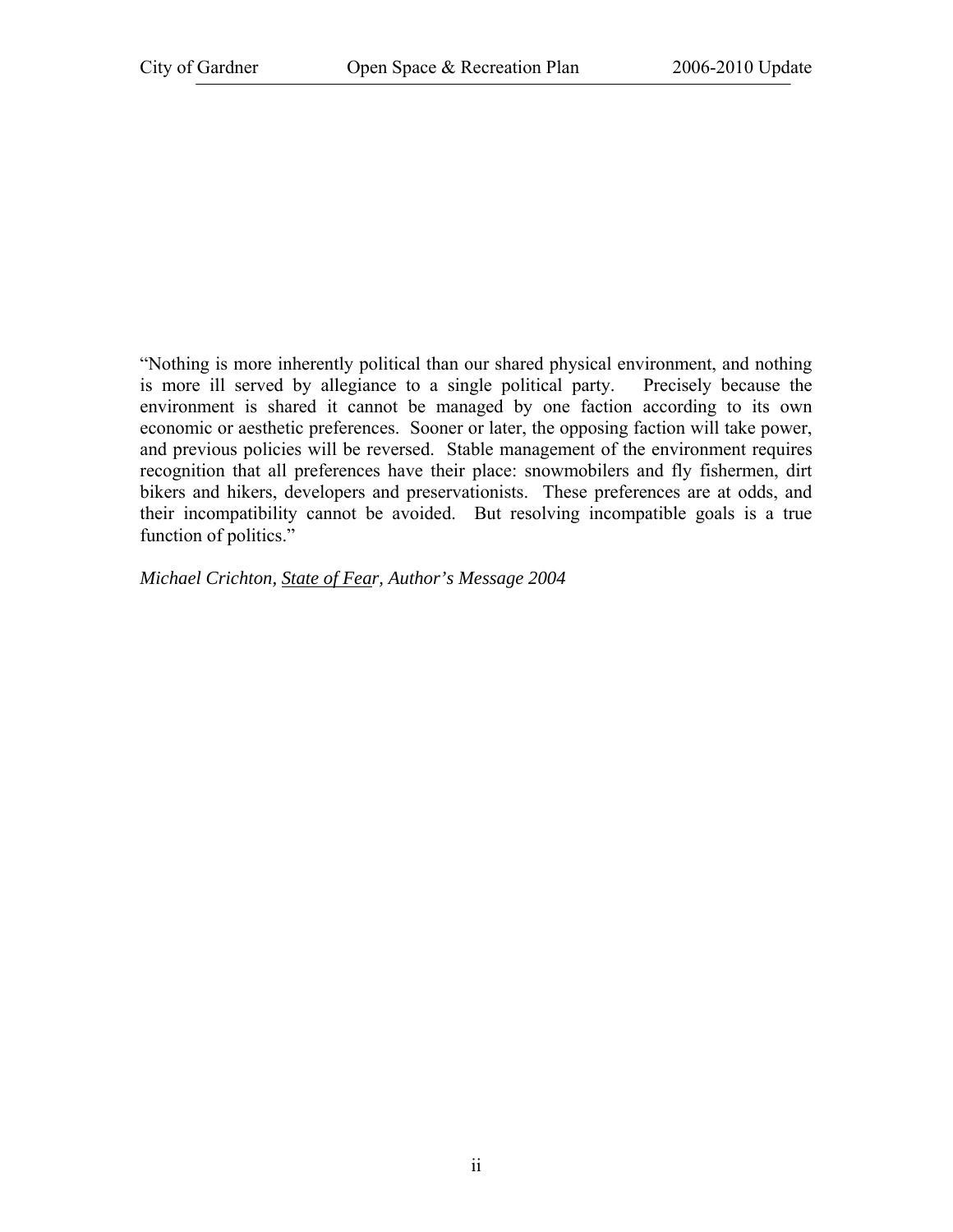"Nothing is more inherently political than our shared physical environment, and nothing is more ill served by allegiance to a single political party. Precisely because the environment is shared it cannot be managed by one faction according to its own economic or aesthetic preferences. Sooner or later, the opposing faction will take power, and previous policies will be reversed. Stable management of the environment requires recognition that all preferences have their place: snowmobilers and fly fishermen, dirt bikers and hikers, developers and preservationists. These preferences are at odds, and their incompatibility cannot be avoided. But resolving incompatible goals is a true function of politics."

*Michael Crichton, State of Fear, Author's Message 2004*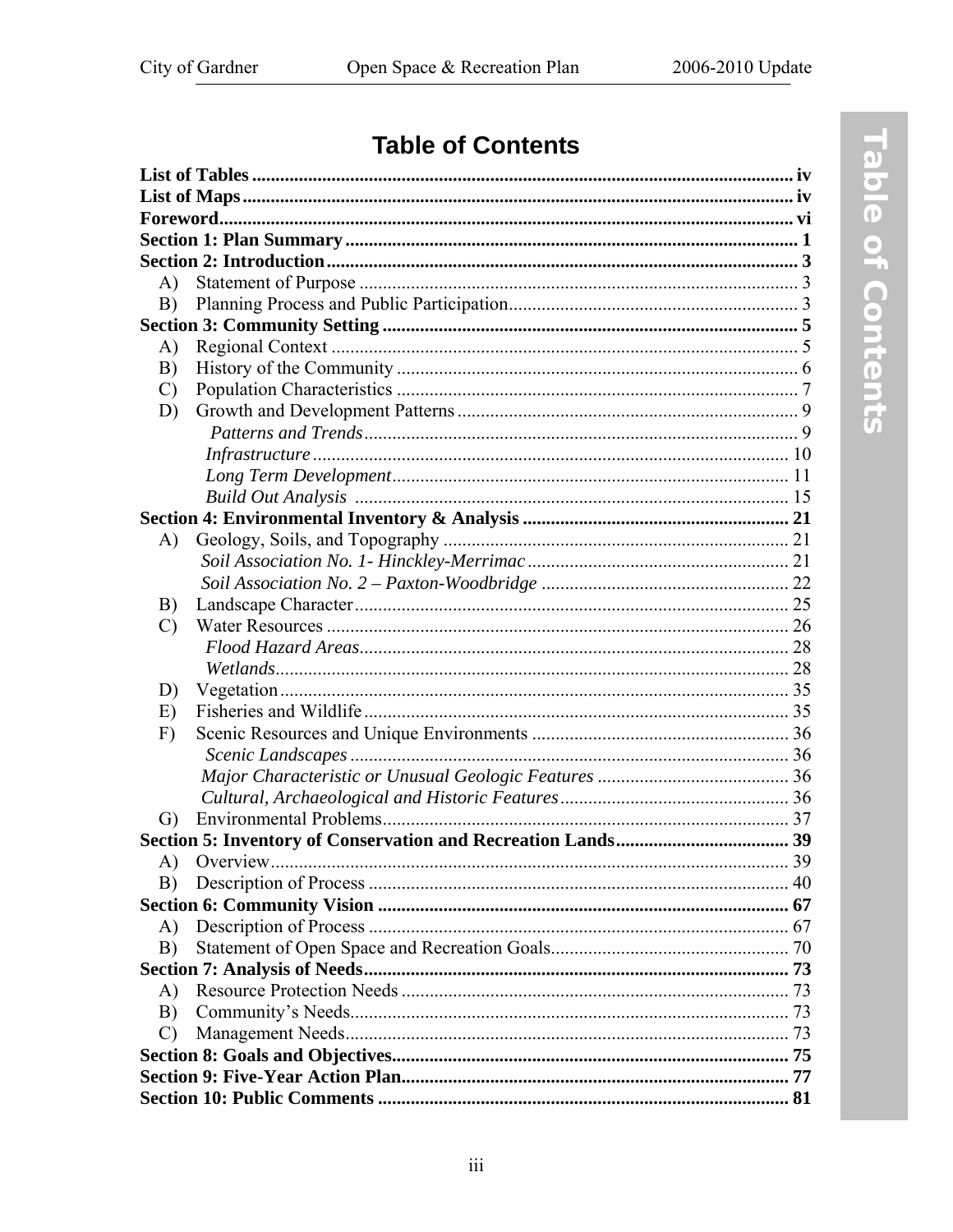## **Table of Contents**

| $\bf{A}$      |  |
|---------------|--|
| B)            |  |
|               |  |
| $\bf{A}$      |  |
| B)            |  |
| $\mathcal{C}$ |  |
| D)            |  |
|               |  |
|               |  |
|               |  |
|               |  |
|               |  |
| A)            |  |
|               |  |
|               |  |
| B)            |  |
| $\mathcal{C}$ |  |
|               |  |
|               |  |
| D)            |  |
| E)            |  |
| F)            |  |
|               |  |
|               |  |
|               |  |
| G)            |  |
|               |  |
| $\bf{A}$      |  |
| B)            |  |
|               |  |
| A)            |  |
| B)            |  |
|               |  |
| $\bf{A}$      |  |
| B)            |  |
| $\mathcal{C}$ |  |
|               |  |
|               |  |
|               |  |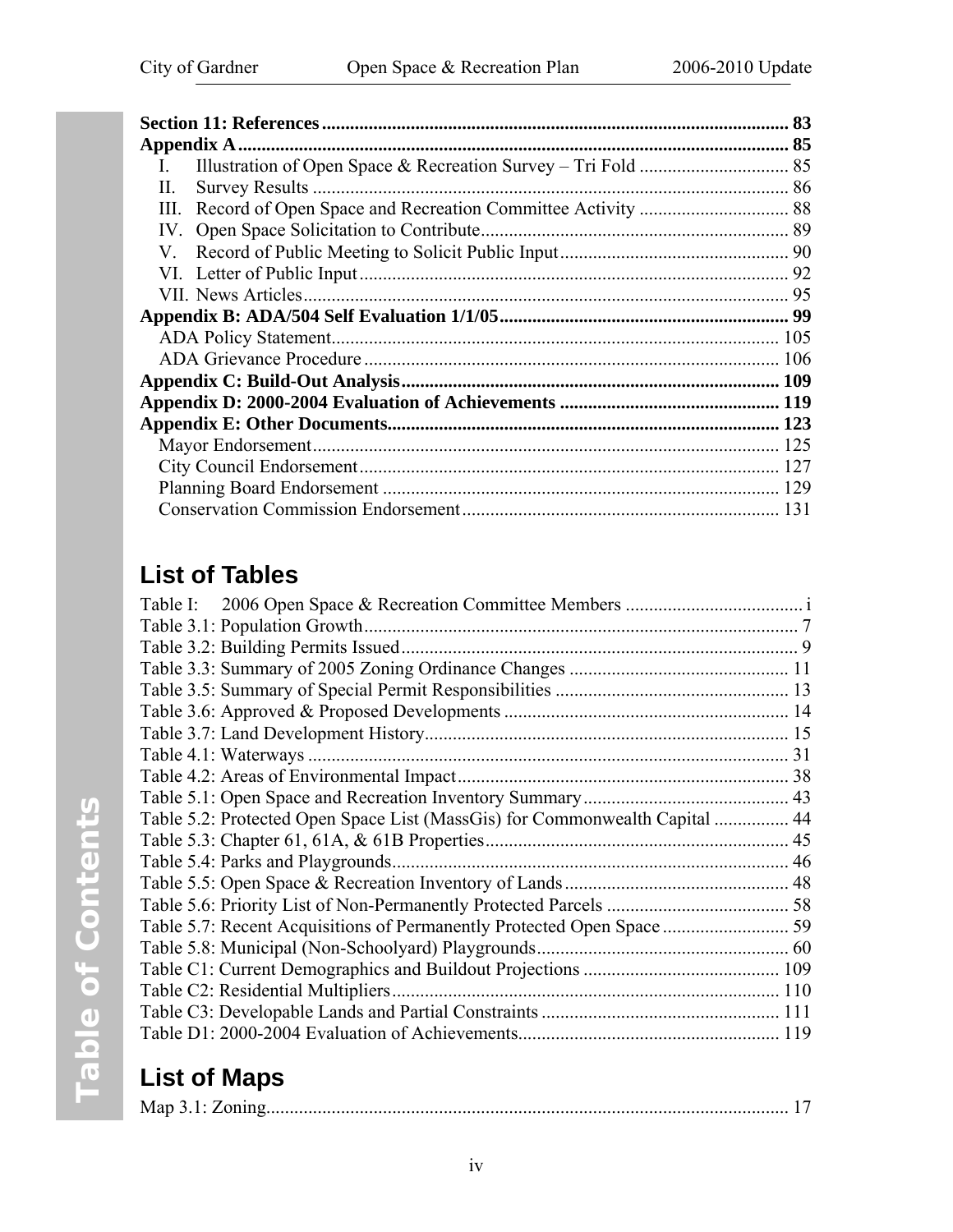<span id="page-5-0"></span>

|                             | 83 |
|-----------------------------|----|
|                             |    |
|                             |    |
| <b>Survey Results</b><br>Н. |    |
| Ш.                          |    |
| $IV_{-}$                    |    |
| V.                          |    |
|                             |    |
|                             |    |
|                             |    |
|                             |    |
|                             |    |
|                             |    |
|                             |    |
|                             |    |
|                             |    |
|                             |    |
|                             |    |
|                             |    |

## **List of Tables**

| Table 5.2: Protected Open Space List (MassGis) for Commonwealth Capital  44 |
|-----------------------------------------------------------------------------|
|                                                                             |
|                                                                             |
|                                                                             |
|                                                                             |
|                                                                             |
|                                                                             |
|                                                                             |
|                                                                             |
|                                                                             |
|                                                                             |

## **List of Maps**

|--|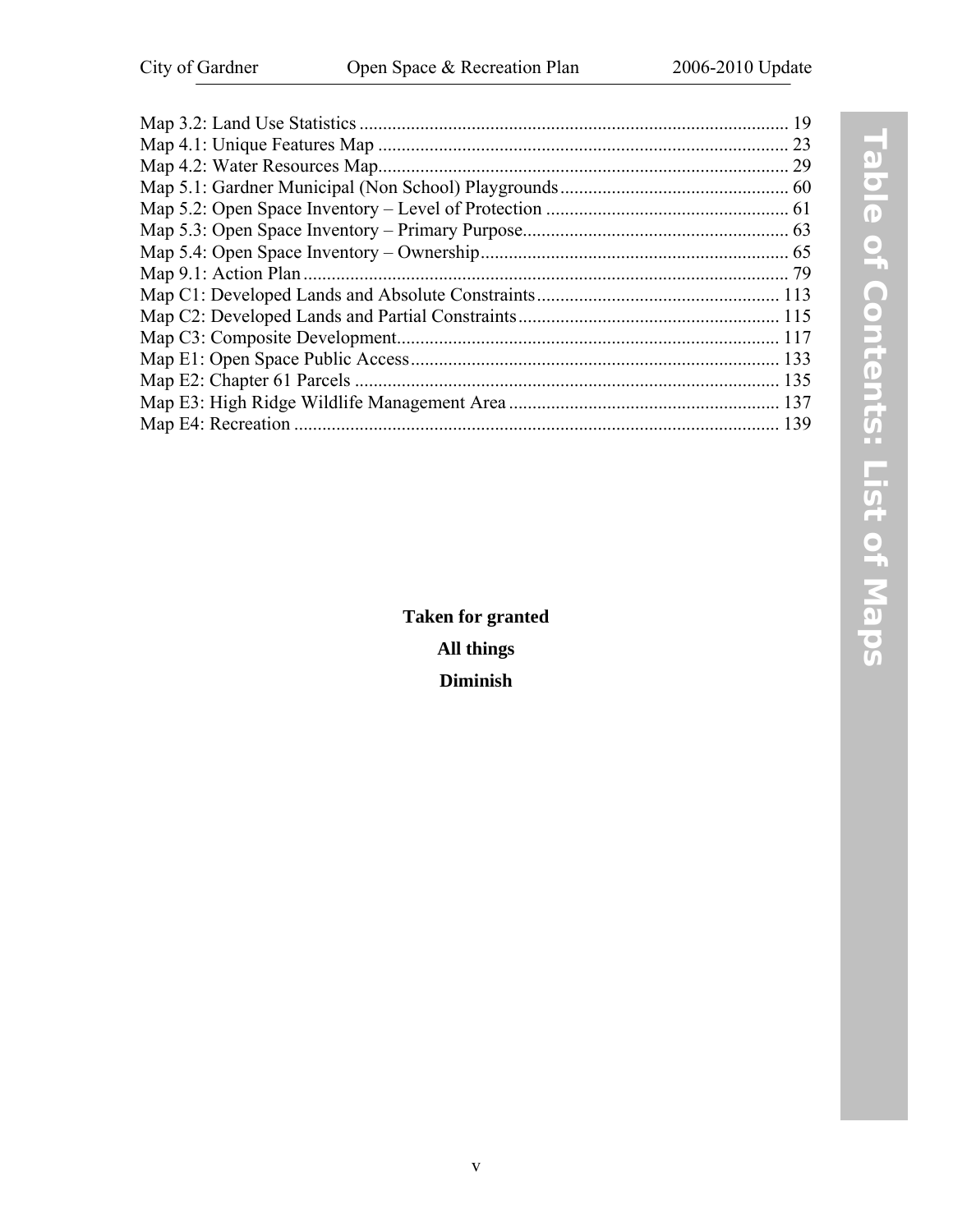|                    | 19   |
|--------------------|------|
|                    | 23   |
|                    | 29   |
|                    |      |
|                    |      |
|                    |      |
|                    |      |
|                    |      |
|                    |      |
|                    |      |
|                    |      |
|                    | -133 |
|                    |      |
|                    |      |
| Map E4: Recreation | 139  |
|                    |      |

**Taken for granted All things Diminish**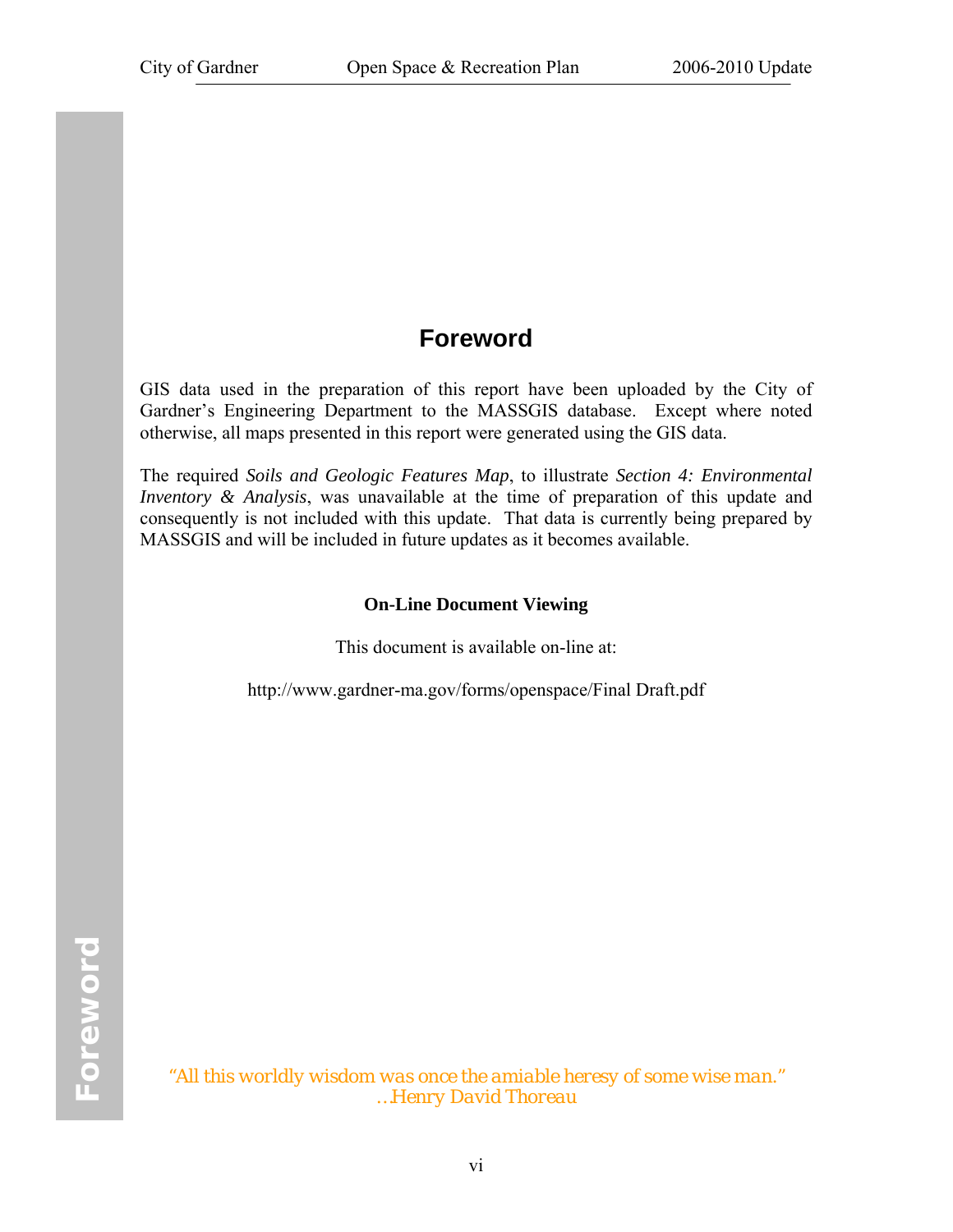## **Foreword**

<span id="page-7-0"></span>GIS data used in the preparation of this report have been uploaded by the City of Gardner's Engineering Department to the MASSGIS database. Except where noted otherwise, all maps presented in this report were generated using the GIS data.

The required *Soils and Geologic Features Map*, to illustrate *Section 4: Environmental Inventory & Analysis*, was unavailable at the time of preparation of this update and consequently is not included with this update. That data is currently being prepared by MASSGIS and will be included in future updates as it becomes available.

#### **On-Line Document Viewing**

This document is available on-line at:

http://www.gardner-ma.gov/forms/openspace/Final Draft.pdf

"*All this worldly wisdom was once the amiable heresy of some wise man." …Henry David Thoreau*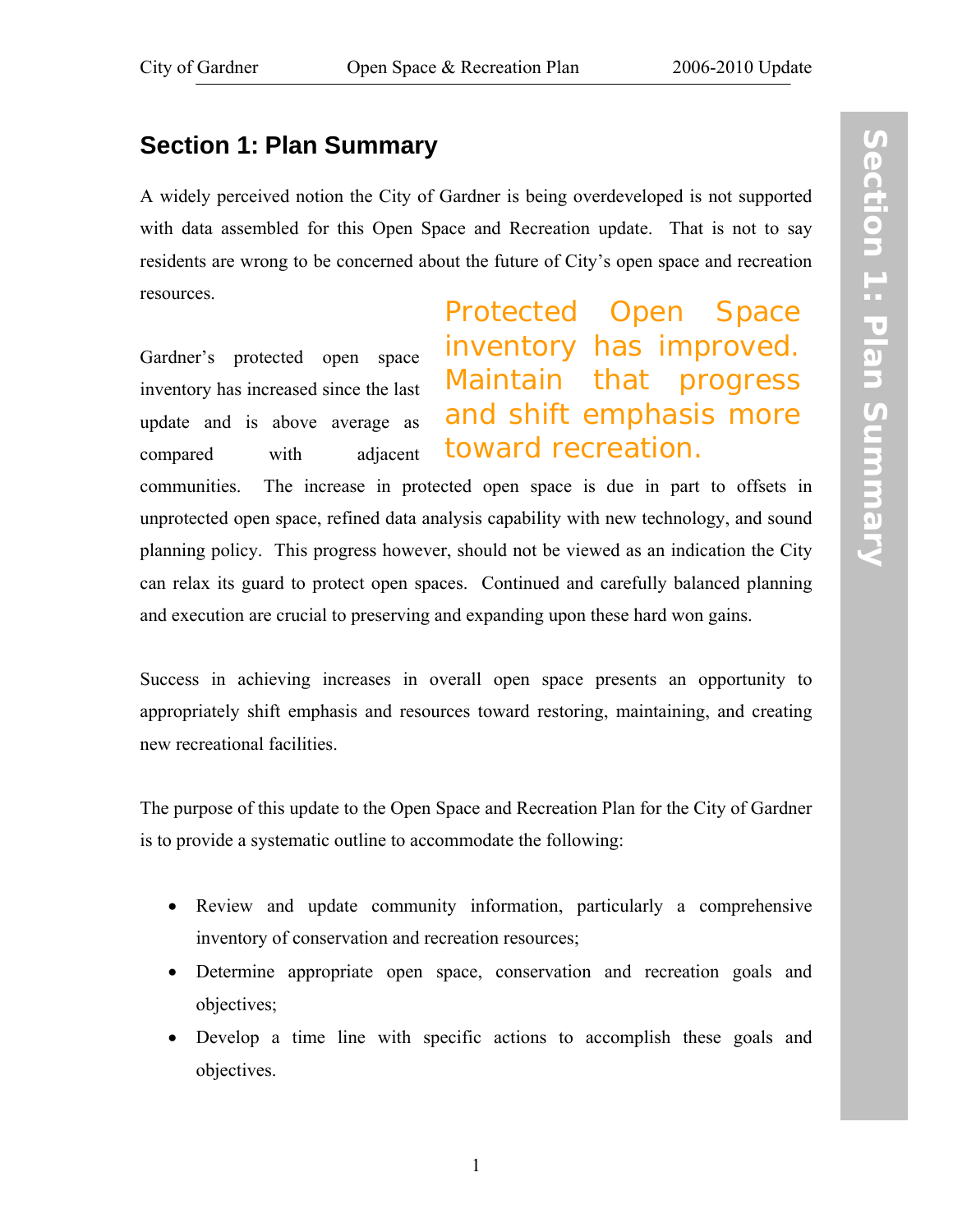## <span id="page-8-0"></span>**Section 1: Plan Summary**

A widely perceived notion the City of Gardner is being overdeveloped is not supported with data assembled for this Open Space and Recreation update. That is not to say residents are wrong to be concerned about the future of City's open space and recreation resources.

Gardner's protected open space inventory has increased since the last update and is above average as compared with adjacent

Protected Open Space inventory has improved. Maintain that progress and shift emphasis more toward recreation.

communities. The increase in protected open space is due in part to offsets in unprotected open space, refined data analysis capability with new technology, and sound planning policy. This progress however, should not be viewed as an indication the City can relax its guard to protect open spaces. Continued and carefully balanced planning and execution are crucial to preserving and expanding upon these hard won gains.

Success in achieving increases in overall open space presents an opportunity to appropriately shift emphasis and resources toward restoring, maintaining, and creating new recreational facilities.

The purpose of this update to the Open Space and Recreation Plan for the City of Gardner is to provide a systematic outline to accommodate the following:

- Review and update community information, particularly a comprehensive inventory of conservation and recreation resources;
- Determine appropriate open space, conservation and recreation goals and objectives;
- Develop a time line with specific actions to accomplish these goals and objectives.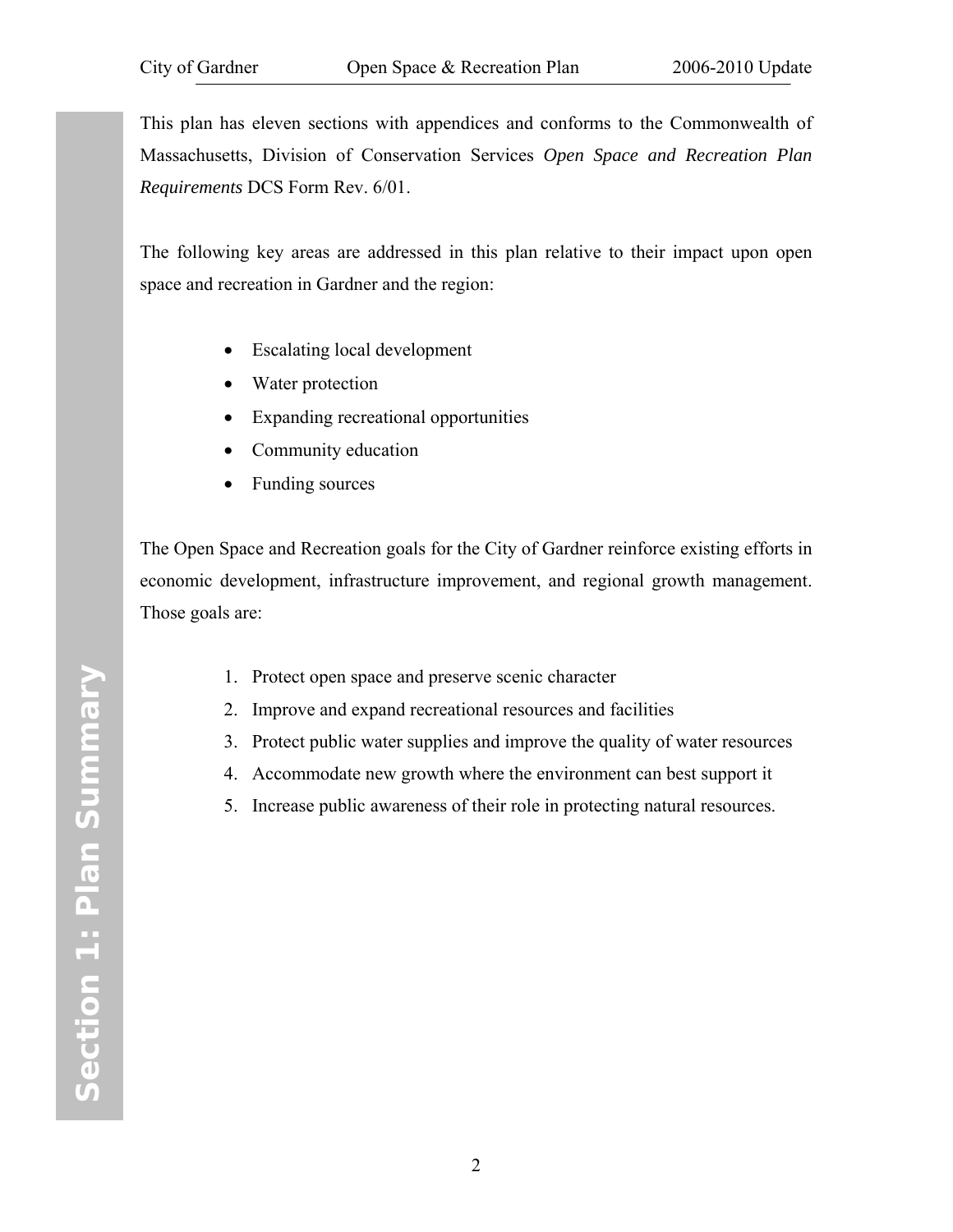This plan has eleven sections with appendices and conforms to the Commonwealth of Massachusetts, Division of Conservation Services *Open Space and Recreation Plan Requirements* DCS Form Rev. 6/01.

The following key areas are addressed in this plan relative to their impact upon open space and recreation in Gardner and the region:

- Escalating local development
- Water protection
- Expanding recreational opportunities
- Community education
- Funding sources

The Open Space and Recreation goals for the City of Gardner reinforce existing efforts in economic development, infrastructure improvement, and regional growth management. Those goals are:

- 1. Protect open space and preserve scenic character
- 2. Improve and expand recreational resources and facilities
- 3. Protect public water supplies and improve the quality of water resources
- 4. Accommodate new growth where the environment can best support it
- 5. Increase public awareness of their role in protecting natural resources.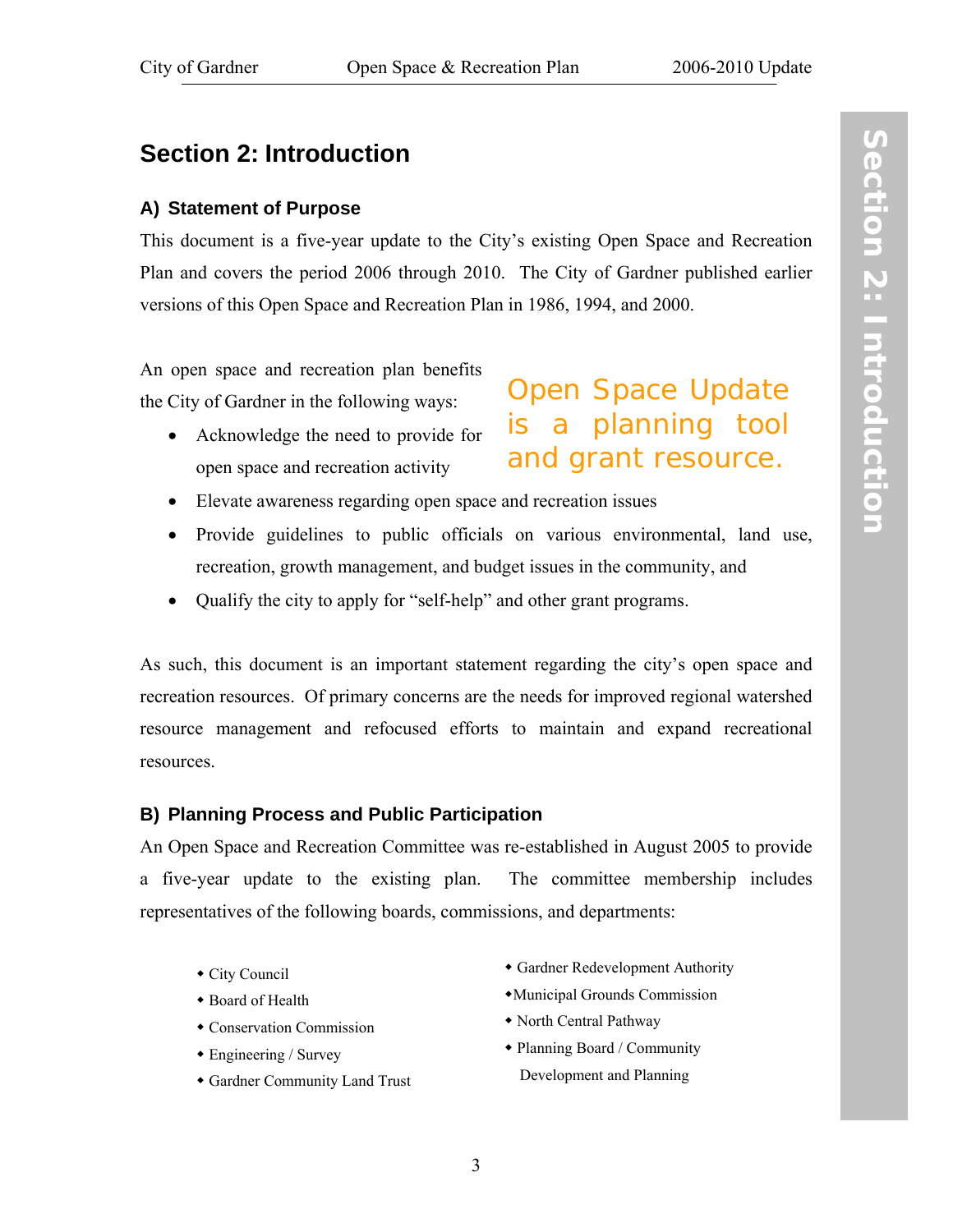## <span id="page-10-0"></span>**Section 2: Introduction**

#### **A) Statement of Purpose**

This document is a five-year update to the City's existing Open Space and Recreation Plan and covers the period 2006 through 2010. The City of Gardner published earlier versions of this Open Space and Recreation Plan in 1986, 1994, and 2000.

An open space and recreation plan benefits the City of Gardner in the following ways:

- Acknowledge the need to provide for open space and recreation activity
- Elevate awareness regarding open space and recreation issues
- Provide guidelines to public officials on various environmental, land use, recreation, growth management, and budget issues in the community, and
- Qualify the city to apply for "self-help" and other grant programs.

As such, this document is an important statement regarding the city's open space and recreation resources. Of primary concerns are the needs for improved regional watershed resource management and refocused efforts to maintain and expand recreational resources.

#### **B) Planning Process and Public Participation**

An Open Space and Recreation Committee was re-established in August 2005 to provide a five-year update to the existing plan. The committee membership includes representatives of the following boards, commissions, and departments:

- City Council
- Board of Health
- Conservation Commission
- Engineering / Survey
- Gardner Community Land Trust

Gardner Redevelopment Authority

Open Space Update

is a planning tool

and grant resource.

- Municipal Grounds Commission
- North Central Pathway
- Planning Board / Community Development and Planning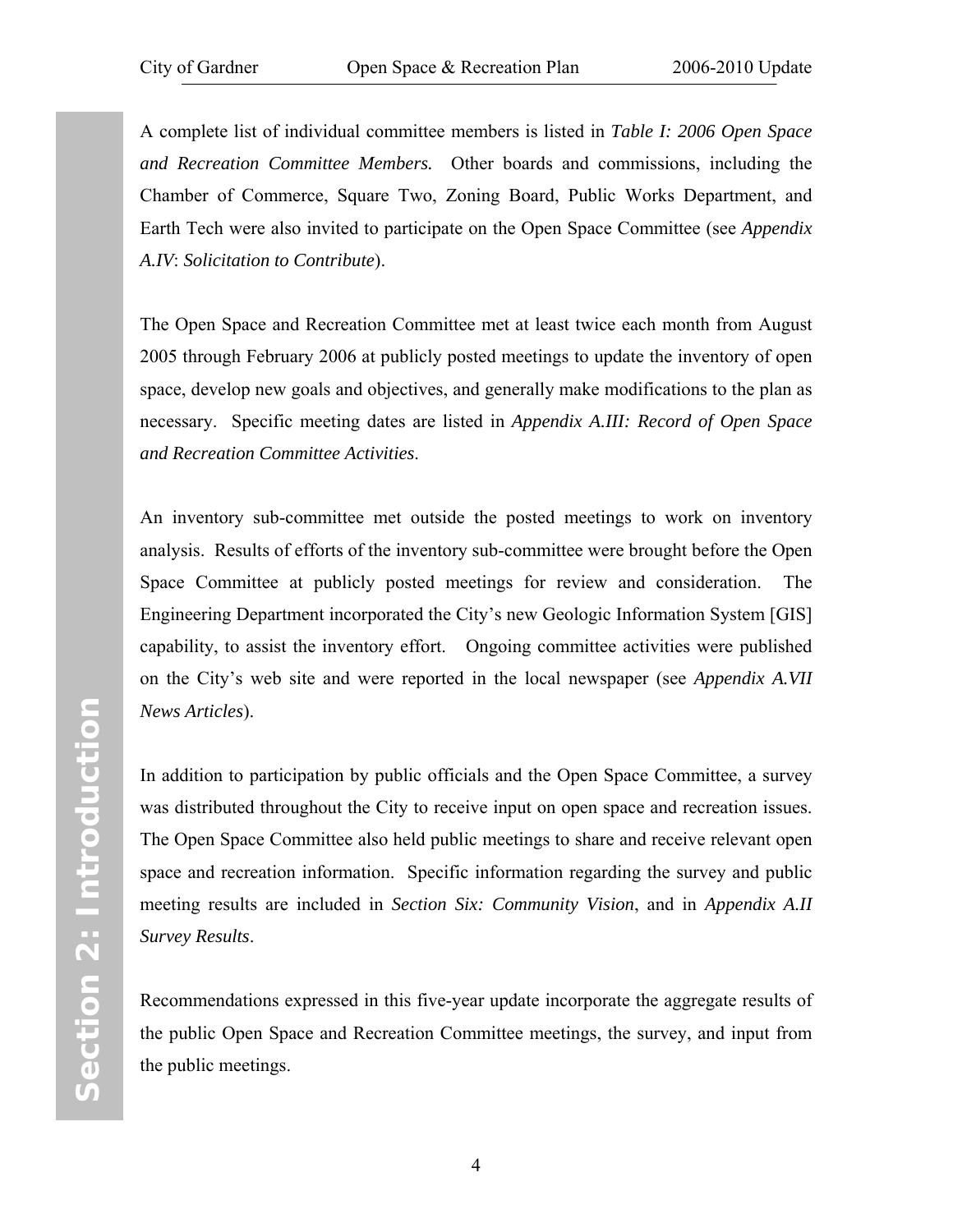A complete list of individual committee members is listed in *[Table I:](#page-2-1) 2006 Open Space and Recreation Committee Members.* Other boards and commissions, including the Chamber of Commerce, Square Two, Zoning Board, Public Works Department, and Earth Tech were also invited to participate on the Open Space Committee (see *Appendix A.IV*: *[Solicitation to Contribute](#page-96-1)*).

The Open Space and Recreation Committee met at least twice each month from August 2005 through February 2006 at publicly posted meetings to update the inventory of open space, develop new goals and objectives, and generally make modifications to the plan as necessary. Specific meeting dates are listed in *[Appendix A.III](#page-95-1): Record of Open Space and Recreation Committee Activities*.

An inventory sub-committee met outside the posted meetings to work on inventory analysis. Results of efforts of the inventory sub-committee were brought before the Open Space Committee at publicly posted meetings for review and consideration. The Engineering Department incorporated the City's new Geologic Information System [GIS] capability, to assist the inventory effort. Ongoing committee activities were published on the City's web site and were reported in the local newspaper (see *[Appendix A.VII](#page-102-1)  News Articles*).

In addition to participation by public officials and the Open Space Committee, a survey was distributed throughout the City to receive input on open space and recreation issues. The Open Space Committee also held public meetings to share and receive relevant open space and recreation information. Specific information regarding the survey and public meeting results are included in *[Section Six: Community Vision](#page-74-1)*, and in *[Appendix A.II](#page-93-1)  Survey Results*.

Recommendations expressed in this five-year update incorporate the aggregate results of the public Open Space and Recreation Committee meetings, the survey, and input from the public meetings.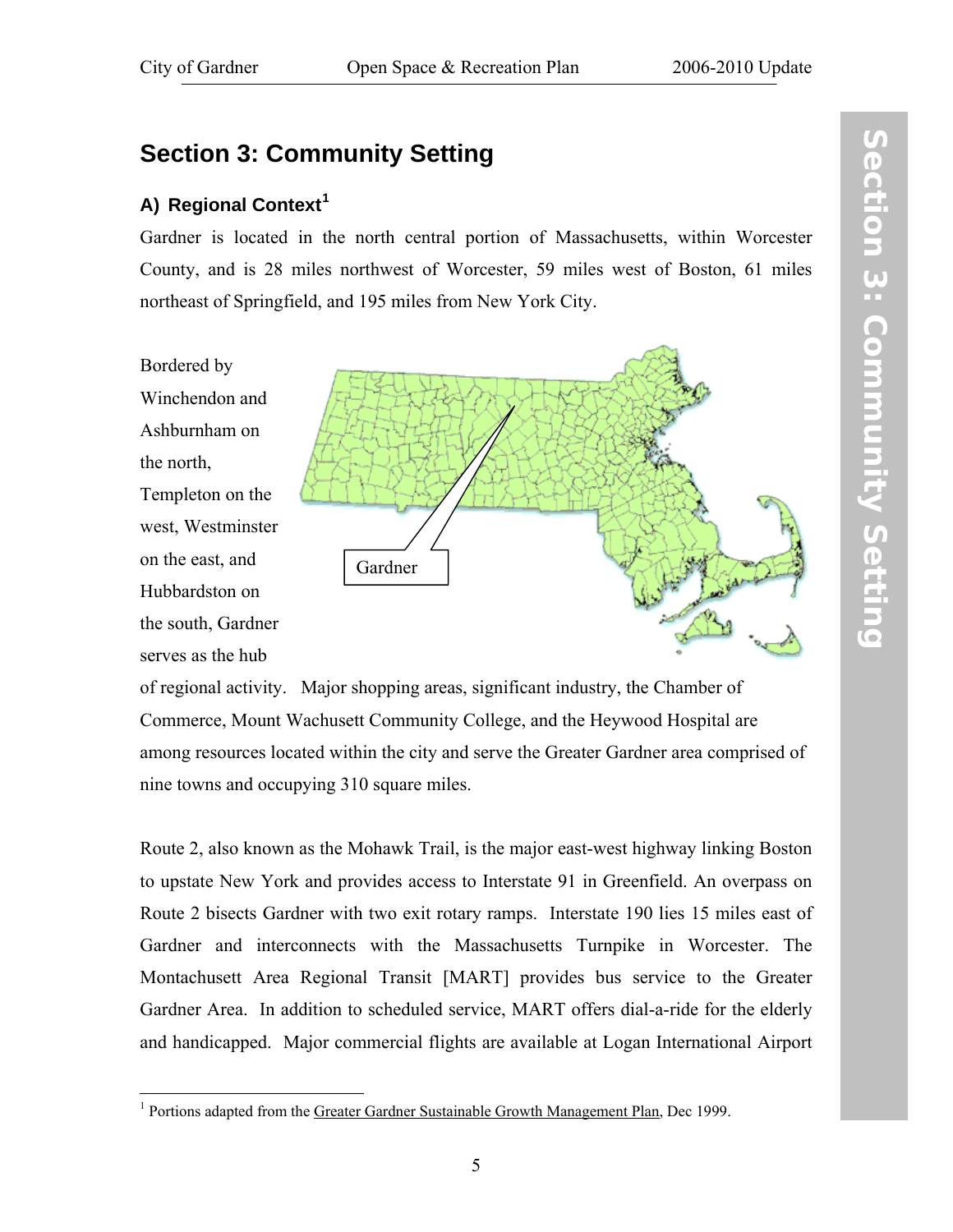## <span id="page-12-0"></span>**Section 3: Community Setting**

## **A) Regional Context[1](#page-12-1)**

Gardner is located in the north central portion of Massachusetts, within Worcester County, and is 28 miles northwest of Worcester, 59 miles west of Boston, 61 miles northeast of Springfield, and 195 miles from New York City.

Bordered by Winchendon and Ashburnham on the north, Templeton on the west, Westminster on the east, and Hubbardston on the south, Gardner serves as the hub



of regional activity. Major shopping areas, significant industry, the Chamber of Commerce, Mount Wachusett Community College, and the Heywood Hospital are among resources located within the city and serve the Greater Gardner area comprised of nine towns and occupying 310 square miles.

Route 2, also known as the Mohawk Trail, is the major east-west highway linking Boston to upstate New York and provides access to Interstate 91 in Greenfield. An overpass on Route 2 bisects Gardner with two exit rotary ramps. Interstate 190 lies 15 miles east of Gardner and interconnects with the Massachusetts Turnpike in Worcester. The Montachusett Area Regional Transit [MART] provides bus service to the Greater Gardner Area. In addition to scheduled service, MART offers dial-a-ride for the elderly and handicapped. Major commercial flights are available at Logan International Airport

 $\overline{5}$ 

<span id="page-12-1"></span> $\overline{a}$ <sup>1</sup> Portions adapted from the Greater Gardner Sustainable Growth Management Plan, Dec 1999.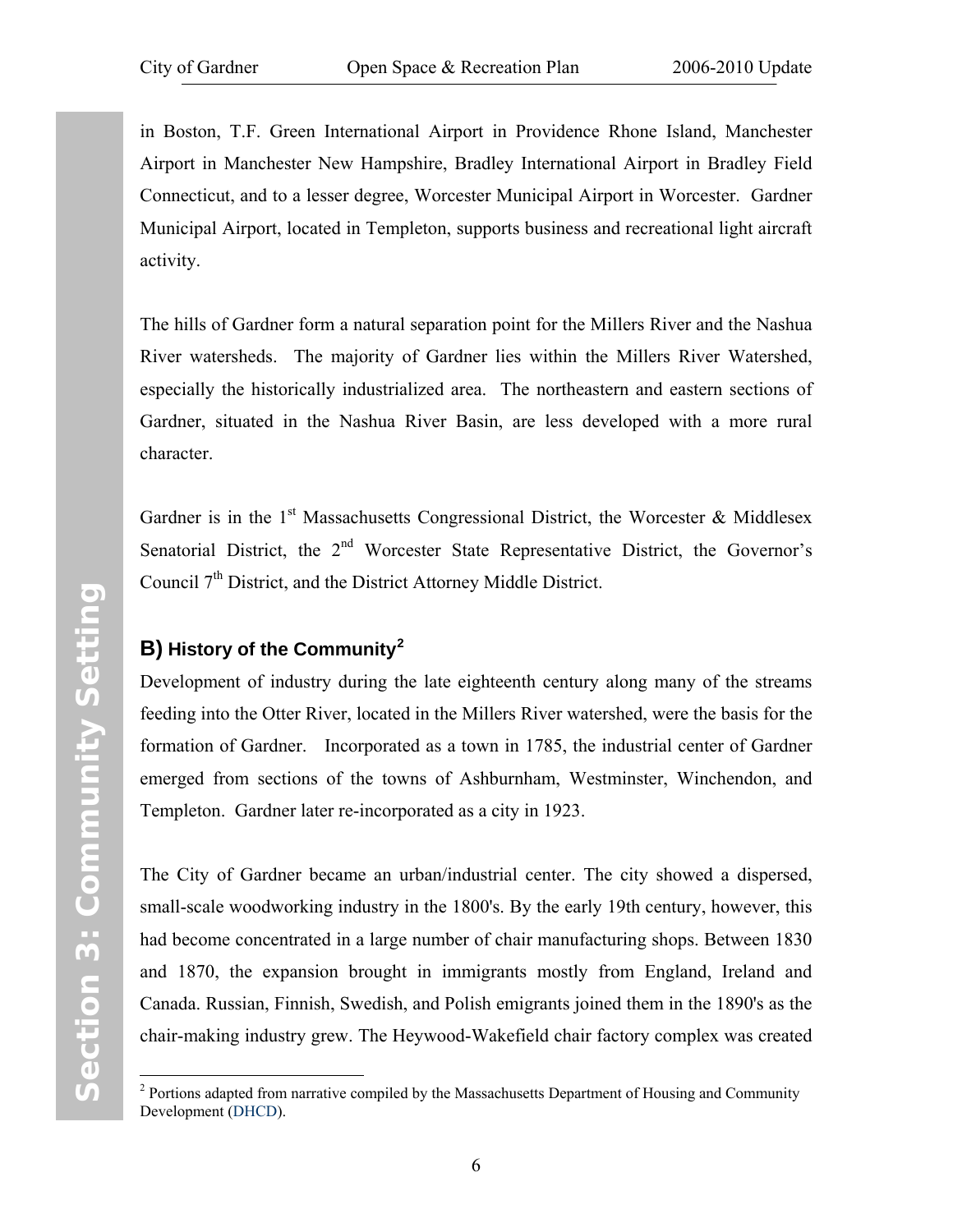<span id="page-13-0"></span>in Boston, T.F. Green International Airport in Providence Rhone Island, Manchester Airport in Manchester New Hampshire, Bradley International Airport in Bradley Field Connecticut, and to a lesser degree, Worcester Municipal Airport in Worcester. Gardner Municipal Airport, located in Templeton, supports business and recreational light aircraft activity.

The hills of Gardner form a natural separation point for the Millers River and the Nashua River watersheds. The majority of Gardner lies within the Millers River Watershed, especially the historically industrialized area. The northeastern and eastern sections of Gardner, situated in the Nashua River Basin, are less developed with a more rural character.

Gardner is in the 1<sup>st</sup> Massachusetts Congressional District, the Worcester & Middlesex Senatorial District, the  $2<sup>nd</sup>$  Worcester State Representative District, the Governor's Council  $7<sup>th</sup>$  District, and the District Attorney Middle District.

## **B) History of the Community[2](#page-13-1)**

Development of industry during the late eighteenth century along many of the streams feeding into the Otter River, located in the Millers River watershed, were the basis for the formation of Gardner. Incorporated as a town in 1785, the industrial center of Gardner emerged from sections of the towns of Ashburnham, Westminster, Winchendon, and Templeton. Gardner later re-incorporated as a city in 1923.

The City of Gardner became an urban/industrial center. The city showed a dispersed, small-scale woodworking industry in the 1800's. By the early 19th century, however, this had become concentrated in a large number of chair manufacturing shops. Between 1830 and 1870, the expansion brought in immigrants mostly from England, Ireland and Canada. Russian, Finnish, Swedish, and Polish emigrants joined them in the 1890's as the chair-making industry grew. The Heywood-Wakefield chair factory complex was created

 $\overline{a}$ 

<span id="page-13-1"></span> $2$  Portions adapted from narrative compiled by the Massachusetts Department of Housing and Community Development (DHCD).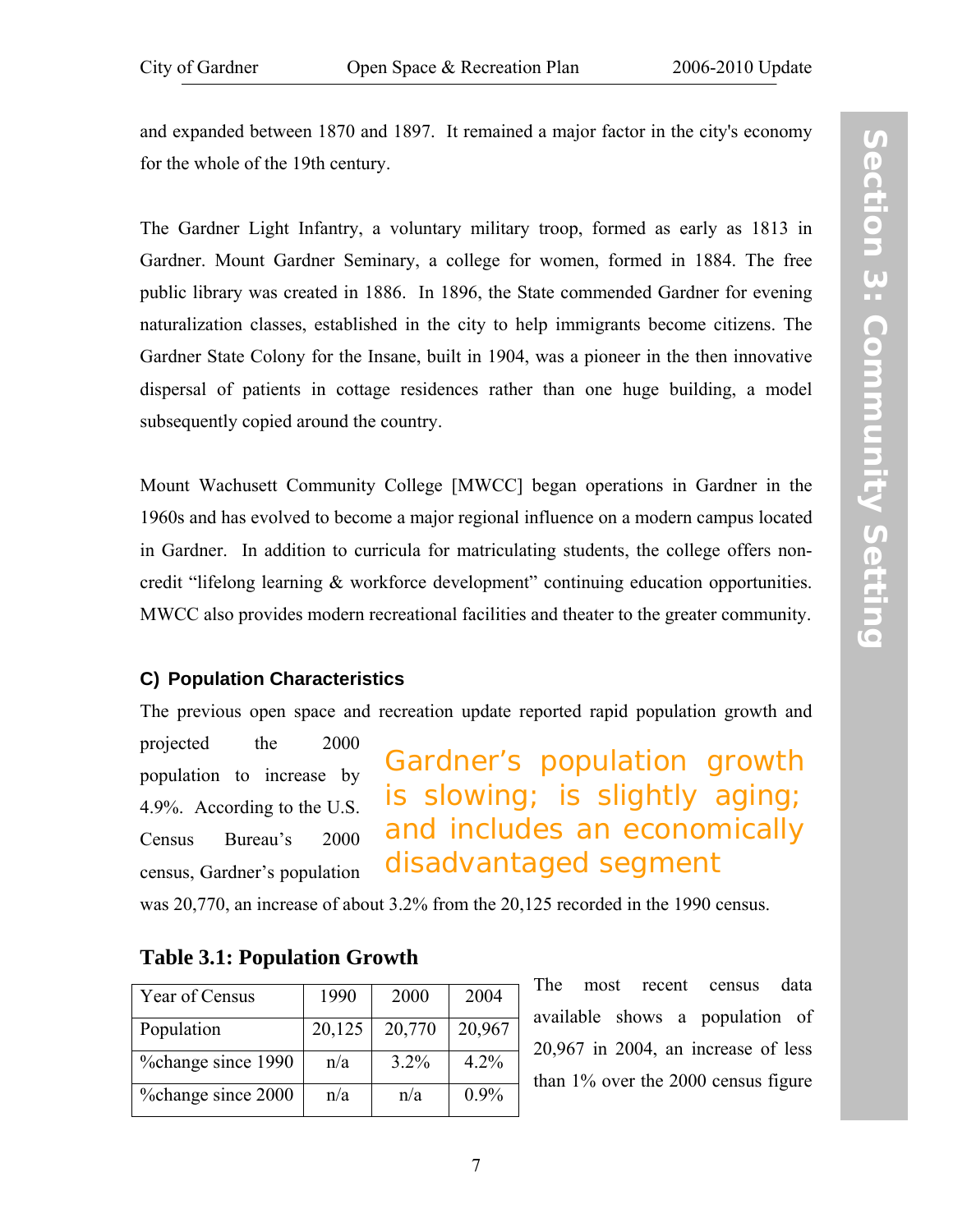<span id="page-14-1"></span><span id="page-14-0"></span>and expanded between 1870 and 1897. It remained a major factor in the city's economy for the whole of the 19th century.

The Gardner Light Infantry, a voluntary military troop, formed as early as 1813 in Gardner. Mount Gardner Seminary, a college for women, formed in 1884. The free public library was created in 1886. In 1896, the State commended Gardner for evening naturalization classes, established in the city to help immigrants become citizens. The Gardner State Colony for the Insane, built in 1904, was a pioneer in the then innovative dispersal of patients in cottage residences rather than one huge building, a model subsequently copied around the country.

Mount Wachusett Community College [MWCC] began operations in Gardner in the 1960s and has evolved to become a major regional influence on a modern campus located in Gardner. In addition to curricula for matriculating students, the college offers noncredit "lifelong learning & workforce development" continuing education opportunities. MWCC also provides modern recreational facilities and theater to the greater community.

#### **C) Population Characteristics**

The previous open space and recreation update reported rapid population growth and

projected the 2000 population to increase by 4.9%. According to the U.S. Census Bureau's 2000 census, Gardner's population

Gardner's population growth is slowing; is slightly aging; and includes an economically disadvantaged segment

was 20,770, an increase of about 3.2% from the 20,125 recorded in the 1990 census.

| Year of Census     | 1990   | 2000    | 2004    |
|--------------------|--------|---------|---------|
| Population         | 20,125 | 20,770  | 20,967  |
| %change since 1990 | n/a    | $3.2\%$ | $4.2\%$ |
| %change since 2000 | n/a    | n/a     | $0.9\%$ |

## **Table 3.1: Population Growth**

The most recent census data available shows a population of 20,967 in 2004, an increase of less than 1% over the 2000 census figure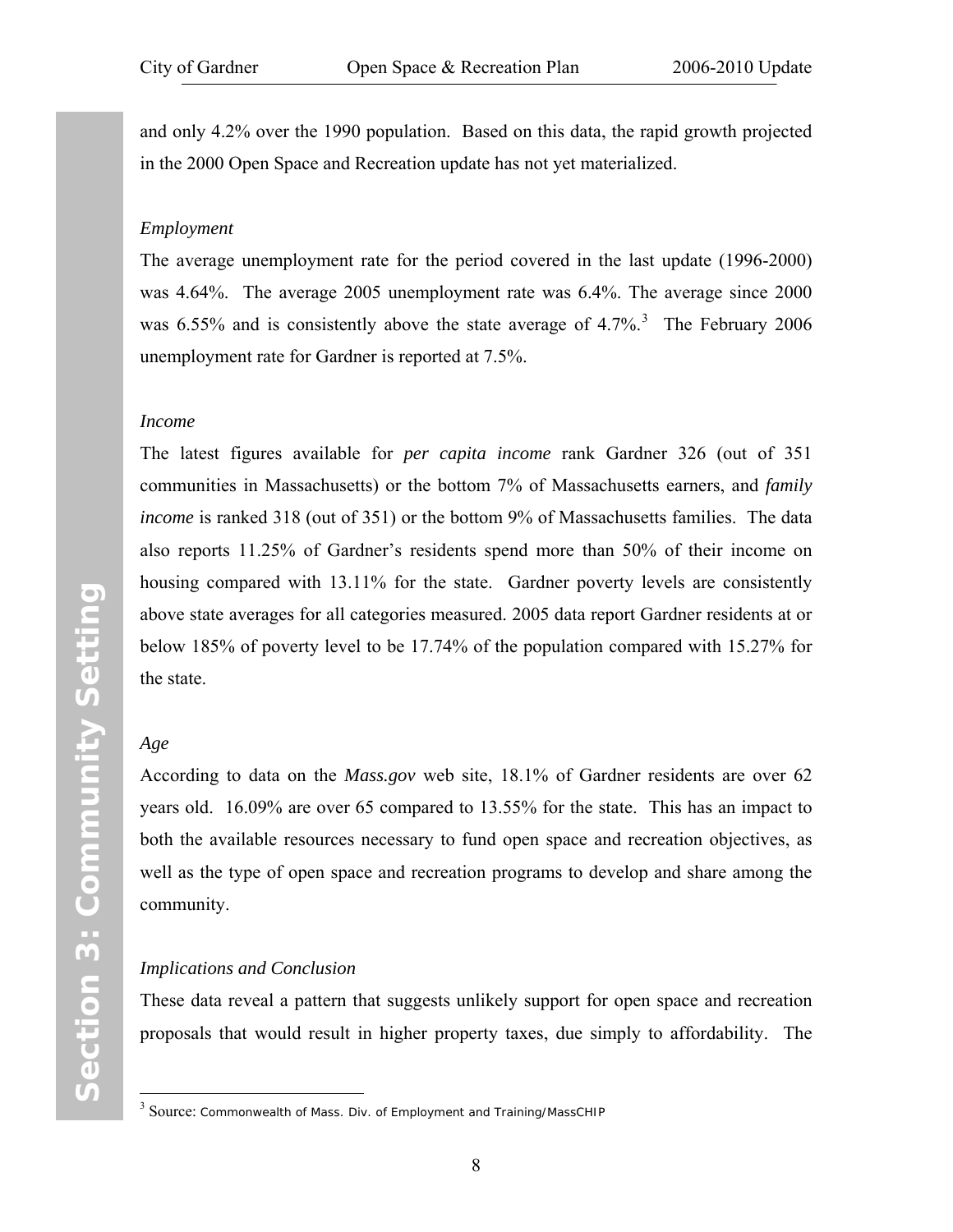and only 4.2% over the 1990 population. Based on this data, the rapid growth projected in the 2000 Open Space and Recreation update has not yet materialized.

#### *Employment*

The average unemployment rate for the period covered in the last update (1996-2000) was 4.64%. The average 2005 unemployment rate was 6.4%. The average since 2000 was 6.55% and is consistently above the state average of 4.7%.<sup>[3](#page-15-0)</sup> The February 2006 unemployment rate for Gardner is reported at 7.5%.

#### *Income*

The latest figures available for *per capita income* rank Gardner 326 (out of 351 communities in Massachusetts) or the bottom 7% of Massachusetts earners, and *family income* is ranked 318 (out of 351) or the bottom 9% of Massachusetts families. The data also reports 11.25% of Gardner's residents spend more than 50% of their income on housing compared with 13.11% for the state. Gardner poverty levels are consistently above state averages for all categories measured. 2005 data report Gardner residents at or below 185% of poverty level to be 17.74% of the population compared with 15.27% for the state.

#### *Age*

 $\overline{a}$ 

According to data on the *Mass.gov* web site, 18.1% of Gardner residents are over 62 years old. 16.09% are over 65 compared to 13.55% for the state. This has an impact to both the available resources necessary to fund open space and recreation objectives, as well as the type of open space and recreation programs to develop and share among the community.

#### *Implications and Conclusion*

These data reveal a pattern that suggests unlikely support for open space and recreation proposals that would result in higher property taxes, due simply to affordability. The

<span id="page-15-0"></span> $3$  Source: Commonwealth of Mass. Div. of Employment and Training/MassCHIP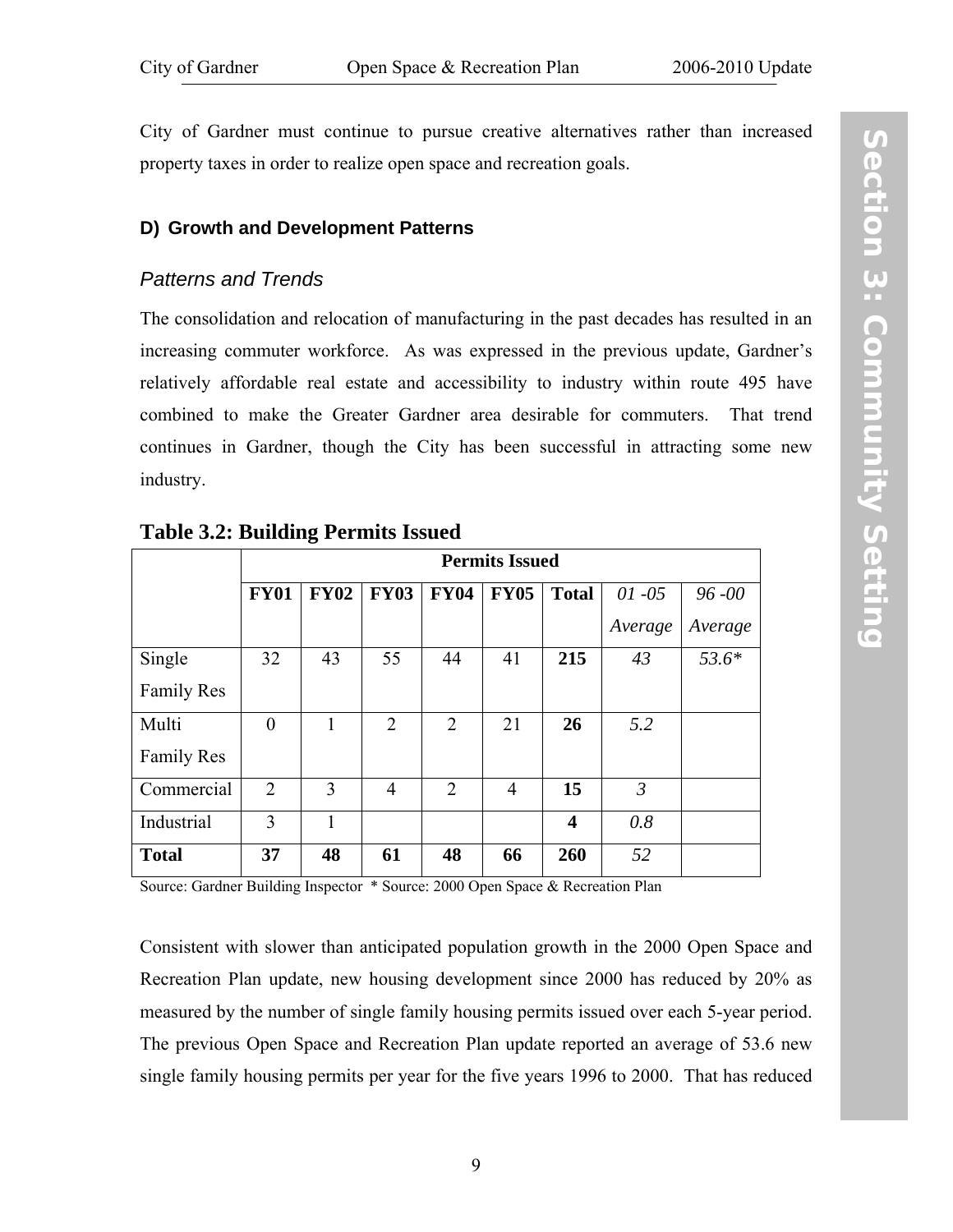<span id="page-16-1"></span><span id="page-16-0"></span>City of Gardner must continue to pursue creative alternatives rather than increased property taxes in order to realize open space and recreation goals.

#### **D) Growth and Development Patterns**

#### *Patterns and Trends*

The consolidation and relocation of manufacturing in the past decades has resulted in an increasing commuter workforce. As was expressed in the previous update, Gardner's relatively affordable real estate and accessibility to industry within route 495 have combined to make the Greater Gardner area desirable for commuters. That trend continues in Gardner, though the City has been successful in attracting some new industry.

|                   | <b>Permits Issued</b> |             |                |                |                |                         |                |           |
|-------------------|-----------------------|-------------|----------------|----------------|----------------|-------------------------|----------------|-----------|
|                   | <b>FY01</b>           | <b>FY02</b> | <b>FY03</b>    | <b>FY04</b>    | <b>FY05</b>    | <b>Total</b>            | $01 - 05$      | $96 - 00$ |
|                   |                       |             |                |                |                |                         | Average        | Average   |
| Single            | 32                    | 43          | 55             | 44             | 41             | 215                     | 43             | $53.6*$   |
| <b>Family Res</b> |                       |             |                |                |                |                         |                |           |
| Multi             | $\boldsymbol{0}$      | 1           | $\overline{2}$ | $\overline{2}$ | 21             | 26                      | 5.2            |           |
| <b>Family Res</b> |                       |             |                |                |                |                         |                |           |
| Commercial        | $\overline{2}$        | 3           | $\overline{4}$ | $\overline{2}$ | $\overline{4}$ | 15                      | $\mathfrak{Z}$ |           |
| Industrial        | 3                     | 1           |                |                |                | $\overline{\mathbf{4}}$ | 0.8            |           |
| <b>Total</b>      | 37                    | 48          | 61             | 48             | 66             | 260                     | 52             |           |

## **Table 3.2: Building Permits Issued**

Source: Gardner Building Inspector \* Source: 2000 Open Space & Recreation Plan

Consistent with slower than anticipated population growth in the 2000 Open Space and Recreation Plan update, new housing development since 2000 has reduced by 20% as measured by the number of single family housing permits issued over each 5-year period. The previous Open Space and Recreation Plan update reported an average of 53.6 new single family housing permits per year for the five years 1996 to 2000. That has reduced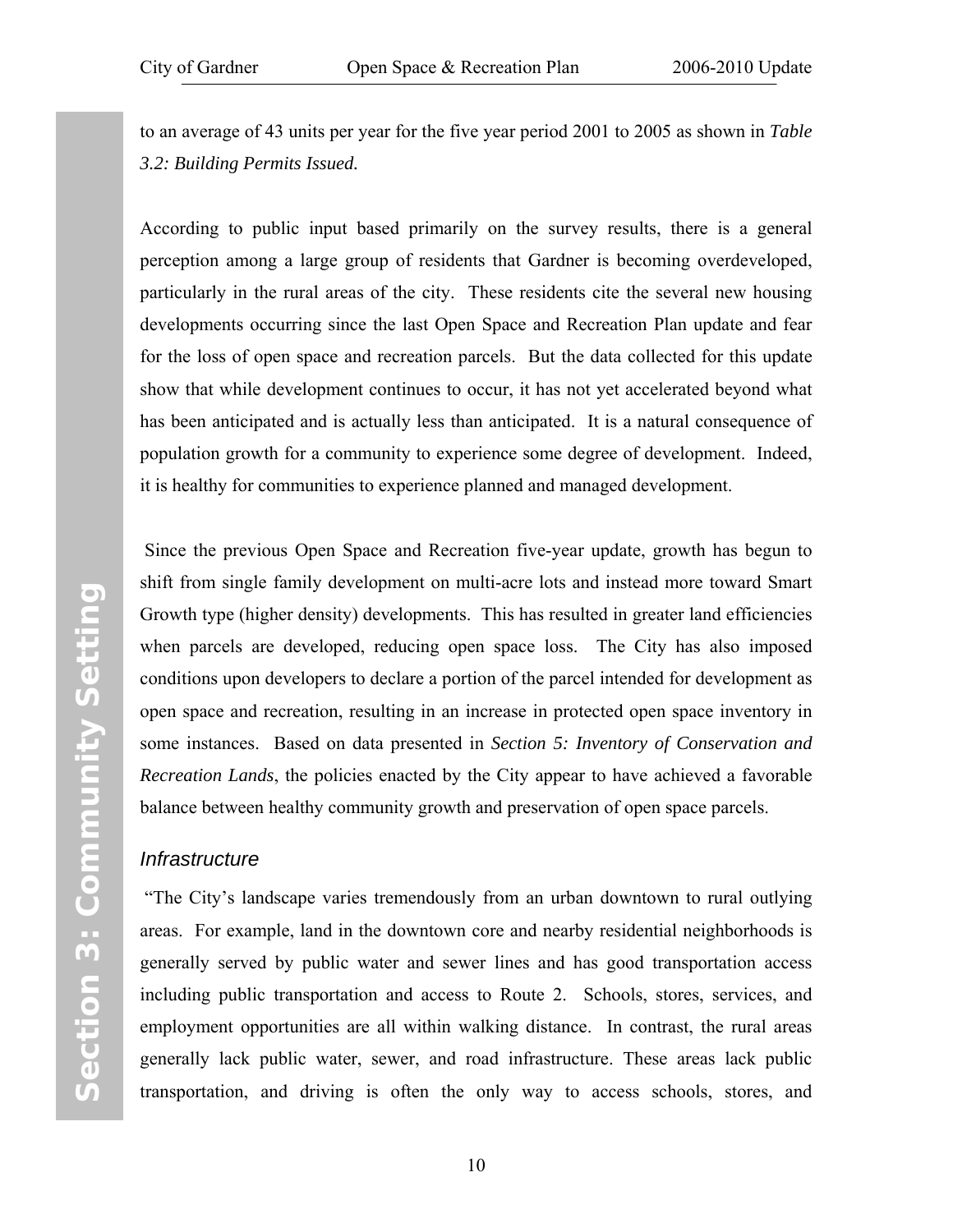<span id="page-17-0"></span>to an average of 43 units per year for the five year period 2001 to 2005 as shown in *[Table](#page-16-1) [3.2: Building Permits Issued](#page-16-1).* 

According to public input based primarily on the survey results, there is a general perception among a large group of residents that Gardner is becoming overdeveloped, particularly in the rural areas of the city. These residents cite the several new housing developments occurring since the last Open Space and Recreation Plan update and fear for the loss of open space and recreation parcels. But the data collected for this update show that while development continues to occur, it has not yet accelerated beyond what has been anticipated and is actually less than anticipated. It is a natural consequence of population growth for a community to experience some degree of development. Indeed, it is healthy for communities to experience planned and managed development.

 Since the previous Open Space and Recreation five-year update, growth has begun to shift from single family development on multi-acre lots and instead more toward Smart Growth type (higher density) developments. This has resulted in greater land efficiencies when parcels are developed, reducing open space loss. The City has also imposed conditions upon developers to declare a portion of the parcel intended for development as open space and recreation, resulting in an increase in protected open space inventory in some instances. Based on data presented in *Section 5: [Inventory of Conservation and](#page-46-1) [Recreation Lands](#page-46-1)*, the policies enacted by the City appear to have achieved a favorable balance between healthy community growth and preservation of open space parcels.

#### *Infrastructure*

 "The City's landscape varies tremendously from an urban downtown to rural outlying areas. For example, land in the downtown core and nearby residential neighborhoods is generally served by public water and sewer lines and has good transportation access including public transportation and access to Route 2. Schools, stores, services, and employment opportunities are all within walking distance. In contrast, the rural areas generally lack public water, sewer, and road infrastructure. These areas lack public transportation, and driving is often the only way to access schools, stores, and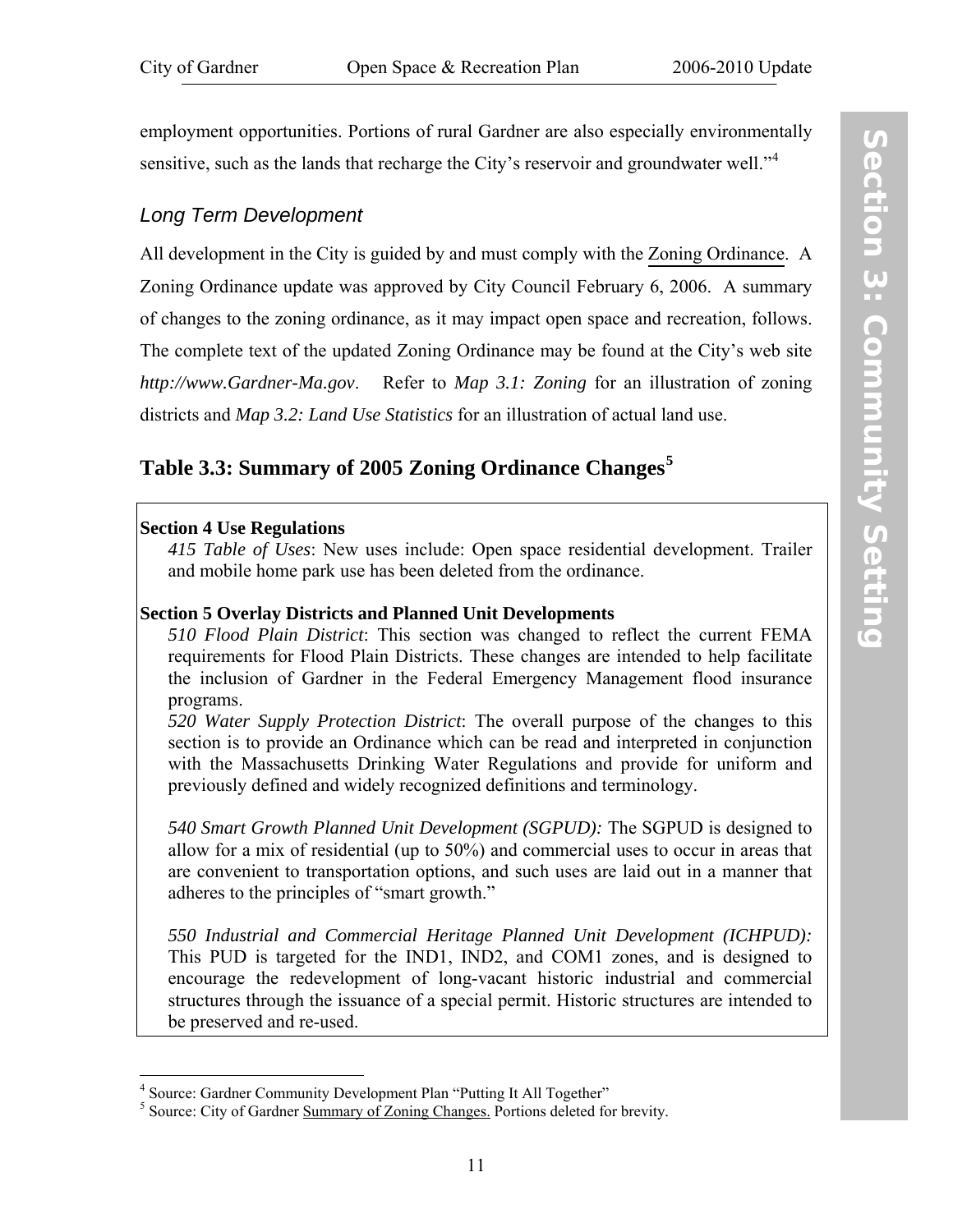<span id="page-18-1"></span><span id="page-18-0"></span>employment opportunities. Portions of rural Gardner are also especially environmentally sensitive, such as the lands that recharge the City's reservoir and groundwater well."<sup>[4](#page-18-2)</sup>

## *Long Term Development*

All development in the City is guided by and must comply with the [Zoning Ordinance](http://www.gardner-ma.gov/Pages/GardnerMA_BComm/Planning/zoneord.pdf). A Zoning Ordinance update was approved by City Council February 6, 2006. A summary of changes to the zoning ordinance, as it may impact open space and recreation, follows. The complete text of the updated Zoning Ordinance may be found at the City's web site *http://www.Gardner-Ma.gov*. Refer to *[Map 3.1: Zoning](#page-24-1)* for an illustration of zoning districts and *[Map 3.2: Land Use Statistics](#page-26-1)* for an illustration of actual land use.

## **Table 3.3: Summary of 2005 Zoning Ordinance Changes[5](#page-18-3)**

#### **Section 4 Use Regulations**

 $\overline{a}$ 

*415 Table of Uses*: New uses include: Open space residential development. Trailer and mobile home park use has been deleted from the ordinance.

#### **Section 5 Overlay Districts and Planned Unit Developments**

*510 Flood Plain District*: This section was changed to reflect the current FEMA requirements for Flood Plain Districts. These changes are intended to help facilitate the inclusion of Gardner in the Federal Emergency Management flood insurance programs.

*520 Water Supply Protection District*: The overall purpose of the changes to this section is to provide an Ordinance which can be read and interpreted in conjunction with the Massachusetts Drinking Water Regulations and provide for uniform and previously defined and widely recognized definitions and terminology.

*540 Smart Growth Planned Unit Development (SGPUD):* The SGPUD is designed to allow for a mix of residential (up to 50%) and commercial uses to occur in areas that are convenient to transportation options, and such uses are laid out in a manner that adheres to the principles of "smart growth."

*550 Industrial and Commercial Heritage Planned Unit Development (ICHPUD):* This PUD is targeted for the IND1, IND2, and COM1 zones, and is designed to encourage the redevelopment of long-vacant historic industrial and commercial structures through the issuance of a special permit. Historic structures are intended to be preserved and re-used.

<span id="page-18-2"></span><sup>&</sup>lt;sup>4</sup> Source: Gardner Community Development Plan "Putting It All Together"

<span id="page-18-3"></span><sup>&</sup>lt;sup>5</sup> Source: City of Gardner Summary of Zoning Changes. Portions deleted for brevity.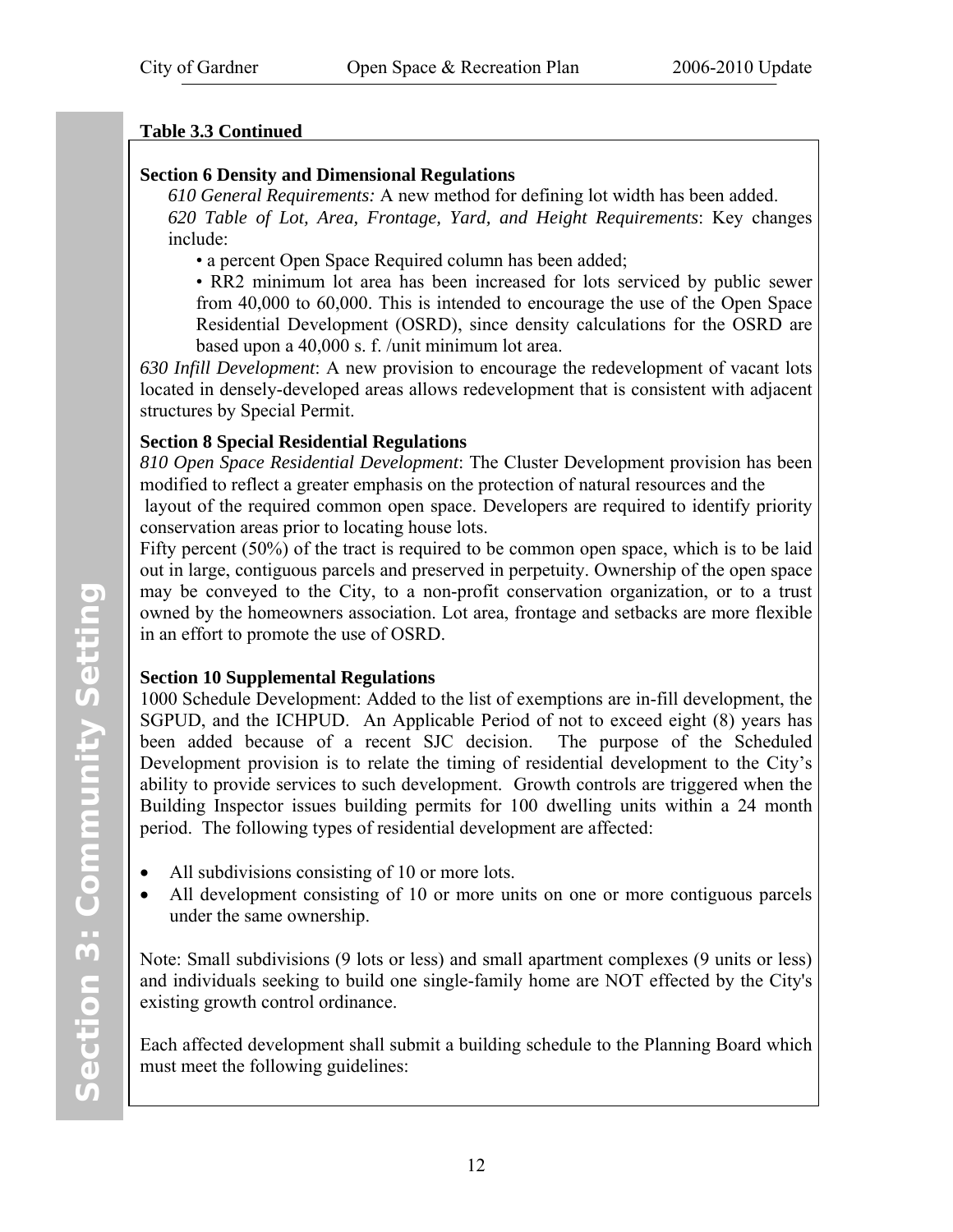## **Table 3.3 Continued**

## **Section 6 Density and Dimensional Regulations**

*610 General Requirements:* A new method for defining lot width has been added. *620 Table of Lot, Area, Frontage, Yard, and Height Requirements*: Key changes include:

• a percent Open Space Required column has been added;

• RR2 minimum lot area has been increased for lots serviced by public sewer from 40,000 to 60,000. This is intended to encourage the use of the Open Space Residential Development (OSRD), since density calculations for the OSRD are based upon a 40,000 s. f. /unit minimum lot area.

*630 Infill Development*: A new provision to encourage the redevelopment of vacant lots located in densely-developed areas allows redevelopment that is consistent with adjacent structures by Special Permit.

## **Section 8 Special Residential Regulations**

*810 Open Space Residential Development*: The Cluster Development provision has been modified to reflect a greater emphasis on the protection of natural resources and the

 layout of the required common open space. Developers are required to identify priority conservation areas prior to locating house lots.

Fifty percent (50%) of the tract is required to be common open space, which is to be laid out in large, contiguous parcels and preserved in perpetuity. Ownership of the open space may be conveyed to the City, to a non-profit conservation organization, or to a trust owned by the homeowners association. Lot area, frontage and setbacks are more flexible in an effort to promote the use of OSRD.

## **Section 10 Supplemental Regulations**

1000 Schedule Development: Added to the list of exemptions are in-fill development, the SGPUD, and the ICHPUD. An Applicable Period of not to exceed eight (8) years has been added because of a recent SJC decision. The purpose of the Scheduled Development provision is to relate the timing of residential development to the City's ability to provide services to such development. Growth controls are triggered when the Building Inspector issues building permits for 100 dwelling units within a 24 month period. The following types of residential development are affected:

- All subdivisions consisting of 10 or more lots.
- All development consisting of 10 or more units on one or more contiguous parcels under the same ownership.

Note: Small subdivisions (9 lots or less) and small apartment complexes (9 units or less) and individuals seeking to build one single-family home are NOT effected by the City's existing growth control ordinance.

Each affected development shall submit a building schedule to the Planning Board which must meet the following guidelines: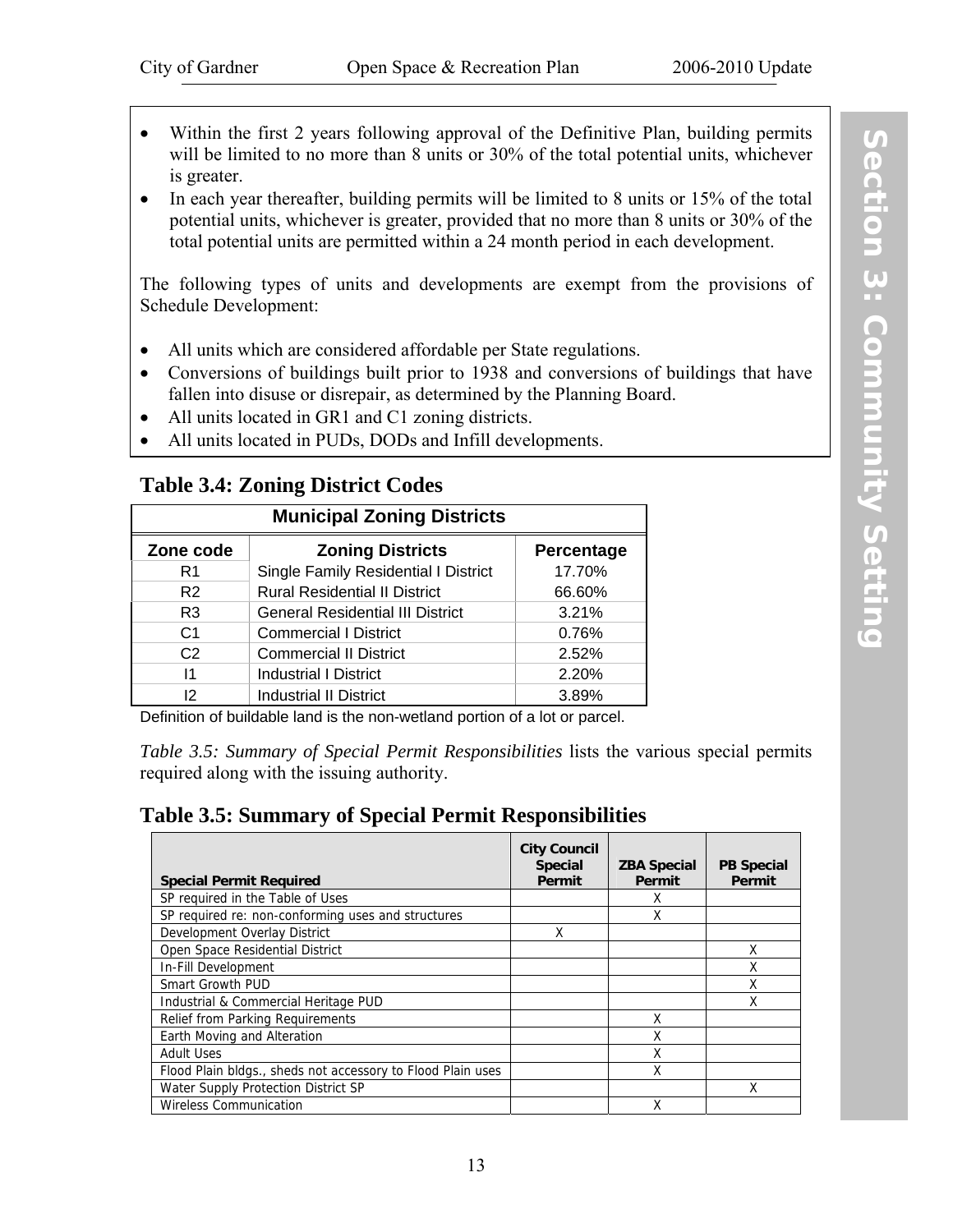- 
- <span id="page-20-1"></span><span id="page-20-0"></span>Within the first 2 years following approval of the Definitive Plan, building permits will be limited to no more than 8 units or 30% of the total potential units, whichever is greater.
- In each year thereafter, building permits will be limited to 8 units or 15% of the total potential units, whichever is greater, provided that no more than 8 units or 30% of the total potential units are permitted within a 24 month period in each development.

The following types of units and developments are exempt from the provisions of Schedule Development:

- All units which are considered affordable per State regulations.
- Conversions of buildings built prior to 1938 and conversions of buildings that have fallen into disuse or disrepair, as determined by the Planning Board.
- All units located in GR1 and C1 zoning districts.
- All units located in PUDs, DODs and Infill developments.

## **Table 3.4: Zoning District Codes**

| <b>Municipal Zoning Districts</b> |                                         |        |  |  |  |  |
|-----------------------------------|-----------------------------------------|--------|--|--|--|--|
| Zone code                         | <b>Percentage</b>                       |        |  |  |  |  |
| R <sub>1</sub>                    | Single Family Residential I District    | 17.70% |  |  |  |  |
| R <sub>2</sub>                    | <b>Rural Residential II District</b>    | 66.60% |  |  |  |  |
| R <sub>3</sub>                    | <b>General Residential III District</b> | 3.21%  |  |  |  |  |
| C <sub>1</sub>                    | <b>Commercial I District</b>            | 0.76%  |  |  |  |  |
| C <sub>2</sub>                    | <b>Commercial II District</b>           | 2.52%  |  |  |  |  |
| 11                                | <b>Industrial I District</b>            | 2.20%  |  |  |  |  |
| 12                                | <b>Industrial II District</b>           | 3.89%  |  |  |  |  |

Definition of buildable land is the non-wetland portion of a lot or parcel.

*Table 3.5: Summary of Special Permit Responsibilities* lists the various special permits required along with the issuing authority.

## **Table 3.5: Summary of Special Permit Responsibilities**

| <b>Special Permit Required</b>                              | <b>City Council</b><br><b>Special</b><br>Permit | <b>ZBA Special</b><br>Permit | <b>PB Special</b><br>Permit |
|-------------------------------------------------------------|-------------------------------------------------|------------------------------|-----------------------------|
|                                                             |                                                 |                              |                             |
| SP required in the Table of Uses                            |                                                 | χ                            |                             |
| SP required re: non-conforming uses and structures          |                                                 | Χ                            |                             |
| Development Overlay District                                | X                                               |                              |                             |
| Open Space Residential District                             |                                                 |                              | X                           |
| In-Fill Development                                         |                                                 |                              | Χ                           |
| <b>Smart Growth PUD</b>                                     |                                                 |                              | Χ                           |
| Industrial & Commercial Heritage PUD                        |                                                 |                              | χ                           |
| Relief from Parking Requirements                            |                                                 | Χ                            |                             |
| Earth Moving and Alteration                                 |                                                 | Χ                            |                             |
| <b>Adult Uses</b>                                           |                                                 | Χ                            |                             |
| Flood Plain bldgs., sheds not accessory to Flood Plain uses |                                                 | Χ                            |                             |
| Water Supply Protection District SP                         |                                                 |                              | χ                           |
| <b>Wireless Communication</b>                               |                                                 | Χ                            |                             |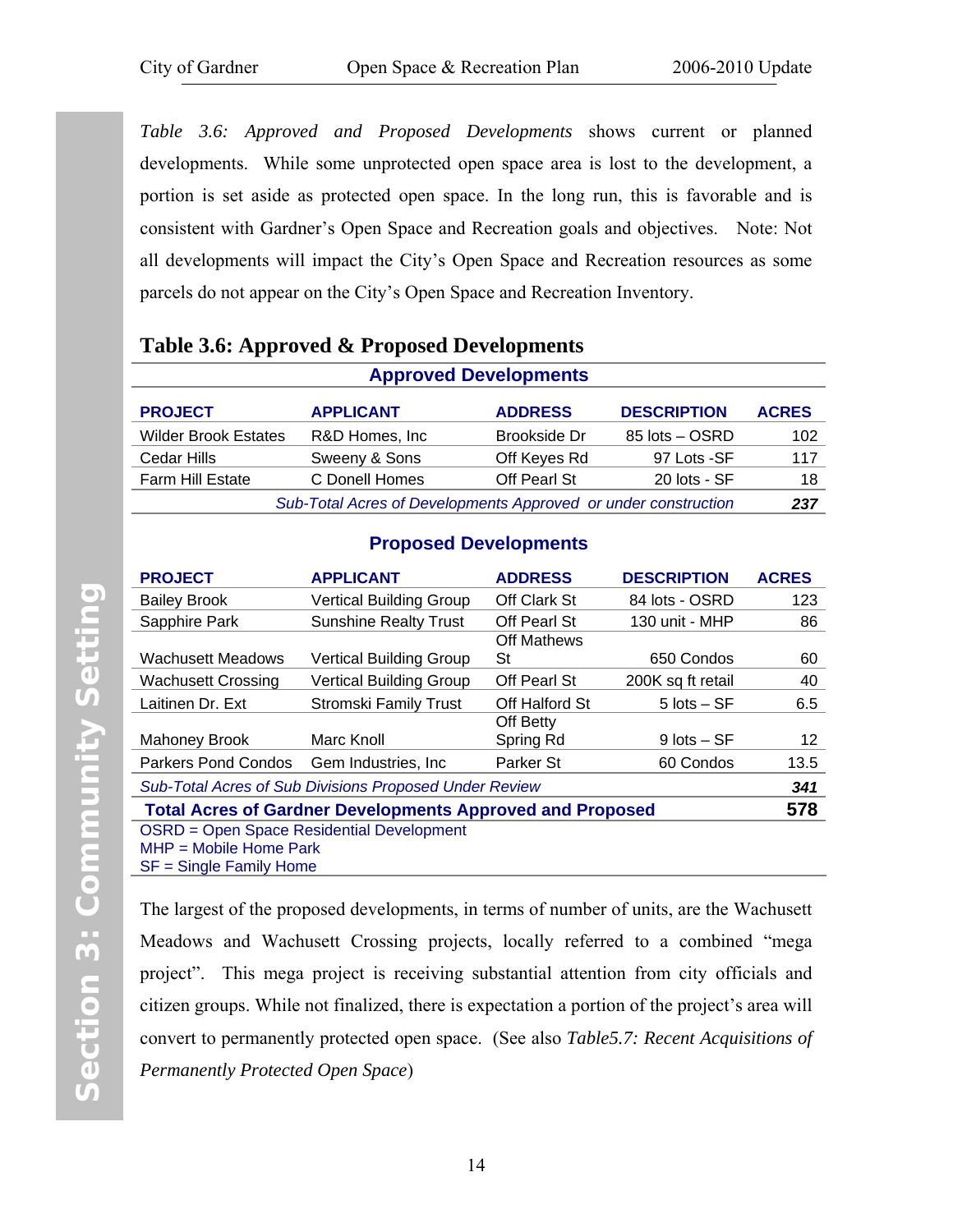<span id="page-21-1"></span><span id="page-21-0"></span>*Table 3.6: Approved and Proposed Developments* shows current or planned developments. While some unprotected open space area is lost to the development, a portion is set aside as protected open space. In the long run, this is favorable and is consistent with Gardner's Open Space and Recreation goals and objectives. Note: Not all developments will impact the City's Open Space and Recreation resources as some parcels do not appear on the City's Open Space and Recreation Inventory.

| Table 3.6: Approved & Proposed Developments |  |  |  |
|---------------------------------------------|--|--|--|
|---------------------------------------------|--|--|--|

| <b>Approved Developments</b>                                   |                  |                |                    |              |  |  |
|----------------------------------------------------------------|------------------|----------------|--------------------|--------------|--|--|
| <b>PROJECT</b>                                                 | <b>APPLICANT</b> | <b>ADDRESS</b> | <b>DESCRIPTION</b> | <b>ACRES</b> |  |  |
| <b>Wilder Brook Estates</b>                                    | R&D Homes, Inc.  | Brookside Dr   | 85 lots - OSRD     | 102          |  |  |
| Cedar Hills                                                    | Sweeny & Sons    | Off Keyes Rd   | 97 Lots -SF        | 117          |  |  |
| <b>Farm Hill Estate</b>                                        | C Donell Homes   | Off Pearl St   | 20 lots - SF       | 18           |  |  |
| Sub-Total Acres of Developments Approved or under construction |                  |                |                    |              |  |  |

#### **Proposed Developments**

| <b>PROJECT</b>                                                   | <b>APPLICANT</b>                                 | <b>ADDRESS</b>      | <b>DESCRIPTION</b> | <b>ACRES</b> |  |  |  |  |  |
|------------------------------------------------------------------|--------------------------------------------------|---------------------|--------------------|--------------|--|--|--|--|--|
| <b>Bailey Brook</b>                                              | <b>Vertical Building Group</b>                   | Off Clark St        | 84 lots - OSRD     | 123          |  |  |  |  |  |
| Sapphire Park                                                    | <b>Sunshine Realty Trust</b>                     | Off Pearl St        | 130 unit - MHP     | 86           |  |  |  |  |  |
|                                                                  |                                                  | Off Mathews         |                    |              |  |  |  |  |  |
| <b>Wachusett Meadows</b>                                         | Vertical Building Group                          | St                  | 650 Condos         | 60           |  |  |  |  |  |
| <b>Wachusett Crossing</b>                                        | Vertical Building Group                          | <b>Off Pearl St</b> | 200K sq ft retail  | 40           |  |  |  |  |  |
| Laitinen Dr. Ext                                                 | <b>Stromski Family Trust</b>                     | Off Halford St      | $5$ lots $-$ SF    |              |  |  |  |  |  |
|                                                                  |                                                  | Off Betty           |                    |              |  |  |  |  |  |
| <b>Mahoney Brook</b>                                             | Marc Knoll                                       | Spring Rd           | $9$ lots $-$ SF    | 12           |  |  |  |  |  |
| Parkers Pond Condos Gem Industries, Inc.                         |                                                  | Parker St           | 60 Condos          | 13.5         |  |  |  |  |  |
| <b>Sub-Total Acres of Sub Divisions Proposed Under Review</b>    |                                                  |                     |                    |              |  |  |  |  |  |
| <b>Total Acres of Gardner Developments Approved and Proposed</b> |                                                  |                     |                    |              |  |  |  |  |  |
|                                                                  | <b>OSRD = Open Space Residential Development</b> |                     |                    |              |  |  |  |  |  |
| $MHP = Mobile Home Park$                                         |                                                  |                     |                    |              |  |  |  |  |  |
| $SF =$ Single Family Home                                        |                                                  |                     |                    |              |  |  |  |  |  |

The largest of the proposed developments, in terms of number of units, are the Wachusett Meadows and Wachusett Crossing projects, locally referred to a combined "mega project". This mega project is receiving substantial attention from city officials and citizen groups. While not finalized, there is expectation a portion of the project's area will convert to permanently protected open space. (See also *[Table5.7: Recent Acquisitions of](#page-66-1) [Permanently Protected Open Space](#page-66-1)*)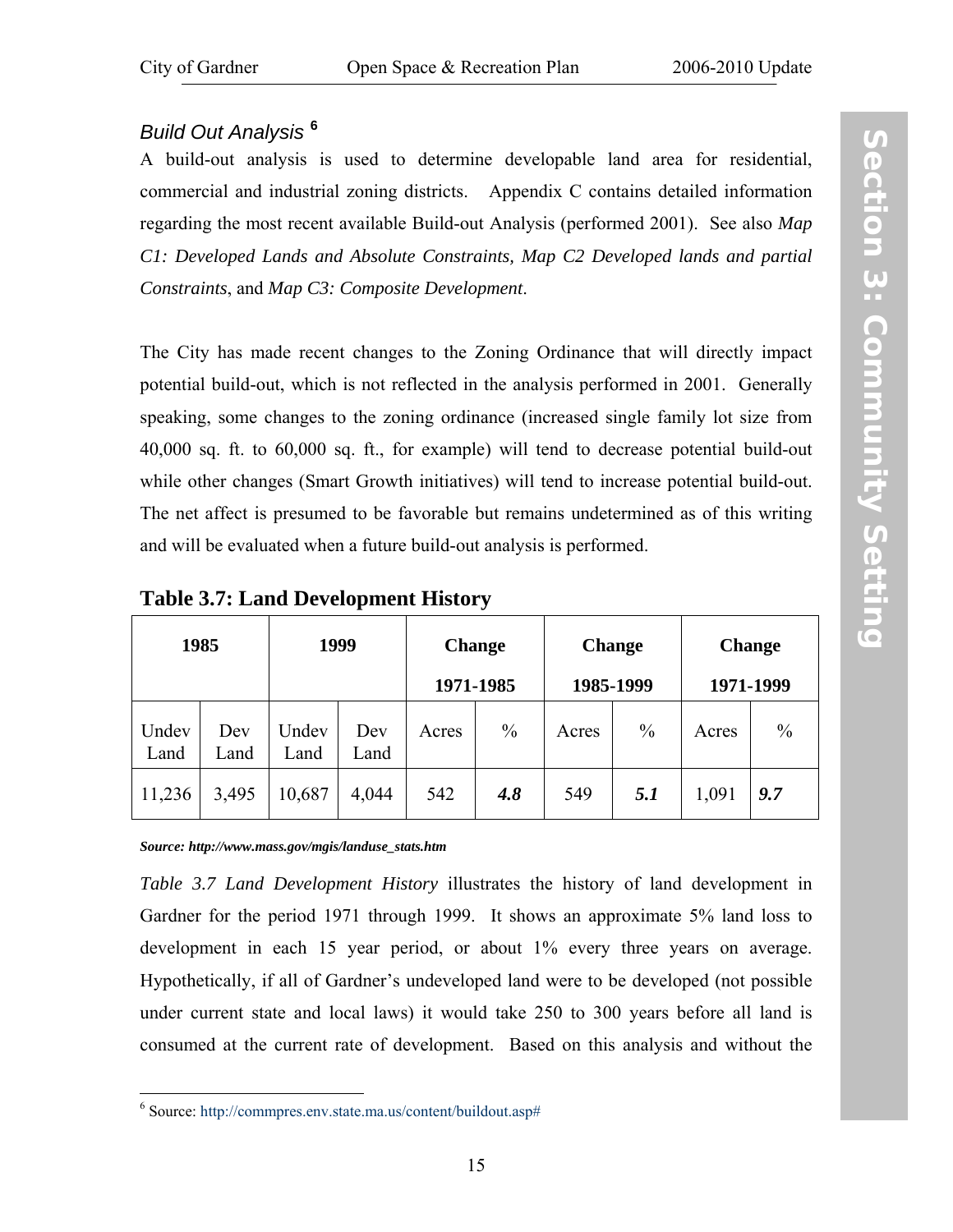## <span id="page-22-1"></span><span id="page-22-0"></span>*Build Out Analysis* **[6](#page-22-2)**

A build-out analysis is used to determine developable land area for residential, commercial and industrial zoning districts. [Appendix C](#page-116-1) contains detailed information regarding the most recent available Build-out Analysis (performed 2001). See also *[Map](http://www.gardner-ma.gov/Pages/GardnerMA_CommDev/OS/MapC1.pdf) [C1: Developed Lands and Absolute Constraints,](http://www.gardner-ma.gov/Pages/GardnerMA_CommDev/OS/MapC1.pdf) [Map C2 Developed lands and partial](http://www.gardner-ma.gov/Pages/GardnerMA_CommDev/OS/MapC2.pdf) [Constraints](http://www.gardner-ma.gov/Pages/GardnerMA_CommDev/OS/MapC2.pdf)*, and *[Map C3: Composite Development](http://www.gardner-ma.gov/Pages/GardnerMA_CommDev/OS/MapC3.pdf)*.

The City has made recent changes to the Zoning Ordinance that will directly impact potential build-out, which is not reflected in the analysis performed in 2001. Generally speaking, some changes to the zoning ordinance (increased single family lot size from 40,000 sq. ft. to 60,000 sq. ft., for example) will tend to decrease potential build-out while other changes (Smart Growth initiatives) will tend to increase potential build-out. The net affect is presumed to be favorable but remains undetermined as of this writing and will be evaluated when a future build-out analysis is performed.

| 1985          |             | 1999          |             | <b>Change</b><br>1971-1985 |               | <b>Change</b><br>1985-1999 |               | <b>Change</b><br>1971-1999 |               |
|---------------|-------------|---------------|-------------|----------------------------|---------------|----------------------------|---------------|----------------------------|---------------|
| Undev<br>Land | Dev<br>Land | Undev<br>Land | Dev<br>Land | Acres                      | $\frac{0}{0}$ | Acres                      | $\frac{0}{0}$ | Acres                      | $\frac{0}{0}$ |
| 11,236        | 3,495       | 10,687        | 4,044       | 542                        | 4.8           | 549                        | <i>5.1</i>    | 1,091                      | 9.7           |

**Table 3.7: Land Development History** 

*Source: http://www.mass.gov/mgis/landuse\_stats.htm* 

 $\overline{a}$ 

*Table 3.7 Land Development History* illustrates the history of land development in Gardner for the period 1971 through 1999. It shows an approximate 5% land loss to development in each 15 year period, or about 1% every three years on average. Hypothetically, if all of Gardner's undeveloped land were to be developed (not possible under current state and local laws) it would take 250 to 300 years before all land is consumed at the current rate of development. Based on this analysis and without the

<span id="page-22-2"></span><sup>6</sup> Source: http://commpres.env.state.ma.us/content/buildout.asp#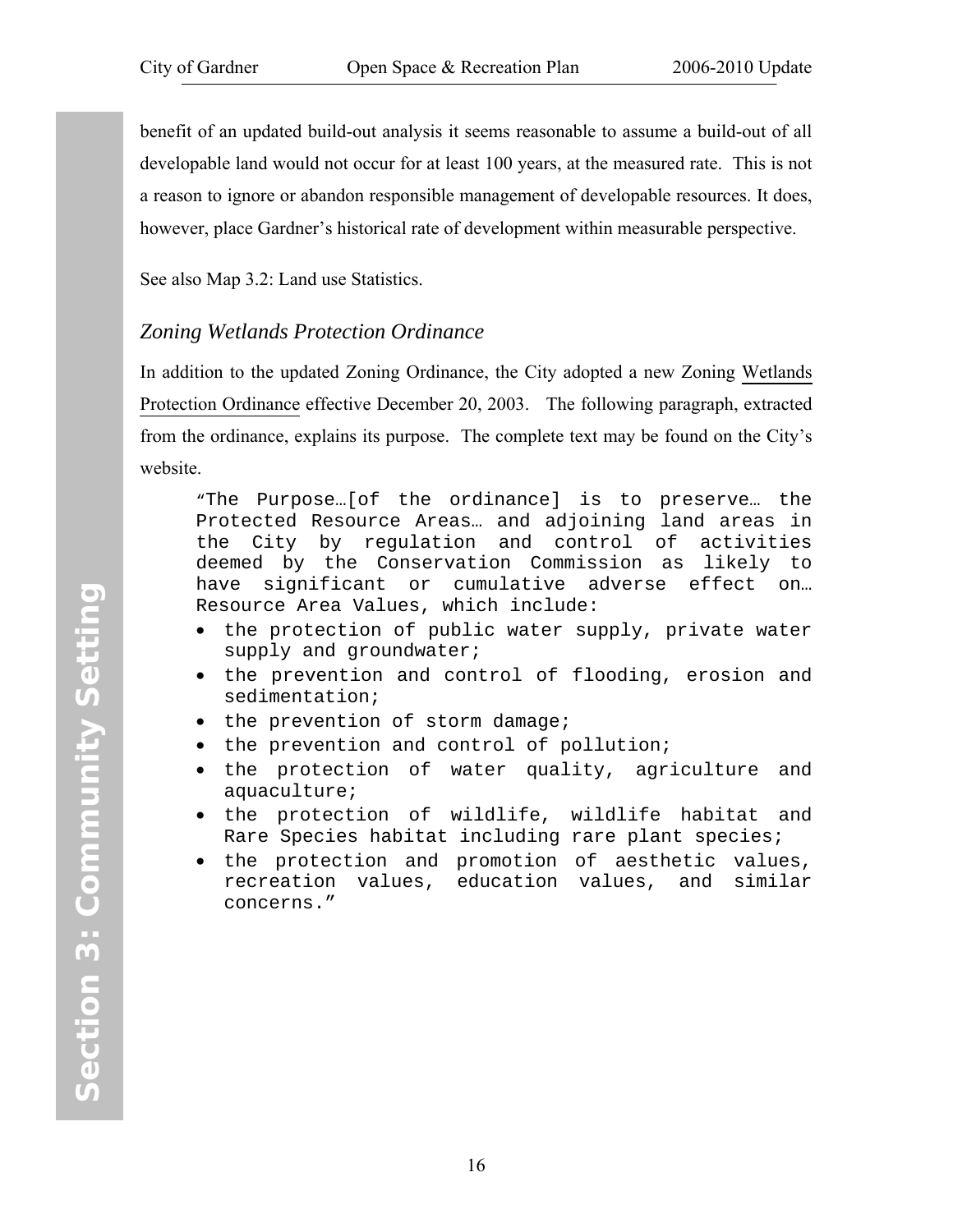benefit of an updated build-out analysis it seems reasonable to assume a build-out of all developable land would not occur for at least 100 years, at the measured rate. This is not a reason to ignore or abandon responsible management of developable resources. It does, however, place Gardner's historical rate of development within measurable perspective.

See also [Map 3.2: Land use Statistics](http://www.gardner-ma.gov/Pages/GardnerMA_CommDev/OS/Map3.2.pdf).

## *Zoning Wetlands Protection Ordinance*

In addition to the updated Zoning Ordinance, the City adopted a new Zoning [Wetlands](http://www.gardner-ma.gov/Pages/GardnerMA_BComm/Conservation/wet.pdf) [Protection Ordinance](http://www.gardner-ma.gov/Pages/GardnerMA_BComm/Conservation/wet.pdf) effective December 20, 2003. The following paragraph, extracted from the ordinance, explains its purpose. The complete text may be found on the City's website.

"The Purpose…[of the ordinance] is to preserve… the Protected Resource Areas… and adjoining land areas in the City by regulation and control of activities deemed by the Conservation Commission as likely to have significant or cumulative adverse effect on… Resource Area Values, which include:

- the protection of public water supply, private water supply and groundwater;
- the prevention and control of flooding, erosion and sedimentation;
- the prevention of storm damage;
- the prevention and control of pollution;
- the protection of water quality, agriculture and aquaculture;
- the protection of wildlife, wildlife habitat and Rare Species habitat including rare plant species;
- the protection and promotion of aesthetic values, recreation values, education values, and similar concerns."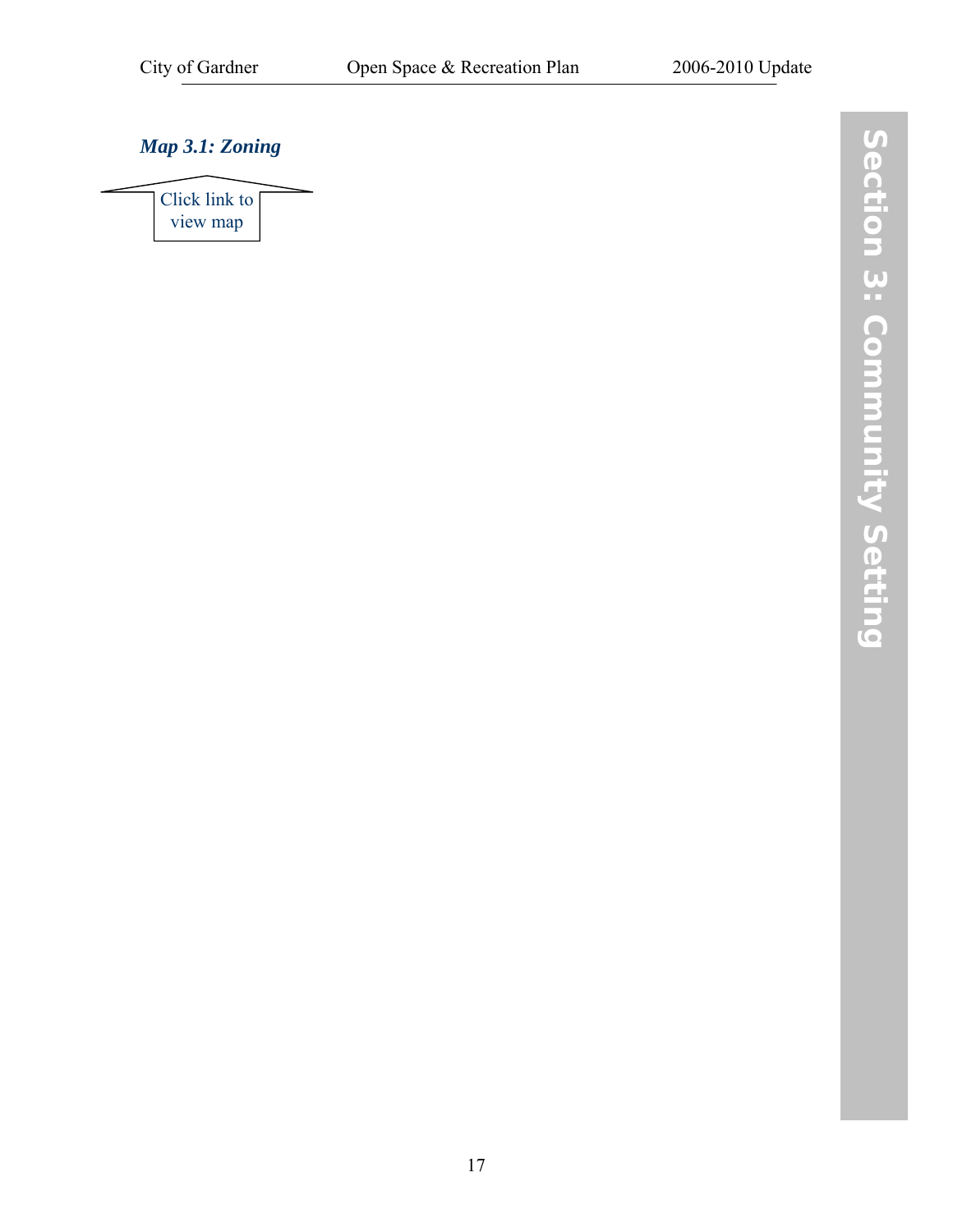## <span id="page-24-1"></span><span id="page-24-0"></span>*[Map 3.1: Zoning](http://www.gardner-ma.gov/Pages/GardnerMA_CommDev/OS/Map3.1.pdf)*

[Click link to](http://www.gardner-ma.gov/Pages/GardnerMA_CommDev/OS/Map3.1.pdf)  view map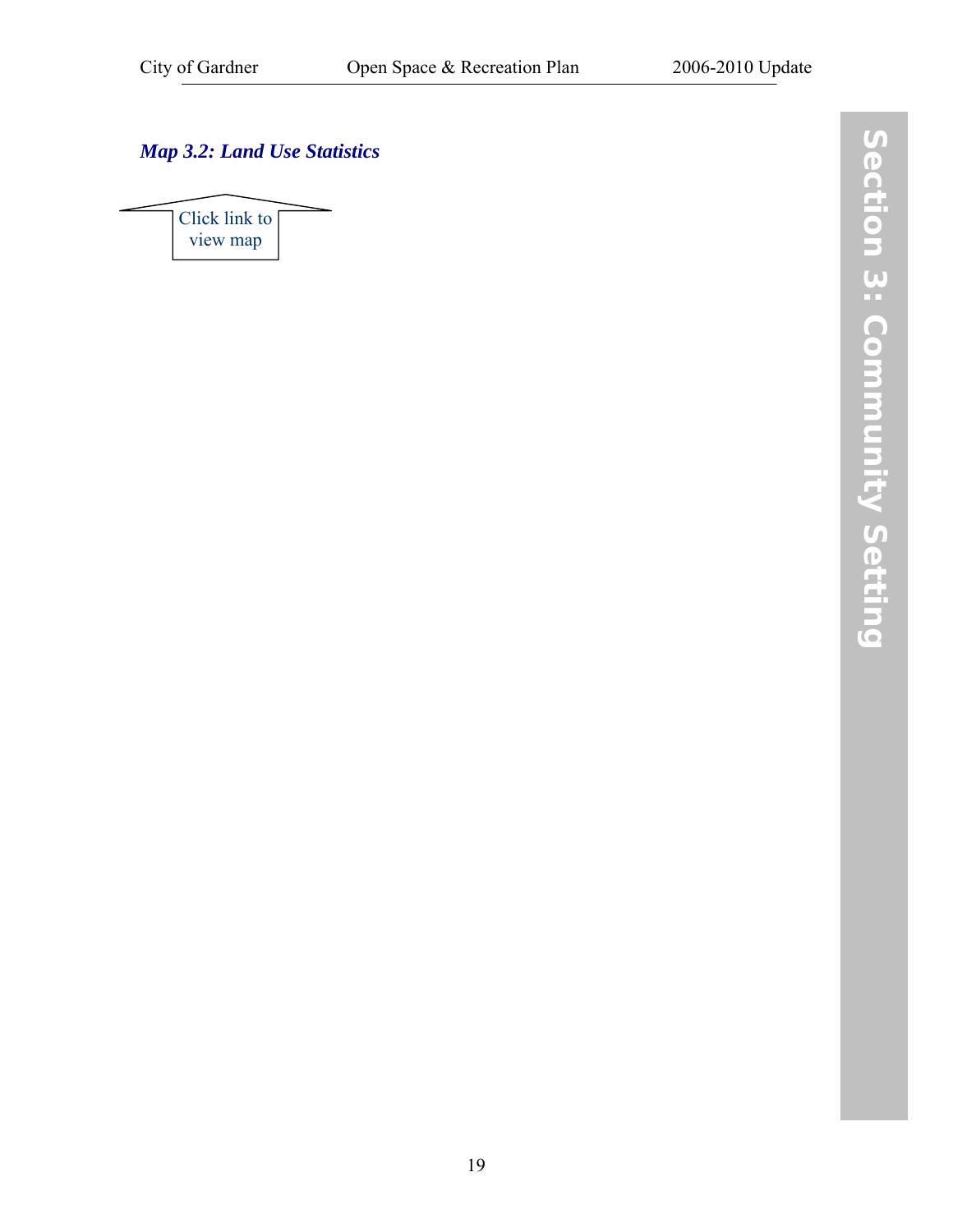## <span id="page-26-1"></span><span id="page-26-0"></span>*[Map 3.2: Land Use Statistics](http://www.gardner-ma.gov/Pages/GardnerMA_CommDev/OS/Map3.2.pdf)*

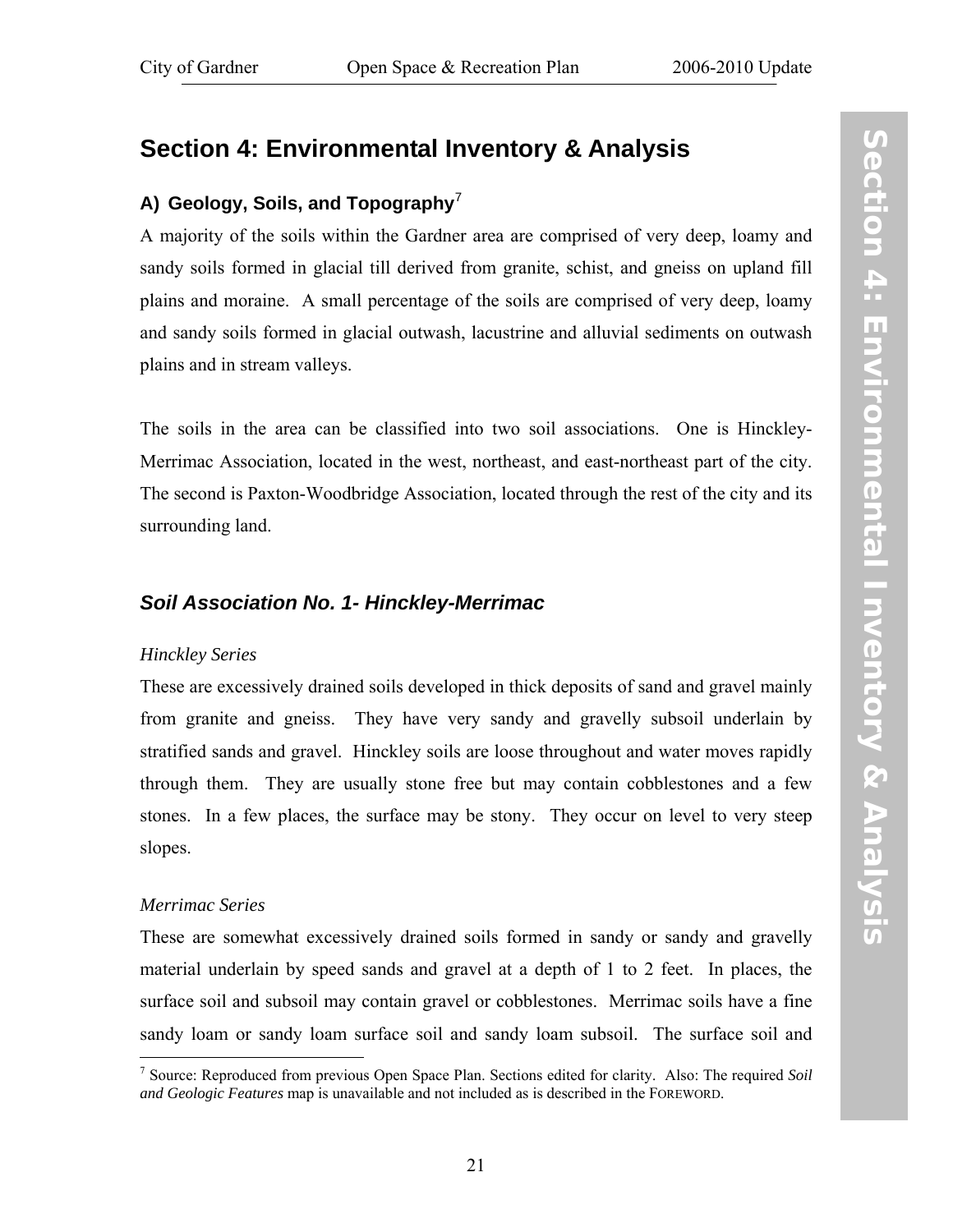## <span id="page-28-0"></span>**Section 4: Environmental Inventory & Analysis**

## **A) Geology, Soils, and Topography**[7](#page-28-1)

A majority of the soils within the Gardner area are comprised of very deep, loamy and sandy soils formed in glacial till derived from granite, schist, and gneiss on upland fill plains and moraine. A small percentage of the soils are comprised of very deep, loamy and sandy soils formed in glacial outwash, lacustrine and alluvial sediments on outwash plains and in stream valleys.

The soils in the area can be classified into two soil associations. One is Hinckley-Merrimac Association, located in the west, northeast, and east-northeast part of the city. The second is Paxton-Woodbridge Association, located through the rest of the city and its surrounding land.

## *Soil Association No. 1- Hinckley-Merrimac*

#### *Hinckley Series*

These are excessively drained soils developed in thick deposits of sand and gravel mainly from granite and gneiss. They have very sandy and gravelly subsoil underlain by stratified sands and gravel. Hinckley soils are loose throughout and water moves rapidly through them. They are usually stone free but may contain cobblestones and a few stones. In a few places, the surface may be stony. They occur on level to very steep slopes.

#### *Merrimac Series*

These are somewhat excessively drained soils formed in sandy or sandy and gravelly material underlain by speed sands and gravel at a depth of 1 to 2 feet. In places, the surface soil and subsoil may contain gravel or cobblestones. Merrimac soils have a fine sandy loam or sandy loam surface soil and sandy loam subsoil. The surface soil and

<span id="page-28-1"></span> $\overline{a}$ 7 Source: Reproduced from previous Open Space Plan. Sections edited for clarity. Also: The required *Soil and Geologic Features* map is unavailable and not included as is described in the FOREWORD.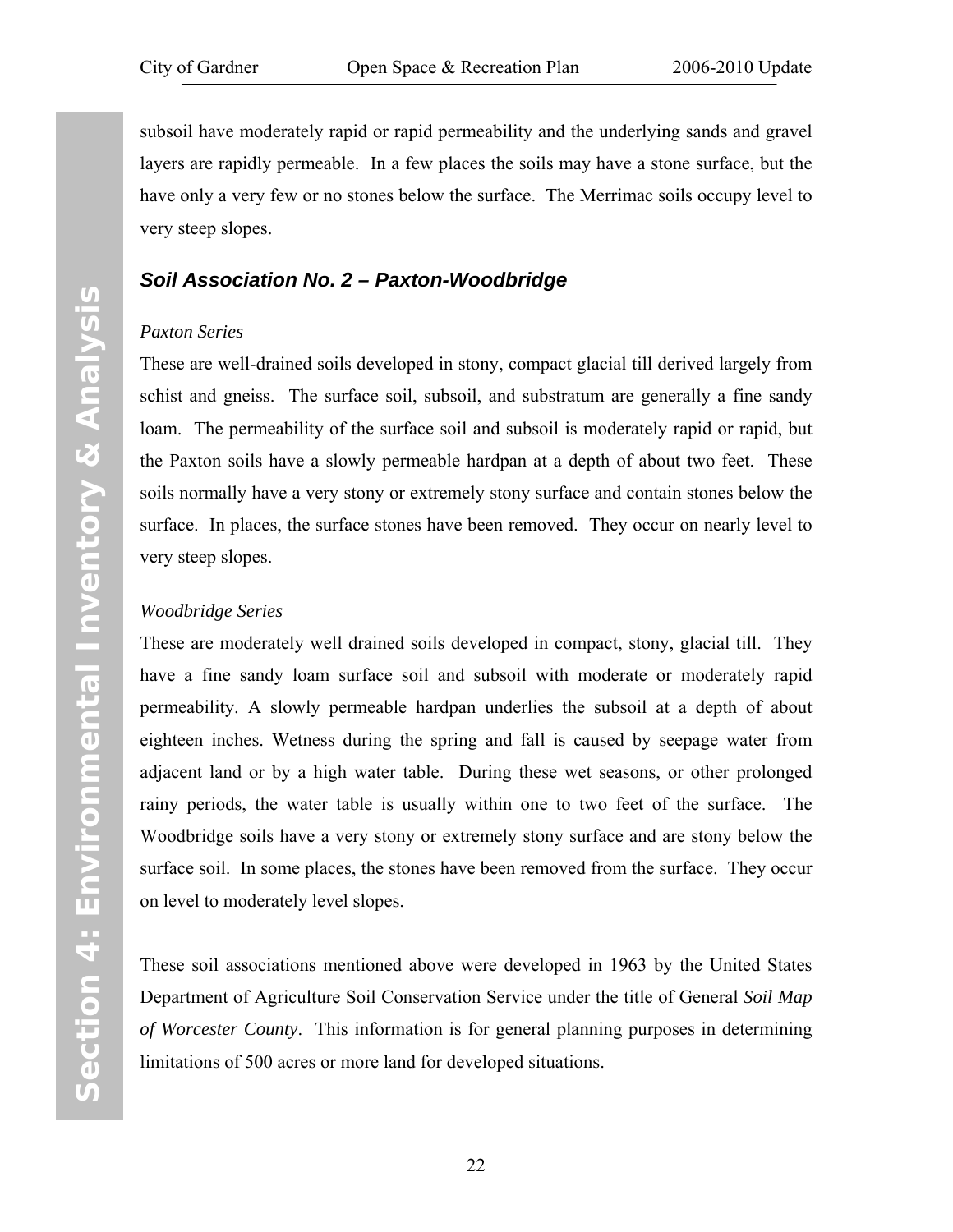<span id="page-29-0"></span>subsoil have moderately rapid or rapid permeability and the underlying sands and gravel layers are rapidly permeable. In a few places the soils may have a stone surface, but the have only a very few or no stones below the surface. The Merrimac soils occupy level to very steep slopes.

## *Soil Association No. 2 – Paxton-Woodbridge*

#### *Paxton Series*

These are well-drained soils developed in stony, compact glacial till derived largely from schist and gneiss. The surface soil, subsoil, and substratum are generally a fine sandy loam. The permeability of the surface soil and subsoil is moderately rapid or rapid, but the Paxton soils have a slowly permeable hardpan at a depth of about two feet. These soils normally have a very stony or extremely stony surface and contain stones below the surface. In places, the surface stones have been removed. They occur on nearly level to very steep slopes.

#### *Woodbridge Series*

These are moderately well drained soils developed in compact, stony, glacial till. They have a fine sandy loam surface soil and subsoil with moderate or moderately rapid permeability. A slowly permeable hardpan underlies the subsoil at a depth of about eighteen inches. Wetness during the spring and fall is caused by seepage water from adjacent land or by a high water table. During these wet seasons, or other prolonged rainy periods, the water table is usually within one to two feet of the surface. The Woodbridge soils have a very stony or extremely stony surface and are stony below the surface soil. In some places, the stones have been removed from the surface. They occur on level to moderately level slopes.

These soil associations mentioned above were developed in 1963 by the United States Department of Agriculture Soil Conservation Service under the title of General *Soil Map of Worcester County*. This information is for general planning purposes in determining limitations of 500 acres or more land for developed situations.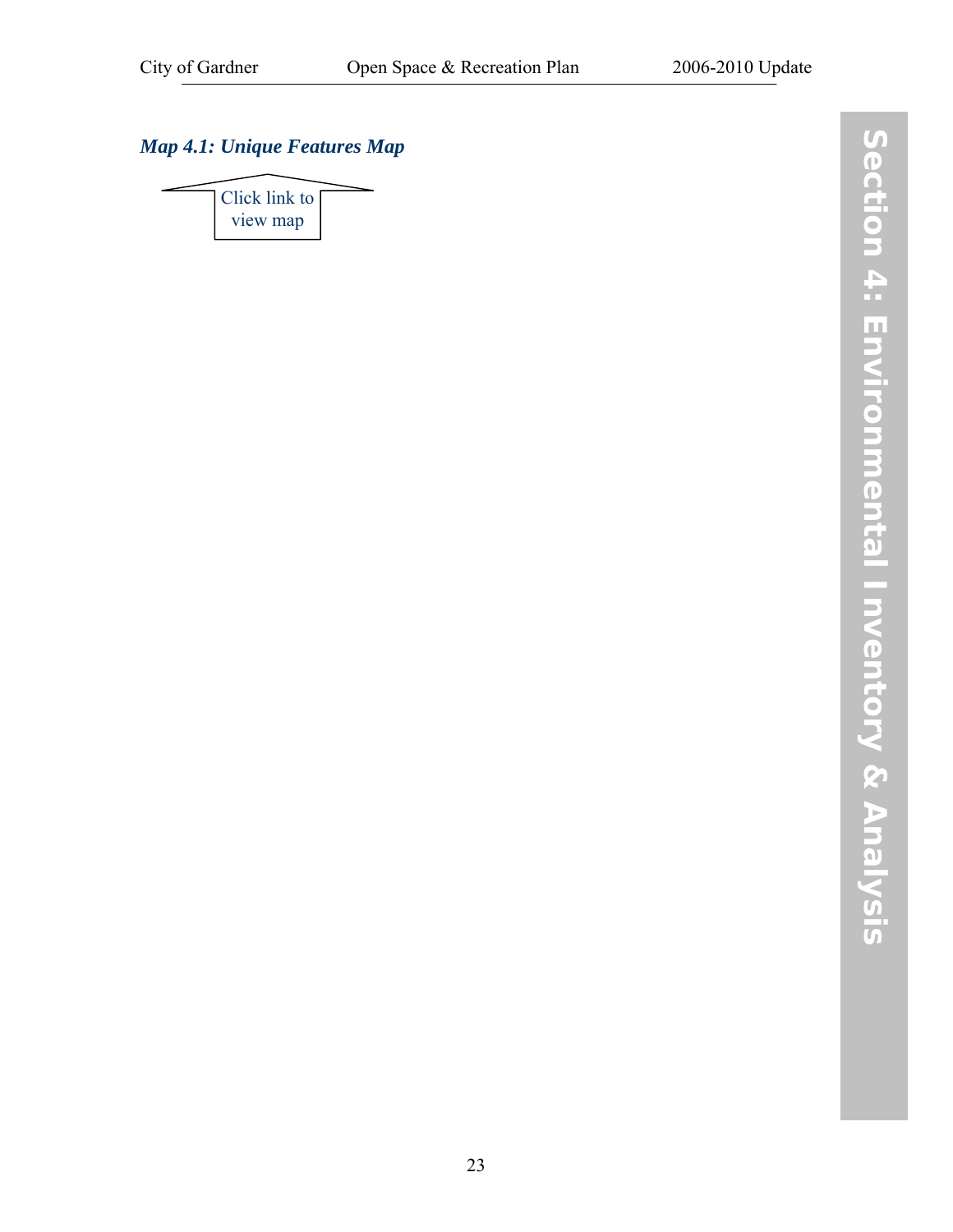## <span id="page-30-0"></span>*[Map 4.1: Unique Features Map](http://www.gardner-ma.gov/Pages/GardnerMA_CommDev/OS/Map4.1.pdf)*

[Click link to](http://www.gardner-ma.gov/Pages/GardnerMA_CommDev/OS/Map4.1.pdf)  view map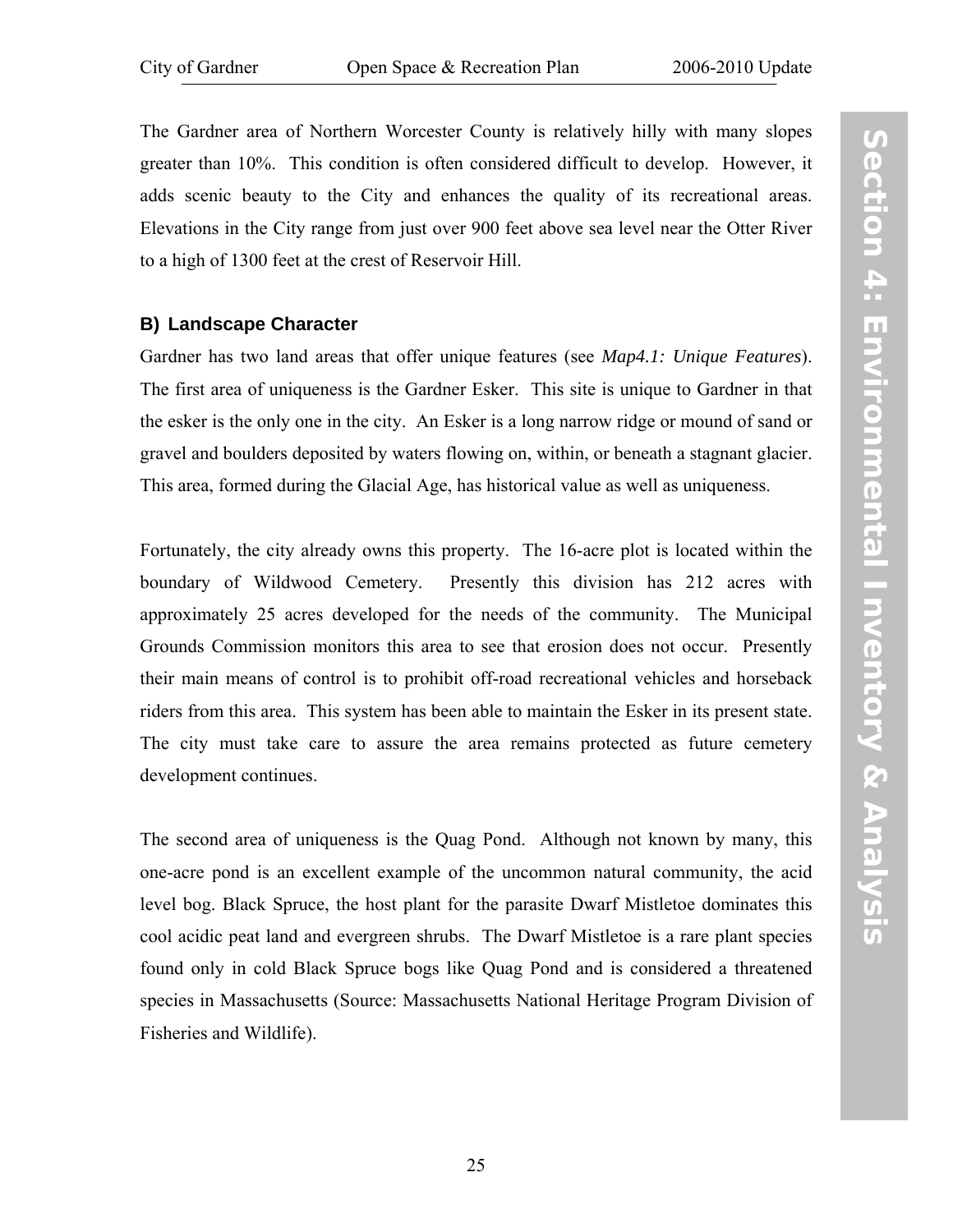<span id="page-32-0"></span>The Gardner area of Northern Worcester County is relatively hilly with many slopes greater than 10%. This condition is often considered difficult to develop. However, it adds scenic beauty to the City and enhances the quality of its recreational areas. Elevations in the City range from just over 900 feet above sea level near the Otter River to a high of 1300 feet at the crest of Reservoir Hill.

#### **B) Landscape Character**

Gardner has two land areas that offer unique features (see *[Map4.1: Unique Features](http://www.gardner-ma.gov/Pages/GardnerMA_CommDev/OS/Map4.1.pdf)*). The first area of uniqueness is the Gardner Esker. This site is unique to Gardner in that the esker is the only one in the city. An Esker is a long narrow ridge or mound of sand or gravel and boulders deposited by waters flowing on, within, or beneath a stagnant glacier. This area, formed during the Glacial Age, has historical value as well as uniqueness.

Fortunately, the city already owns this property. The 16-acre plot is located within the boundary of Wildwood Cemetery. Presently this division has 212 acres with approximately 25 acres developed for the needs of the community. The Municipal Grounds Commission monitors this area to see that erosion does not occur. Presently their main means of control is to prohibit off-road recreational vehicles and horseback riders from this area. This system has been able to maintain the Esker in its present state. The city must take care to assure the area remains protected as future cemetery development continues.

The second area of uniqueness is the Quag Pond. Although not known by many, this one-acre pond is an excellent example of the uncommon natural community, the acid level bog. Black Spruce, the host plant for the parasite Dwarf Mistletoe dominates this cool acidic peat land and evergreen shrubs. The Dwarf Mistletoe is a rare plant species found only in cold Black Spruce bogs like Quag Pond and is considered a threatened species in Massachusetts (Source: Massachusetts National Heritage Program Division of Fisheries and Wildlife).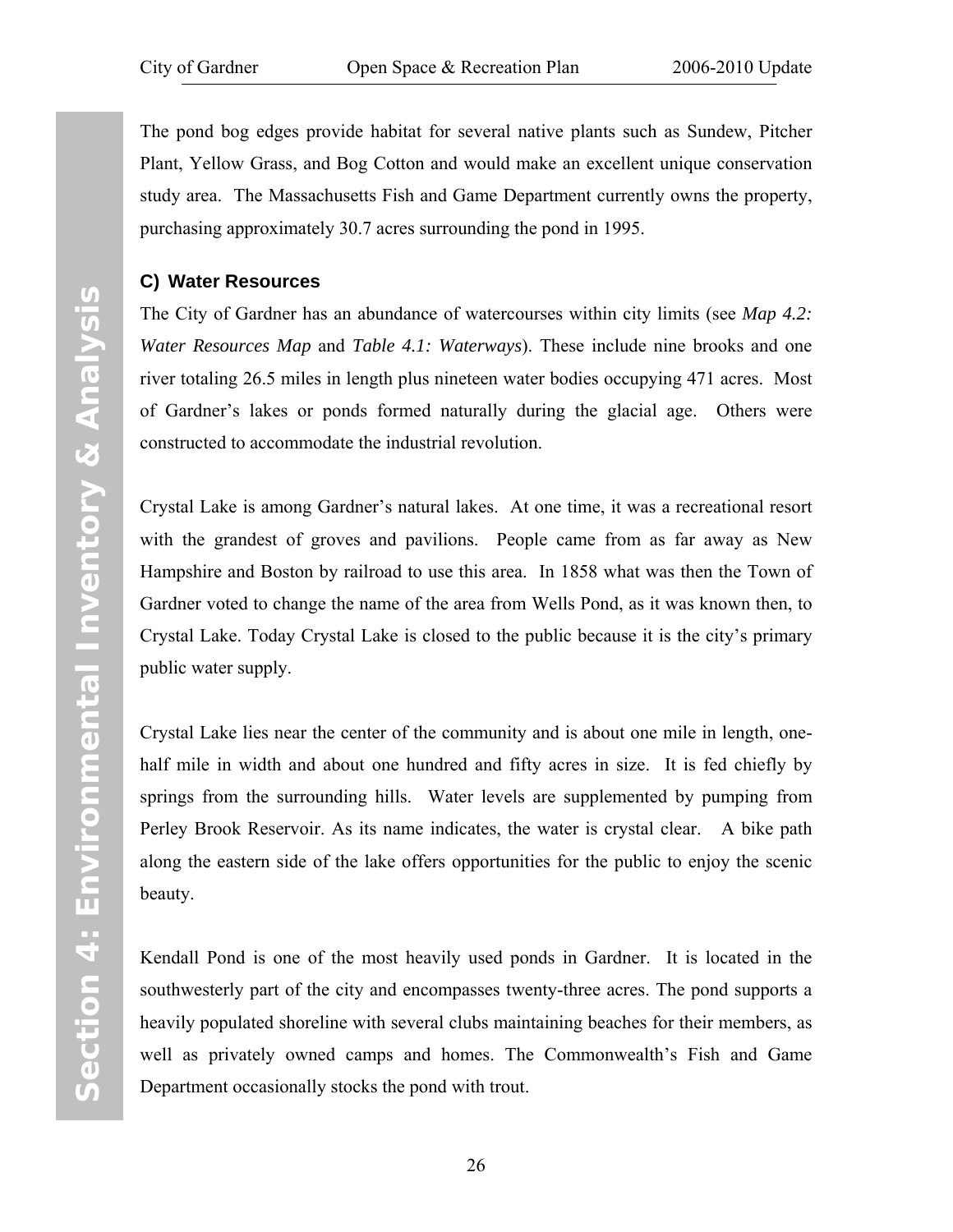<span id="page-33-0"></span>The pond bog edges provide habitat for several native plants such as Sundew, Pitcher Plant, Yellow Grass, and Bog Cotton and would make an excellent unique conservation study area. The Massachusetts Fish and Game Department currently owns the property, purchasing approximately 30.7 acres surrounding the pond in 1995.

#### **C) Water Resources**

The City of Gardner has an abundance of watercourses within city limits (see *[Map 4.2:](http://www.gardner-ma.gov/Pages/GardnerMA_CommDev/OS/Map4.2.pdf)  [Water Resources Map](http://www.gardner-ma.gov/Pages/GardnerMA_CommDev/OS/Map4.2.pdf)* and *[Table 4.1: Waterways](#page-38-1)*). These include nine brooks and one river totaling 26.5 miles in length plus nineteen water bodies occupying 471 acres. Most of Gardner's lakes or ponds formed naturally during the glacial age. Others were constructed to accommodate the industrial revolution.

Crystal Lake is among Gardner's natural lakes. At one time, it was a recreational resort with the grandest of groves and pavilions. People came from as far away as New Hampshire and Boston by railroad to use this area. In 1858 what was then the Town of Gardner voted to change the name of the area from Wells Pond, as it was known then, to Crystal Lake. Today Crystal Lake is closed to the public because it is the city's primary public water supply.

Crystal Lake lies near the center of the community and is about one mile in length, onehalf mile in width and about one hundred and fifty acres in size. It is fed chiefly by springs from the surrounding hills. Water levels are supplemented by pumping from Perley Brook Reservoir. As its name indicates, the water is crystal clear. A bike path along the eastern side of the lake offers opportunities for the public to enjoy the scenic beauty.

Kendall Pond is one of the most heavily used ponds in Gardner. It is located in the southwesterly part of the city and encompasses twenty-three acres. The pond supports a heavily populated shoreline with several clubs maintaining beaches for their members, as well as privately owned camps and homes. The Commonwealth's Fish and Game Department occasionally stocks the pond with trout.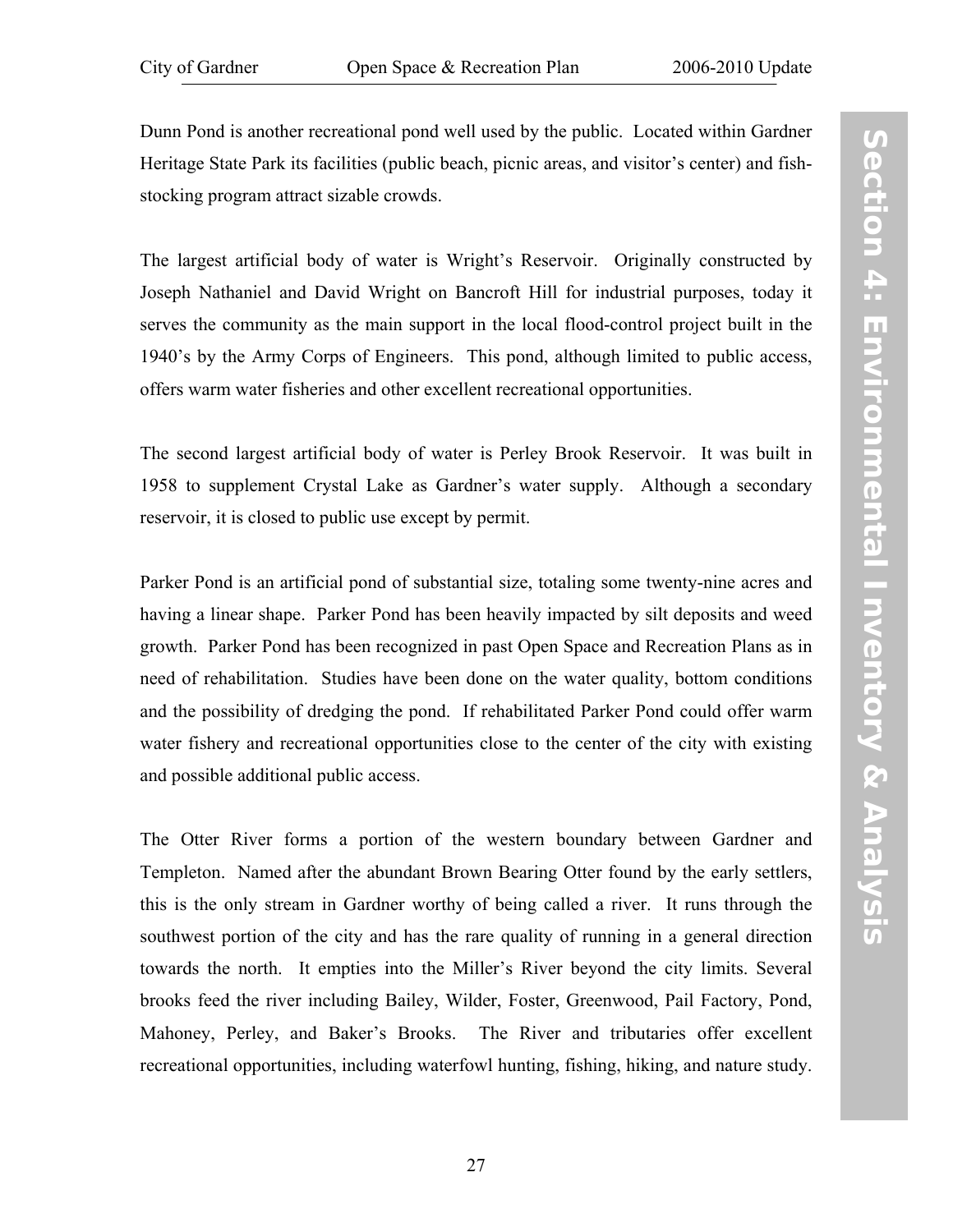Dunn Pond is another recreational pond well used by the public. Located within Gardner Heritage State Park its facilities (public beach, picnic areas, and visitor's center) and fishstocking program attract sizable crowds.

The largest artificial body of water is Wright's Reservoir. Originally constructed by Joseph Nathaniel and David Wright on Bancroft Hill for industrial purposes, today it serves the community as the main support in the local flood-control project built in the 1940's by the Army Corps of Engineers. This pond, although limited to public access, offers warm water fisheries and other excellent recreational opportunities.

The second largest artificial body of water is Perley Brook Reservoir. It was built in 1958 to supplement Crystal Lake as Gardner's water supply. Although a secondary reservoir, it is closed to public use except by permit.

Parker Pond is an artificial pond of substantial size, totaling some twenty-nine acres and having a linear shape. Parker Pond has been heavily impacted by silt deposits and weed growth. Parker Pond has been recognized in past Open Space and Recreation Plans as in need of rehabilitation. Studies have been done on the water quality, bottom conditions and the possibility of dredging the pond. If rehabilitated Parker Pond could offer warm water fishery and recreational opportunities close to the center of the city with existing and possible additional public access.

The Otter River forms a portion of the western boundary between Gardner and Templeton. Named after the abundant Brown Bearing Otter found by the early settlers, this is the only stream in Gardner worthy of being called a river. It runs through the southwest portion of the city and has the rare quality of running in a general direction towards the north. It empties into the Miller's River beyond the city limits. Several brooks feed the river including Bailey, Wilder, Foster, Greenwood, Pail Factory, Pond, Mahoney, Perley, and Baker's Brooks. The River and tributaries offer excellent recreational opportunities, including waterfowl hunting, fishing, hiking, and nature study.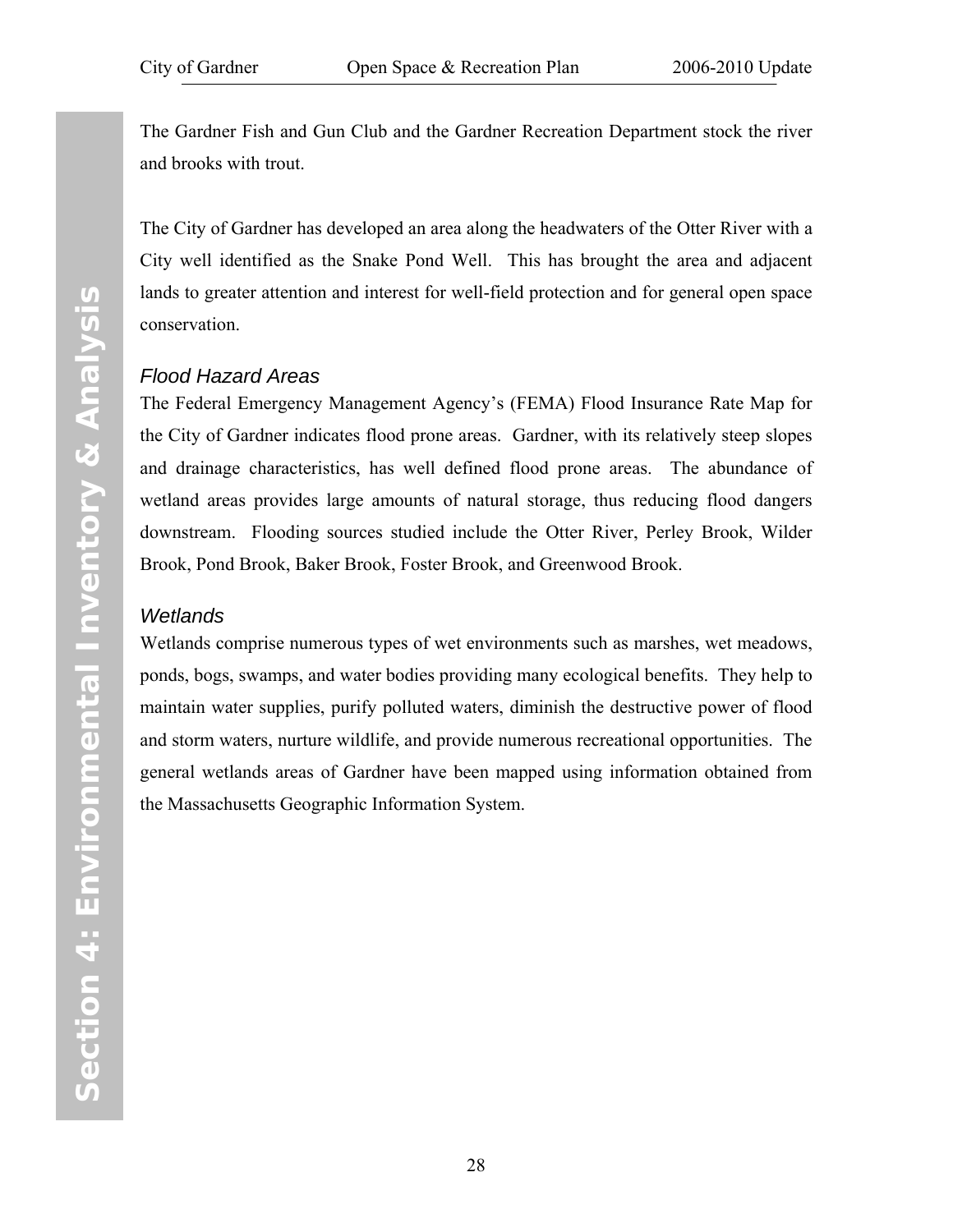<span id="page-35-0"></span>The Gardner Fish and Gun Club and the Gardner Recreation Department stock the river and brooks with trout.

The City of Gardner has developed an area along the headwaters of the Otter River with a City well identified as the Snake Pond Well. This has brought the area and adjacent lands to greater attention and interest for well-field protection and for general open space conservation.

#### *Flood Hazard Areas*

The Federal Emergency Management Agency's (FEMA) Flood Insurance Rate Map for the City of Gardner indicates flood prone areas. Gardner, with its relatively steep slopes and drainage characteristics, has well defined flood prone areas. The abundance of wetland areas provides large amounts of natural storage, thus reducing flood dangers downstream. Flooding sources studied include the Otter River, Perley Brook, Wilder Brook, Pond Brook, Baker Brook, Foster Brook, and Greenwood Brook.

#### *Wetlands*

Wetlands comprise numerous types of wet environments such as marshes, wet meadows, ponds, bogs, swamps, and water bodies providing many ecological benefits. They help to maintain water supplies, purify polluted waters, diminish the destructive power of flood and storm waters, nurture wildlife, and provide numerous recreational opportunities. The general wetlands areas of Gardner have been mapped using information obtained from the Massachusetts Geographic Information System.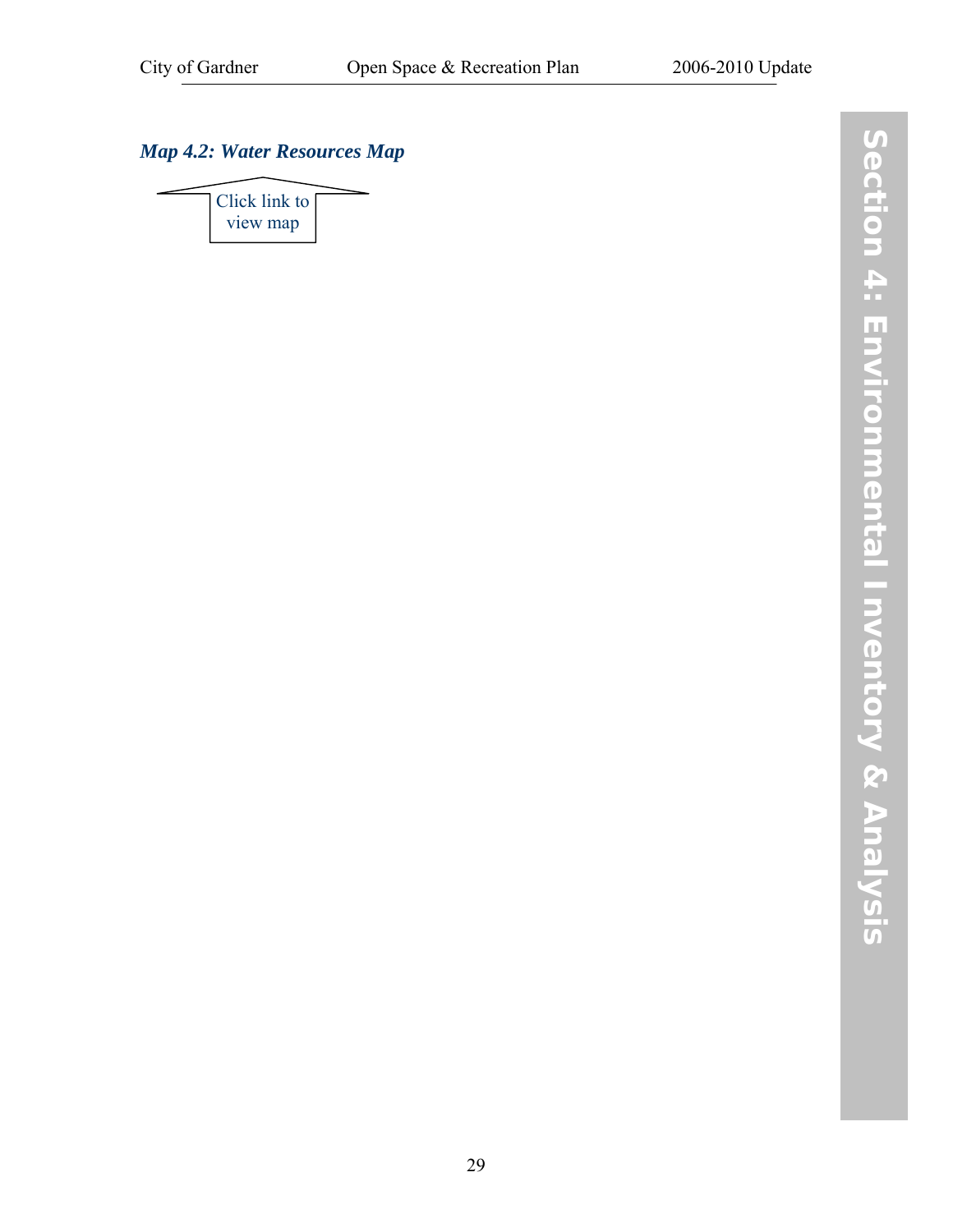$\overline{\phantom{0}}$ 

# *[Map 4.2: Water Resources Map](http://www.gardner-ma.gov/Pages/GardnerMA_CommDev/OS/Map4.2.pdf)*

 $\overline{\phantom{a}}$ 

| Click link to |  |
|---------------|--|
| view map      |  |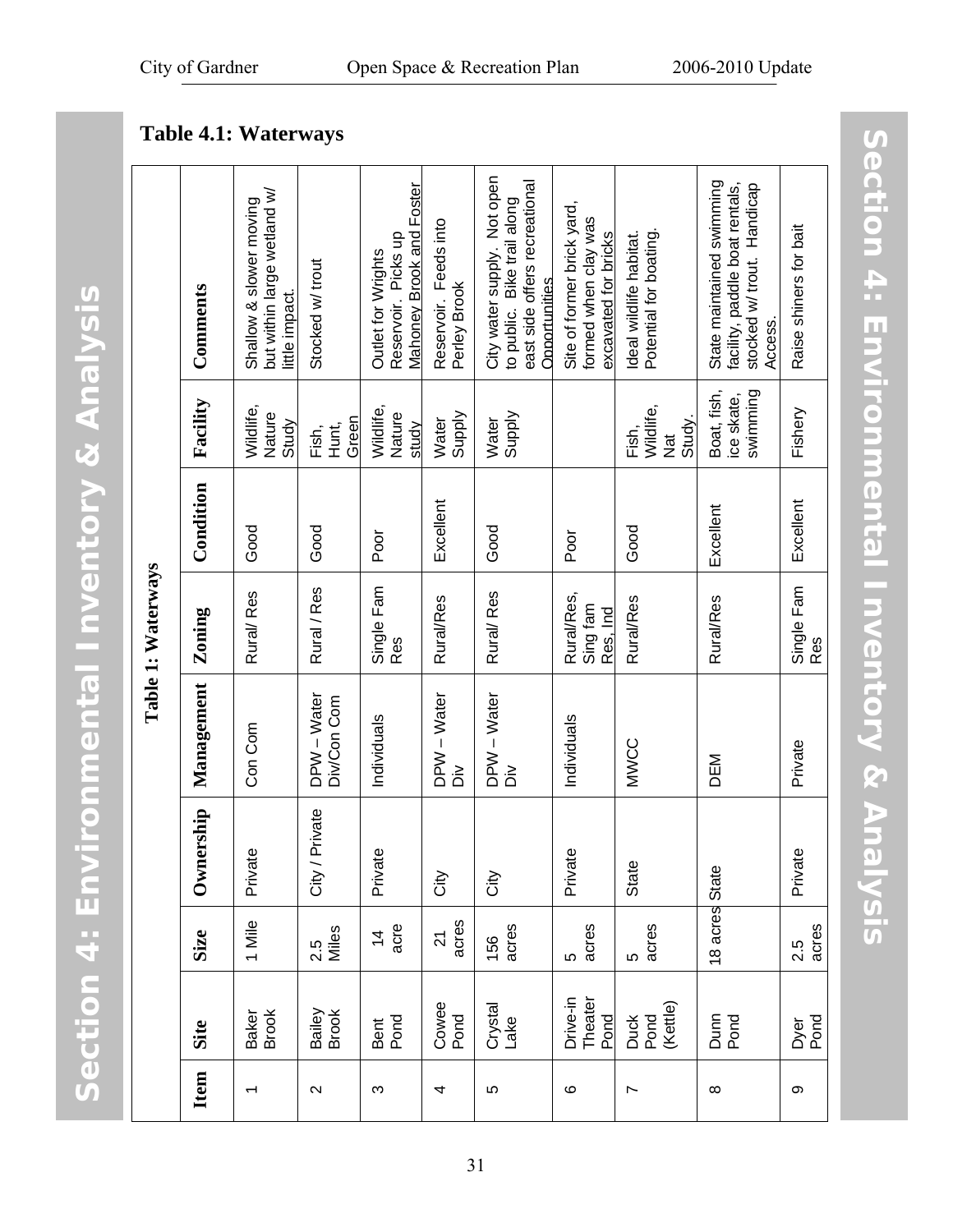# **Section 4: Environmental Inventory & Analysis** Section 4: Environmental Inventory & Analysis

|                    | Comments    | but within large wetland w/<br>Shallow & slower moving<br>little impact. | Stocked w/ trout           | Mahoney Brook and Foster<br>Reservoir. Picks up<br>Outlet for Wrights | Reservoir. Feeds into<br>Perley Brook | City water supply. Not open<br>east side offers recreational<br>to public. Bike trail along<br><b>Opportunities</b> | Site of former brick yard,<br>formed when clay was<br>excavated for bricks | Potential for boating.<br>Ideal wildlife habitat. | State maintained swimming<br>facility, paddle boat rentals,<br>stocked w/ trout. Handicap<br>Access. | Raise shiners for bait   |
|--------------------|-------------|--------------------------------------------------------------------------|----------------------------|-----------------------------------------------------------------------|---------------------------------------|---------------------------------------------------------------------------------------------------------------------|----------------------------------------------------------------------------|---------------------------------------------------|------------------------------------------------------------------------------------------------------|--------------------------|
|                    | Facility    | Wildlife,<br>Nature<br>Study                                             | Green<br>Hunt,<br>Fish,    | Wildlife,<br>Nature<br>study                                          | Supply<br>Water                       | Supply<br>Water                                                                                                     |                                                                            | Wildlife,<br>Study.<br>Fish,<br>Nat               | Boat, fish,<br>swimming<br>ice skate,                                                                | Fishery                  |
|                    | Condition   | Good                                                                     | Good                       | Poor                                                                  | Excellent                             | Good                                                                                                                | Poor                                                                       | Good                                              | Excellent                                                                                            | Excellent                |
| Table 1: Waterways | Zoning      | Rural/Res                                                                | Rural / Res                | Single Fam<br>Res <sup>'</sup>                                        | Rural/Res                             | Rural/Res                                                                                                           | Rural/Res,<br>Sing fam<br>Res, Ind                                         | Rural/Res                                         | Rural/Res                                                                                            | Single Fam<br><b>Res</b> |
|                    | Management  | Con Com                                                                  | DPW - Water<br>Div/Con Com | Individuals                                                           | DPW - Water<br>ò                      | DPW - Water<br>$\dot{\tilde{a}}$                                                                                    | Individuals                                                                | MWCC                                              | DEM                                                                                                  | Private                  |
|                    | Ownership   | Private                                                                  | City / Private             | Private                                                               | City                                  | City                                                                                                                | Private                                                                    | State                                             |                                                                                                      | Private                  |
|                    | <b>Size</b> | 1 Mile                                                                   | 2.5<br>Miles               | acre<br>$\frac{4}{4}$                                                 | acres<br>21                           | acres<br>156                                                                                                        | acres<br>5                                                                 | acres<br>ပ                                        | 18 acres State                                                                                       | acres<br>2.5             |
|                    | Site        | Baker<br>Brook                                                           | Bailey<br>Brook            | Bent<br>Pond                                                          | Cowee<br>Pond                         | Crystal<br>Lake                                                                                                     | Drive-in<br>Theater<br>Pond                                                | (Kettle)<br>Duck<br>Pond                          | Dunn<br>Pond                                                                                         | Dyer<br>Pond             |
|                    | Item        |                                                                          | $\sim$                     | Ω                                                                     | 4                                     | 5                                                                                                                   | ဖ                                                                          | Ľ                                                 | $\infty$                                                                                             | တ                        |

# **Table 4.1: Waterways**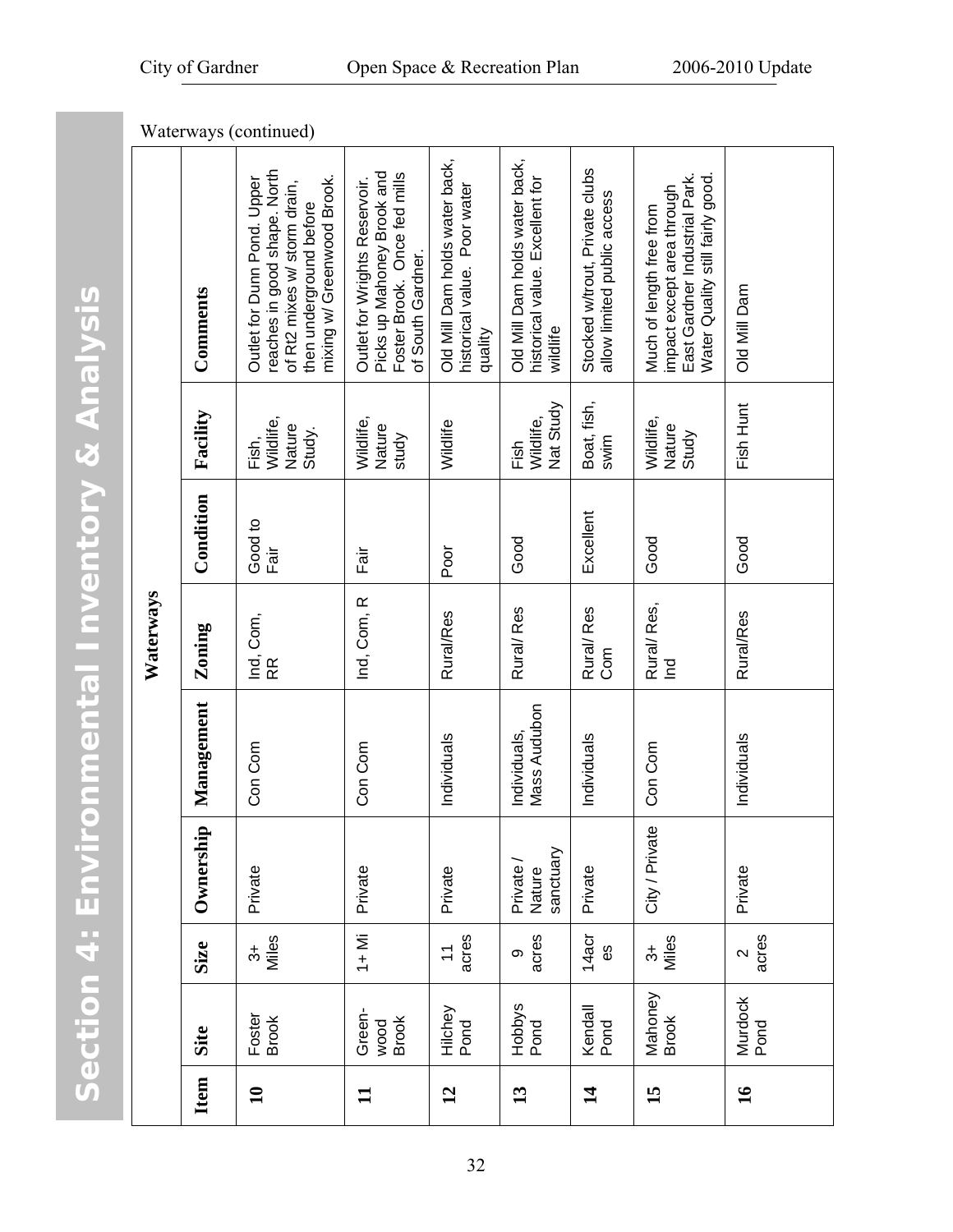|           | Waterways (continued) |                                                                                                                                                      |                                                                                                                  |                                                                           |                                                                               |                                                               |                                                                                                                             |                 |
|-----------|-----------------------|------------------------------------------------------------------------------------------------------------------------------------------------------|------------------------------------------------------------------------------------------------------------------|---------------------------------------------------------------------------|-------------------------------------------------------------------------------|---------------------------------------------------------------|-----------------------------------------------------------------------------------------------------------------------------|-----------------|
|           | Comments              | reaches in good shape. North<br>mixing w/ Greenwood Brook.<br>Outlet for Dunn Pond. Upper<br>of Rt2 mixes w/ storm drain,<br>then underground before | Picks up Mahoney Brook and<br>Foster Brook. Once fed mills<br>Outlet for Wrights Reservoir.<br>of South Gardner. | Old Mill Dam holds water back,<br>historical value. Poor water<br>quality | Old Mill Dam holds water back,<br>historical value. Excellent for<br>wildlife | Stocked w/trout, Private clubs<br>allow limited public access | East Gardner Industrial Park.<br>Water Quality still fairly good.<br>impact except area through<br>Much of length free from | Old Mill Dam    |
|           | Facility              | Wildlife,<br>Nature<br>Study.<br>Fish,                                                                                                               | Wildlife,<br>Nature<br>study                                                                                     | Wildlife                                                                  | Nat Study<br>Wildlife,<br>Fish                                                | Boat, fish,<br>swim                                           | Wildlife,<br>Nature<br>Study                                                                                                | Fish Hunt       |
|           | Condition             | Good to<br>Fair                                                                                                                                      | Fair                                                                                                             | Poor                                                                      | Good                                                                          | Excellent                                                     | Good                                                                                                                        | Good            |
| Waterways | Zoning                | Ind, Com,<br>RR                                                                                                                                      | Ind, Com, R                                                                                                      | Rural/Res                                                                 | Rural/Res                                                                     | Rural/Res<br>Com                                              | Rural/Res,<br>$\mathbf{E}$                                                                                                  | Rural/Res       |
|           | Management            | Con Com                                                                                                                                              | Con Com                                                                                                          | Individuals                                                               | Mass Audubon<br>Individuals,                                                  | Individuals                                                   | Con Com                                                                                                                     | Individuals     |
|           | Ownership             | Private                                                                                                                                              | Private                                                                                                          | Private                                                                   | sanctuary<br>Private<br>Nature                                                | Private                                                       | City / Private                                                                                                              | Private         |
|           | <b>Size</b>           | Miles<br>$\ddot{ }$                                                                                                                                  | $1 +$ Mi                                                                                                         | acres<br>$\overline{1}$                                                   | acres<br>တ                                                                    | 14acr<br>θS                                                   | Miles<br>$\ddot{\mathrm{d}}$                                                                                                | acres<br>$\sim$ |
|           | Site                  | Foster<br><b>Brook</b>                                                                                                                               | Green-<br><b>Brook</b><br>wood                                                                                   | Hilchey<br>Pond                                                           | <b>Hobbys</b><br>Pond                                                         | Kendall<br>Pond                                               | Mahoney<br><b>Brook</b>                                                                                                     | Murdock<br>Pond |
|           | Item                  | $\mathbf{u}$                                                                                                                                         | $\mathbf{1}$                                                                                                     | 12                                                                        | 13                                                                            | $\vec{a}$                                                     | $\overline{15}$                                                                                                             | $\mathbf{16}$   |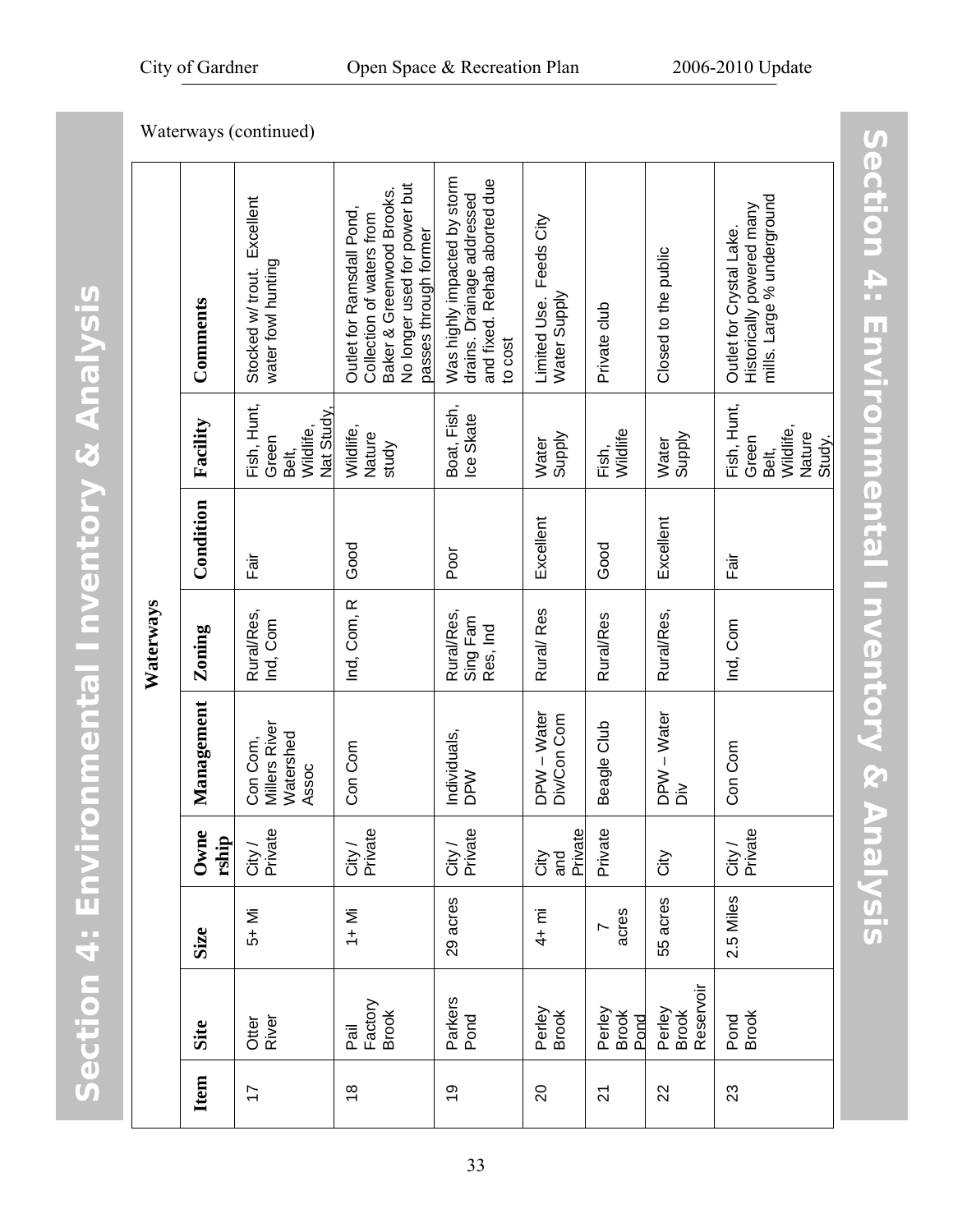**Item** 

17

18

|           |               | Waterways (continued)                                    |                                                                                                                                              |                                                                                                       |                                         |                         |                              |                                                                                     |
|-----------|---------------|----------------------------------------------------------|----------------------------------------------------------------------------------------------------------------------------------------------|-------------------------------------------------------------------------------------------------------|-----------------------------------------|-------------------------|------------------------------|-------------------------------------------------------------------------------------|
|           | Comments      | Excellent<br>water fowl hunting<br>Stocked w/ trout.     | No longer used for power but<br>Baker & Greenwood Brooks.<br>Outlet for Ramsdall Pond,<br>Collection of waters from<br>passes through former | Was highly impacted by storm<br>and fixed. Rehab aborted due<br>drains. Drainage addressed<br>to cost | Limited Use. Feeds City<br>Water Supply | Private club            | Closed to the public         | mills. Large % underground<br>Historically powered many<br>Outlet for Crystal Lake. |
| Waterways | Facility      | Fish, Hunt,<br>Nat Study.<br>Wildlife,<br>Green<br>Belt, | Wildlife,<br>Nature<br>study                                                                                                                 | Boat, Fish,<br>Ice Skate                                                                              | Supply<br><b>Water</b>                  | Fish,<br>Wildlife       | Supply<br>Water              | Fish, Hunt,<br>Wildlife,<br>Green<br>Belt,                                          |
|           | Condition     | ilig<br>Lä                                               | Good                                                                                                                                         | Poor                                                                                                  | Excellent                               | Good                    | Excellent                    | Fair                                                                                |
|           | Zoning        | Rural/Res,<br>Ind, Com                                   | Ind, Com, R                                                                                                                                  | Rural/Res,<br>Sing Fam<br>Res, Ind                                                                    | Rural/Res                               | <b>Rural/Res</b>        | Rural/Res,                   | Ind, Com                                                                            |
|           | Management    | Millers River<br>Watershed<br>Con Com,<br>Assoc          | Con Com                                                                                                                                      | Individuals,<br><b>NdO</b>                                                                            | DPW - Water<br>Div/Con Com              | Beagle Club             | DPW - Water<br>òλ            | Con Com                                                                             |
|           | Owne<br>rship | City /<br>Private                                        | City /<br>Private                                                                                                                            | City /<br>Private                                                                                     | City<br>and<br>Private                  | Private                 | City                         | City /<br>Private                                                                   |
|           | Size          | 5+ Mi                                                    | $1 +$ Mi                                                                                                                                     | 29 acres                                                                                              | $4 + \overline{m}$                      | acres<br>r              | 55 acres                     | 2.5 Miles                                                                           |
|           | Site          | Otter<br>River                                           | Factory<br><b>Brook</b><br>Pail                                                                                                              | Parkers<br>Pond                                                                                       | Perley<br>Brook                         | Perley<br>Brook<br>Pond | Brook<br>Reservoir<br>Perley | Pond<br>Brook                                                                       |

Nature Study.

**Section 4: Environmental Inventory & Analysis** 

Section 4: Environmental Inventory & Analysis

20

 $\overline{\mathcal{L}}$ 

22

23

19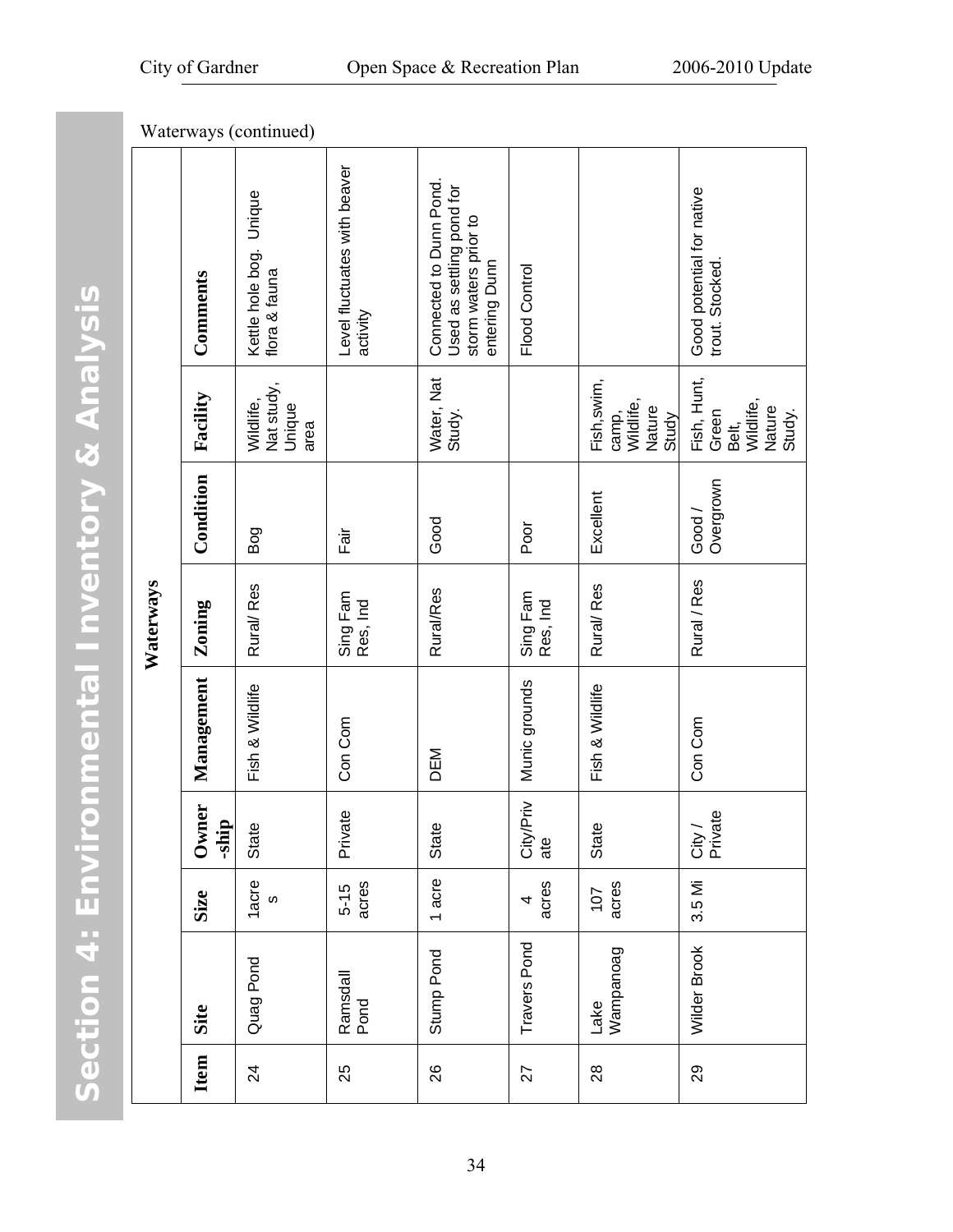Section 4: Environmental Inventory & Analysis **Section 4: Environmental Inventory & Analysis** 

|           | Waterways (continued) |                                           |                                          |                                                                                                |                      |                                                      |                                                                |  |
|-----------|-----------------------|-------------------------------------------|------------------------------------------|------------------------------------------------------------------------------------------------|----------------------|------------------------------------------------------|----------------------------------------------------------------|--|
|           | Comments              | Kettle hole bog. Unique<br>flora & fauna  | Level fluctuates with beaver<br>activity | Connected to Dunn Pond.<br>Used as settling pond for<br>storm waters prior to<br>entering Dunn | Flood Control        |                                                      | Good potential for native<br>trout. Stocked                    |  |
|           | Facility              | Nat study,<br>Wildlife,<br>Unique<br>area |                                          | Water, Nat<br>Study.                                                                           |                      | Fish, swim,<br>Wildlife,<br>Nature<br>camp,<br>Study | Fish, Hunt,<br>Green<br>Belt,<br>Wildlife,<br>Nature<br>Study. |  |
|           | Condition             | Bog                                       | Fair                                     | Good                                                                                           | Poor                 | Excellent                                            | Overgrown<br>Good /                                            |  |
| Waterways | Zoning                | Rural/Res                                 | Sing Fam<br>Res, Ind                     | <b>Rural/Res</b>                                                                               | Sing Fam<br>Res, Ind | Rural/Res                                            | Rural / Res                                                    |  |
|           | Management            | Fish & Wildlife                           | Con Com                                  | DEM                                                                                            | Munic grounds        | Fish & Wildlife                                      | Con Com                                                        |  |
|           | ä<br>-ship<br>Own     | State                                     | Private                                  | State                                                                                          | City/Priv<br>ate     | State                                                | City /<br>Private                                              |  |
|           | <b>Size</b>           | 1acre<br>$\omega$                         | acres<br>$5 - 15$                        | 1 acre                                                                                         | acres<br>4           | acres<br>107                                         | 3.5 Mi                                                         |  |
|           | Site                  | Quag Pond                                 | Ramsdall<br>Pond                         | Stump Pond                                                                                     | Travers Pond         | Lake<br>Wampanoag                                    | Wilder Brook                                                   |  |
|           | Item                  | $\overline{2}$                            | 25                                       | 26                                                                                             | 27                   | $^{8}$                                               | $\overline{29}$                                                |  |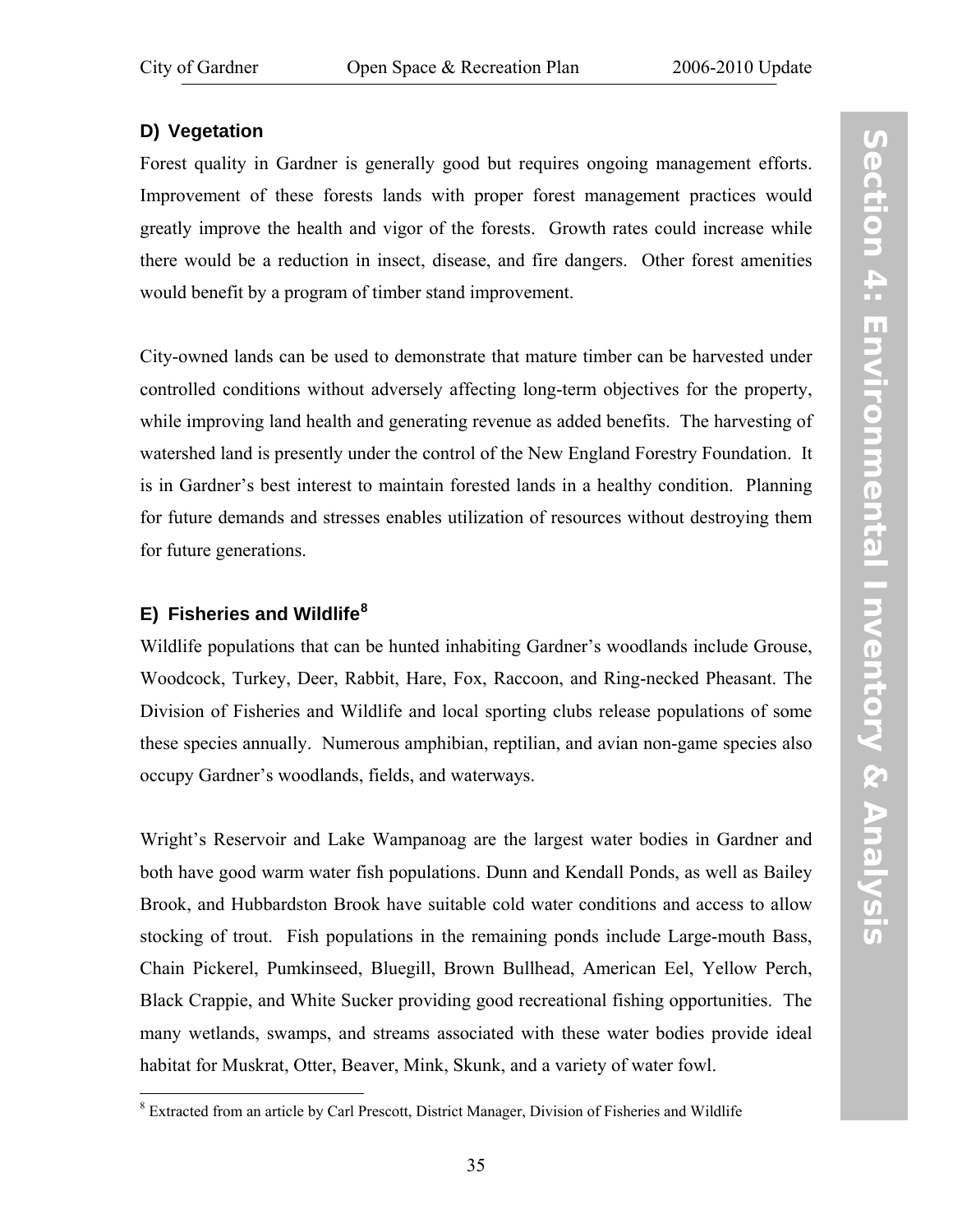# **D) Vegetation**

Forest quality in Gardner is generally good but requires ongoing management efforts. Improvement of these forests lands with proper forest management practices would greatly improve the health and vigor of the forests. Growth rates could increase while there would be a reduction in insect, disease, and fire dangers. Other forest amenities would benefit by a program of timber stand improvement.

City-owned lands can be used to demonstrate that mature timber can be harvested under controlled conditions without adversely affecting long-term objectives for the property, while improving land health and generating revenue as added benefits. The harvesting of watershed land is presently under the control of the New England Forestry Foundation. It is in Gardner's best interest to maintain forested lands in a healthy condition. Planning for future demands and stresses enables utilization of resources without destroying them for future generations.

# **E) Fisheries and Wildlife[8](#page-42-0)**

Wildlife populations that can be hunted inhabiting Gardner's woodlands include Grouse, Woodcock, Turkey, Deer, Rabbit, Hare, Fox, Raccoon, and Ring-necked Pheasant. The Division of Fisheries and Wildlife and local sporting clubs release populations of some these species annually. Numerous amphibian, reptilian, and avian non-game species also occupy Gardner's woodlands, fields, and waterways.

Wright's Reservoir and Lake Wampanoag are the largest water bodies in Gardner and both have good warm water fish populations. Dunn and Kendall Ponds, as well as Bailey Brook, and Hubbardston Brook have suitable cold water conditions and access to allow stocking of trout. Fish populations in the remaining ponds include Large-mouth Bass, Chain Pickerel, Pumkinseed, Bluegill, Brown Bullhead, American Eel, Yellow Perch, Black Crappie, and White Sucker providing good recreational fishing opportunities. The many wetlands, swamps, and streams associated with these water bodies provide ideal habitat for Muskrat, Otter, Beaver, Mink, Skunk, and a variety of water fowl.

<span id="page-42-0"></span> $\overline{a}$ <sup>8</sup> Extracted from an article by Carl Prescott, District Manager, Division of Fisheries and Wildlife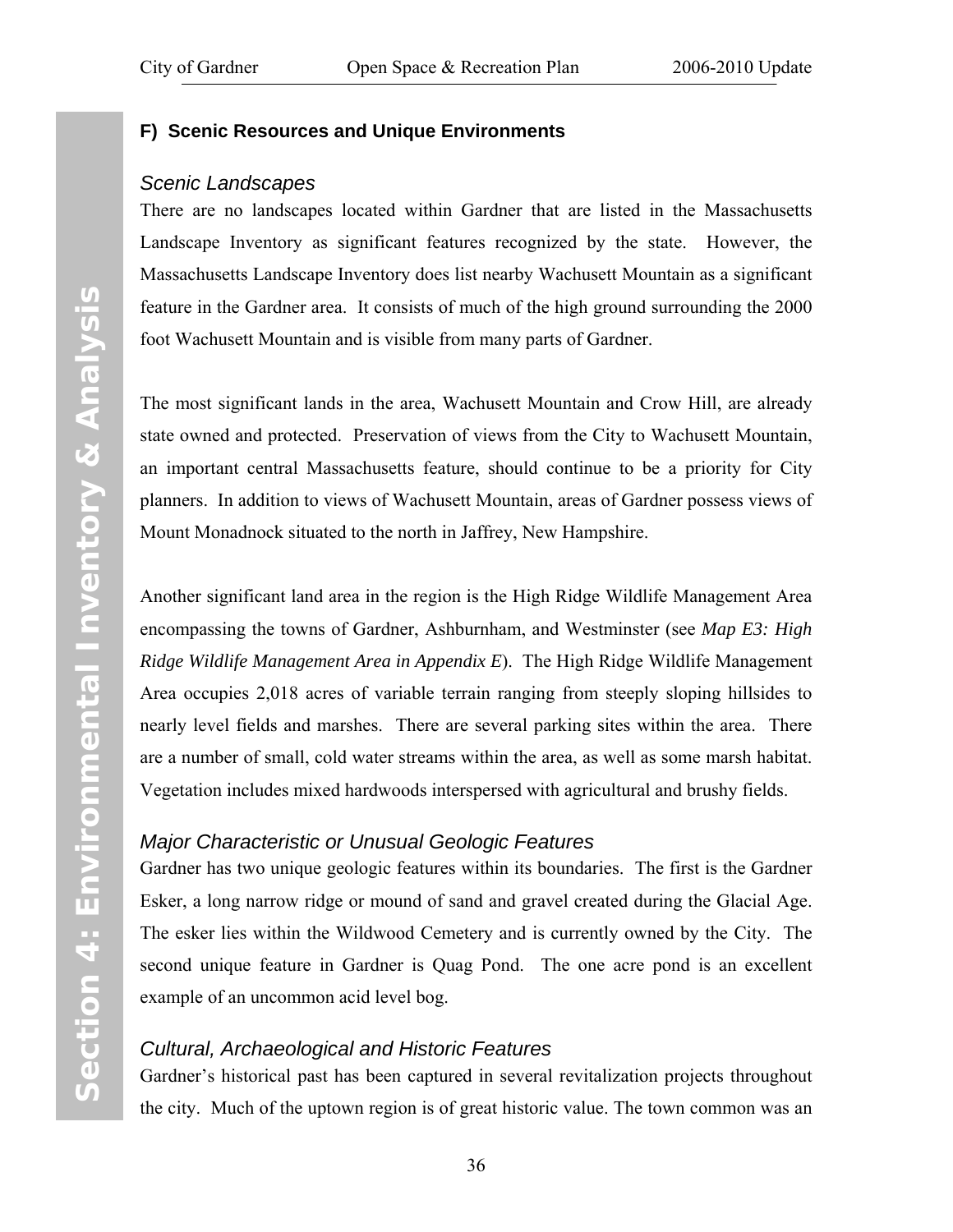## **F) Scenic Resources and Unique Environments**

### *Scenic Landscapes*

There are no landscapes located within Gardner that are listed in the Massachusetts Landscape Inventory as significant features recognized by the state. However, the Massachusetts Landscape Inventory does list nearby Wachusett Mountain as a significant feature in the Gardner area. It consists of much of the high ground surrounding the 2000 foot Wachusett Mountain and is visible from many parts of Gardner.

The most significant lands in the area, Wachusett Mountain and Crow Hill, are already state owned and protected. Preservation of views from the City to Wachusett Mountain, an important central Massachusetts feature, should continue to be a priority for City planners. In addition to views of Wachusett Mountain, areas of Gardner possess views of Mount Monadnock situated to the north in Jaffrey, New Hampshire.

Another significant land area in the region is the High Ridge Wildlife Management Area encompassing the towns of Gardner, Ashburnham, and Westminster (see *[Map E3: High](http://www.gardner-ma.gov/Pages/GardnerMA_CommDev/OS/MapE3.pdf)  [Ridge Wildlife Management Area](http://www.gardner-ma.gov/Pages/GardnerMA_CommDev/OS/MapE3.pdf) in [Appendix E](#page-130-0)*). The High Ridge Wildlife Management Area occupies 2,018 acres of variable terrain ranging from steeply sloping hillsides to nearly level fields and marshes. There are several parking sites within the area. There are a number of small, cold water streams within the area, as well as some marsh habitat. Vegetation includes mixed hardwoods interspersed with agricultural and brushy fields.

# *Major Characteristic or Unusual Geologic Features*

Gardner has two unique geologic features within its boundaries. The first is the Gardner Esker, a long narrow ridge or mound of sand and gravel created during the Glacial Age. The esker lies within the Wildwood Cemetery and is currently owned by the City. The second unique feature in Gardner is Quag Pond. The one acre pond is an excellent example of an uncommon acid level bog.

# *Cultural, Archaeological and Historic Features*

Gardner's historical past has been captured in several revitalization projects throughout the city. Much of the uptown region is of great historic value. The town common was an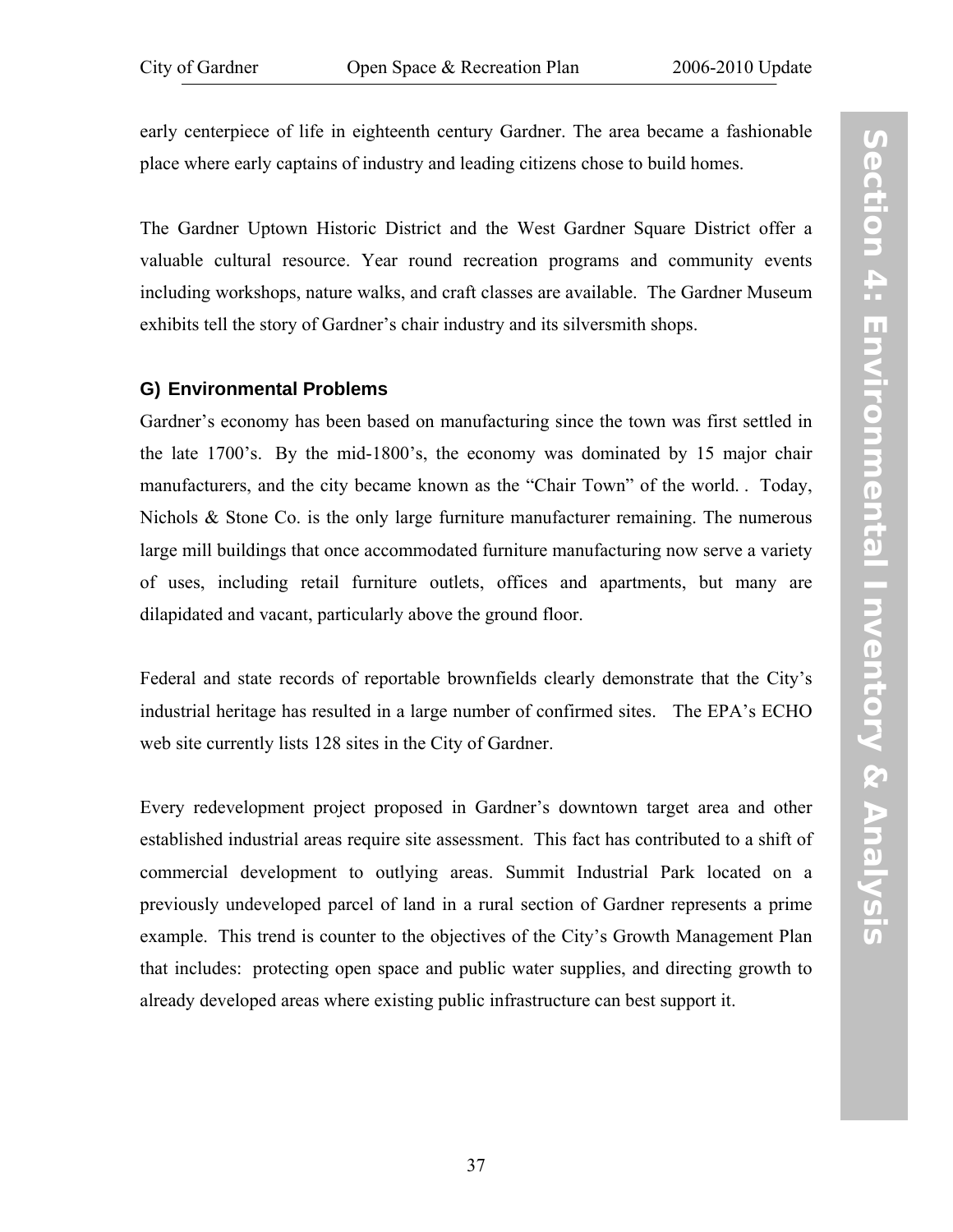early centerpiece of life in eighteenth century Gardner. The area became a fashionable place where early captains of industry and leading citizens chose to build homes.

The Gardner Uptown Historic District and the West Gardner Square District offer a valuable cultural resource. Year round recreation programs and community events including workshops, nature walks, and craft classes are available. The Gardner Museum exhibits tell the story of Gardner's chair industry and its silversmith shops.

### **G) Environmental Problems**

Gardner's economy has been based on manufacturing since the town was first settled in the late 1700's. By the mid-1800's, the economy was dominated by 15 major chair manufacturers, and the city became known as the "Chair Town" of the world. . Today, Nichols  $\&$  Stone Co. is the only large furniture manufacturer remaining. The numerous large mill buildings that once accommodated furniture manufacturing now serve a variety of uses, including retail furniture outlets, offices and apartments, but many are dilapidated and vacant, particularly above the ground floor.

Federal and state records of reportable brownfields clearly demonstrate that the City's industrial heritage has resulted in a large number of confirmed sites. The EPA's ECHO web site currently lists 128 sites in the City of Gardner.

Every redevelopment project proposed in Gardner's downtown target area and other established industrial areas require site assessment. This fact has contributed to a shift of commercial development to outlying areas. Summit Industrial Park located on a previously undeveloped parcel of land in a rural section of Gardner represents a prime example. This trend is counter to the objectives of the City's Growth Management Plan that includes: protecting open space and public water supplies, and directing growth to already developed areas where existing public infrastructure can best support it.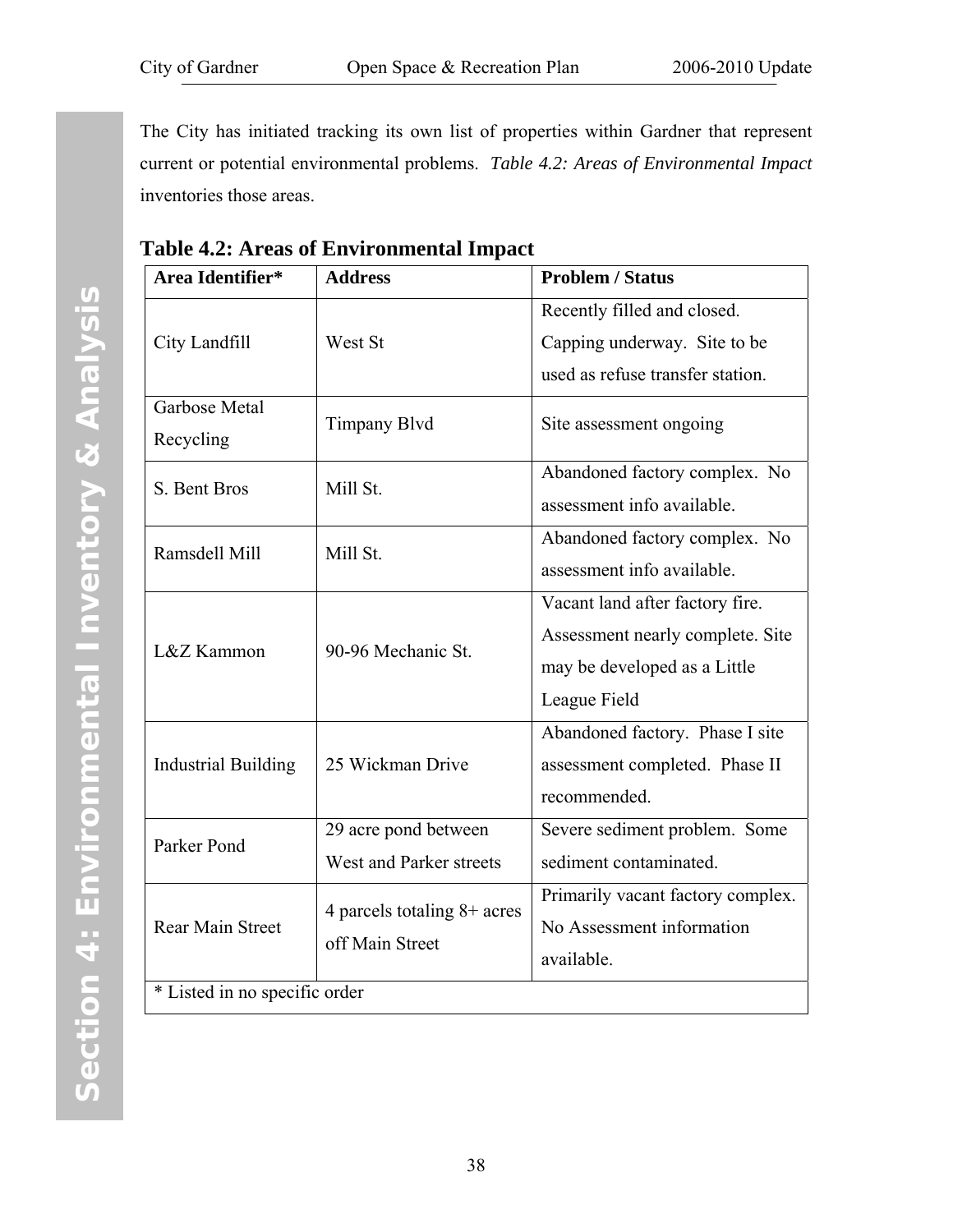The City has initiated tracking its own list of properties within Gardner that represent current or potential environmental problems. *Table 4.2: Areas of Environmental Impact* inventories those areas.

| Area Identifier*              | <b>Address</b>                                   | <b>Problem / Status</b>                                                                                             |
|-------------------------------|--------------------------------------------------|---------------------------------------------------------------------------------------------------------------------|
| City Landfill                 | West St                                          | Recently filled and closed.<br>Capping underway. Site to be<br>used as refuse transfer station.                     |
| Garbose Metal<br>Recycling    | <b>Timpany Blvd</b>                              | Site assessment ongoing                                                                                             |
| Mill St.<br>S. Bent Bros      |                                                  | Abandoned factory complex. No<br>assessment info available.                                                         |
| Ramsdell Mill                 | Mill St.                                         | Abandoned factory complex. No<br>assessment info available.                                                         |
| L&Z Kammon                    | 90-96 Mechanic St.                               | Vacant land after factory fire.<br>Assessment nearly complete. Site<br>may be developed as a Little<br>League Field |
| <b>Industrial Building</b>    | 25 Wickman Drive                                 | Abandoned factory. Phase I site<br>assessment completed. Phase II<br>recommended.                                   |
| Parker Pond                   | 29 acre pond between<br>West and Parker streets  | Severe sediment problem. Some<br>sediment contaminated.                                                             |
| Rear Main Street              | 4 parcels totaling $8+$ acres<br>off Main Street | Primarily vacant factory complex.<br>No Assessment information<br>available.                                        |
| * Listed in no specific order |                                                  |                                                                                                                     |

**Table 4.2: Areas of Environmental Impact**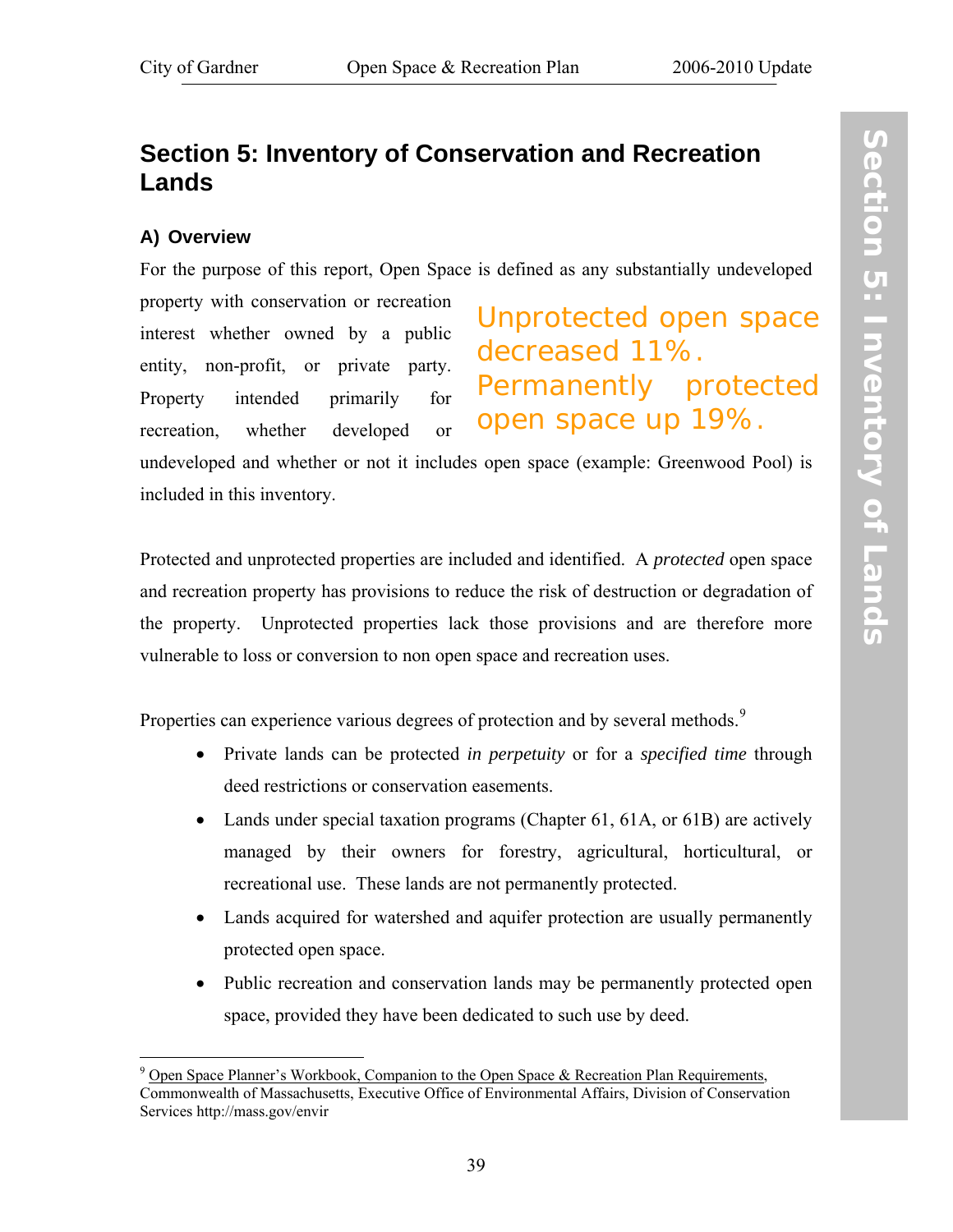# **Section 5: Inventory of Conservation and Recreation Lands**

# **A) Overview**

1

For the purpose of this report, Open Space is defined as any substantially undeveloped

property with conservation or recreation interest whether owned by a public entity, non-profit, or private party. Property intended primarily for recreation, whether developed or

Unprotected open space decreased 11%. Permanently protected open space up 19%.

undeveloped and whether or not it includes open space (example: Greenwood Pool) is included in this inventory.

Protected and unprotected properties are included and identified. A *protected* open space and recreation property has provisions to reduce the risk of destruction or degradation of the property. Unprotected properties lack those provisions and are therefore more vulnerable to loss or conversion to non open space and recreation uses.

Properties can experience various degrees of protection and by several methods.<sup>[9](#page-46-0)</sup>

- Private lands can be protected *in perpetuity* or for a *specified time* through deed restrictions or conservation easements.
- Lands under special taxation programs (Chapter 61, 61A, or 61B) are actively managed by their owners for forestry, agricultural, horticultural, or recreational use. These lands are not permanently protected.
- Lands acquired for watershed and aquifer protection are usually permanently protected open space.
- Public recreation and conservation lands may be permanently protected open space, provided they have been dedicated to such use by deed.

<span id="page-46-0"></span> $9$  Open Space Planner's Workbook, Companion to the Open Space & Recreation Plan Requirements, Commonwealth of Massachusetts, Executive Office of Environmental Affairs, Division of Conservation Services http://mass.gov/envir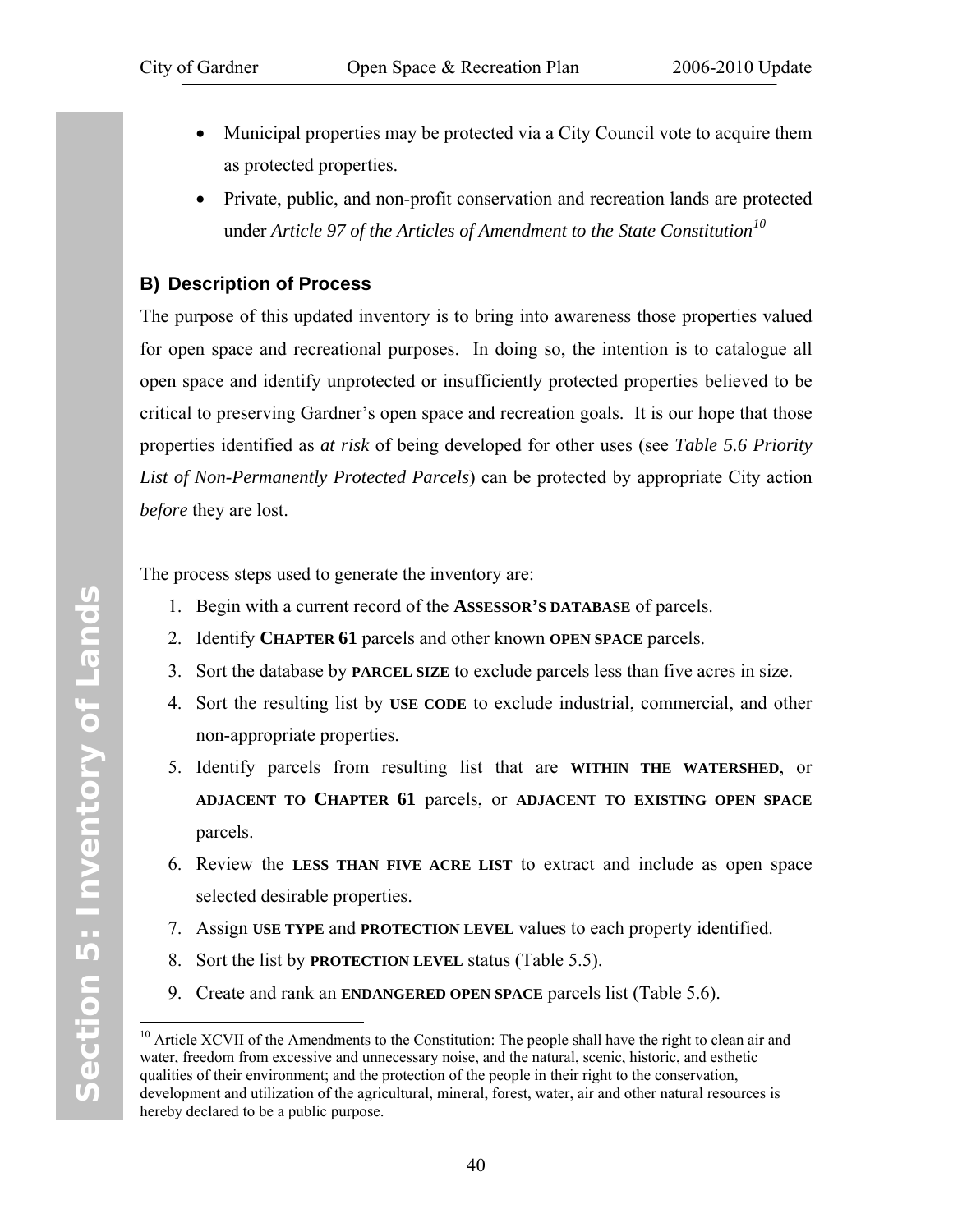- Municipal properties may be protected via a City Council vote to acquire them as protected properties.
- Private, public, and non-profit conservation and recreation lands are protected under *Article 97 of the Articles of Amendment to the State Constitution[1](#page-47-0)0*

# **B) Description of Process**

The purpose of this updated inventory is to bring into awareness those properties valued for open space and recreational purposes. In doing so, the intention is to catalogue all open space and identify unprotected or insufficiently protected properties believed to be critical to preserving Gardner's open space and recreation goals. It is our hope that those properties identified as *at risk* of being developed for other uses (see *[Table 5.6 Priority](#page-65-0) [List of Non-Permanently Protected Parcels](#page-65-0)*) can be protected by appropriate City action *before* they are lost.

The process steps used to generate the inventory are:

- 1. Begin with a current record of the **ASSESSOR'S DATABASE** of parcels.
- 2. Identify **CHAPTER 61** parcels and other known **OPEN SPACE** parcels.
- 3. Sort the database by **PARCEL SIZE** to exclude parcels less than five acres in size.
- 4. Sort the resulting list by **USE CODE** to exclude industrial, commercial, and other non-appropriate properties.
- 5. Identify parcels from resulting list that are **WITHIN THE WATERSHED**, or **ADJACENT TO CHAPTER 61** parcels, or **ADJACENT TO EXISTING OPEN SPACE** parcels.
- 6. Review the **LESS THAN FIVE ACRE LIST** to extract and include as open space selected desirable properties.
- 7. Assign **USE TYPE** and **PROTECTION LEVEL** values to each property identified.
- 8. Sort the list by **PROTECTION LEVEL** status [\(Table 5.5](#page-55-0)).
- 9. Create and rank an **ENDANGERED OPEN SPACE** parcels list ([Table 5.6](#page-65-0)).

 $\overline{a}$ 

<span id="page-47-0"></span><sup>&</sup>lt;sup>10</sup> Article XCVII of the Amendments to the Constitution: The people shall have the right to clean air and water, freedom from excessive and unnecessary noise, and the natural, scenic, historic, and esthetic qualities of their environment; and the protection of the people in their right to the conservation, development and utilization of the agricultural, mineral, forest, water, air and other natural resources is hereby declared to be a public purpose.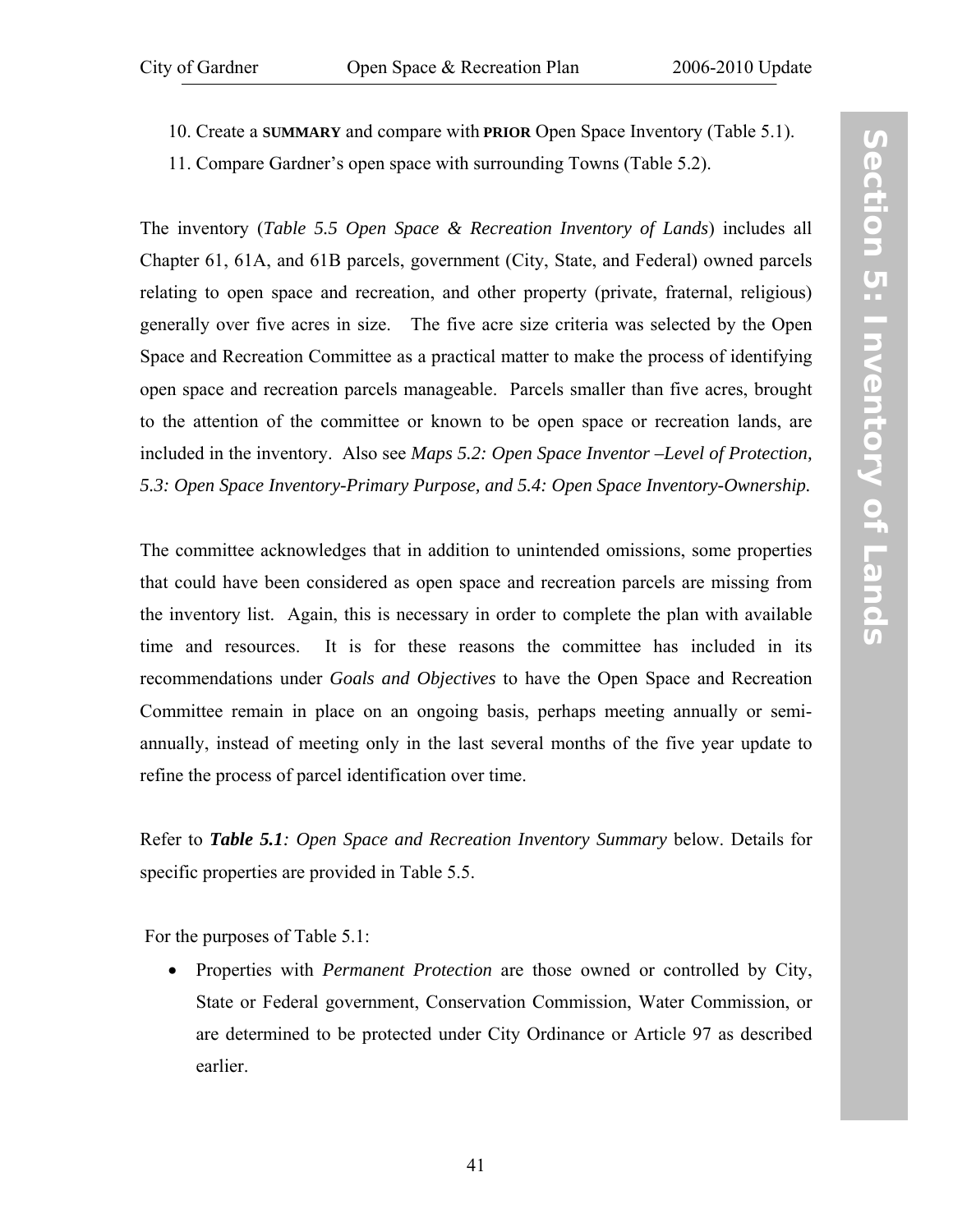- 
- 10. Create a **SUMMARY** and compare with **PRIOR** Open Space Inventory ([Table 5.1\)](#page-50-0).
- 11. Compare Gardner's open space with surrounding Towns ([Table 5.2](#page-51-0)).

The inventory (*[Table 5.5 Open Space & Recreation Inventory of Lands](#page-55-0)*) includes all Chapter 61, 61A, and 61B parcels, government (City, State, and Federal) owned parcels relating to open space and recreation, and other property (private, fraternal, religious) generally over five acres in size. The five acre size criteria was selected by the Open Space and Recreation Committee as a practical matter to make the process of identifying open space and recreation parcels manageable. Parcels smaller than five acres, brought to the attention of the committee or known to be open space or recreation lands, are included in the inventory. Also see *[Maps 5.2: Open Space Inventor –Level of Protection](http://www.gardner-ma.gov/Pages/GardnerMA_CommDev/OS/Map5.2.pdf), [5.3: Open Space Inventory-Primary Purpose,](http://www.gardner-ma.gov/Pages/GardnerMA_CommDev/OS/Map5.3.pdf) and [5.4: Open Space Inventory-Ownership.](http://www.gardner-ma.gov/Pages/GardnerMA_CommDev/OS/Map5.4.pdf)*

The committee acknowledges that in addition to unintended omissions, some properties that could have been considered as open space and recreation parcels are missing from the inventory list. Again, this is necessary in order to complete the plan with available time and resources. It is for these reasons the committee has included in its recommendations under *Goals and Objectives* to have the Open Space and Recreation Committee remain in place on an ongoing basis, perhaps meeting annually or semiannually, instead of meeting only in the last several months of the five year update to refine the process of parcel identification over time.

Refer to *Table 5.1[: Open Space and Recreation Inventory Summary](#page-50-0)* below. Details for specific properties are provided in [Table 5.5](#page-55-0).

For the purposes of [Table 5.1](#page-50-0):

• Properties with *Permanent Protection* are those owned or controlled by City, State or Federal government, Conservation Commission, Water Commission, or are determined to be protected under City Ordinance or Article 97 as described earlier.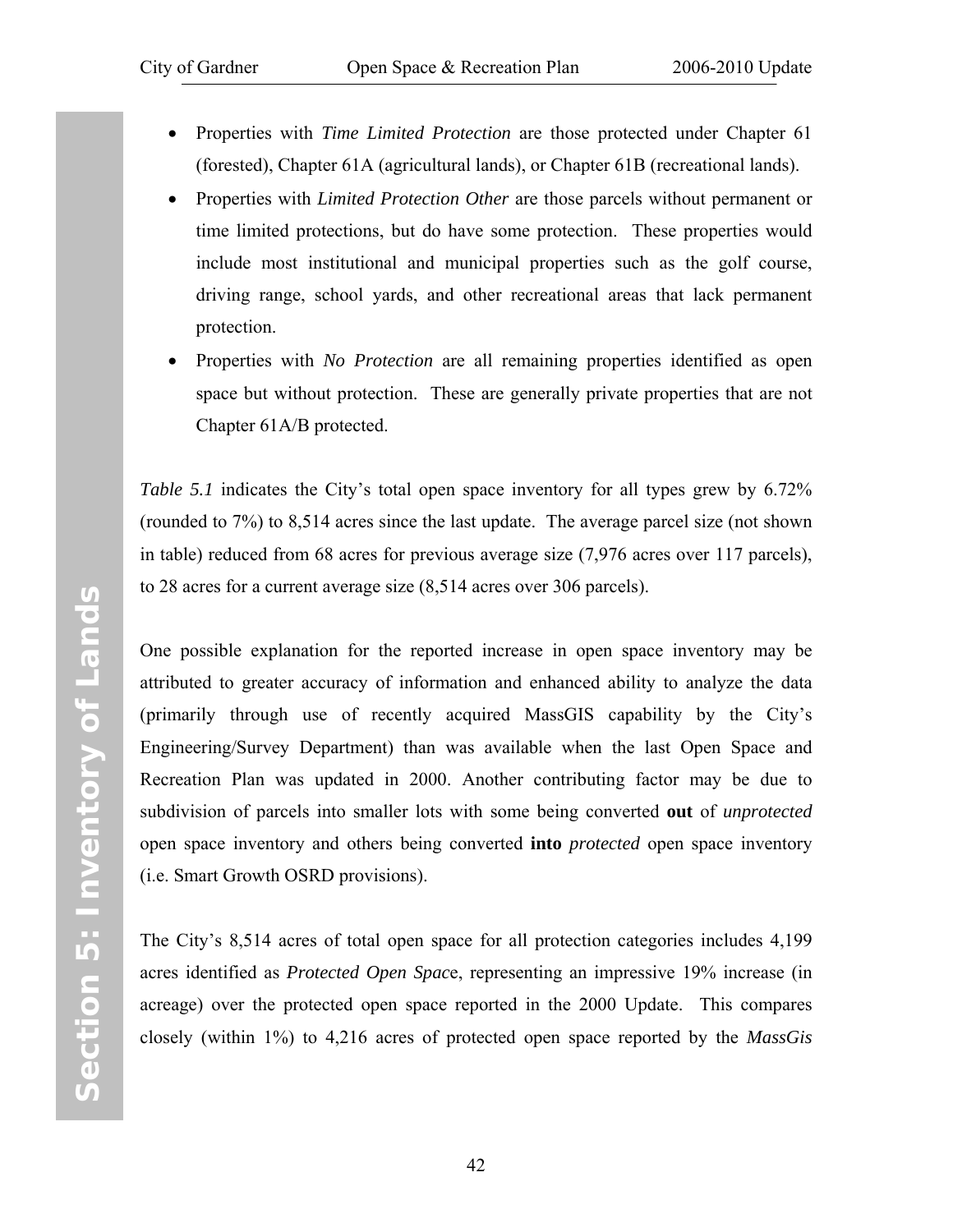- Properties with *Time Limited Protection* are those protected under Chapter 61 (forested), Chapter 61A (agricultural lands), or Chapter 61B (recreational lands).
- Properties with *Limited Protection Other* are those parcels without permanent or time limited protections, but do have some protection. These properties would include most institutional and municipal properties such as the golf course, driving range, school yards, and other recreational areas that lack permanent protection.
- Properties with *No Protection* are all remaining properties identified as open space but without protection. These are generally private properties that are not Chapter 61A/B protected.

*[Table 5.1](#page-50-0)* indicates the City's total open space inventory for all types grew by 6.72% (rounded to 7%) to 8,514 acres since the last update. The average parcel size (not shown in table) reduced from 68 acres for previous average size (7,976 acres over 117 parcels), to 28 acres for a current average size (8,514 acres over 306 parcels).

One possible explanation for the reported increase in open space inventory may be attributed to greater accuracy of information and enhanced ability to analyze the data (primarily through use of recently acquired MassGIS capability by the City's Engineering/Survey Department) than was available when the last Open Space and Recreation Plan was updated in 2000. Another contributing factor may be due to subdivision of parcels into smaller lots with some being converted **out** of *unprotected* open space inventory and others being converted **into** *protected* open space inventory (i.e. Smart Growth OSRD provisions).

The City's 8,514 acres of total open space for all protection categories includes 4,199 acres identified as *Protected Open Spac*e, representing an impressive 19% increase (in acreage) over the protected open space reported in the 2000 Update. This compares closely (within 1%) to 4,216 acres of protected open space reported by the *MassGis*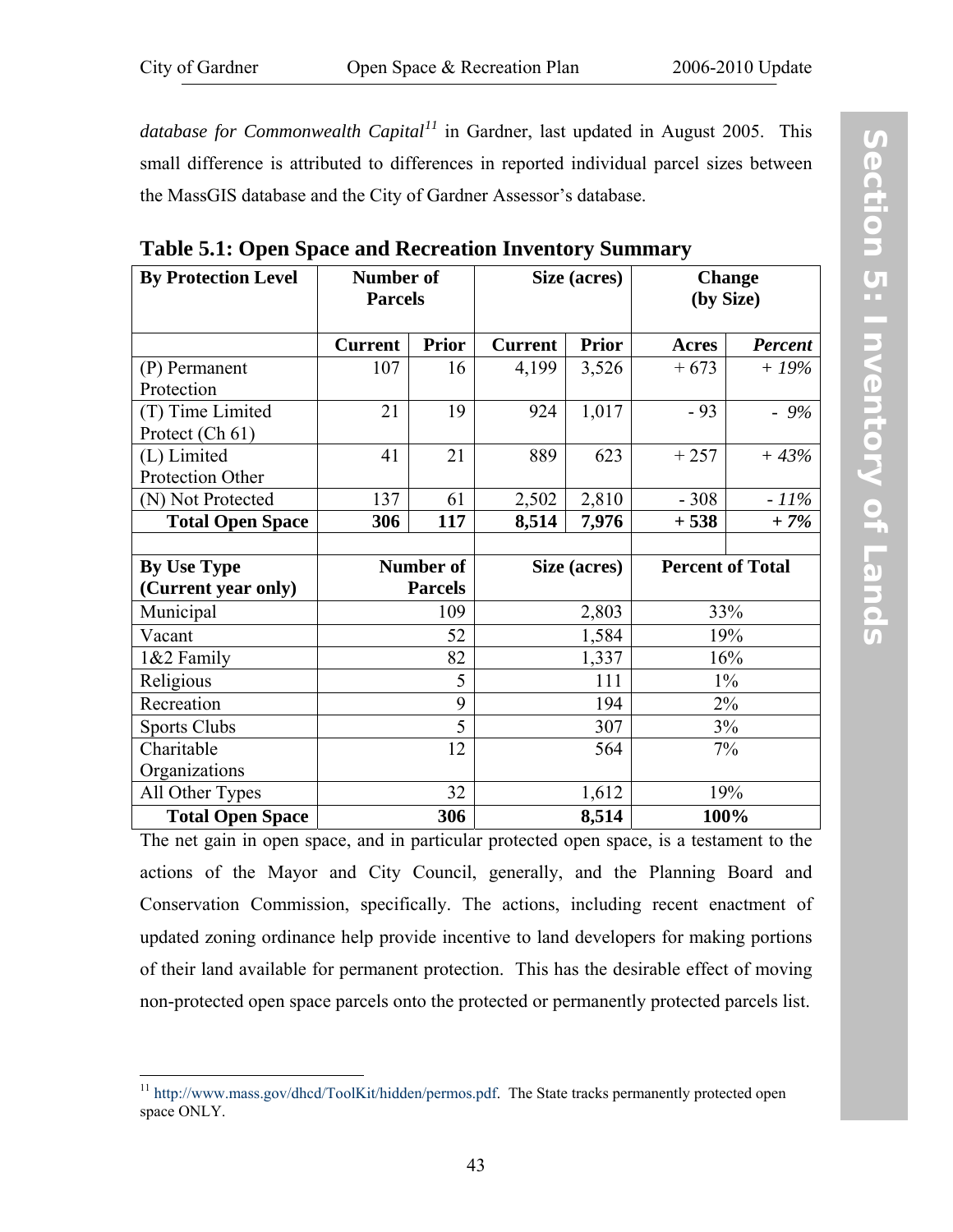<span id="page-50-0"></span>*database for Commonwealth Capital[1](#page-50-1)1* in Gardner, last updated in August 2005. This small difference is attributed to differences in reported individual parcel sizes between the MassGIS database and the City of Gardner Assessor's database.

| <b>By Protection Level</b>          | Number of<br><b>Parcels</b> |                |                | Size (acres) | <b>Change</b><br>(by Size) |                |
|-------------------------------------|-----------------------------|----------------|----------------|--------------|----------------------------|----------------|
|                                     | <b>Current</b>              | <b>Prior</b>   | <b>Current</b> | <b>Prior</b> | <b>Acres</b>               | <b>Percent</b> |
| (P) Permanent<br>Protection         | 107                         | 16             | 4,199          | 3,526        | $+673$                     | $+19\%$        |
| (T) Time Limited<br>Protect (Ch 61) | 21                          | 19             | 924            | 1,017        | $-93$                      | $-9\%$         |
| (L) Limited<br>Protection Other     | 41                          | 21             | 889            | 623          | $+257$                     | $+43%$         |
| (N) Not Protected                   | 137                         | 61             | 2,502          | 2,810        | $-308$                     | $-11\%$        |
| <b>Total Open Space</b>             | 306                         | 117            | 8,514          | 7,976        | $+538$                     | $+7%$          |
|                                     |                             |                |                |              |                            |                |
| <b>By Use Type</b>                  |                             | Number of      | Size (acres)   |              | <b>Percent of Total</b>    |                |
| (Current year only)                 |                             | <b>Parcels</b> |                |              |                            |                |
| Municipal                           |                             | 109            |                | 2,803        | 33%                        |                |
| Vacant                              |                             | 52             |                | 1,584        |                            | 19%            |
| 1&2 Family                          |                             | 82             |                | 1,337        |                            | 16%            |
| Religious                           |                             | 5              |                | 111          |                            | $1\%$          |
| Recreation                          |                             | 9              |                | 194          |                            | 2%             |
| <b>Sports Clubs</b>                 | 5                           |                |                | 307          |                            | 3%             |
| Charitable                          | 12                          |                | 564            |              |                            | 7%             |
| Organizations                       |                             |                |                |              |                            |                |
| All Other Types                     |                             | 32             | 1,612          |              | 19%                        |                |
| <b>Total Open Space</b>             |                             | 306            | 8,514          |              | 100%                       |                |

**Table 5.1: Open Space and Recreation Inventory Summary** 

The net gain in open space, and in particular protected open space, is a testament to the actions of the Mayor and City Council, generally, and the Planning Board and Conservation Commission, specifically. The actions, including recent enactment of updated zoning ordinance help provide incentive to land developers for making portions of their land available for permanent protection. This has the desirable effect of moving non-protected open space parcels onto the protected or permanently protected parcels list.

<span id="page-50-1"></span><sup>1</sup> <sup>11</sup> http://www.mass.gov/dhcd/ToolKit/hidden/permos.pdf. The State tracks permanently protected open space ONLY.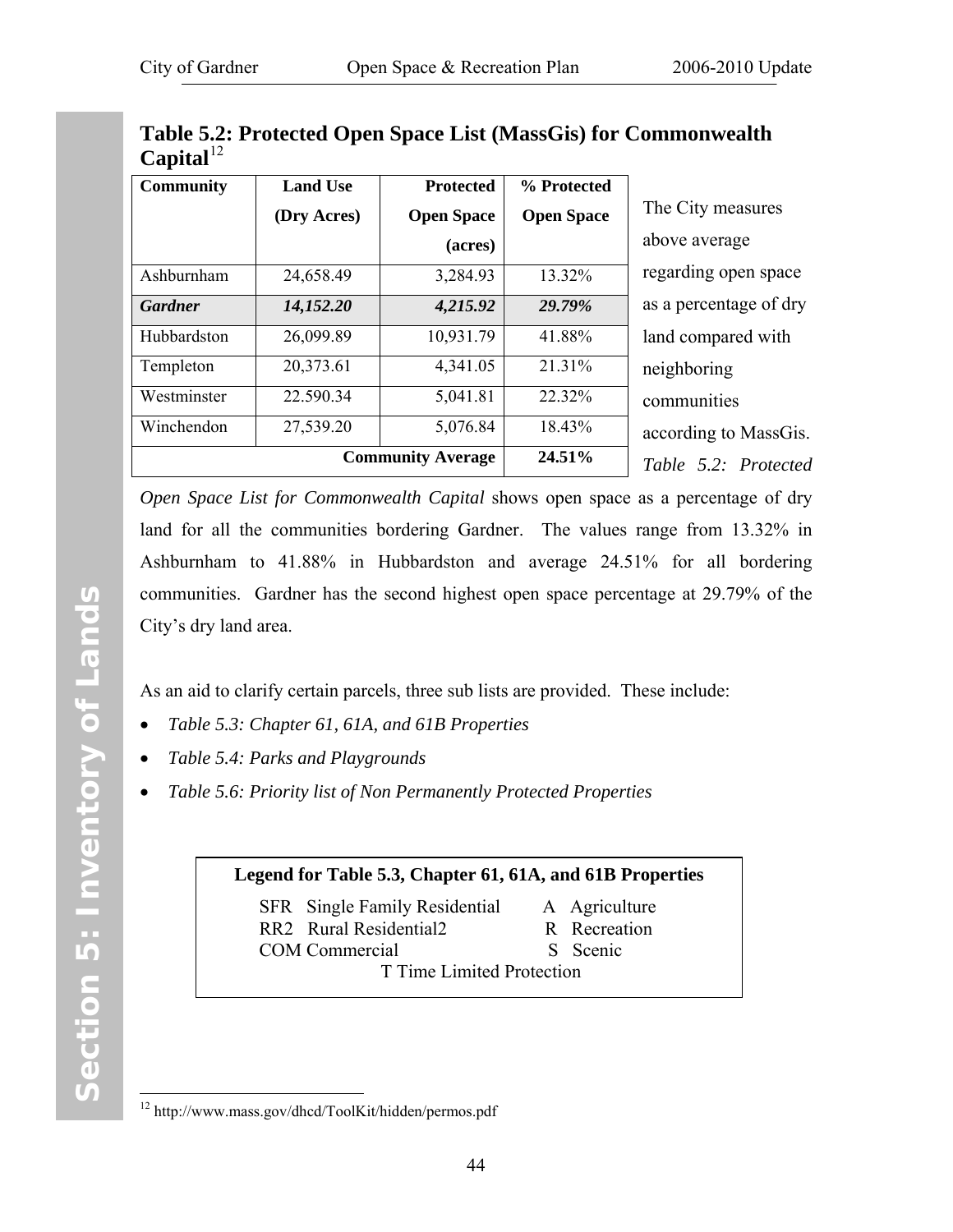| Capital          |                          |                   |                   |                       |
|------------------|--------------------------|-------------------|-------------------|-----------------------|
| <b>Community</b> | <b>Land Use</b>          | <b>Protected</b>  | % Protected       |                       |
|                  | (Dry Acres)              | <b>Open Space</b> | <b>Open Space</b> | The City measures     |
|                  |                          | (acres)           |                   | above average         |
| Ashburnham       | 24,658.49                | 3,284.93          | 13.32%            | regarding open spa    |
| <b>Gardner</b>   | 14,152.20                | 4,215.92          | 29.79%            | as a percentage of of |
| Hubbardston      | 26,099.89                | 10,931.79         | 41.88%            | land compared with    |
| Templeton        | 20,373.61                | 4,341.05          | 21.31%            | neighboring           |
| Westminster      | 22.590.34                | 5,041.81          | 22.32%            | communities           |
| Winchendon       | 27,539.20                | 5,076.84          | 18.43%            | according to Mass     |
|                  | <b>Community Average</b> | 24.51%            | Table 5.2: Protec |                       |

<span id="page-51-0"></span>**Table 5.2: Protected Open Space List (MassGis) for Commonwealth**   $C$ <sup>[1](#page-51-1)2</sup>

> verage g open space entage of dry npared with ring ities ng to MassGis. *Table 5.2: Protected*

*Open Space List for Commonwealth Capital* shows open space as a percentage of dry land for all the communities bordering Gardner. The values range from 13.32% in Ashburnham to 41.88% in Hubbardston and average 24.51% for all bordering communities. Gardner has the second highest open space percentage at 29.79% of the City's dry land area.

As an aid to clarify certain parcels, three sub lists are provided. These include:

- *Table 5.3: Chapter 61, 61A, and 61B Properties*
- *[Table 5.4: Parks and Playgrounds](#page-53-0)*
- *[Table 5.6: Priority list of Non Permanently Protected Properties](#page-65-0)*

### **Legend for Table 5.3, Chapter 61, 61A, and 61B Properties**

SFR Single Family Residential A Agriculture RR2 Rural Residential2 R Recreation COM Commercial S Scenic

T Time Limited Protection

 $\overline{a}$ 

<span id="page-51-1"></span><sup>12</sup> http://www.mass.gov/dhcd/ToolKit/hidden/permos.pdf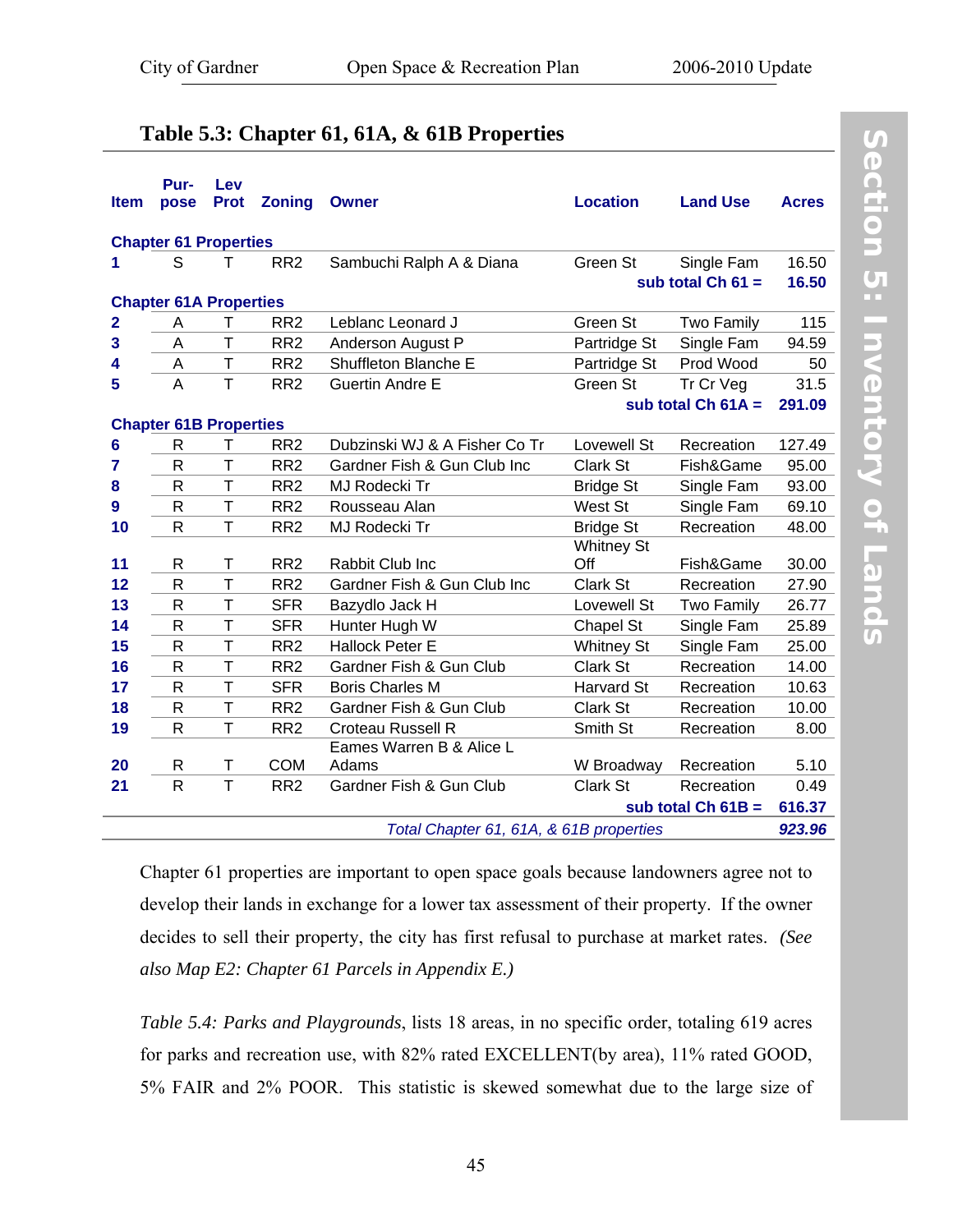# **Table 5.3: Chapter 61, 61A, & 61B Properties**

| <b>Item</b>  | Pur-<br>pose                  | Lev<br><b>Prot</b> | <b>Zoning</b>   | <b>Owner</b>                            | <b>Location</b>   | <b>Land Use</b>      | <b>Acres</b> |
|--------------|-------------------------------|--------------------|-----------------|-----------------------------------------|-------------------|----------------------|--------------|
|              | <b>Chapter 61 Properties</b>  |                    |                 |                                         |                   |                      |              |
| 1            | S                             | т                  | RR <sub>2</sub> | Sambuchi Ralph A & Diana                | Green St          | Single Fam           | 16.50        |
|              |                               |                    |                 |                                         |                   | sub total $Ch 61 =$  | 16.50        |
|              | <b>Chapter 61A Properties</b> |                    |                 |                                         |                   |                      |              |
| $\mathbf{2}$ | A                             | т                  | RR <sub>2</sub> | Leblanc Leonard J                       | Green St          | <b>Two Family</b>    | 115          |
| 3            | A                             | T                  | RR <sub>2</sub> | Anderson August P                       | Partridge St      | Single Fam           | 94.59        |
| 4            | A                             | T                  | RR <sub>2</sub> | Shuffleton Blanche E                    | Partridge St      | Prod Wood            | 50           |
| 5            | A                             | T                  | RR <sub>2</sub> | Guertin Andre E                         | Green St          | Tr Cr Veg            | 31.5         |
|              |                               |                    |                 |                                         |                   | sub total $Ch 61A =$ | 291.09       |
|              | <b>Chapter 61B Properties</b> |                    |                 |                                         |                   |                      |              |
| 6            | R                             | Τ                  | RR <sub>2</sub> | Dubzinski WJ & A Fisher Co Tr           | Lovewell St       | Recreation           | 127.49       |
| 7            | R                             | T                  | RR <sub>2</sub> | Gardner Fish & Gun Club Inc             | Clark St          | Fish&Game            | 95.00        |
| 8            | R                             | $\mathsf T$        | RR <sub>2</sub> | MJ Rodecki Tr                           | <b>Bridge St</b>  | Single Fam           | 93.00        |
| 9            | $\mathsf{R}$                  | T                  | RR <sub>2</sub> | Rousseau Alan                           | West St           | Single Fam           | 69.10        |
| 10           | $\mathsf{R}$                  | T                  | RR <sub>2</sub> | MJ Rodecki Tr                           | <b>Bridge St</b>  | Recreation           | 48.00        |
|              |                               |                    |                 |                                         | <b>Whitney St</b> |                      |              |
| 11           | R                             | T                  | RR <sub>2</sub> | Rabbit Club Inc                         | Off               | Fish&Game            | 30.00        |
| 12           | R                             | $\mathsf{T}$       | RR <sub>2</sub> | Gardner Fish & Gun Club Inc             | Clark St          | Recreation           | 27.90        |
| 13           | $\mathsf{R}$                  | T                  | <b>SFR</b>      | Bazydlo Jack H                          | Lovewell St       | <b>Two Family</b>    | 26.77        |
| 14           | $\mathsf{R}$                  | T                  | <b>SFR</b>      | Hunter Hugh W                           | Chapel St         | Single Fam           | 25.89        |
| 15           | R                             | T                  | RR <sub>2</sub> | <b>Hallock Peter E</b>                  | <b>Whitney St</b> | Single Fam           | 25.00        |
| 16           | $\mathsf{R}$                  | T                  | RR <sub>2</sub> | Gardner Fish & Gun Club                 | Clark St          | Recreation           | 14.00        |
| 17           | R                             | T                  | <b>SFR</b>      | <b>Boris Charles M</b>                  | Harvard St        | Recreation           | 10.63        |
| 18           | $\mathsf{R}$                  | T                  | RR <sub>2</sub> | Gardner Fish & Gun Club                 | Clark St          | Recreation           | 10.00        |
| 19           | $\mathsf{R}$                  | T                  | RR <sub>2</sub> | Croteau Russell R                       | Smith St          | Recreation           | 8.00         |
|              |                               |                    |                 | Eames Warren B & Alice L                |                   |                      |              |
| 20           | R                             | Τ                  | <b>COM</b>      | Adams                                   | W Broadway        | Recreation           | 5.10         |
| 21           | $\mathsf{R}$                  | T                  | RR <sub>2</sub> | Gardner Fish & Gun Club                 | Clark St          | Recreation           | 0.49         |
|              |                               |                    |                 |                                         |                   | sub total $Ch 61B =$ | 616.37       |
|              |                               |                    |                 | Total Chapter 61, 61A, & 61B properties |                   |                      | 923.96       |

Section 5: Inventory of Lands **Section 5: Inventory of Lands** 

Chapter 61 properties are important to open space goals because landowners agree not to develop their lands in exchange for a lower tax assessment of their property. If the owner decides to sell their property, the city has first refusal to purchase at market rates. *(See also [Map E2: Chapter 61 Parcels](http://www.gardner-ma.gov/Pages/GardnerMA_CommDev/OS/MapE2.pdf) in [Appendix E](#page-130-0).)* 

*[Table 5.4: Parks and Playgrounds](#page-53-0)*, lists 18 areas, in no specific order, totaling 619 acres for parks and recreation use, with 82% rated EXCELLENT(by area), 11% rated GOOD, 5% FAIR and 2% POOR. This statistic is skewed somewhat due to the large size of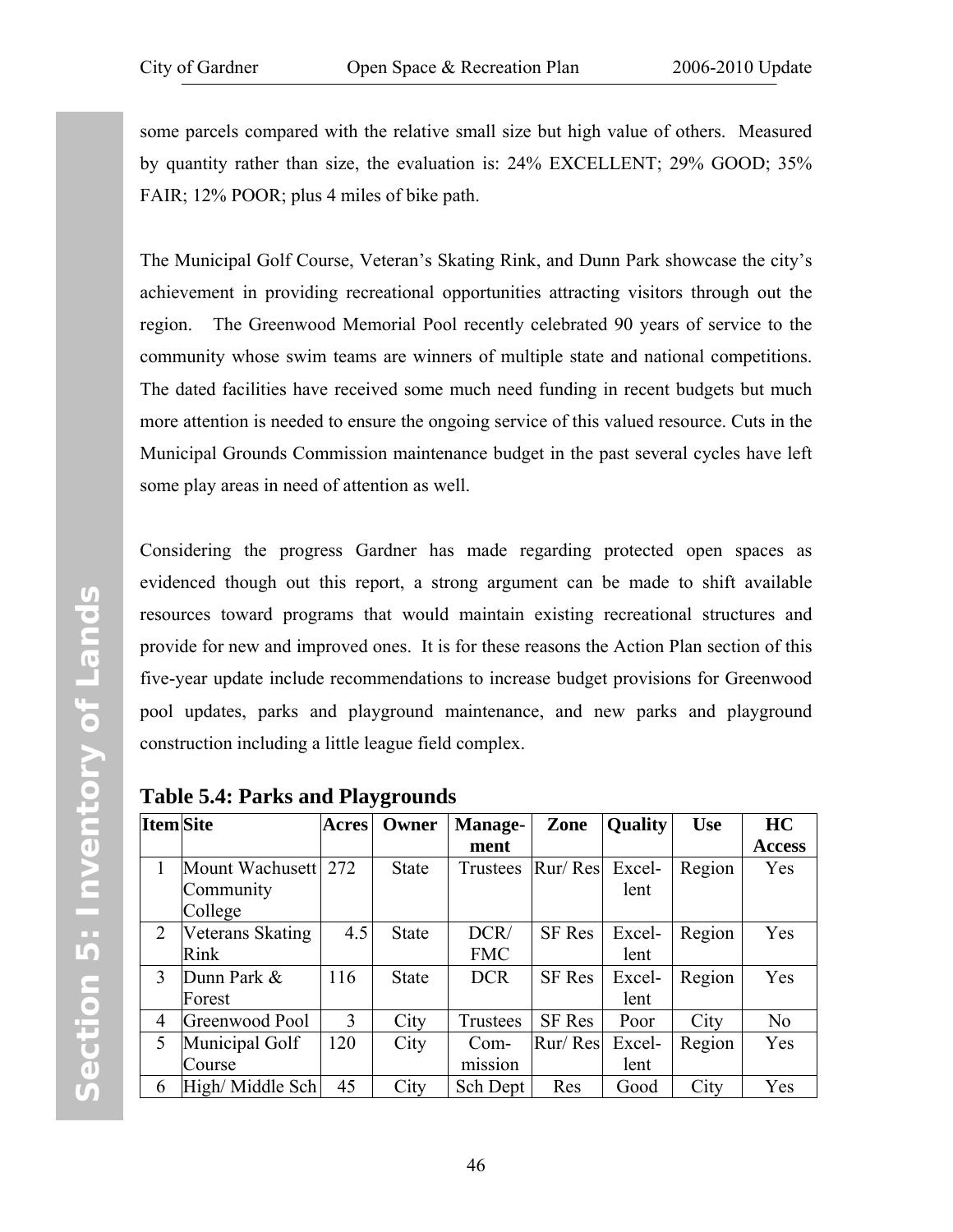<span id="page-53-0"></span>some parcels compared with the relative small size but high value of others. Measured by quantity rather than size, the evaluation is: 24% EXCELLENT; 29% GOOD; 35% FAIR; 12% POOR; plus 4 miles of bike path.

The Municipal Golf Course, Veteran's Skating Rink, and Dunn Park showcase the city's achievement in providing recreational opportunities attracting visitors through out the region. The Greenwood Memorial Pool recently celebrated 90 years of service to the community whose swim teams are winners of multiple state and national competitions. The dated facilities have received some much need funding in recent budgets but much more attention is needed to ensure the ongoing service of this valued resource. Cuts in the Municipal Grounds Commission maintenance budget in the past several cycles have left some play areas in need of attention as well.

Considering the progress Gardner has made regarding protected open spaces as evidenced though out this report, a strong argument can be made to shift available resources toward programs that would maintain existing recreational structures and provide for new and improved ones. It is for these reasons the Action Plan section of this five-year update include recommendations to increase budget provisions for Greenwood pool updates, parks and playground maintenance, and new parks and playground construction including a little league field complex.

| <b>Item</b> Site |                  | Acres | Owner        | Manage-    | Zone          | <b>Quality</b> | <b>Use</b> | <b>HC</b>      |
|------------------|------------------|-------|--------------|------------|---------------|----------------|------------|----------------|
|                  |                  |       |              | ment       |               |                |            | <b>Access</b>  |
|                  | Mount Wachusett  | 272   | <b>State</b> | Trustees   | Rur/Res       | Excel-         | Region     | Yes            |
|                  | Community        |       |              |            |               | lent           |            |                |
|                  | College          |       |              |            |               |                |            |                |
| 2                | Veterans Skating | 4.5   | <b>State</b> | DCR/       | <b>SF</b> Res | Excel-         | Region     | Yes            |
|                  | Rink             |       |              | <b>FMC</b> |               | lent           |            |                |
| 3                | Dunn Park &      | 116   | State        | <b>DCR</b> | <b>SF</b> Res | Excel-         | Region     | Yes            |
|                  | Forest           |       |              |            |               | lent           |            |                |
| 4                | Greenwood Pool   | 3     | City         | Trustees   | SF Res        | Poor           | City       | N <sub>0</sub> |
| 5                | Municipal Golf   | 120   | City         | Com-       | Rur/Res       | Excel-         | Region     | Yes            |
|                  | Course           |       |              | mission    |               | lent           |            |                |
| 6                | High/ Middle Sch | 45    | City         | Sch Dept   | Res           | Good           | City       | Yes            |

**Table 5.4: Parks and Playgrounds**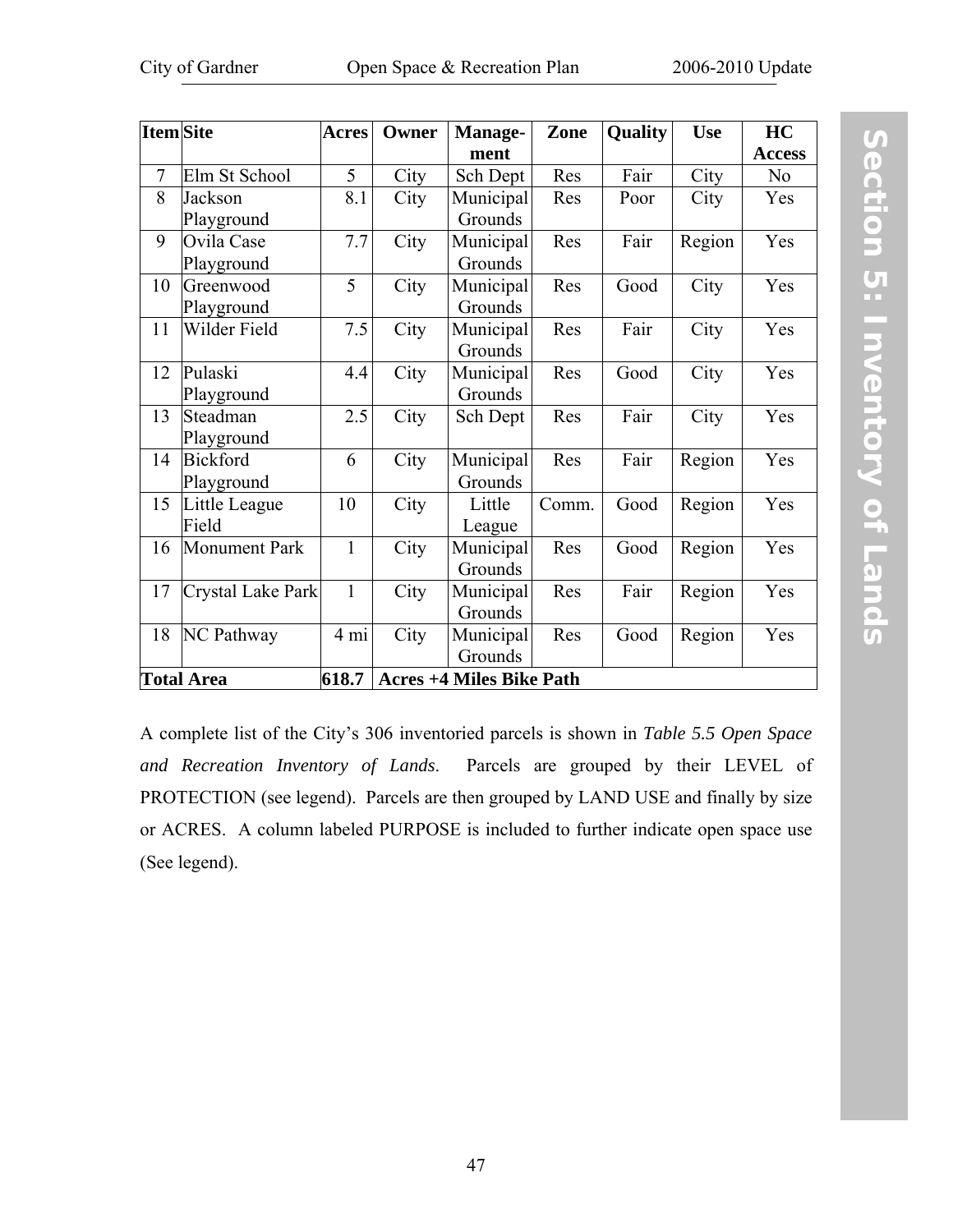| <b>Item</b> Site |                          | <b>Acres</b> | Owner | <b>Manage-</b>                  | Zone  | Quality | <b>Use</b> | HC             |
|------------------|--------------------------|--------------|-------|---------------------------------|-------|---------|------------|----------------|
|                  |                          |              |       | ment                            |       |         |            | <b>Access</b>  |
| $\overline{7}$   | Elm St School            | 5            | City  | Sch Dept                        | Res   | Fair    | City       | N <sub>0</sub> |
| 8                | Jackson                  | 8.1          | City  | Municipal                       | Res   | Poor    | City       | Yes            |
|                  | Playground               |              |       | Grounds                         |       |         |            |                |
| 9                | Ovila Case               | 7.7          | City  | Municipal                       | Res   | Fair    | Region     | Yes            |
|                  | Playground               |              |       | Grounds                         |       |         |            |                |
| 10               | Greenwood                | 5            | City  | Municipal                       | Res   | Good    | City       | Yes            |
|                  | Playground               |              |       | Grounds                         |       |         |            |                |
| 11               | Wilder Field             | 7.5          | City  | Municipal                       | Res   | Fair    | City       | Yes            |
|                  |                          |              |       | Grounds                         |       |         |            |                |
| 12               | Pulaski                  | 4.4          | City  | Municipal                       | Res   | Good    | City       | Yes            |
|                  | Playground               |              |       | Grounds                         |       |         |            |                |
| 13               | Steadman                 | 2.5          | City  | Sch Dept                        | Res   | Fair    | City       | Yes            |
|                  | Playground               |              |       |                                 |       |         |            |                |
| 14               | <b>Bickford</b>          | 6            | City  | Municipal                       | Res   | Fair    | Region     | Yes            |
|                  | Playground               |              |       | Grounds                         |       |         |            |                |
| 15               | Little League            | 10           | City  | Little                          | Comm. | Good    | Region     | Yes            |
|                  | Field                    |              |       | League                          |       |         |            |                |
| 16               | <b>Monument Park</b>     | $\mathbf{1}$ | City  | Municipal                       | Res   | Good    | Region     | Yes            |
|                  |                          |              |       | Grounds                         |       |         |            |                |
| 17               | <b>Crystal Lake Park</b> | $\mathbf{1}$ | City  | Municipal                       | Res   | Fair    | Region     | Yes            |
|                  |                          |              |       | Grounds                         |       |         |            |                |
| 18               | <b>NC Pathway</b>        | 4 mi         | City  | Municipal                       | Res   | Good    | Region     | Yes            |
|                  |                          |              |       | Grounds                         |       |         |            |                |
|                  | <b>Total Area</b>        | 618.7        |       | <b>Acres +4 Miles Bike Path</b> |       |         |            |                |

A complete list of the City's 306 inventoried parcels is shown in *[Table 5.5 Open Space](#page-55-0)  and Recreation Inventory of Lands*. Parcels are grouped by their LEVEL of PROTECTION (see legend). Parcels are then grouped by LAND USE and finally by size or ACRES. A column labeled PURPOSE is included to further indicate open space use (See legend).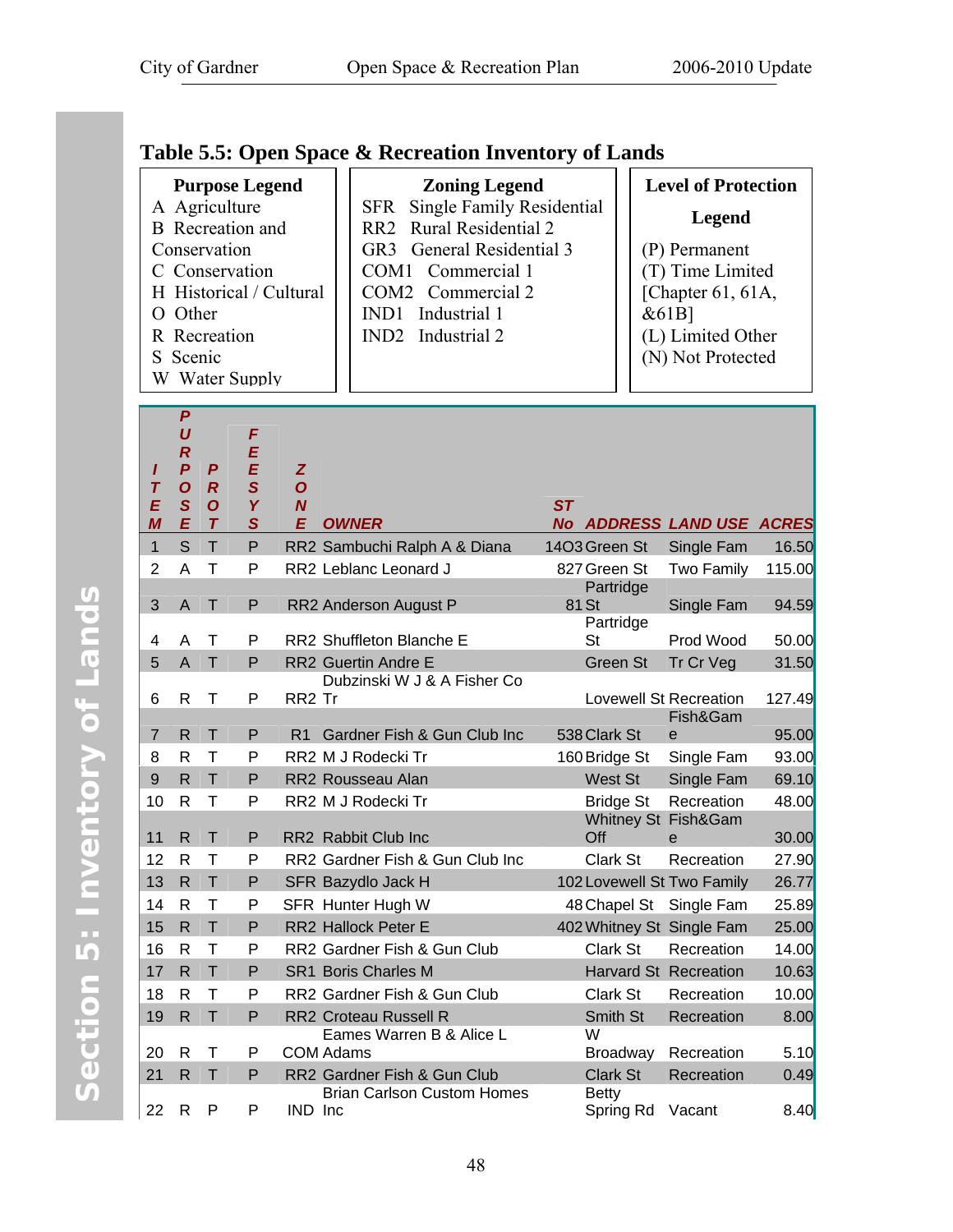# <span id="page-55-0"></span>**Table 5.5: Open Space & Recreation Inventory of Lands**

| <b>Purpose Legend</b>   | <b>Zoning Legend</b>                     | <b>Level of Protection</b> |
|-------------------------|------------------------------------------|----------------------------|
| A Agriculture           | SFR Single Family Residential            |                            |
| <b>B</b> Recreation and | RR2 Rural Residential 2                  | Legend                     |
| Conservation            | GR3 General Residential 3                | (P) Permanent              |
| C Conservation          | COM1 Commercial 1                        | (T) Time Limited           |
| H Historical / Cultural | COM2 Commercial 2                        | [Chapter 61, 61A,          |
| O Other                 | IND1 Industrial 1                        | $&61B$ ]                   |
| R Recreation            | IND <sub>2</sub> Industrial <sub>2</sub> | (L) Limited Other          |
| S Scenic                |                                          | (N) Not Protected          |
| W Water Supply          |                                          |                            |

| P<br>U           |                                                                                                                                                              | F                                                                                                                    |                                                                                               |                                    |                                                                                                                                                                                                                                                                                                                                                                                                                                                                                                                                                                                                                                         |                                                                                                                                                              |                                                                                                                                                                                                                                                                                                                         |
|------------------|--------------------------------------------------------------------------------------------------------------------------------------------------------------|----------------------------------------------------------------------------------------------------------------------|-----------------------------------------------------------------------------------------------|------------------------------------|-----------------------------------------------------------------------------------------------------------------------------------------------------------------------------------------------------------------------------------------------------------------------------------------------------------------------------------------------------------------------------------------------------------------------------------------------------------------------------------------------------------------------------------------------------------------------------------------------------------------------------------------|--------------------------------------------------------------------------------------------------------------------------------------------------------------|-------------------------------------------------------------------------------------------------------------------------------------------------------------------------------------------------------------------------------------------------------------------------------------------------------------------------|
| $\boldsymbol{P}$ | P                                                                                                                                                            | E                                                                                                                    | Z                                                                                             |                                    |                                                                                                                                                                                                                                                                                                                                                                                                                                                                                                                                                                                                                                         |                                                                                                                                                              |                                                                                                                                                                                                                                                                                                                         |
|                  |                                                                                                                                                              |                                                                                                                      |                                                                                               |                                    |                                                                                                                                                                                                                                                                                                                                                                                                                                                                                                                                                                                                                                         |                                                                                                                                                              |                                                                                                                                                                                                                                                                                                                         |
| E                | $\boldsymbol{\tau}$                                                                                                                                          | $\overline{\mathbf{s}}$                                                                                              | E                                                                                             |                                    |                                                                                                                                                                                                                                                                                                                                                                                                                                                                                                                                                                                                                                         |                                                                                                                                                              |                                                                                                                                                                                                                                                                                                                         |
| S                | T.                                                                                                                                                           | P                                                                                                                    |                                                                                               |                                    | 14O3 Green St                                                                                                                                                                                                                                                                                                                                                                                                                                                                                                                                                                                                                           | Single Fam                                                                                                                                                   | 16.50                                                                                                                                                                                                                                                                                                                   |
| A                | T                                                                                                                                                            | P                                                                                                                    |                                                                                               |                                    | 827 Green St                                                                                                                                                                                                                                                                                                                                                                                                                                                                                                                                                                                                                            | <b>Two Family</b>                                                                                                                                            | 115.00                                                                                                                                                                                                                                                                                                                  |
|                  |                                                                                                                                                              |                                                                                                                      |                                                                                               |                                    | Partridge                                                                                                                                                                                                                                                                                                                                                                                                                                                                                                                                                                                                                               |                                                                                                                                                              |                                                                                                                                                                                                                                                                                                                         |
|                  |                                                                                                                                                              |                                                                                                                      |                                                                                               |                                    |                                                                                                                                                                                                                                                                                                                                                                                                                                                                                                                                                                                                                                         |                                                                                                                                                              | 94.59                                                                                                                                                                                                                                                                                                                   |
| A                | $\top$                                                                                                                                                       | P                                                                                                                    |                                                                                               |                                    | St                                                                                                                                                                                                                                                                                                                                                                                                                                                                                                                                                                                                                                      | Prod Wood                                                                                                                                                    | 50.00                                                                                                                                                                                                                                                                                                                   |
| $\overline{A}$   | T                                                                                                                                                            | P                                                                                                                    |                                                                                               |                                    | Green St                                                                                                                                                                                                                                                                                                                                                                                                                                                                                                                                                                                                                                | Tr Cr Veg                                                                                                                                                    | 31.50                                                                                                                                                                                                                                                                                                                   |
|                  |                                                                                                                                                              |                                                                                                                      |                                                                                               | Dubzinski W J & A Fisher Co        |                                                                                                                                                                                                                                                                                                                                                                                                                                                                                                                                                                                                                                         |                                                                                                                                                              |                                                                                                                                                                                                                                                                                                                         |
|                  |                                                                                                                                                              |                                                                                                                      |                                                                                               |                                    |                                                                                                                                                                                                                                                                                                                                                                                                                                                                                                                                                                                                                                         |                                                                                                                                                              | 127.49                                                                                                                                                                                                                                                                                                                  |
| R.               | $\top$                                                                                                                                                       | P                                                                                                                    | R1                                                                                            |                                    | 538 Clark St                                                                                                                                                                                                                                                                                                                                                                                                                                                                                                                                                                                                                            | $\mathbf e$                                                                                                                                                  | 95.00                                                                                                                                                                                                                                                                                                                   |
| R                | $\mathsf{T}$                                                                                                                                                 | P                                                                                                                    |                                                                                               |                                    |                                                                                                                                                                                                                                                                                                                                                                                                                                                                                                                                                                                                                                         |                                                                                                                                                              | 93.00                                                                                                                                                                                                                                                                                                                   |
| $\mathsf{R}$     | T                                                                                                                                                            | P                                                                                                                    |                                                                                               |                                    | West St                                                                                                                                                                                                                                                                                                                                                                                                                                                                                                                                                                                                                                 | Single Fam                                                                                                                                                   | 69.10                                                                                                                                                                                                                                                                                                                   |
| R                | $\mathsf{T}$                                                                                                                                                 | P                                                                                                                    |                                                                                               |                                    | <b>Bridge St</b>                                                                                                                                                                                                                                                                                                                                                                                                                                                                                                                                                                                                                        | Recreation                                                                                                                                                   | 48.00                                                                                                                                                                                                                                                                                                                   |
|                  |                                                                                                                                                              |                                                                                                                      |                                                                                               |                                    |                                                                                                                                                                                                                                                                                                                                                                                                                                                                                                                                                                                                                                         |                                                                                                                                                              |                                                                                                                                                                                                                                                                                                                         |
|                  |                                                                                                                                                              |                                                                                                                      |                                                                                               |                                    |                                                                                                                                                                                                                                                                                                                                                                                                                                                                                                                                                                                                                                         |                                                                                                                                                              | 30.00                                                                                                                                                                                                                                                                                                                   |
|                  |                                                                                                                                                              |                                                                                                                      |                                                                                               |                                    |                                                                                                                                                                                                                                                                                                                                                                                                                                                                                                                                                                                                                                         |                                                                                                                                                              | 27.90                                                                                                                                                                                                                                                                                                                   |
|                  |                                                                                                                                                              |                                                                                                                      |                                                                                               |                                    |                                                                                                                                                                                                                                                                                                                                                                                                                                                                                                                                                                                                                                         |                                                                                                                                                              | 26.77                                                                                                                                                                                                                                                                                                                   |
|                  |                                                                                                                                                              |                                                                                                                      |                                                                                               |                                    |                                                                                                                                                                                                                                                                                                                                                                                                                                                                                                                                                                                                                                         |                                                                                                                                                              | 25.89                                                                                                                                                                                                                                                                                                                   |
|                  |                                                                                                                                                              |                                                                                                                      |                                                                                               |                                    |                                                                                                                                                                                                                                                                                                                                                                                                                                                                                                                                                                                                                                         |                                                                                                                                                              | 25.00                                                                                                                                                                                                                                                                                                                   |
|                  |                                                                                                                                                              |                                                                                                                      |                                                                                               |                                    |                                                                                                                                                                                                                                                                                                                                                                                                                                                                                                                                                                                                                                         |                                                                                                                                                              | 14.00                                                                                                                                                                                                                                                                                                                   |
|                  |                                                                                                                                                              |                                                                                                                      |                                                                                               |                                    |                                                                                                                                                                                                                                                                                                                                                                                                                                                                                                                                                                                                                                         |                                                                                                                                                              | 10.63                                                                                                                                                                                                                                                                                                                   |
|                  |                                                                                                                                                              |                                                                                                                      |                                                                                               |                                    |                                                                                                                                                                                                                                                                                                                                                                                                                                                                                                                                                                                                                                         |                                                                                                                                                              | 10.00                                                                                                                                                                                                                                                                                                                   |
|                  |                                                                                                                                                              |                                                                                                                      |                                                                                               |                                    |                                                                                                                                                                                                                                                                                                                                                                                                                                                                                                                                                                                                                                         |                                                                                                                                                              | 8.00                                                                                                                                                                                                                                                                                                                    |
|                  |                                                                                                                                                              |                                                                                                                      |                                                                                               |                                    |                                                                                                                                                                                                                                                                                                                                                                                                                                                                                                                                                                                                                                         |                                                                                                                                                              | 5.10                                                                                                                                                                                                                                                                                                                    |
| R                | T                                                                                                                                                            | P                                                                                                                    |                                                                                               |                                    | <b>Clark St</b>                                                                                                                                                                                                                                                                                                                                                                                                                                                                                                                                                                                                                         | Recreation                                                                                                                                                   | 0.49                                                                                                                                                                                                                                                                                                                    |
|                  |                                                                                                                                                              | P                                                                                                                    |                                                                                               | <b>Brian Carlson Custom Homes</b>  | <b>Betty</b>                                                                                                                                                                                                                                                                                                                                                                                                                                                                                                                                                                                                                            |                                                                                                                                                              | 8.40                                                                                                                                                                                                                                                                                                                    |
|                  | $\overline{R}$<br>$\overline{O}$<br>$\mathbf S$<br>A<br>R<br>R<br>R<br>$\mathsf{R}$<br>R<br>$\mathsf{R}$<br>R<br>$\mathsf{R}$<br>R<br>$\mathsf{R}$<br>R<br>R | $\overline{R}$<br>$\mathbf{O}$<br>$\mathsf{T}$<br>Τ<br>Т<br>T<br>T<br>T<br>T<br>T<br>T<br>T<br>T<br>$\mathsf T$<br>P | E<br>$\overline{\mathbf{s}}$<br>Y<br>Ρ<br>P<br>P<br>P<br>P<br>P<br>P<br>P<br>P<br>P<br>P<br>P | $\overline{O}$<br>$\boldsymbol{N}$ | <b>OWNER</b><br>RR2 Sambuchi Ralph A & Diana<br>RR2 Leblanc Leonard J<br>RR2 Anderson August P<br>RR2 Shuffleton Blanche E<br><b>RR2 Guertin Andre E</b><br>RR <sub>2</sub> Tr<br>Gardner Fish & Gun Club Inc<br>RR2 M J Rodecki Tr<br>RR2 Rousseau Alan<br>RR2 M J Rodecki Tr<br>RR2 Rabbit Club Inc<br>RR2 Gardner Fish & Gun Club Inc<br>SFR Bazydlo Jack H<br>SFR Hunter Hugh W<br><b>RR2 Hallock Peter E</b><br>RR2 Gardner Fish & Gun Club<br><b>SR1 Boris Charles M</b><br>RR2 Gardner Fish & Gun Club<br><b>RR2 Croteau Russell R</b><br>Eames Warren B & Alice L<br><b>COM Adams</b><br>RR2 Gardner Fish & Gun Club<br>IND Inc | <b>ST</b><br>81 St<br>Partridge<br>160 Bridge St<br>Off<br>Clark St<br>48 Chapel St<br>Clark St<br>Clark St<br>Smith St<br>W<br><b>Broadway</b><br>Spring Rd | No ADDRESS LAND USE ACRES<br>Single Fam<br><b>Lovewell St Recreation</b><br>Fish&Gam<br>Single Fam<br>Whitney St Fish&Gam<br>e<br>Recreation<br>102 Lovewell St Two Family<br>Single Fam<br>402 Whitney St Single Fam<br>Recreation<br><b>Harvard St Recreation</b><br>Recreation<br>Recreation<br>Recreation<br>Vacant |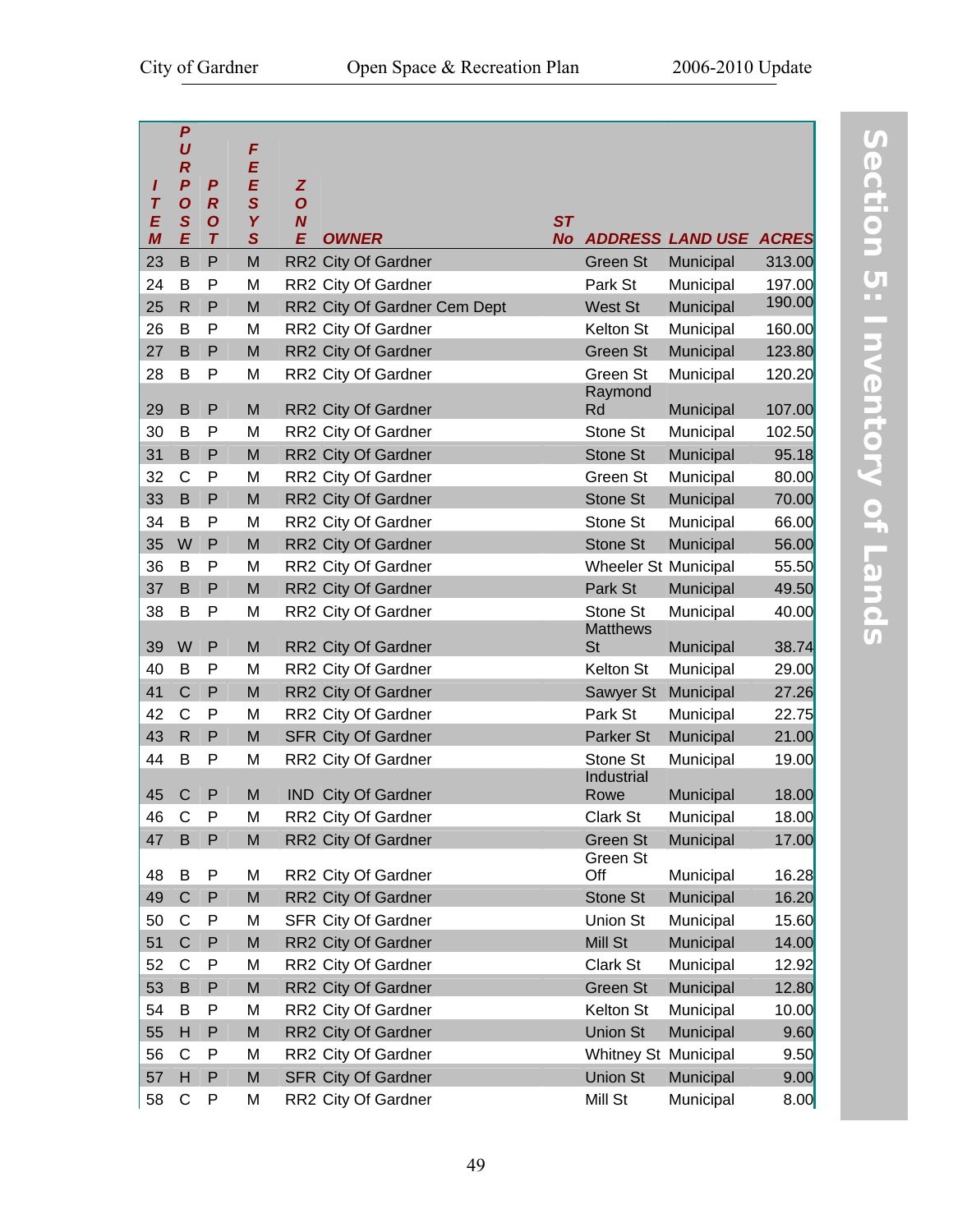|                                  | $\boldsymbol{P}$<br>U            |                                    | F           |                                    |                              |           |                             |                         |              |
|----------------------------------|----------------------------------|------------------------------------|-------------|------------------------------------|------------------------------|-----------|-----------------------------|-------------------------|--------------|
|                                  | $\boldsymbol{R}$                 |                                    | E           |                                    |                              |           |                             |                         |              |
| ı                                | $\boldsymbol{P}$                 | P                                  | E           | Z                                  |                              |           |                             |                         |              |
| $\overline{\boldsymbol{I}}$<br>E | $\boldsymbol{O}$<br>$\mathbf{s}$ | $\boldsymbol{R}$<br>$\overline{O}$ | S<br>Y      | $\overline{O}$<br>$\boldsymbol{N}$ |                              | ST        |                             |                         |              |
| M                                | E                                | $\tau$                             | $\mathbf S$ | E                                  | <b>OWNER</b>                 | <b>No</b> |                             | <b>ADDRESS LAND USE</b> | <b>ACRES</b> |
| 23                               | B                                | P                                  | M           |                                    | RR2 City Of Gardner          |           | Green St                    | Municipal               | 313.00       |
| 24                               | B                                | P                                  | M           |                                    | RR2 City Of Gardner          |           | Park St                     | Municipal               | 197.00       |
| 25                               | R                                | P                                  | M           |                                    | RR2 City Of Gardner Cem Dept |           | West St                     | Municipal               | 190.00       |
| 26                               | B                                | P                                  | M           |                                    | RR2 City Of Gardner          |           | Kelton St                   | Municipal               | 160.00       |
| 27                               | B                                | P                                  | M           |                                    | RR2 City Of Gardner          |           | Green St                    | Municipal               | 123.80       |
| 28                               | В                                | P                                  | M           |                                    | RR2 City Of Gardner          |           | Green St                    | Municipal               | 120.20       |
|                                  |                                  |                                    |             |                                    |                              |           | Raymond                     |                         |              |
| 29                               | B                                | P                                  | M           |                                    | RR2 City Of Gardner          |           | Rd                          | Municipal               | 107.00       |
| 30                               | B                                | P                                  | M           |                                    | RR2 City Of Gardner          |           | Stone St                    | Municipal               | 102.50       |
| 31                               | B                                | P                                  | M           |                                    | RR2 City Of Gardner          |           | <b>Stone St</b>             | Municipal               | 95.18        |
| 32                               | C                                | P                                  | M           |                                    | RR2 City Of Gardner          |           | Green St                    | Municipal               | 80.00        |
| 33                               | B                                | P                                  | M           |                                    | RR2 City Of Gardner          |           | Stone St                    | Municipal               | 70.00        |
| 34                               | B                                | P                                  | M           |                                    | RR2 City Of Gardner          |           | Stone St                    | Municipal               | 66.00        |
| 35                               | W                                | P                                  | ${\sf M}$   |                                    | RR2 City Of Gardner          |           | Stone St                    | Municipal               | 56.00        |
| 36                               | B                                | P                                  | M           |                                    | RR2 City Of Gardner          |           | Wheeler St Municipal        |                         | 55.50        |
| 37                               | B                                | P                                  | M           |                                    | RR2 City Of Gardner          |           | Park St                     | Municipal               | 49.50        |
| 38                               | B                                | P                                  | M           |                                    | RR2 City Of Gardner          |           | Stone St<br><b>Matthews</b> | Municipal               | 40.00        |
| 39                               | W                                | P                                  | M           |                                    | RR2 City Of Gardner          |           | <b>St</b>                   | Municipal               | 38.74        |
| 40                               | B                                | P                                  | M           |                                    | RR2 City Of Gardner          |           | Kelton St                   | Municipal               | 29.00        |
| 41                               | $\mathsf{C}$                     | P                                  | M           |                                    | RR2 City Of Gardner          |           | Sawyer St                   | Municipal               | 27.26        |
| 42                               | $\mathsf{C}$                     | P                                  | M           |                                    | RR2 City Of Gardner          |           | Park St                     | Municipal               | 22.75        |
| 43                               | $\mathsf{R}$                     | P                                  | M           |                                    | <b>SFR City Of Gardner</b>   |           | Parker St                   | Municipal               | 21.00        |
| 44                               | B                                | P                                  | M           |                                    | RR2 City Of Gardner          |           | Stone St                    | Municipal               | 19.00        |
|                                  |                                  |                                    |             |                                    |                              |           | Industrial                  |                         |              |
| 45                               | $\mathsf{C}$                     | P                                  | M           |                                    | <b>IND</b> City Of Gardner   |           | Rowe                        | Municipal               | 18.00        |
| 46                               | C                                | P                                  | M           |                                    | RR2 City Of Gardner          |           | Clark St                    | Municipal               | 18.00        |
| 47                               | B                                | P                                  | M           |                                    | RR2 City Of Gardner          |           | Green St                    | Municipal               | 17.00        |
| 48                               | B                                | P                                  | M           |                                    | RR2 City Of Gardner          |           | Green St<br>Off             | Municipal               | 16.28        |
| 49                               | $\mathsf{C}$                     | P                                  | M           |                                    | RR2 City Of Gardner          |           | Stone St                    | Municipal               | 16.20        |
| 50                               | C                                | P                                  | M           |                                    | SFR City Of Gardner          |           | Union St                    | Municipal               | 15.60        |
| 51                               | $\mathsf{C}$                     | P                                  | M           |                                    | RR2 City Of Gardner          |           | Mill St                     | Municipal               | 14.00        |
| 52                               | $\mathsf{C}$                     | P                                  | M           |                                    | RR2 City Of Gardner          |           | Clark St                    | Municipal               | 12.92        |
| 53                               | B                                | P                                  | M           |                                    | RR2 City Of Gardner          |           | Green St                    | Municipal               | 12.80        |
| 54                               | B                                | P                                  | M           |                                    | RR2 City Of Gardner          |           | Kelton St                   | Municipal               | 10.00        |
| 55                               | н                                | ${\sf P}$                          | M           |                                    | RR2 City Of Gardner          |           | Union St                    | Municipal               | 9.60         |
| 56                               | C                                | P                                  | M           |                                    | RR2 City Of Gardner          |           | Whitney St Municipal        |                         | 9.50         |
| 57                               | H                                | ${\sf P}$                          | ${\sf M}$   |                                    | <b>SFR City Of Gardner</b>   |           | <b>Union St</b>             | Municipal               | 9.00         |
| 58                               | C                                | P                                  | M           |                                    | RR2 City Of Gardner          |           | Mill St                     | Municipal               | 8.00         |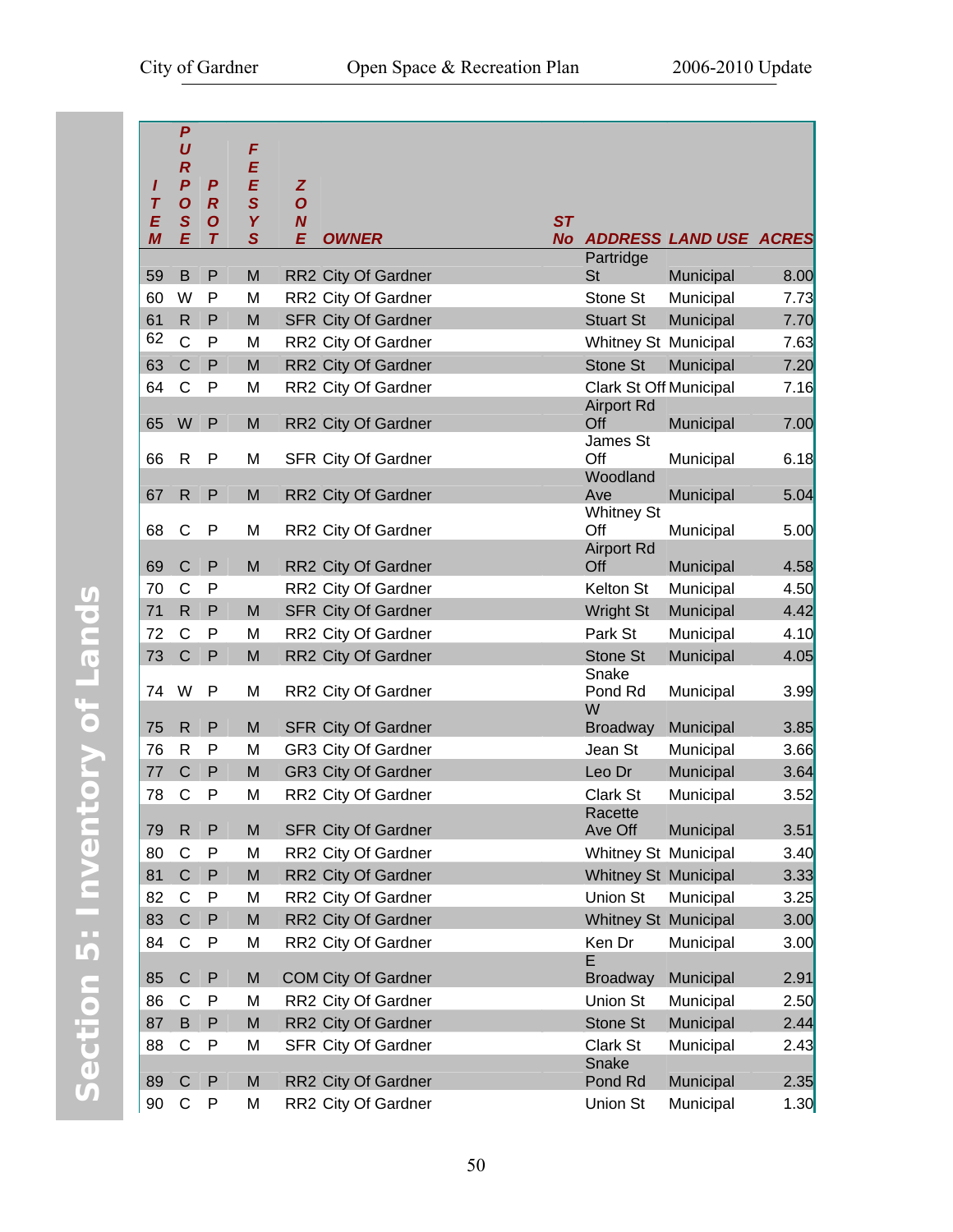| I<br>$\tau$<br>E | $\boldsymbol{P}$<br>U<br>$\boldsymbol{R}$<br>$\boldsymbol{P}$<br>$\overline{O}$<br>S | P<br>$\boldsymbol{R}$<br>$\overline{O}$ | F<br>E<br>E<br>$\overline{\mathbf{s}}$<br>Y | Z<br>$\overline{O}$<br>$\boldsymbol{N}$           | <b>ST</b> |                               |                               |              |
|------------------|--------------------------------------------------------------------------------------|-----------------------------------------|---------------------------------------------|---------------------------------------------------|-----------|-------------------------------|-------------------------------|--------------|
| M                | E                                                                                    | $\tau$                                  | $\overline{\mathbf{s}}$                     | E<br><b>OWNER</b>                                 | <b>No</b> |                               | <b>ADDRESS LAND USE ACRES</b> |              |
| 59               | B                                                                                    | P                                       | M                                           | RR2 City Of Gardner                               |           | Partridge<br><b>St</b>        | Municipal                     | 8.00         |
| 60               | W                                                                                    | P                                       | M                                           | RR2 City Of Gardner                               |           | Stone St                      | Municipal                     | 7.73         |
| 61               | $\mathsf{R}$                                                                         | ${\sf P}$                               | M                                           | <b>SFR City Of Gardner</b>                        |           | <b>Stuart St</b>              | Municipal                     | 7.70         |
| 62               | $\mathsf{C}$                                                                         | $\mathsf{P}$                            | M                                           | RR2 City Of Gardner                               |           | Whitney St Municipal          |                               | 7.63         |
| 63               | $\overline{C}$                                                                       | P                                       | M                                           | RR2 City Of Gardner                               |           | <b>Stone St</b>               | Municipal                     | 7.20         |
| 64               | C                                                                                    | P                                       | M                                           | RR2 City Of Gardner                               |           | <b>Clark St Off Municipal</b> |                               | 7.16         |
| 65               | W                                                                                    | P                                       | M                                           | RR2 City Of Gardner                               |           | <b>Airport Rd</b><br>Off      | Municipal                     | 7.00         |
| 66               | $\mathsf{R}$                                                                         | P                                       | M                                           | SFR City Of Gardner                               |           | James St<br>Off               | Municipal                     | 6.18         |
|                  |                                                                                      |                                         |                                             |                                                   |           | Woodland                      |                               |              |
| 67               | $\mathsf{R}$                                                                         | P                                       | M                                           | RR2 City Of Gardner                               |           | Ave                           | Municipal                     | 5.04         |
|                  |                                                                                      |                                         |                                             |                                                   |           | <b>Whitney St</b>             |                               |              |
| 68               | C                                                                                    | P                                       | M                                           | RR2 City Of Gardner                               |           | Off<br><b>Airport Rd</b>      | Municipal                     | 5.00         |
| 69               | $\mathsf{C}$                                                                         | P                                       | M                                           | RR2 City Of Gardner                               |           | Off                           | Municipal                     | 4.58         |
| 70               | $\mathsf{C}$                                                                         | P                                       |                                             | RR2 City Of Gardner                               |           | Kelton St                     | Municipal                     | 4.50         |
| 71               | $\mathsf{R}$                                                                         | P                                       | M                                           | <b>SFR City Of Gardner</b>                        |           | <b>Wright St</b>              | Municipal                     | 4.42         |
| 72               | $\mathsf{C}$                                                                         | P                                       | M                                           | RR2 City Of Gardner                               |           | Park St                       | Municipal                     | 4.10         |
| 73               | $\mathsf C$                                                                          | ${\sf P}$                               | M                                           | RR2 City Of Gardner                               |           | Stone St                      | Municipal                     | 4.05         |
| 74               | W                                                                                    | P                                       | M                                           | RR2 City Of Gardner                               |           | Snake<br>Pond Rd              | Municipal                     | 3.99         |
| 75               | R                                                                                    | P                                       | M                                           | <b>SFR City Of Gardner</b>                        |           | W<br><b>Broadway</b>          | Municipal                     | 3.85         |
| 76               | $\mathsf{R}$                                                                         | P                                       | M                                           | <b>GR3 City Of Gardner</b>                        |           | Jean St                       | Municipal                     | 3.66         |
| 77               | $\mathsf{C}$                                                                         | P                                       | M                                           | <b>GR3 City Of Gardner</b>                        |           | Leo Dr                        | Municipal                     | 3.64         |
| 78               | $\mathsf{C}$                                                                         | $\mathsf{P}$                            | M                                           | RR2 City Of Gardner                               |           | <b>Clark St</b>               | Municipal                     | 3.52         |
|                  |                                                                                      |                                         |                                             |                                                   |           | Racette                       |                               |              |
| 79               | $\mathsf{R}$                                                                         | P                                       | M                                           | <b>SFR City Of Gardner</b>                        |           | Ave Off                       | Municipal                     | 3.51         |
| 80               | C                                                                                    | P                                       | M                                           | RR2 City Of Gardner                               |           | Whitney St Municipal          |                               | 3.40         |
| 81               | $\mathsf C$                                                                          | P                                       | M                                           | RR2 City Of Gardner                               |           | <b>Whitney St Municipal</b>   |                               | 3.33         |
| 82               | C                                                                                    | P                                       | M                                           | RR2 City Of Gardner                               |           | Union St                      | Municipal                     | 3.25         |
| 83               | $\mathsf{C}$                                                                         | ${\sf P}$                               | M                                           | RR2 City Of Gardner                               |           | Whitney St Municipal          |                               | 3.00         |
| 84               | C                                                                                    | P                                       | M                                           | RR2 City Of Gardner                               |           | Ken Dr                        | Municipal                     | 3.00         |
|                  | $\mathsf{C}$                                                                         |                                         |                                             |                                                   |           | Е                             |                               |              |
| 85<br>86         | C                                                                                    | P<br>P                                  | M<br>M                                      | <b>COM City Of Gardner</b><br>RR2 City Of Gardner |           | <b>Broadway</b><br>Union St   | Municipal<br>Municipal        | 2.91         |
| 87               | B                                                                                    | P                                       | M                                           |                                                   |           | Stone St                      | Municipal                     | 2.50<br>2.44 |
| 88               | C                                                                                    | P                                       | M                                           | RR2 City Of Gardner<br>SFR City Of Gardner        |           | Clark St                      | Municipal                     | 2.43         |
|                  |                                                                                      |                                         |                                             |                                                   |           | Snake                         |                               |              |
| 89               | $\mathsf{C}$                                                                         | P                                       | M                                           | RR2 City Of Gardner                               |           | Pond Rd                       | Municipal                     | 2.35         |
| 90               | C                                                                                    | P                                       | M                                           | RR2 City Of Gardner                               |           | <b>Union St</b>               | Municipal                     | 1.30         |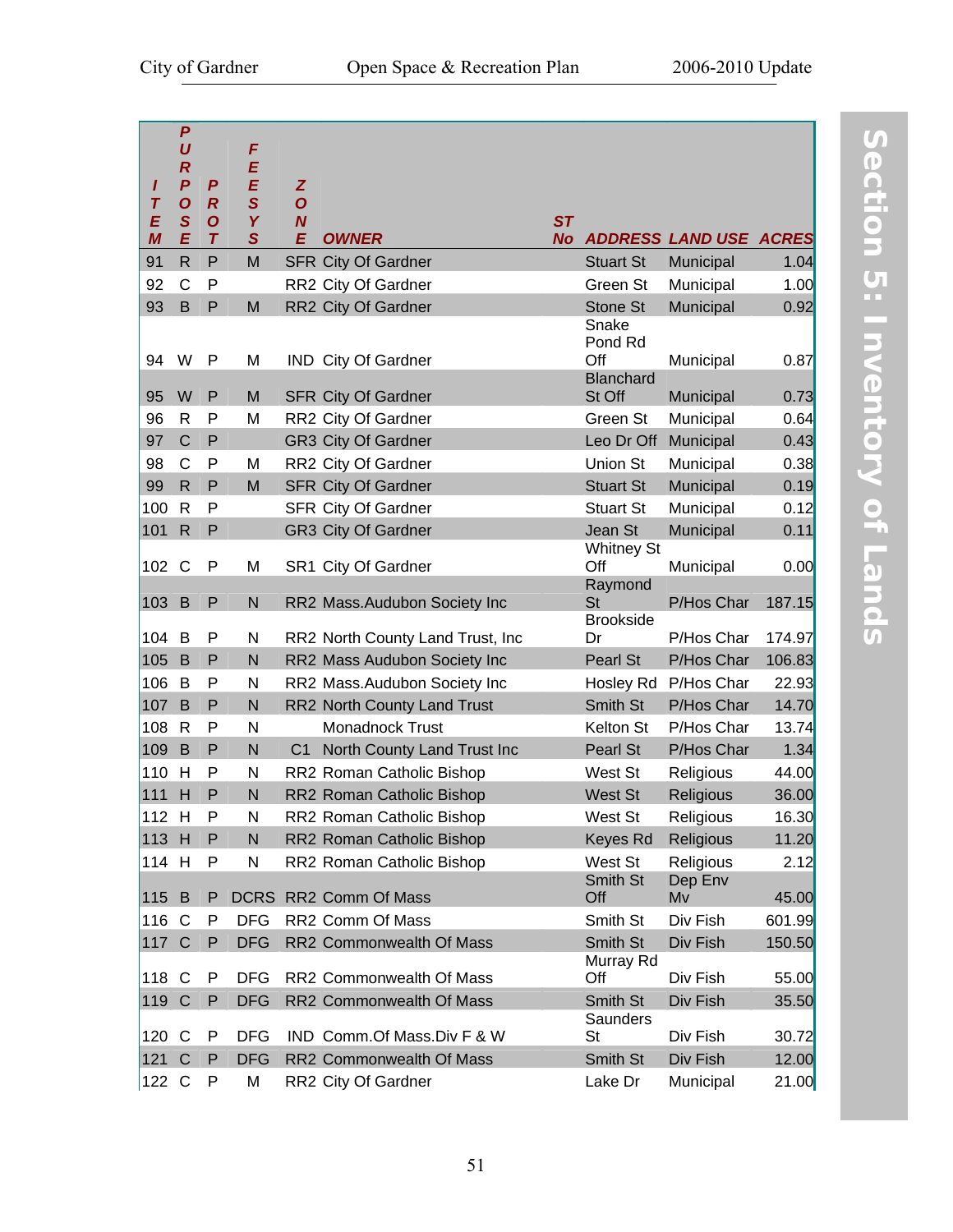| ı<br>$\overline{\boldsymbol{I}}$<br>E<br>$\boldsymbol{M}$ | $\boldsymbol{P}$<br>U<br>$\boldsymbol{R}$<br>$\boldsymbol{P}$<br>$\boldsymbol{O}$<br>$\mathbf{s}$<br>E | P<br>$\boldsymbol{R}$<br>$\overline{O}$<br>$\tau$ | F<br>E<br>E<br>$\mathbf S$<br>Y<br>$\mathbf{s}$ | Z<br>$\overline{O}$<br>$\boldsymbol{N}$<br>E | <b>OWNER</b>                     | <b>ST</b><br><b>No</b> |                                      | <b>ADDRESS LAND USE ACRES</b> |        |
|-----------------------------------------------------------|--------------------------------------------------------------------------------------------------------|---------------------------------------------------|-------------------------------------------------|----------------------------------------------|----------------------------------|------------------------|--------------------------------------|-------------------------------|--------|
| 91                                                        | $\overline{R}$                                                                                         | P                                                 | M                                               |                                              | <b>SFR City Of Gardner</b>       |                        | <b>Stuart St</b>                     | Municipal                     | 1.04   |
| 92                                                        | C                                                                                                      | P                                                 |                                                 |                                              | RR2 City Of Gardner              |                        | Green St                             | Municipal                     | 1.00   |
| 93                                                        | B                                                                                                      | $\mathsf P$                                       | M                                               |                                              | RR2 City Of Gardner              |                        | Stone St                             | Municipal                     | 0.92   |
| 94                                                        | W                                                                                                      | P                                                 | M                                               |                                              | IND City Of Gardner              |                        | Snake<br>Pond Rd<br>Off<br>Blanchard | Municipal                     | 0.87   |
| 95                                                        | W                                                                                                      | P                                                 | M                                               |                                              | <b>SFR City Of Gardner</b>       |                        | St Off                               | Municipal                     | 0.73   |
| 96                                                        | R                                                                                                      | P                                                 | M                                               |                                              | RR2 City Of Gardner              |                        | Green St                             | Municipal                     | 0.64   |
| 97                                                        | $\mathsf{C}$                                                                                           | P                                                 |                                                 |                                              | <b>GR3 City Of Gardner</b>       |                        | Leo Dr Off                           | Municipal                     | 0.43   |
| 98                                                        | $\mathsf{C}$                                                                                           | P                                                 | M                                               |                                              | RR2 City Of Gardner              |                        | Union St                             | Municipal                     | 0.38   |
| 99                                                        | $\mathsf{R}$                                                                                           | P                                                 | M                                               |                                              | <b>SFR City Of Gardner</b>       |                        | <b>Stuart St</b>                     | Municipal                     | 0.19   |
| 100                                                       | R                                                                                                      | P                                                 |                                                 |                                              | SFR City Of Gardner              |                        | <b>Stuart St</b>                     | Municipal                     | 0.12   |
| 101                                                       | $\mathsf{R}$                                                                                           | ${\sf P}$                                         |                                                 |                                              | <b>GR3 City Of Gardner</b>       |                        | Jean St                              | Municipal                     | 0.11   |
| 102                                                       | $\mathsf{C}$                                                                                           | P                                                 | M                                               |                                              | SR1 City Of Gardner              |                        | <b>Whitney St</b><br>Off<br>Raymond  | Municipal                     | 0.00   |
| 103                                                       | B                                                                                                      | P                                                 | N                                               |                                              | RR2 Mass.Audubon Society Inc     |                        | <b>St</b><br><b>Brookside</b>        | P/Hos Char                    | 187.15 |
| 104 B                                                     |                                                                                                        | $\mathsf{P}$                                      | N                                               |                                              | RR2 North County Land Trust, Inc |                        | Dr                                   | P/Hos Char                    | 174.97 |
| 105                                                       | B                                                                                                      | P                                                 | N                                               |                                              | RR2 Mass Audubon Society Inc     |                        | Pearl St                             | P/Hos Char                    | 106.83 |
| 106                                                       | B                                                                                                      | P                                                 | N                                               |                                              | RR2 Mass.Audubon Society Inc     |                        | Hosley Rd                            | P/Hos Char                    | 22.93  |
| 107                                                       | B                                                                                                      | P                                                 | N                                               |                                              | RR2 North County Land Trust      |                        | Smith St                             | P/Hos Char                    | 14.70  |
| 108                                                       | R                                                                                                      | P                                                 | N                                               |                                              | Monadnock Trust                  |                        | Kelton St                            | P/Hos Char                    | 13.74  |
| 109                                                       | B                                                                                                      | P                                                 | N                                               | C <sub>1</sub>                               | North County Land Trust Inc      |                        | Pearl St                             | P/Hos Char                    | 1.34   |
| 110                                                       | H                                                                                                      | P                                                 | N                                               |                                              | RR2 Roman Catholic Bishop        |                        | West St                              | Religious                     | 44.00  |
| 111 H                                                     |                                                                                                        | $\mathsf P$                                       | N                                               |                                              | RR2 Roman Catholic Bishop        |                        | <b>West St</b>                       | <b>Religious</b>              | 36.00  |
| 112 H                                                     |                                                                                                        | P                                                 | N                                               |                                              | RR2 Roman Catholic Bishop        |                        | West St                              | Religious                     | 16.30  |
| 113 H                                                     |                                                                                                        | P                                                 | N                                               |                                              | RR2 Roman Catholic Bishop        |                        | Keyes Rd                             | <b>Religious</b>              | 11.20  |
| 114 H                                                     |                                                                                                        | P                                                 | N                                               |                                              | RR2 Roman Catholic Bishop        |                        | West St                              | Religious                     | 2.12   |
| 115 B                                                     |                                                                                                        | P                                                 |                                                 |                                              | DCRS RR2 Comm Of Mass            |                        | Smith St<br>Off                      | Dep Env<br>Mv                 | 45.00  |
| 116 C                                                     |                                                                                                        | P                                                 | <b>DFG</b>                                      |                                              | RR2 Comm Of Mass                 |                        | Smith St                             | Div Fish                      | 601.99 |
| 117 C                                                     |                                                                                                        | P                                                 | <b>DFG</b>                                      |                                              | RR2 Commonwealth Of Mass         |                        | Smith St                             | Div Fish                      | 150.50 |
|                                                           |                                                                                                        |                                                   |                                                 |                                              |                                  |                        | Murray Rd                            |                               |        |
| 118 C                                                     |                                                                                                        | P                                                 | <b>DFG</b>                                      |                                              | RR2 Commonwealth Of Mass         |                        | Off                                  | Div Fish                      | 55.00  |
| 119 C                                                     |                                                                                                        | P                                                 | <b>DFG</b>                                      |                                              | RR2 Commonwealth Of Mass         |                        | Smith St                             | Div Fish                      | 35.50  |
| 120 C                                                     |                                                                                                        | P                                                 | <b>DFG</b>                                      |                                              | IND Comm.Of Mass.Div F & W       |                        | Saunders<br>St                       | Div Fish                      | 30.72  |
| 121 C                                                     |                                                                                                        | P                                                 | <b>DFG</b>                                      |                                              | RR2 Commonwealth Of Mass         |                        | Smith St                             | Div Fish                      | 12.00  |
| 122 C                                                     |                                                                                                        | P                                                 | M                                               |                                              | RR2 City Of Gardner              |                        | Lake Dr                              | Municipal                     | 21.00  |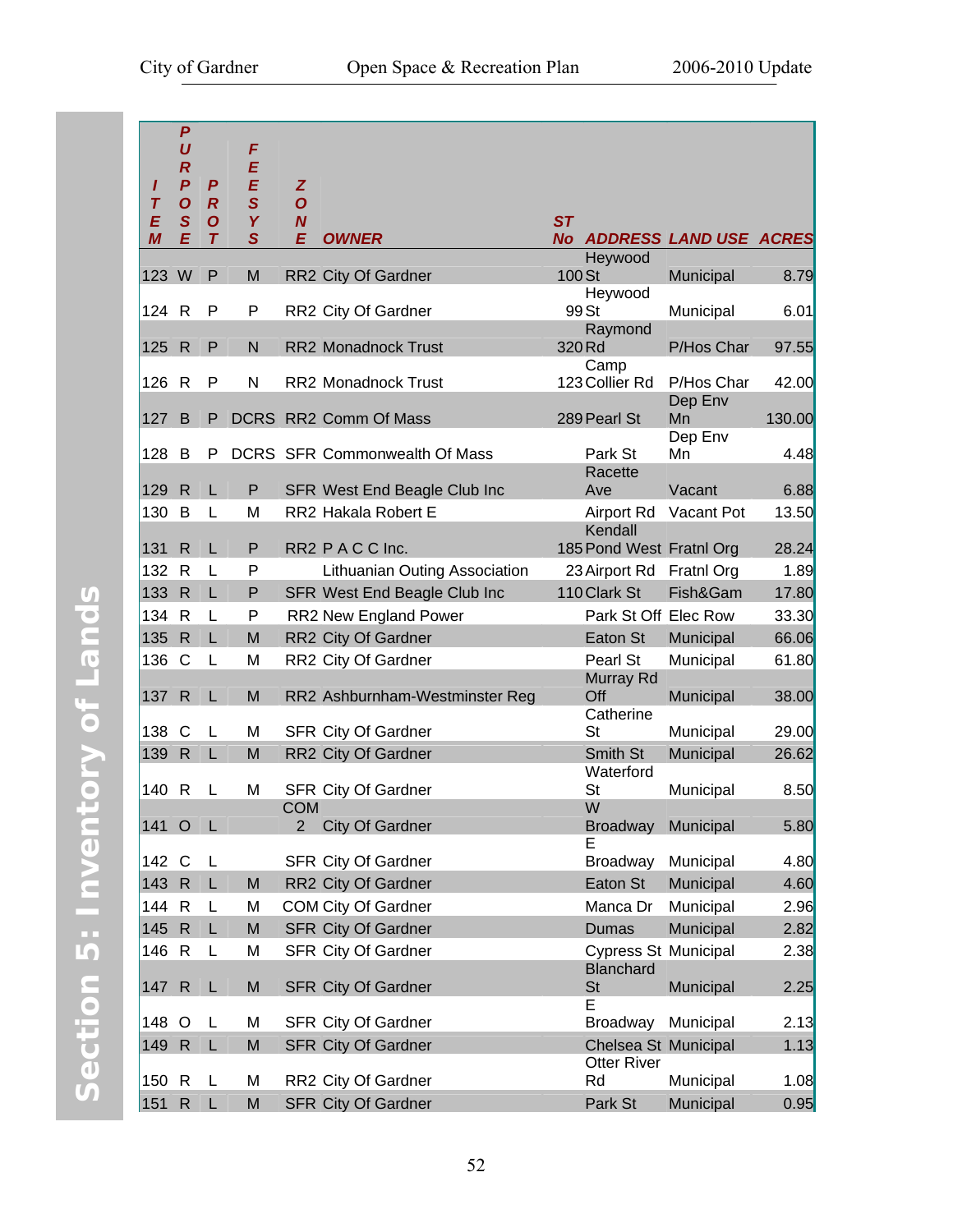| I<br>Τ<br>E<br>M | $\boldsymbol{P}$<br>U<br>$\boldsymbol{R}$<br>$\boldsymbol{P}$<br>$\boldsymbol{O}$<br>$\mathbf S$<br>E | P<br>$\overline{R}$<br>$\boldsymbol{O}$<br>$\tau$ | F<br>E<br>E<br>$\mathbf S$<br>Y<br>$\mathbf{s}$ | Z<br>$\mathbf{o}$<br>$\boldsymbol{N}$<br>Е | <b>OWNER</b>                        | ST<br><b>No</b>                            | <b>ADDRESS LAND USE ACRES</b> |        |
|------------------|-------------------------------------------------------------------------------------------------------|---------------------------------------------------|-------------------------------------------------|--------------------------------------------|-------------------------------------|--------------------------------------------|-------------------------------|--------|
| 123 W            |                                                                                                       | P                                                 | M                                               |                                            | RR2 City Of Gardner                 | Heywood<br>100 St                          | Municipal                     | 8.79   |
|                  |                                                                                                       |                                                   |                                                 |                                            |                                     | Heywood                                    |                               |        |
| 124 R            |                                                                                                       | P                                                 | P                                               |                                            | RR2 City Of Gardner                 | 99 St<br>Raymond                           | Municipal                     | 6.01   |
| 125 R            |                                                                                                       | P                                                 | N                                               |                                            | RR2 Monadnock Trust                 | 320 Rd                                     | P/Hos Char                    | 97.55  |
| 126              | $\mathsf{R}$                                                                                          | P                                                 | $\mathsf{N}$                                    |                                            | RR2 Monadnock Trust                 | Camp<br>123 Collier Rd                     | P/Hos Char<br>Dep Env         | 42.00  |
| 127              | B                                                                                                     | P                                                 |                                                 |                                            | DCRS RR2 Comm Of Mass               | 289 Pearl St                               | Mn<br>Dep Env                 | 130.00 |
| 128              | B                                                                                                     | P                                                 |                                                 |                                            | DCRS SFR Commonwealth Of Mass       | Park St                                    | Mn                            | 4.48   |
| 129              | R                                                                                                     | L                                                 | P                                               |                                            | <b>SFR West End Beagle Club Inc</b> | Racette<br>Ave                             | Vacant                        | 6.88   |
| 130              | B                                                                                                     | L                                                 | M                                               |                                            | RR2 Hakala Robert E                 | Airport Rd                                 | Vacant Pot                    | 13.50  |
| 131              | R                                                                                                     | L                                                 | P                                               |                                            | RR2 P A C C Inc.                    | Kendall<br>185 Pond West Fratnl Org        |                               | 28.24  |
| 132              | $\mathsf{R}$                                                                                          | L                                                 | P                                               |                                            | Lithuanian Outing Association       | 23 Airport Rd                              | Fratnl Org                    | 1.89   |
| 133              | R.                                                                                                    | L                                                 | P                                               |                                            | SFR West End Beagle Club Inc        | 110 Clark St                               | Fish&Gam                      | 17.80  |
| 134 R            |                                                                                                       | L                                                 | P                                               |                                            | RR2 New England Power               | Park St Off Elec Row                       |                               | 33.30  |
| 135              | $\mathsf{R}$                                                                                          | L                                                 | M                                               |                                            | RR2 City Of Gardner                 | Eaton St                                   | Municipal                     | 66.06  |
| 136              | $\mathsf{C}$                                                                                          | L                                                 | M                                               |                                            | RR2 City Of Gardner                 | Pearl St                                   | Municipal                     | 61.80  |
| 137              | $\mathsf{R}$                                                                                          | L                                                 | M                                               |                                            | RR2 Ashburnham-Westminster Reg      | Murray Rd<br>Off<br>Catherine              | Municipal                     | 38.00  |
| 138 C            |                                                                                                       | L                                                 | M                                               |                                            | SFR City Of Gardner                 | St                                         | Municipal                     | 29.00  |
| 139              | $\mathsf{R}$                                                                                          | L                                                 | M                                               |                                            | RR2 City Of Gardner                 | Smith St                                   | Municipal                     | 26.62  |
| 140              | $\mathsf R$                                                                                           | L                                                 | M                                               |                                            | SFR City Of Gardner                 | Waterford<br>St                            | Municipal                     | 8.50   |
|                  |                                                                                                       |                                                   |                                                 | <b>COM</b>                                 |                                     | W                                          |                               |        |
| 141 O            |                                                                                                       | - L                                               |                                                 | 2                                          | <b>City Of Gardner</b>              | <b>Broadway</b><br>Е                       | Municipal                     | 5.80   |
| 142 C            |                                                                                                       | L                                                 |                                                 |                                            | SFR City Of Gardner                 | Broadway                                   | Municipal                     | 4.80   |
| 143 R            |                                                                                                       | L                                                 | M                                               |                                            | RR2 City Of Gardner                 | Eaton St                                   | Municipal                     | 4.60   |
| 144              | $\mathsf{R}$                                                                                          | L                                                 | M                                               |                                            | <b>COM City Of Gardner</b>          | Manca Dr                                   | Municipal                     | 2.96   |
| 145              | $\mathsf{R}$                                                                                          | L                                                 | M                                               |                                            | <b>SFR City Of Gardner</b>          | <b>Dumas</b>                               | Municipal                     | 2.82   |
| 146              | $\mathsf{R}$                                                                                          | L                                                 | M                                               |                                            | SFR City Of Gardner                 | <b>Cypress St Municipal</b>                |                               | 2.38   |
| 147 R            |                                                                                                       | L                                                 | M                                               |                                            | <b>SFR City Of Gardner</b>          | Blanchard<br><b>St</b><br>E                | Municipal                     | 2.25   |
| 148 O            |                                                                                                       | L                                                 | M                                               |                                            | SFR City Of Gardner                 | <b>Broadway</b>                            | Municipal                     | 2.13   |
| 149              | $\mathsf{R}$                                                                                          | L                                                 | M                                               |                                            | <b>SFR City Of Gardner</b>          | Chelsea St Municipal<br><b>Otter River</b> |                               | 1.13   |
| 150              | $\mathsf{R}$                                                                                          | L                                                 | M                                               |                                            | RR2 City Of Gardner                 | Rd                                         | Municipal                     | 1.08   |
| 151              | ${\sf R}$                                                                                             | L                                                 | M                                               |                                            | <b>SFR City Of Gardner</b>          | Park St                                    | Municipal                     | 0.95   |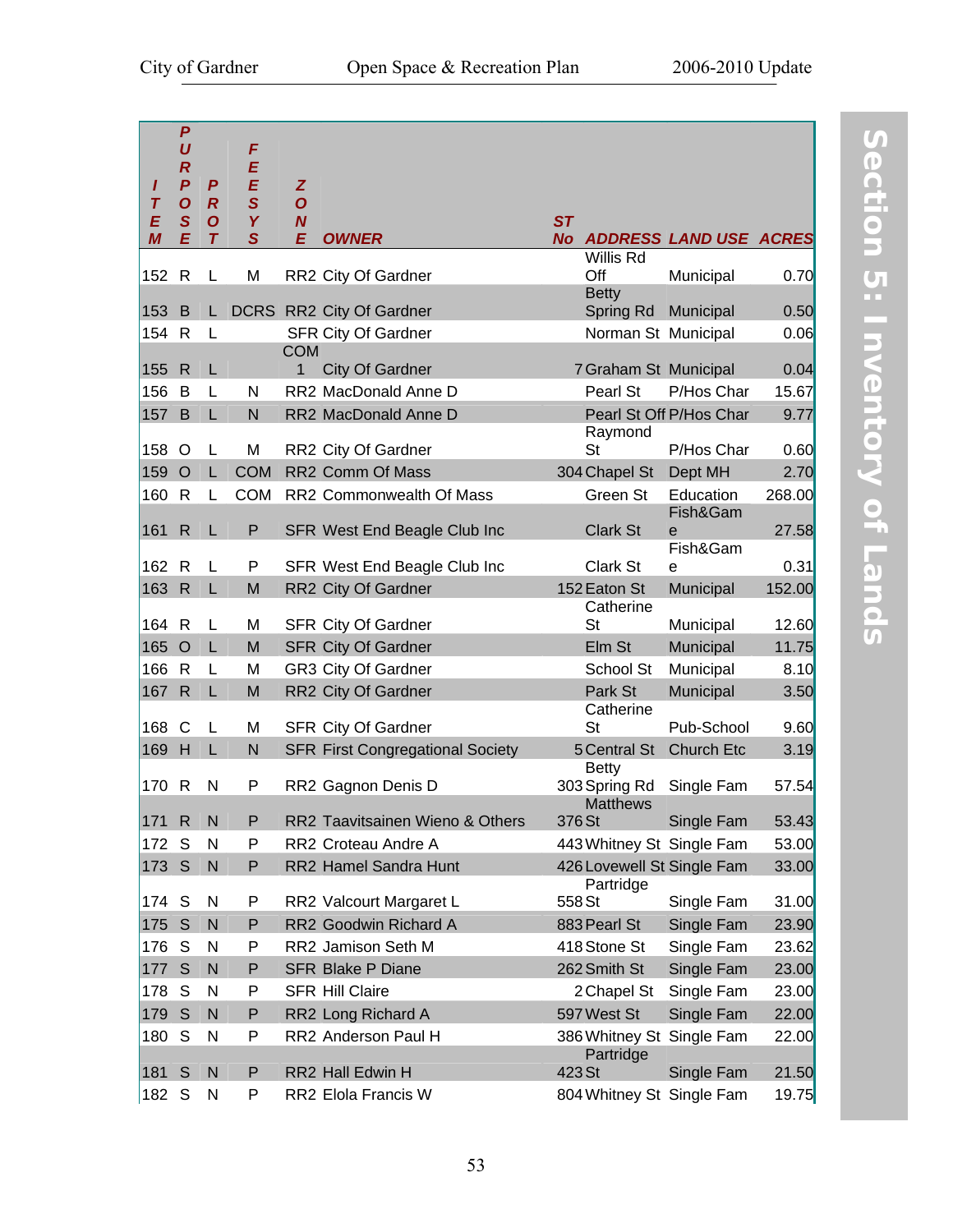| ı<br>$\tau$<br>E<br>M | $\boldsymbol{P}$<br>U<br>$\boldsymbol{R}$<br>$\overline{P}$<br>$\boldsymbol{O}$<br>$\mathbf S$<br>E | $\boldsymbol{P}$<br>$\boldsymbol{R}$<br>$\boldsymbol{O}$<br>$\tau$ | F<br>E<br>E<br>$\mathbf{s}$<br>Y<br>$\mathbf S$ | Z<br>$\boldsymbol{O}$<br>$\boldsymbol{N}$<br>E | <b>OWNER</b>                            | <b>ST</b><br><b>No</b> |                                         | <b>ADDRESS LAND USE ACRES</b> |        |
|-----------------------|-----------------------------------------------------------------------------------------------------|--------------------------------------------------------------------|-------------------------------------------------|------------------------------------------------|-----------------------------------------|------------------------|-----------------------------------------|-------------------------------|--------|
| 152                   | $\mathsf{R}$                                                                                        | L                                                                  | M                                               |                                                | RR2 City Of Gardner                     |                        | Willis Rd<br>Off                        | Municipal                     | 0.70   |
| 153                   | B                                                                                                   |                                                                    |                                                 |                                                | L DCRS RR2 City Of Gardner              |                        | <b>Betty</b><br>Spring Rd               | Municipal                     | 0.50   |
| 154                   | $\mathsf{R}$                                                                                        | L                                                                  |                                                 |                                                | <b>SFR City Of Gardner</b>              |                        | Norman St Municipal                     |                               | 0.06   |
|                       |                                                                                                     |                                                                    |                                                 | <b>COM</b>                                     |                                         |                        |                                         |                               |        |
| 155                   | $\mathsf{R}$                                                                                        | L                                                                  |                                                 | 1                                              | <b>City Of Gardner</b>                  |                        | 7 Graham St Municipal                   |                               | 0.04   |
| 156                   | B                                                                                                   | L                                                                  | N                                               |                                                | RR2 MacDonald Anne D                    |                        | Pearl St                                | P/Hos Char                    | 15.67  |
| 157                   | B                                                                                                   | L                                                                  | $\mathsf{N}$                                    |                                                | RR2 MacDonald Anne D                    |                        | Raymond                                 | Pearl St Off P/Hos Char       | 9.77   |
| 158                   | O                                                                                                   | L                                                                  | M                                               |                                                | RR2 City Of Gardner                     |                        | St                                      | P/Hos Char                    | 0.60   |
| 159                   | $\circ$                                                                                             | L                                                                  | <b>COM</b>                                      |                                                | RR2 Comm Of Mass                        |                        | 304 Chapel St                           | Dept MH                       | 2.70   |
| 160                   | $\mathsf{R}$                                                                                        | L                                                                  | <b>COM</b>                                      |                                                | RR2 Commonwealth Of Mass                |                        | Green St                                | Education<br>Fish&Gam         | 268.00 |
| 161                   | $\mathsf{R}$                                                                                        | L                                                                  | P                                               |                                                | SFR West End Beagle Club Inc            |                        | Clark St                                | e<br>Fish&Gam                 | 27.58  |
| 162                   | R                                                                                                   | L                                                                  | P                                               |                                                | SFR West End Beagle Club Inc            |                        | Clark St                                | e                             | 0.31   |
| 163                   | $\mathsf{R}$                                                                                        | L                                                                  | M                                               |                                                | RR2 City Of Gardner                     |                        | 152 Eaton St                            | Municipal                     | 152.00 |
|                       |                                                                                                     |                                                                    |                                                 |                                                |                                         |                        | Catherine                               |                               |        |
| 164 R                 |                                                                                                     | L                                                                  | M                                               |                                                | SFR City Of Gardner                     |                        | St                                      | Municipal                     | 12.60  |
| 165                   | $\circ$                                                                                             | L                                                                  | M                                               |                                                | <b>SFR City Of Gardner</b>              |                        | Elm St                                  | Municipal                     | 11.75  |
| 166                   | R                                                                                                   | L                                                                  | M                                               |                                                | GR3 City Of Gardner                     |                        | School St                               | Municipal                     | 8.10   |
| 167                   | $\mathsf{R}$                                                                                        | L                                                                  | M                                               |                                                | RR2 City Of Gardner                     |                        | Park St                                 | Municipal                     | 3.50   |
| 168                   | C                                                                                                   | L                                                                  | M                                               |                                                | SFR City Of Gardner                     |                        | Catherine<br><b>St</b>                  | Pub-School                    | 9.60   |
| 169                   | H                                                                                                   | L                                                                  | N                                               |                                                | <b>SFR First Congregational Society</b> |                        | 5 Central St<br><b>Betty</b>            | <b>Church Etc</b>             | 3.19   |
| 170                   | R                                                                                                   | N                                                                  | P                                               |                                                | RR2 Gagnon Denis D                      |                        | 303 Spring Rd<br><b>Matthews</b>        | Single Fam                    | 57.54  |
| 171                   | $\mathsf{R}$                                                                                        | N                                                                  | P                                               |                                                | RR2 Taavitsainen Wieno & Others         | 376 St                 |                                         | Single Fam                    | 53.43  |
| 172                   | S                                                                                                   | N                                                                  | P                                               |                                                | RR2 Croteau Andre A                     |                        | 443 Whitney St Single Fam               |                               | 53.00  |
| 173                   | S                                                                                                   | N                                                                  | P                                               |                                                | RR2 Hamel Sandra Hunt                   |                        | 426 Lovewell St Single Fam<br>Partridge |                               | 33.00  |
| 174                   | S                                                                                                   | N                                                                  | P                                               |                                                | RR2 Valcourt Margaret L                 | 558 St                 |                                         | Single Fam                    | 31.00  |
| 175                   | S                                                                                                   | N                                                                  | P                                               |                                                | RR2 Goodwin Richard A                   |                        | 883 Pearl St                            | Single Fam                    | 23.90  |
| 176                   | S                                                                                                   | N                                                                  | P                                               |                                                | RR2 Jamison Seth M                      |                        | 418 Stone St                            | Single Fam                    | 23.62  |
| 177                   | S                                                                                                   | N                                                                  | P                                               |                                                | <b>SFR Blake P Diane</b>                |                        | 262 Smith St                            | Single Fam                    | 23.00  |
| 178                   | S                                                                                                   | N                                                                  | P                                               |                                                | <b>SFR Hill Claire</b>                  |                        | 2 Chapel St                             | Single Fam                    | 23.00  |
| 179                   | S                                                                                                   | N                                                                  | P                                               |                                                | RR2 Long Richard A                      |                        | 597 West St                             | Single Fam                    | 22.00  |
| 180                   | S                                                                                                   | N                                                                  | P                                               |                                                | RR2 Anderson Paul H                     |                        | Partridge                               | 386 Whitney St Single Fam     | 22.00  |
| 181                   | S                                                                                                   | $\mathsf{N}$                                                       | P                                               |                                                | RR2 Hall Edwin H                        | 423 St                 |                                         | Single Fam                    | 21.50  |
| 182 S                 |                                                                                                     | N                                                                  | P                                               |                                                | RR2 Elola Francis W                     |                        | 804 Whitney St Single Fam               |                               | 19.75  |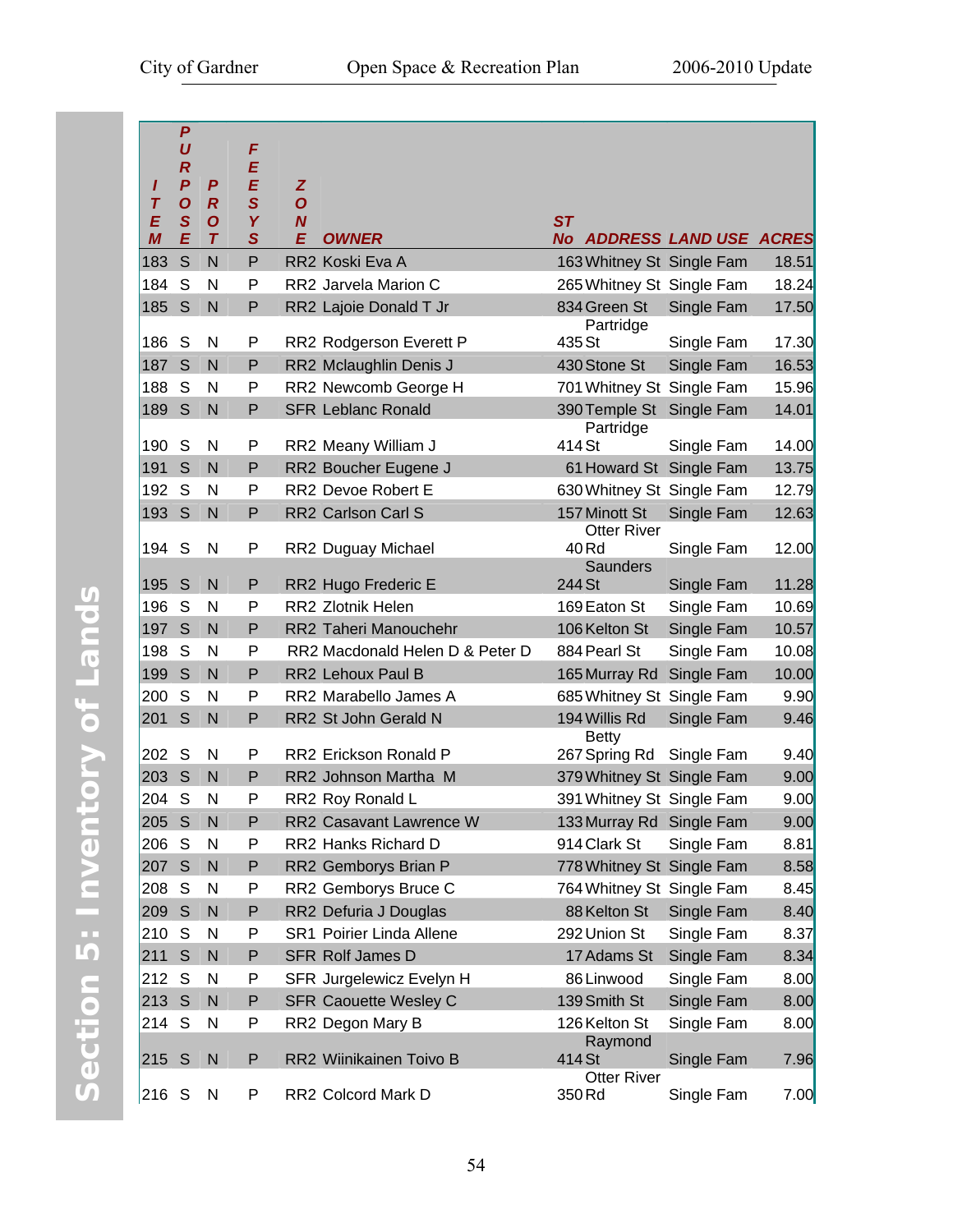|                  | $\boldsymbol{P}$                     |                       |                         |                       |                                 |                            |            |       |
|------------------|--------------------------------------|-----------------------|-------------------------|-----------------------|---------------------------------|----------------------------|------------|-------|
|                  | $\boldsymbol{U}$                     |                       | F                       |                       |                                 |                            |            |       |
|                  | $\boldsymbol{R}$                     |                       | E                       |                       |                                 |                            |            |       |
| I<br>$\tau$      | $\boldsymbol{P}$<br>$\boldsymbol{O}$ | P<br>$\boldsymbol{R}$ | E<br>$\mathbf S$        | Z<br>$\boldsymbol{O}$ |                                 |                            |            |       |
| E                | S                                    | $\boldsymbol{O}$      | Y                       | $\boldsymbol{N}$      |                                 | ST                         |            |       |
| $\boldsymbol{M}$ | E                                    | $\tau$                | $\overline{\mathbf{S}}$ | E                     | <b>OWNER</b>                    | No ADDRESS LAND USE ACRES  |            |       |
| 183              | S                                    | N                     | P                       |                       | RR2 Koski Eva A                 | 163 Whitney St Single Fam  |            | 18.51 |
| 184              | S                                    | N                     | P                       |                       | RR2 Jarvela Marion C            | 265 Whitney St Single Fam  |            | 18.24 |
| 185              | S                                    | $\mathsf{N}$          | P                       |                       | RR2 Lajoie Donald T Jr          | 834 Green St               | Single Fam | 17.50 |
|                  |                                      |                       |                         |                       |                                 | Partridge                  |            |       |
| 186              | S                                    | N                     | P                       |                       | RR2 Rodgerson Everett P         | 435 St                     | Single Fam | 17.30 |
| 187              | S                                    | N                     | P                       |                       | RR2 Mclaughlin Denis J          | 430 Stone St               | Single Fam | 16.53 |
| 188              | S                                    | N                     | P                       |                       | RR2 Newcomb George H            | 701 Whitney St Single Fam  |            | 15.96 |
| 189              | S                                    | $\mathsf{N}$          | P                       |                       | <b>SFR Leblanc Ronald</b>       | 390 Temple St<br>Partridge | Single Fam | 14.01 |
| 190              | S                                    | N                     | P                       |                       | RR2 Meany William J             | 414 St                     | Single Fam | 14.00 |
| 191              | S                                    | N                     | P                       |                       | RR2 Boucher Eugene J            | 61 Howard St Single Fam    |            | 13.75 |
| 192              | S                                    | N                     | P                       |                       | RR2 Devoe Robert E              | 630 Whitney St Single Fam  |            | 12.79 |
| 193              | S                                    | $\mathsf{N}$          | P                       |                       | RR2 Carlson Carl S              | 157 Minott St              | Single Fam | 12.63 |
|                  |                                      |                       |                         |                       |                                 | <b>Otter River</b>         |            |       |
| 194              | S                                    | N                     | Ρ                       |                       | RR2 Duguay Michael              | 40 Rd                      | Single Fam | 12.00 |
| 195              | S                                    | N                     | P                       |                       | RR2 Hugo Frederic E             | Saunders<br>244 St         | Single Fam | 11.28 |
| 196              | S                                    | N                     | P                       |                       | RR2 Zlotnik Helen               | 169 Eaton St               | Single Fam | 10.69 |
| 197              | S                                    | N                     | P                       |                       | RR2 Taheri Manouchehr           | 106 Kelton St              | Single Fam | 10.57 |
| 198              | S                                    | N                     | P                       |                       | RR2 Macdonald Helen D & Peter D | 884 Pearl St               | Single Fam | 10.08 |
| 199              | S                                    | N                     | P                       |                       | RR2 Lehoux Paul B               | 165 Murray Rd              | Single Fam | 10.00 |
| 200              | S                                    | N                     | P                       |                       | RR2 Marabello James A           | 685 Whitney St Single Fam  |            | 9.90  |
| 201              | S                                    | $\mathsf{N}$          | P                       |                       | RR2 St John Gerald N            | 194 Willis Rd              | Single Fam | 9.46  |
|                  |                                      |                       |                         |                       |                                 | <b>Betty</b>               |            |       |
| 202              | S                                    | N                     | P                       |                       | RR2 Erickson Ronald P           | 267 Spring Rd Single Fam   |            | 9.40  |
| 203              | S                                    | N                     | P                       |                       | RR2 Johnson Martha M            | 379 Whitney St Single Fam  |            | 9.00  |
| 204              | S                                    | N                     | P                       |                       | RR2 Roy Ronald L                | 391 Whitney St Single Fam  |            | 9.00  |
| 205              | S                                    | N                     | Р                       |                       | RR2 Casavant Lawrence W         | 133 Murray Rd Single Fam   |            | 9.00  |
| 206              | S                                    | N                     | Ρ                       |                       | RR2 Hanks Richard D             | 914 Clark St               | Single Fam | 8.81  |
| 207              | S                                    | $\mathsf{N}$          | P                       |                       | RR2 Gemborys Brian P            | 778 Whitney St Single Fam  |            | 8.58  |
| 208              | S                                    | N                     | P                       |                       | RR2 Gemborys Bruce C            | 764 Whitney St Single Fam  |            | 8.45  |
| 209              | S                                    | $\mathsf{N}$          | P                       |                       | RR2 Defuria J Douglas           | 88 Kelton St               | Single Fam | 8.40  |
| 210              | S                                    | N                     | P                       |                       | SR1 Poirier Linda Allene        | 292 Union St               | Single Fam | 8.37  |
| 211              | S                                    | $\mathsf{N}$          | P                       |                       | SFR Rolf James D                | 17 Adams St                | Single Fam | 8.34  |
| 212              | S                                    | N                     | P                       |                       | SFR Jurgelewicz Evelyn H        | 86 Linwood                 | Single Fam | 8.00  |
| 213              | $\mathsf{S}$                         | N                     | P                       |                       | <b>SFR Caouette Wesley C</b>    | 139 Smith St               | Single Fam | 8.00  |
| 214              | S                                    | N                     | P                       |                       | RR2 Degon Mary B                | 126 Kelton St              | Single Fam | 8.00  |
| 215              | S                                    | $\mathsf{N}$          | P                       |                       | RR2 Wiinikainen Toivo B         | Raymond<br>414 St          | Single Fam | 7.96  |
|                  |                                      |                       |                         |                       |                                 | <b>Otter River</b>         |            |       |
| 216 S            |                                      | N                     | P                       |                       | RR2 Colcord Mark D              | 350 Rd                     | Single Fam | 7.00  |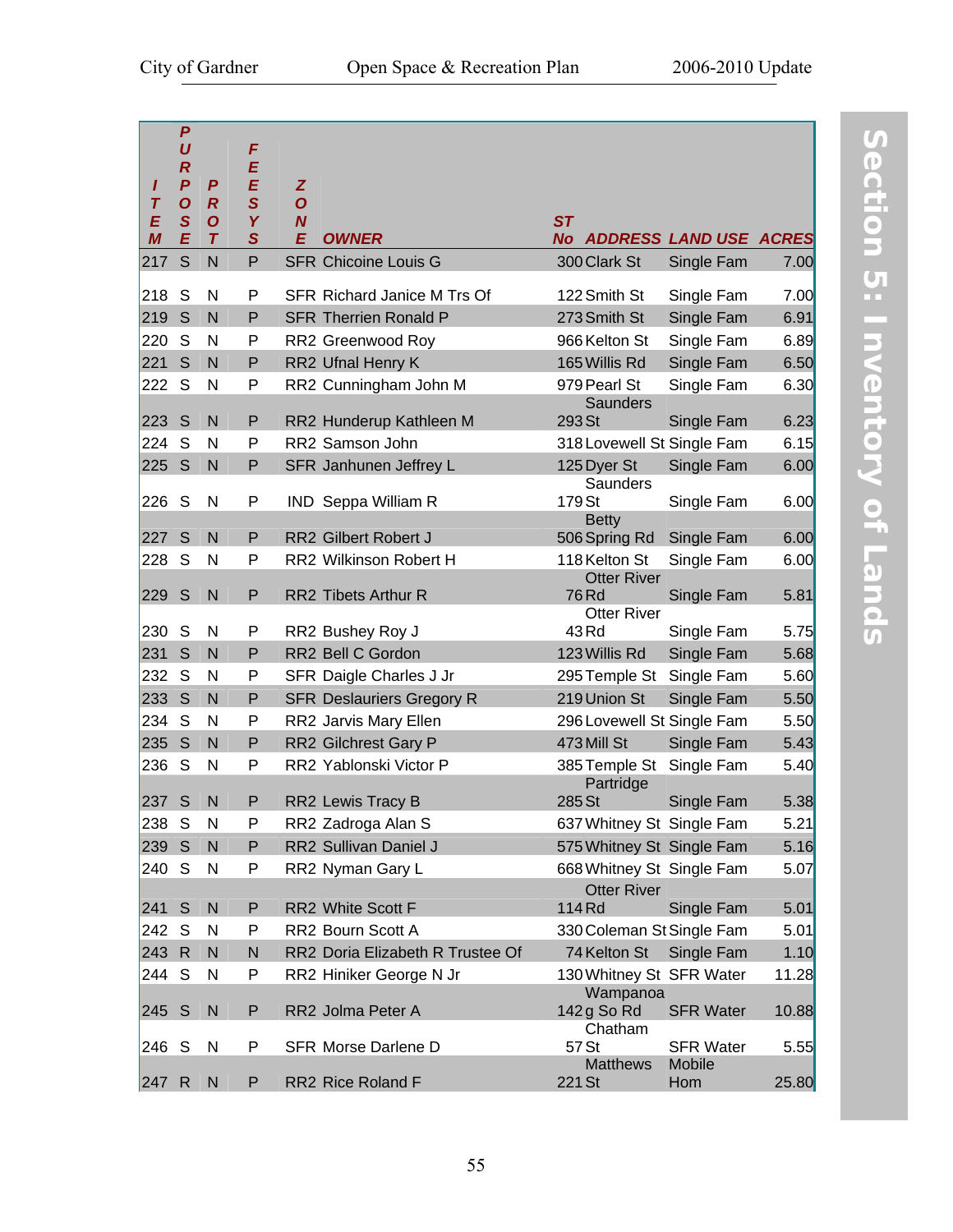|        | $\boldsymbol{P}$                     |                       |                   |                     |                                    |           |                         |                            |       |
|--------|--------------------------------------|-----------------------|-------------------|---------------------|------------------------------------|-----------|-------------------------|----------------------------|-------|
|        | U                                    |                       | F                 |                     |                                    |           |                         |                            |       |
|        | $\boldsymbol{R}$                     |                       | E                 |                     |                                    |           |                         |                            |       |
| ı<br>T | $\boldsymbol{P}$<br>$\boldsymbol{O}$ | P<br>$\boldsymbol{R}$ | E<br>$\mathbf{s}$ | Z<br>$\overline{o}$ |                                    |           |                         |                            |       |
| E      | S                                    | $\boldsymbol{O}$      | Y                 | $\boldsymbol{N}$    |                                    | <b>ST</b> |                         |                            |       |
| M      | E                                    | $\tau$                | $\mathbf S$       | E                   | <b>OWNER</b>                       |           |                         | No ADDRESS LAND USE ACRES  |       |
| 217    | S                                    | N                     | P                 |                     | <b>SFR Chicoine Louis G</b>        |           | 300 Clark St            | Single Fam                 | 7.00  |
| 218    | S                                    | N                     | P                 |                     | <b>SFR Richard Janice M Trs Of</b> |           | 122 Smith St            | Single Fam                 | 7.00  |
| 219    | S                                    | N                     | P                 |                     | <b>SFR Therrien Ronald P</b>       |           | 273 Smith St            | Single Fam                 | 6.91  |
| 220    | S                                    | N                     | P                 |                     | RR2 Greenwood Roy                  |           | 966 Kelton St           | Single Fam                 | 6.89  |
| 221    | S                                    | N                     | P                 |                     | RR2 Ufnal Henry K                  |           | 165 Willis Rd           | Single Fam                 | 6.50  |
| 222    | S                                    | N                     | P                 |                     | RR2 Cunningham John M              |           | 979 Pearl St            | Single Fam                 | 6.30  |
|        |                                      |                       |                   |                     |                                    |           | <b>Saunders</b>         |                            |       |
| 223    | S                                    | N                     | P                 |                     | RR2 Hunderup Kathleen M            | 293 St    |                         | Single Fam                 | 6.23  |
| 224    | S                                    | N                     | P                 |                     | RR2 Samson John                    |           |                         | 318 Lovewell St Single Fam | 6.15  |
| 225    | S                                    | N                     | P                 |                     | SFR Janhunen Jeffrey L             |           | 125 Dyer St             | Single Fam                 | 6.00  |
| 226    | S                                    | N                     | P                 |                     | <b>IND</b> Seppa William R         | 179 St    | <b>Saunders</b>         | Single Fam                 | 6.00  |
|        |                                      |                       |                   |                     |                                    |           | <b>Betty</b>            |                            |       |
| 227    | S                                    | N                     | P                 |                     | <b>RR2 Gilbert Robert J</b>        |           | 506 Spring Rd           | Single Fam                 | 6.00  |
| 228    | S                                    | N                     | P                 |                     | RR2 Wilkinson Robert H             |           | 118 Kelton St           | Single Fam                 | 6.00  |
|        |                                      |                       |                   |                     |                                    |           | <b>Otter River</b>      |                            |       |
| 229    | S                                    | N                     | P                 |                     | RR2 Tibets Arthur R                | 76 Rd     | <b>Otter River</b>      | Single Fam                 | 5.81  |
| 230    | S                                    | N                     | P                 |                     | RR2 Bushey Roy J                   | 43 Rd     |                         | Single Fam                 | 5.75  |
| 231    | S                                    | N                     | P                 |                     | RR2 Bell C Gordon                  |           | 123 Willis Rd           | Single Fam                 | 5.68  |
| 232    | S                                    | N                     | P                 |                     | SFR Daigle Charles J Jr            |           | 295 Temple St           | Single Fam                 | 5.60  |
| 233    | S                                    | N                     | P                 |                     | <b>SFR Deslauriers Gregory R</b>   |           | 219 Union St            | Single Fam                 | 5.50  |
| 234    | S                                    | N                     | P                 |                     | RR2 Jarvis Mary Ellen              |           |                         | 296 Lovewell St Single Fam | 5.50  |
| 235    | S                                    | N                     | P                 |                     | RR2 Gilchrest Gary P               |           | 473 Mill St             | Single Fam                 | 5.43  |
| 236    | S                                    | N                     | P                 |                     | RR2 Yablonski Victor P             |           | 385 Temple St           | Single Fam                 | 5.40  |
|        |                                      |                       |                   |                     |                                    |           | Partridge               |                            |       |
| 237    | S                                    | N                     | P                 |                     | RR2 Lewis Tracy B                  | 285 St    |                         | Single Fam                 | 5.38  |
| 238 S  |                                      | N                     | P                 |                     | RR2 Zadroga Alan S                 |           |                         | 637 Whitney St Single Fam  | 5.21  |
| 239 S  |                                      | N                     | P                 |                     | RR2 Sullivan Daniel J              |           |                         | 575 Whitney St Single Fam  | 5.16  |
| 240    | S                                    | N                     | P                 |                     | RR2 Nyman Gary L                   |           |                         | 668 Whitney St Single Fam  | 5.07  |
|        |                                      |                       |                   |                     |                                    |           | <b>Otter River</b>      |                            |       |
| 241 S  |                                      | N                     | P                 |                     | RR2 White Scott F                  | 114 Rd    |                         | Single Fam                 | 5.01  |
| 242    | S                                    | N                     | P                 |                     | RR2 Bourn Scott A                  |           |                         | 330 Coleman St Single Fam  | 5.01  |
| 243    | $\mathsf{R}$                         | N                     | $\mathsf{N}$      |                     | RR2 Doria Elizabeth R Trustee Of   |           | 74 Kelton St            | Single Fam                 | 1.10  |
| 244    | S                                    | N                     | P                 |                     | RR2 Hiniker George N Jr            |           |                         | 130 Whitney St SFR Water   | 11.28 |
| 245 S  |                                      | N                     | P                 |                     | RR2 Jolma Peter A                  |           | Wampanoa<br>142 g So Rd | <b>SFR Water</b>           | 10.88 |
|        |                                      |                       |                   |                     |                                    |           | Chatham                 |                            |       |
| 246 S  |                                      | N                     | P                 |                     | <b>SFR Morse Darlene D</b>         | 57 St     |                         | <b>SFR Water</b>           | 5.55  |
|        |                                      |                       |                   |                     |                                    |           | <b>Matthews</b>         | Mobile                     |       |
| 247    | $\mathsf{R}$                         | N                     | P                 |                     | RR2 Rice Roland F                  | 221 St    |                         | Hom                        | 25.80 |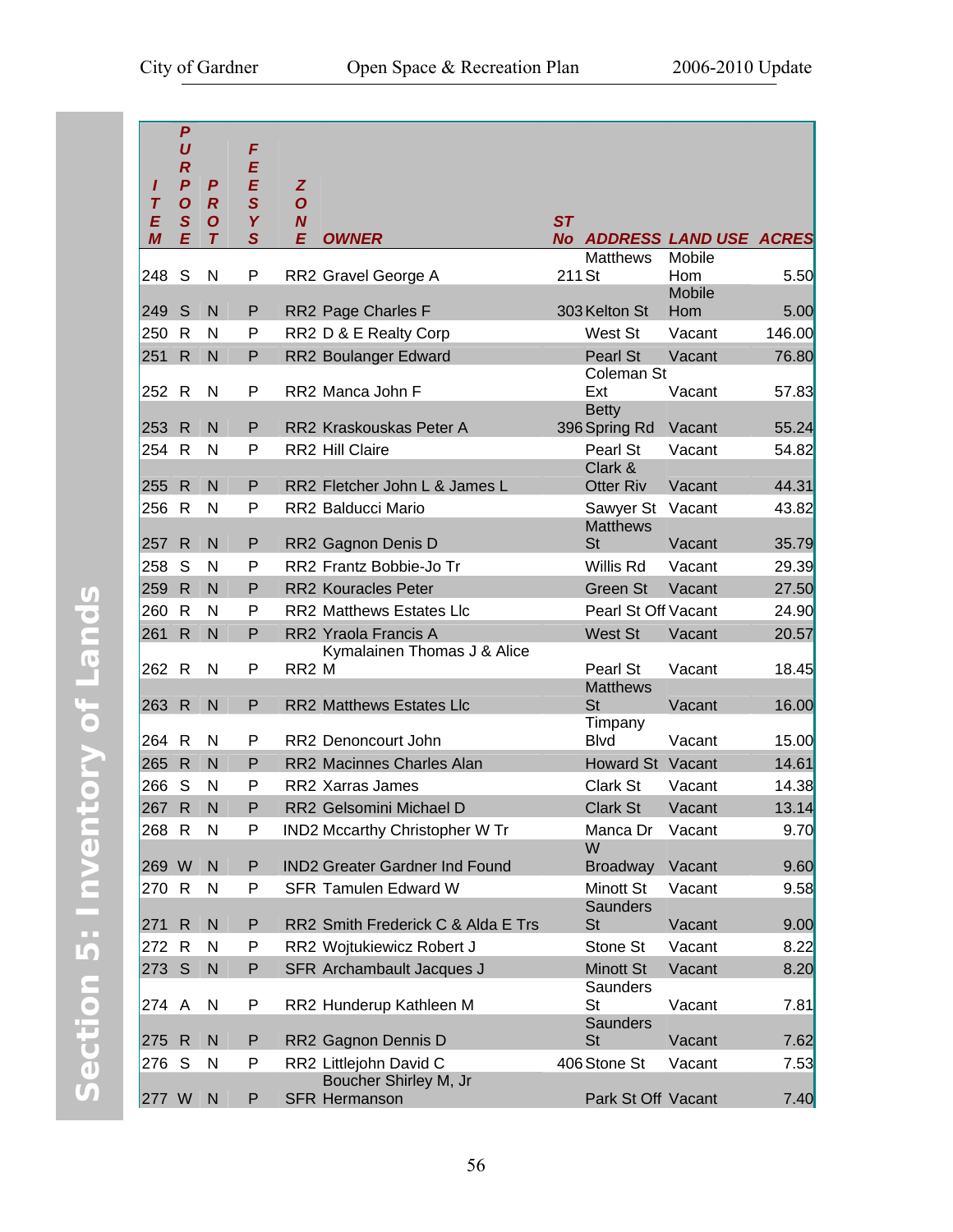| ı<br>Τ | $\boldsymbol{P}$<br>U<br>$\boldsymbol{R}$<br>$\boldsymbol{P}$<br>$\boldsymbol{O}$ | P<br>$\boldsymbol{R}$ | F<br>E<br>E<br>$\mathbf{s}$ | Z<br>$\boldsymbol{O}$ |                                                     |                                              |               |        |
|--------|-----------------------------------------------------------------------------------|-----------------------|-----------------------------|-----------------------|-----------------------------------------------------|----------------------------------------------|---------------|--------|
| E      | $\mathsf{s}$<br>E                                                                 | $\boldsymbol{O}$      | Y                           | $\boldsymbol{N}$      |                                                     | <b>ST</b>                                    |               |        |
| M      |                                                                                   | $\overline{T}$        | $\mathbf S$                 | E                     | <b>OWNER</b>                                        | No ADDRESS LAND USE ACRES<br><b>Matthews</b> | Mobile        |        |
| 248    | S                                                                                 | N                     | P                           |                       | RR2 Gravel George A                                 | 211 St                                       | Hom<br>Mobile | 5.50   |
| 249    | S                                                                                 | N                     | P                           |                       | RR2 Page Charles F                                  | 303 Kelton St                                | Hom           | 5.00   |
| 250    | $\mathsf{R}$                                                                      | N                     | P                           |                       | RR2 D & E Realty Corp                               | West St                                      | Vacant        | 146.00 |
| 251    | $\mathsf{R}$                                                                      | N                     | P                           |                       | RR2 Boulanger Edward                                | Pearl St                                     | Vacant        | 76.80  |
| 252 R  |                                                                                   | N                     | P                           |                       | RR2 Manca John F                                    | Coleman St<br>Ext                            | Vacant        | 57.83  |
| 253 R  |                                                                                   | N                     | P                           |                       | RR2 Kraskouskas Peter A                             | <b>Betty</b><br>396 Spring Rd                | Vacant        | 55.24  |
| 254    | R                                                                                 | N                     | P                           |                       | RR2 Hill Claire                                     | Pearl St                                     | Vacant        | 54.82  |
| 255    | $\mathsf{R}$                                                                      | N                     | P                           |                       | RR2 Fletcher John L & James L                       | Clark &<br><b>Otter Riv</b>                  | Vacant        | 44.31  |
| 256    | R                                                                                 | N                     | P                           |                       | RR2 Balducci Mario                                  | Sawyer St                                    | Vacant        | 43.82  |
|        |                                                                                   |                       |                             |                       |                                                     | <b>Matthews</b>                              |               |        |
| 257    | $\mathsf{R}$                                                                      | N                     | P                           |                       | RR2 Gagnon Denis D                                  | <b>St</b>                                    | Vacant        | 35.79  |
| 258    | S                                                                                 | N                     | P                           |                       | RR2 Frantz Bobbie-Jo Tr                             | Willis Rd                                    | Vacant        | 29.39  |
| 259    | $\mathsf{R}$                                                                      | N                     | P                           |                       | <b>RR2 Kouracles Peter</b>                          | Green St                                     | Vacant        | 27.50  |
| 260    | $\mathsf{R}$                                                                      | N                     | P                           |                       | <b>RR2 Matthews Estates Llc</b>                     | Pearl St Off Vacant                          |               | 24.90  |
| 261    | $\mathsf{R}$                                                                      | $\mathsf{N}$          | P                           |                       | RR2 Yraola Francis A<br>Kymalainen Thomas J & Alice | West St                                      | Vacant        | 20.57  |
| 262 R  |                                                                                   | N                     | P                           | RR <sub>2</sub> M     |                                                     | Pearl St<br><b>Matthews</b>                  | Vacant        | 18.45  |
| 263 R  |                                                                                   | N                     | P                           |                       | <b>RR2 Matthews Estates Llc</b>                     | St                                           | Vacant        | 16.00  |
| 264    | R                                                                                 | N                     | P                           |                       | RR2 Denoncourt John                                 | Timpany<br><b>B</b> lvd                      | Vacant        | 15.00  |
| 265    | $\mathsf{R}$                                                                      | N                     | P                           |                       | <b>RR2 Macinnes Charles Alan</b>                    | Howard St Vacant                             |               | 14.61  |
| 266    | S                                                                                 | N                     | P                           |                       | RR2 Xarras James                                    | Clark St                                     | Vacant        | 14.38  |
| 267    | $\mathsf{R}$                                                                      | N                     | P                           |                       | RR2 Gelsomini Michael D                             | <b>Clark St</b>                              | Vacant        | 13.14  |
| 268 R  |                                                                                   | N                     | P                           |                       | IND2 Mccarthy Christopher W Tr                      | Manca Dr<br>W                                | Vacant        | 9.70   |
| 269 W  |                                                                                   | N                     | P                           |                       | <b>IND2 Greater Gardner Ind Found</b>               | <b>Broadway</b>                              | Vacant        | 9.60   |
| 270    | R                                                                                 | N                     | P                           |                       | <b>SFR Tamulen Edward W</b>                         | Minott St<br>Saunders                        | Vacant        | 9.58   |
| 271    | $\mathsf{R}$                                                                      | $\mathsf{N}$          | P                           |                       | RR2 Smith Frederick C & Alda E Trs                  | <b>St</b>                                    | Vacant        | 9.00   |
| 272    | $\mathsf{R}$                                                                      | N                     | P                           |                       | RR2 Wojtukiewicz Robert J                           | Stone St                                     | Vacant        | 8.22   |
| 273    | S                                                                                 | $\mathsf{N}$          | P                           |                       | <b>SFR Archambault Jacques J</b>                    | <b>Minott St</b>                             | Vacant        | 8.20   |
| 274 A  |                                                                                   | N                     | P                           |                       | RR2 Hunderup Kathleen M                             | Saunders<br>St                               | Vacant        | 7.81   |
| 275    | $\mathsf{R}$                                                                      | $\mathsf{N}$          | P                           |                       | RR2 Gagnon Dennis D                                 | <b>Saunders</b><br><b>St</b>                 | Vacant        | 7.62   |
| 276    | S                                                                                 | N                     | P                           |                       | RR2 Littlejohn David C                              | 406 Stone St                                 | Vacant        | 7.53   |
| 277 W  |                                                                                   | $\mathsf{N}$          | P                           |                       | Boucher Shirley M, Jr<br><b>SFR Hermanson</b>       | Park St Off Vacant                           |               | 7.40   |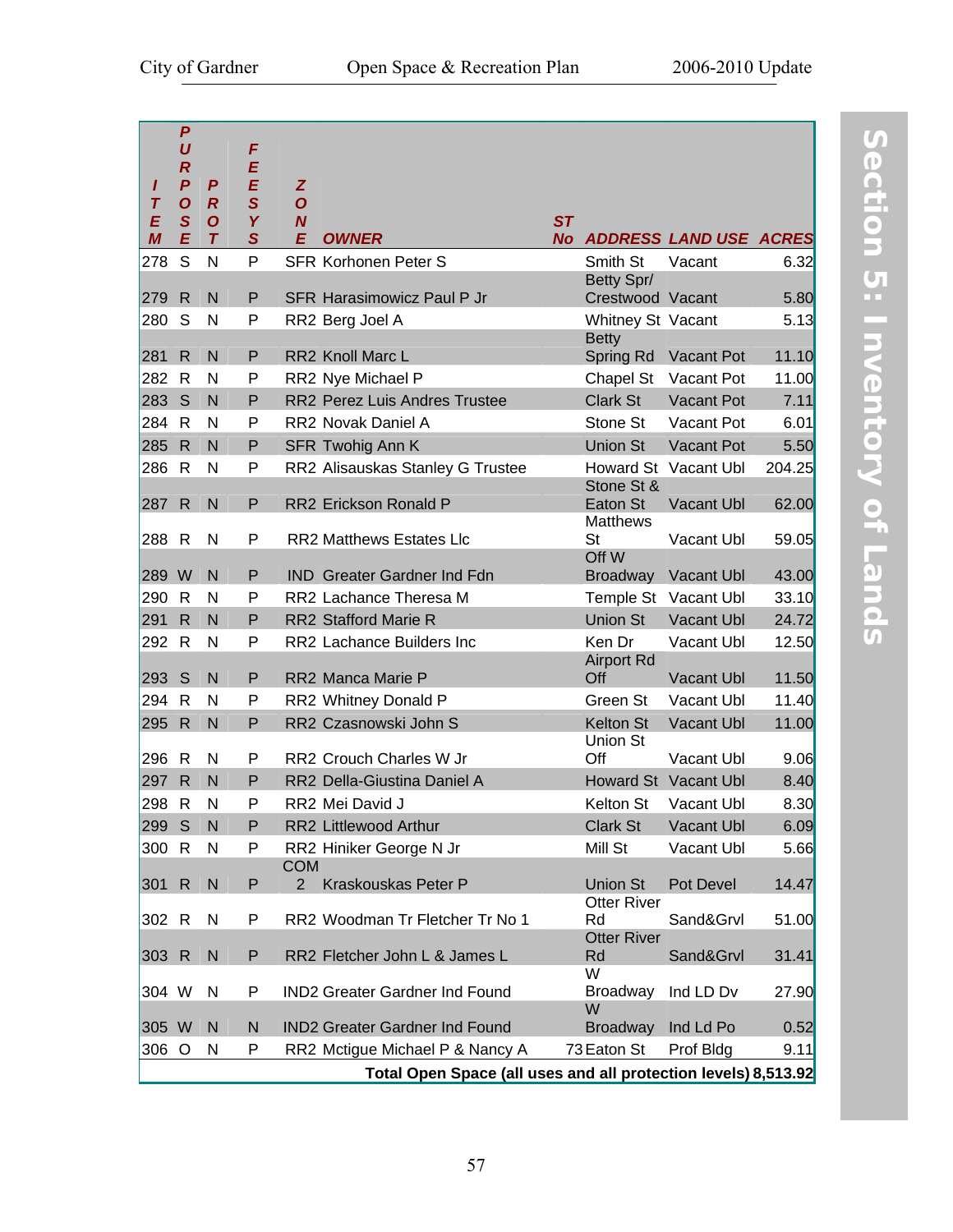|             | $\boldsymbol{P}$<br>U<br>$\boldsymbol{R}$ |                       | F<br>E           |                              |                                                                |           |                                |                               |        |
|-------------|-------------------------------------------|-----------------------|------------------|------------------------------|----------------------------------------------------------------|-----------|--------------------------------|-------------------------------|--------|
| I<br>$\tau$ | $\boldsymbol{P}$<br>$\boldsymbol{O}$      | P<br>$\boldsymbol{R}$ | E<br>$\mathbf S$ | Z<br>$\overline{O}$          |                                                                |           |                                |                               |        |
| E           | $\mathbf{s}$                              | $\boldsymbol{O}$      | Y                | $\boldsymbol{N}$             |                                                                | ST        |                                |                               |        |
| M           | E                                         | $\tau$                | $\mathbf S$      | E                            | <b>OWNER</b>                                                   | <b>No</b> |                                | <b>ADDRESS LAND USE ACRES</b> |        |
| 278         | S                                         | N                     | P                |                              | <b>SFR Korhonen Peter S</b>                                    |           | Smith St                       | Vacant                        | 6.32   |
| 279         | $\mathsf{R}$                              | $\mathsf{N}$          | P                |                              | <b>SFR Harasimowicz Paul P Jr</b>                              |           | Betty Spr/<br>Crestwood Vacant |                               | 5.80   |
| 280         | S                                         | N                     | P                |                              | RR2 Berg Joel A                                                |           | Whitney St Vacant              |                               | 5.13   |
|             |                                           |                       |                  |                              |                                                                |           | <b>Betty</b>                   |                               |        |
| 281         | R                                         | N                     | P                |                              | <b>RR2 Knoll Marc L</b>                                        |           | Spring Rd                      | Vacant Pot                    | 11.10  |
| 282         | R                                         | N                     | P                |                              | RR2 Nye Michael P                                              |           | Chapel St                      | Vacant Pot                    | 11.00  |
| 283         | S                                         | $\mathsf{N}$          | P                |                              | RR2 Perez Luis Andres Trustee                                  |           | <b>Clark St</b>                | Vacant Pot                    | 7.11   |
| 284         | R                                         | N                     | P                |                              | RR2 Novak Daniel A                                             |           | Stone St                       | Vacant Pot                    | 6.01   |
| 285         | $\mathsf{R}$                              | N                     | P                |                              | SFR Twohig Ann K                                               |           | <b>Union St</b>                | Vacant Pot                    | 5.50   |
| 286         | $\mathsf{R}$                              | $\mathsf{N}$          | P                |                              | RR2 Alisauskas Stanley G Trustee                               |           | Stone St &                     | Howard St Vacant Ubl          | 204.25 |
| 287         | $\mathsf{R}$                              | $\mathsf{N}$          | P                |                              | RR2 Erickson Ronald P                                          |           | Eaton St<br><b>Matthews</b>    | Vacant Ubl                    | 62.00  |
| 288         | $\mathsf{R}$                              | N                     | P                |                              | <b>RR2 Matthews Estates Llc</b>                                |           | St<br>Off W                    | Vacant Ubl                    | 59.05  |
| 289 W       |                                           | N                     | P                |                              | <b>IND</b> Greater Gardner Ind Fdn                             |           | <b>Broadway</b>                | Vacant Ubl                    | 43.00  |
| 290         | R                                         | N                     | P                |                              | RR2 Lachance Theresa M                                         |           | Temple St                      | Vacant Ubl                    | 33.10  |
| 291         | $\mathsf{R}$                              | N                     | P                |                              | RR2 Stafford Marie R                                           |           | <b>Union St</b>                | Vacant Ubl                    | 24.72  |
| 292         | $\mathsf{R}$                              | N                     | P                |                              | RR2 Lachance Builders Inc                                      |           | Ken Dr                         | Vacant Ubl                    | 12.50  |
| 293         | S                                         | $\mathsf{N}$          | P                |                              | RR2 Manca Marie P                                              |           | <b>Airport Rd</b><br>Off       | Vacant Ubl                    | 11.50  |
| 294         | R                                         | N                     | P                |                              | RR2 Whitney Donald P                                           |           | Green St                       | Vacant Ubl                    | 11.40  |
| 295         | $\mathsf{R}$                              | $\mathsf{N}$          | P                |                              | RR2 Czasnowski John S                                          |           | <b>Kelton St</b>               | Vacant Ubl                    | 11.00  |
| 296         | R                                         | N                     | P                |                              | RR2 Crouch Charles W Jr                                        |           | Union St<br>Off                | Vacant Ubl                    | 9.06   |
| 297         | $\mathsf{R}$                              | N                     | P                |                              | RR2 Della-Giustina Daniel A                                    |           |                                | Howard St Vacant Ubl          | 8.40   |
| 298         | $\mathsf{R}$                              | $\mathsf{N}$          | P                |                              | RR2 Mei David J                                                |           | Kelton St                      | Vacant Ubl                    | 8.30   |
| 299         | S                                         | $\mathsf{N}$          | P                |                              | RR2 Littlewood Arthur                                          |           | <b>Clark St</b>                | Vacant Ubl                    | 6.09   |
| 300         | $\mathsf{R}$                              | N                     | P                |                              | RR2 Hiniker George N Jr                                        |           | Mill St                        | Vacant Ubl                    | 5.66   |
| 301         | $\mathsf{R}$                              | $\mathsf{N}$          | P                | <b>COM</b><br>$\overline{2}$ | Kraskouskas Peter P                                            |           | Union St                       | Pot Devel                     | 14.47  |
| 302         | R                                         | N                     | P                |                              | RR2 Woodman Tr Fletcher Tr No 1                                |           | <b>Otter River</b><br>Rd       | Sand&Grvl                     | 51.00  |
| 303 R       |                                           | ${\sf N}$             | P                |                              | RR2 Fletcher John L & James L                                  |           | <b>Otter River</b><br>Rd<br>W  | Sand&Grvl                     | 31.41  |
| 304 W       |                                           | N                     | P                |                              | IND2 Greater Gardner Ind Found                                 |           | <b>Broadway</b><br>W           | Ind LD Dv                     | 27.90  |
| 305 W       |                                           | $\mathsf{N}$          | N                |                              | <b>IND2 Greater Gardner Ind Found</b>                          |           | <b>Broadway</b>                | Ind Ld Po                     | 0.52   |
| 306 O       |                                           | N                     | P                |                              | RR2 Mctigue Michael P & Nancy A                                |           | 73 Eaton St                    | Prof Bldg                     | 9.11   |
|             |                                           |                       |                  |                              | Total Open Space (all uses and all protection levels) 8,513.92 |           |                                |                               |        |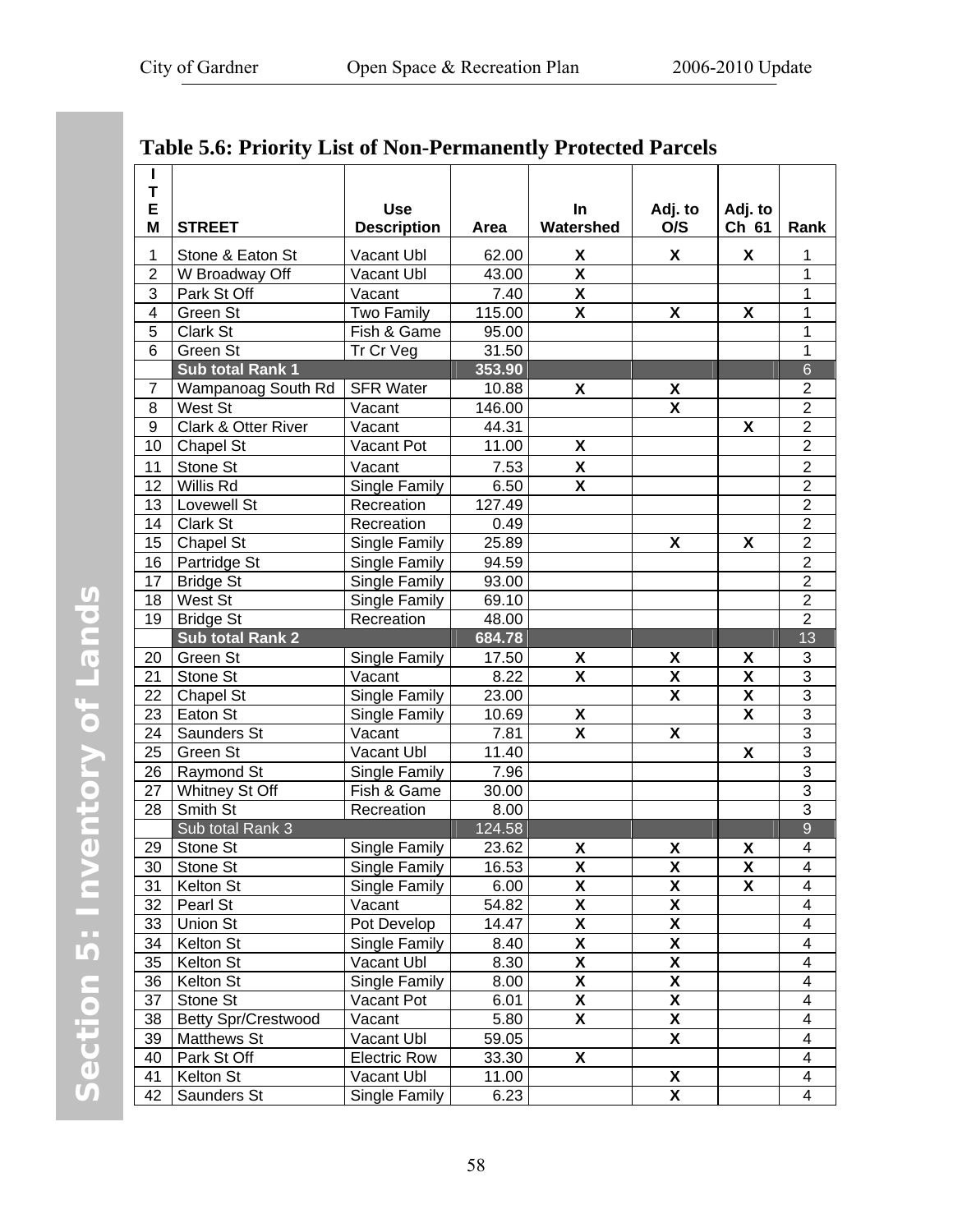<span id="page-65-0"></span>

| н<br>T         |                            |                     |        |                           |                           |                           |                           |
|----------------|----------------------------|---------------------|--------|---------------------------|---------------------------|---------------------------|---------------------------|
| E              |                            | <b>Use</b>          |        | <b>In</b>                 | Adj. to                   | Adj. to                   |                           |
| M              | <b>STREET</b>              | <b>Description</b>  | Area   | Watershed                 | O/S                       | Ch 61                     | Rank                      |
| 1              | Stone & Eaton St           | Vacant Ubl          | 62.00  | X                         | X                         | X.                        | 1                         |
| $\overline{2}$ | W Broadway Off             | Vacant Ubl          | 43.00  | $\overline{\mathbf{X}}$   |                           |                           | 1                         |
| 3              | Park St Off                | Vacant              | 7.40   | $\overline{\mathbf{X}}$   |                           |                           | 1                         |
| 4              | Green St                   | Two Family          | 115.00 | X                         | $\boldsymbol{\mathsf{x}}$ | X                         | 1                         |
| 5              | Clark St                   | Fish & Game         | 95.00  |                           |                           |                           | 1                         |
| 6              | Green St                   | Tr Cr Veg           | 31.50  |                           |                           |                           | 1                         |
|                | Sub total Rank 1           |                     | 353.90 |                           |                           |                           | $6\phantom{a}$            |
| $\overline{7}$ | Wampanoag South Rd         | <b>SFR Water</b>    | 10.88  | X                         | χ                         |                           | $\overline{c}$            |
| 8              | West St                    | Vacant              | 146.00 |                           | X                         |                           | $\overline{2}$            |
| 9              | Clark & Otter River        | Vacant              | 44.31  |                           |                           | X                         | $\overline{2}$            |
| 10             | Chapel St                  | Vacant Pot          | 11.00  | $\pmb{\mathsf{X}}$        |                           |                           | $\overline{2}$            |
| 11             | Stone St                   | Vacant              | 7.53   | $\pmb{\mathsf{X}}$        |                           |                           | $\overline{c}$            |
| 12             | Willis Rd                  | Single Family       | 6.50   | $\overline{\mathbf{X}}$   |                           |                           | $\overline{2}$            |
| 13             | Lovewell St                | Recreation          | 127.49 |                           |                           |                           | $\overline{2}$            |
| 14             | Clark St                   | Recreation          | 0.49   |                           |                           |                           | $\overline{2}$            |
| 15             | Chapel St                  | Single Family       | 25.89  |                           | $\pmb{\mathsf{X}}$        | X                         | $\overline{2}$            |
| 16             | Partridge St               | Single Family       | 94.59  |                           |                           |                           | $\overline{2}$            |
| 17             | <b>Bridge St</b>           | Single Family       | 93.00  |                           |                           |                           | $\overline{c}$            |
| 18             | West St                    | Single Family       | 69.10  |                           |                           |                           | $\overline{2}$            |
| 19             | <b>Bridge St</b>           | Recreation          | 48.00  |                           |                           |                           | $\overline{2}$            |
|                | <b>Sub total Rank 2</b>    |                     | 684.78 |                           |                           |                           | 13                        |
| 20             | Green St                   | Single Family       | 17.50  | X                         | X                         | X                         | $\ensuremath{\mathsf{3}}$ |
| 21             | Stone St                   | Vacant              | 8.22   | $\overline{\mathsf{x}}$   | X                         | $\boldsymbol{\mathsf{X}}$ | $\overline{3}$            |
| 22             | Chapel St                  | Single Family       | 23.00  |                           | $\pmb{\mathsf{X}}$        | χ                         | $\ensuremath{\mathsf{3}}$ |
| 23             | Eaton St                   | Single Family       | 10.69  | X                         |                           | X                         | $\mathbf{3}$              |
| 24             | Saunders St                | Vacant              | 7.81   | X                         | $\boldsymbol{\mathsf{X}}$ |                           | $\overline{3}$            |
| 25             | Green St                   | Vacant Ubl          | 11.40  |                           |                           | $\pmb{\mathsf{X}}$        | 3                         |
| 26             | Raymond St                 | Single Family       | 7.96   |                           |                           |                           | 3                         |
| 27             | Whitney St Off             | Fish & Game         | 30.00  |                           |                           |                           | $\overline{3}$            |
| 28             | Smith St                   | Recreation          | 8.00   |                           |                           |                           | 3                         |
|                | Sub total Rank 3           |                     | 124.58 |                           |                           |                           | $\overline{9}$            |
| 29             | Stone St                   | Single Family       | 23.62  | χ                         | χ                         | X                         | 4                         |
|                | 30 Stone St                | Single Family       | 16.53  | $\overline{\mathbf{X}}$   | $\overline{\mathbf{X}}$   | $\overline{\mathbf{X}}$   | $\overline{\mathbf{4}}$   |
| 31             | Kelton St                  | Single Family       | 6.00   | $\boldsymbol{\mathsf{X}}$ | X                         | X                         | 4                         |
| 32             | Pearl St                   | Vacant              | 54.82  | $\overline{\mathbf{X}}$   | $\overline{\mathbf{X}}$   |                           | 4                         |
| 33             | Union St                   | Pot Develop         | 14.47  | $\overline{\mathbf{X}}$   | $\overline{\mathbf{X}}$   |                           | 4                         |
| 34             | Kelton St                  | Single Family       | 8.40   | $\overline{\mathbf{X}}$   | $\overline{\mathbf{X}}$   |                           | 4                         |
| 35             | Kelton St                  | Vacant Ubl          | 8.30   | $\overline{\mathbf{X}}$   | $\overline{\mathbf{X}}$   |                           | 4                         |
| 36             | Kelton St                  | Single Family       | 8.00   | $\overline{\mathbf{X}}$   | X                         |                           | 4                         |
| 37             | Stone St                   | Vacant Pot          | 6.01   | $\pmb{\mathsf{X}}$        | X                         |                           | 4                         |
| 38             | <b>Betty Spr/Crestwood</b> | Vacant              | 5.80   | $\overline{\mathsf{x}}$   | $\overline{\mathbf{X}}$   |                           | 4                         |
| 39             | Matthews St                | Vacant Ubl          | 59.05  |                           | X                         |                           | 4                         |
| 40             | Park St Off                | <b>Electric Row</b> | 33.30  | X                         |                           |                           | 4                         |
| 41             | Kelton St                  | Vacant Ubl          | 11.00  |                           | X                         |                           | 4                         |
| 42             | Saunders St                | Single Family       | 6.23   |                           | X                         |                           | 4                         |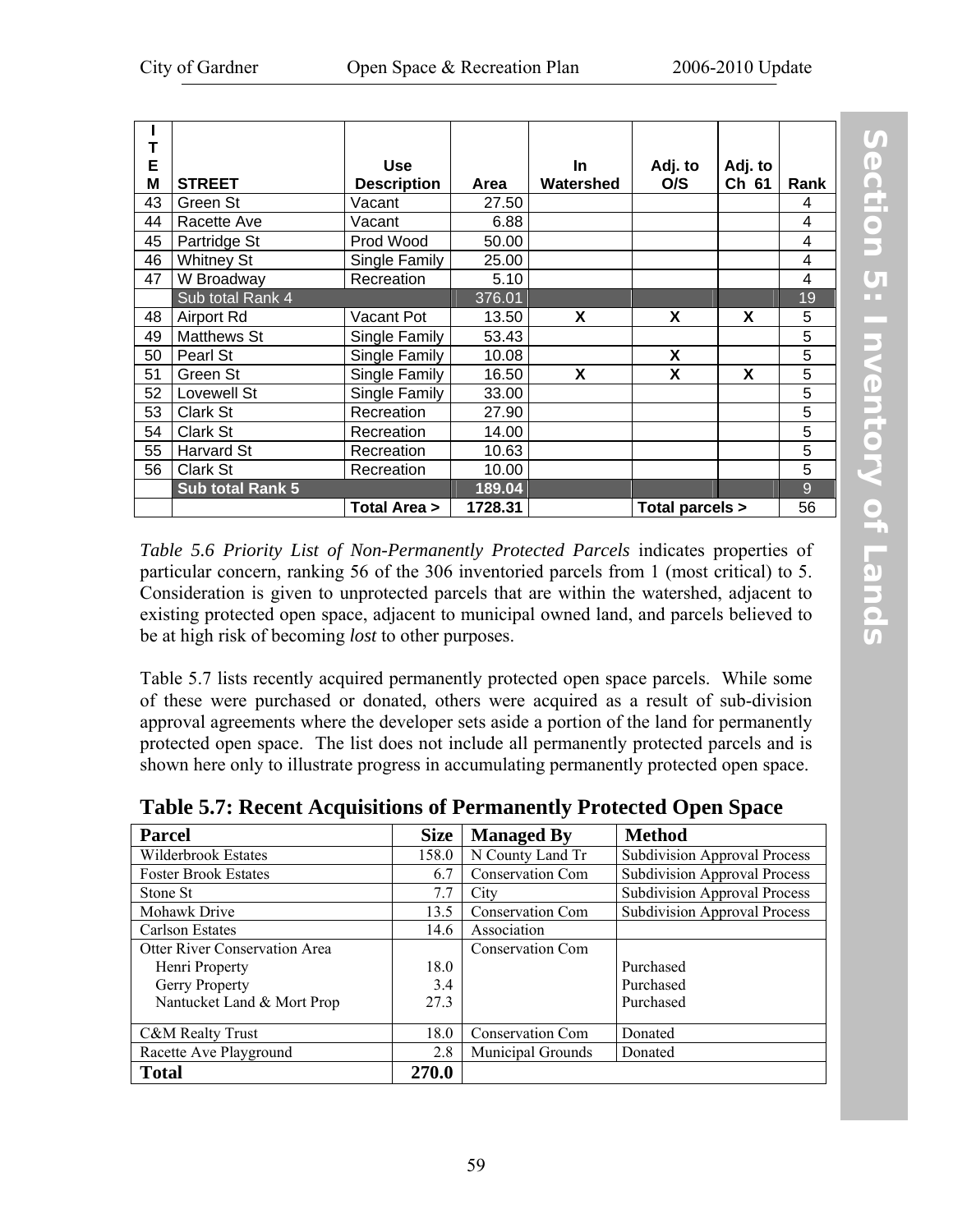| Т<br>E |                         | <b>Use</b>         |         | <b>In</b> | Adj. to         | Adj. to |                |
|--------|-------------------------|--------------------|---------|-----------|-----------------|---------|----------------|
| M      | <b>STREET</b>           | <b>Description</b> | Area    | Watershed | O/S             | Ch 61   | Rank           |
| 43     | Green St                | Vacant             | 27.50   |           |                 |         | 4              |
| 44     | Racette Ave             | Vacant             | 6.88    |           |                 |         | 4              |
| 45     | Partridge St            | Prod Wood          | 50.00   |           |                 |         | 4              |
| 46     | <b>Whitney St</b>       | Single Family      | 25.00   |           |                 |         | 4              |
| 47     | W Broadway              | Recreation         | 5.10    |           |                 |         | 4              |
|        | Sub total Rank 4        |                    | 376.01  |           |                 |         | 19             |
| 48     | <b>Airport Rd</b>       | Vacant Pot         | 13.50   | X         | X               | X       | 5              |
| 49     | <b>Matthews St</b>      | Single Family      | 53.43   |           |                 |         | 5              |
| 50     | Pearl St                | Single Family      | 10.08   |           | X               |         | $\overline{5}$ |
| 51     | Green St                | Single Family      | 16.50   | X         | X               | X       | 5              |
| 52     | Lovewell St             | Single Family      | 33.00   |           |                 |         | 5              |
| 53     | Clark St                | Recreation         | 27.90   |           |                 |         | 5              |
| 54     | Clark St                | Recreation         | 14.00   |           |                 |         | 5              |
| 55     | Harvard St              | Recreation         | 10.63   |           |                 |         | 5              |
| 56     | Clark St                | Recreation         | 10.00   |           |                 |         | 5              |
|        | <b>Sub total Rank 5</b> |                    | 189.04  |           |                 |         | 9              |
|        |                         | Total Area >       | 1728.31 |           | Total parcels > |         | 56             |

*[Table 5.6 Priority List of Non-Permanently Protected Parcels](#page-65-0)* indicates properties of particular concern, ranking 56 of the 306 inventoried parcels from 1 (most critical) to 5. Consideration is given to unprotected parcels that are within the watershed, adjacent to existing protected open space, adjacent to municipal owned land, and parcels believed to be at high risk of becoming *lost* to other purposes.

Table 5.7 lists recently acquired permanently protected open space parcels. While some of these were purchased or donated, others were acquired as a result of sub-division approval agreements where the developer sets aside a portion of the land for permanently protected open space. The list does not include all permanently protected parcels and is shown here only to illustrate progress in accumulating permanently protected open space.

| <b>Parcel</b>                 | <b>Size</b> | <b>Managed By</b>        | <b>Method</b>                       |
|-------------------------------|-------------|--------------------------|-------------------------------------|
| Wilderbrook Estates           | 158.0       | N County Land Tr         | <b>Subdivision Approval Process</b> |
| <b>Foster Brook Estates</b>   | 6.7         | <b>Conservation Com</b>  | <b>Subdivision Approval Process</b> |
| Stone St                      | 7.7         | City                     | <b>Subdivision Approval Process</b> |
| Mohawk Drive                  | 13.5        | <b>Conservation Com</b>  | <b>Subdivision Approval Process</b> |
| Carlson Estates               | 14.6        | Association              |                                     |
| Otter River Conservation Area |             | Conservation Com         |                                     |
| Henri Property                | 18.0        |                          | Purchased                           |
| Gerry Property                | 3.4         |                          | Purchased                           |
| Nantucket Land & Mort Prop    | 27.3        |                          | Purchased                           |
|                               |             |                          |                                     |
| C&M Realty Trust              | 18.0        | <b>Conservation Com</b>  | Donated                             |
| Racette Ave Playground        | 2.8         | <b>Municipal Grounds</b> | Donated                             |
| <b>Total</b>                  | 270.0       |                          |                                     |

**Table 5.7: Recent Acquisitions of Permanently Protected Open Space**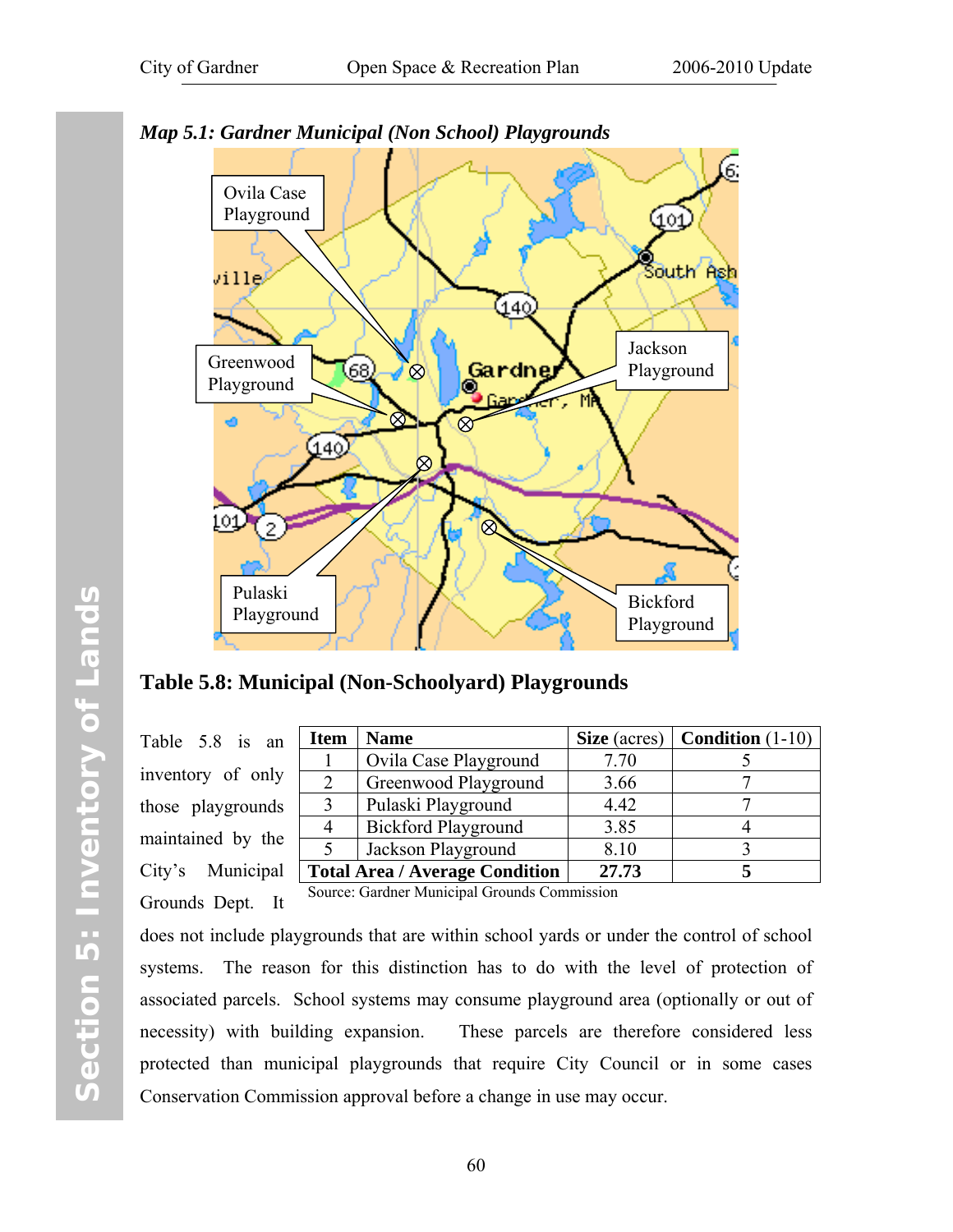

*Map 5.1: Gardner Municipal (Non School) Playgrounds* 

**Table 5.8: Municipal (Non-Schoolyard) Playgrounds** 

Table 5.8 is an inventory of only those playgrounds maintained by the City's Municipal Grounds Dept. It

| n  | <b>Item</b> | <b>Name</b>                           | Size (acres) | <b>Condition</b> $(1-10)$ |
|----|-------------|---------------------------------------|--------------|---------------------------|
|    |             | Ovila Case Playground                 | 7.70         |                           |
|    |             | Greenwood Playground                  | 3.66         |                           |
| S  |             | Pulaski Playground                    | 4.42         |                           |
|    |             | <b>Bickford Playground</b>            | 3.85         |                           |
| e. |             | Jackson Playground                    | 8.10         |                           |
|    |             | <b>Total Area / Average Condition</b> | 27.73        |                           |

Source: Gardner Municipal Grounds Commission

does not include playgrounds that are within school yards or under the control of school systems. The reason for this distinction has to do with the level of protection of associated parcels. School systems may consume playground area (optionally or out of necessity) with building expansion. These parcels are therefore considered less protected than municipal playgrounds that require City Council or in some cases Conservation Commission approval before a change in use may occur.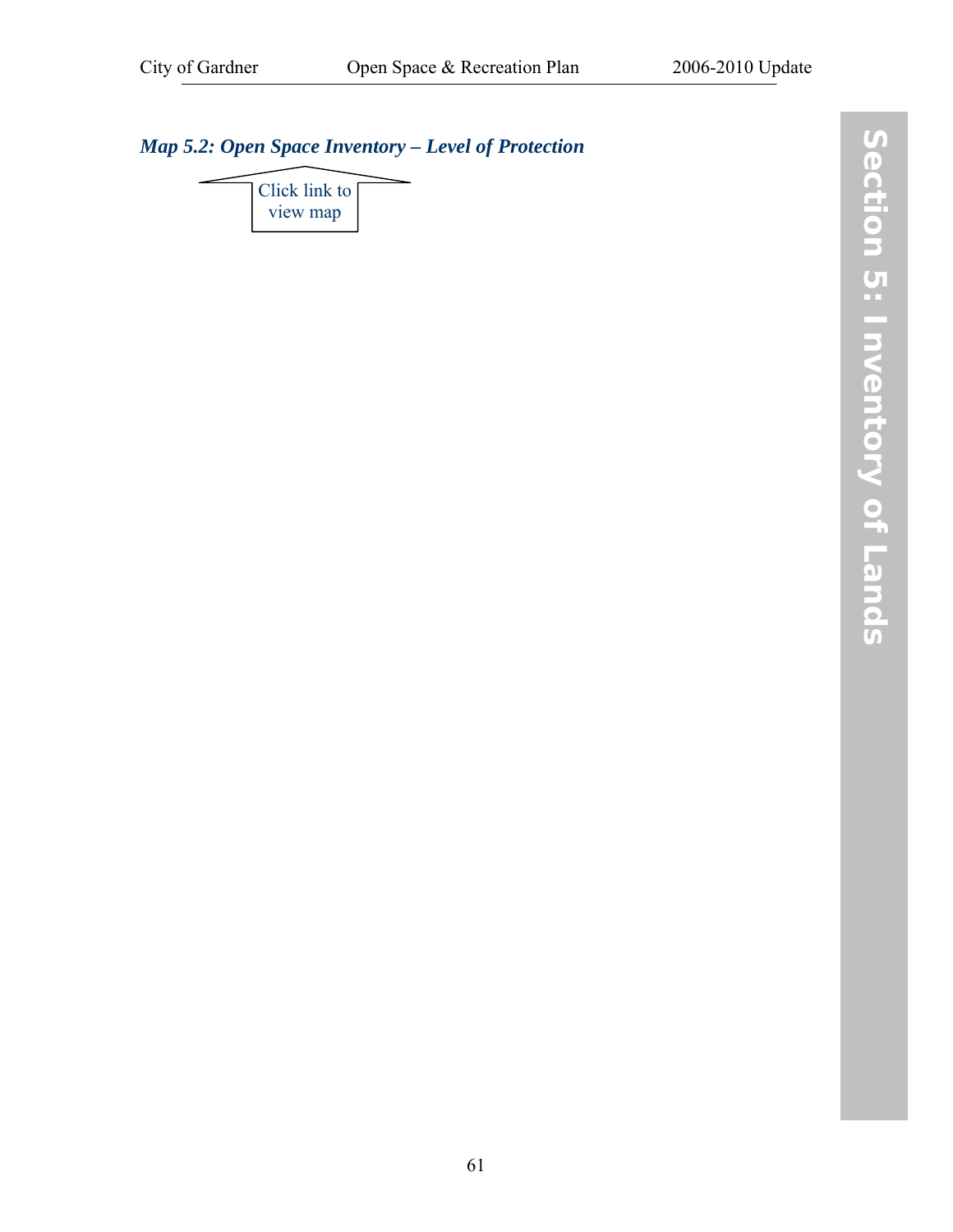# *[Map 5.2: Open Space Inventory – Level of Protection](http://www.gardner-ma.gov/Pages/GardnerMA_CommDev/OS/Map5.2.pdf)*

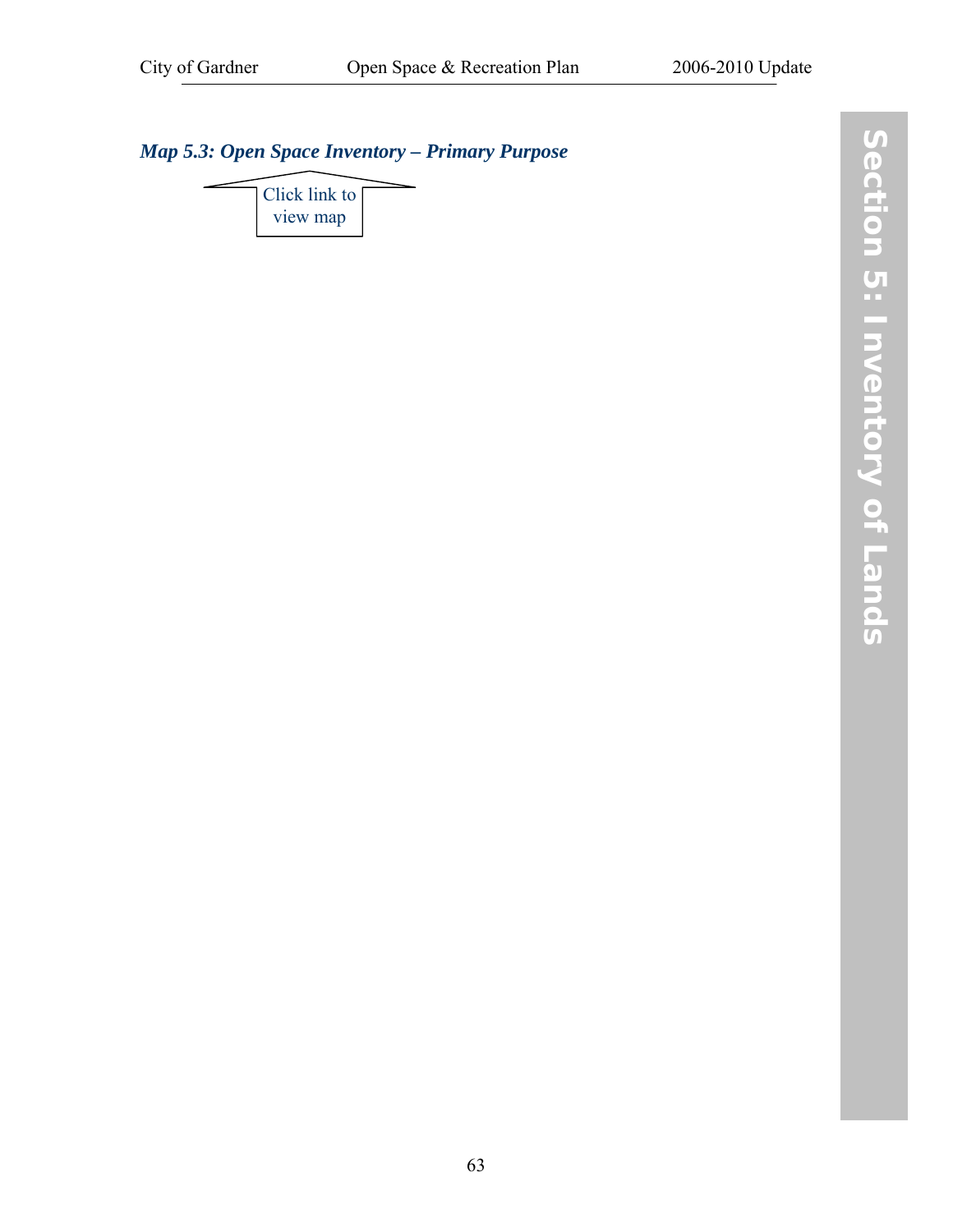# *[Map 5.3: Open Space Inventory – Primary Purpose](http://www.gardner-ma.gov/Pages/GardnerMA_CommDev/OS/Map5.3.pdf)*

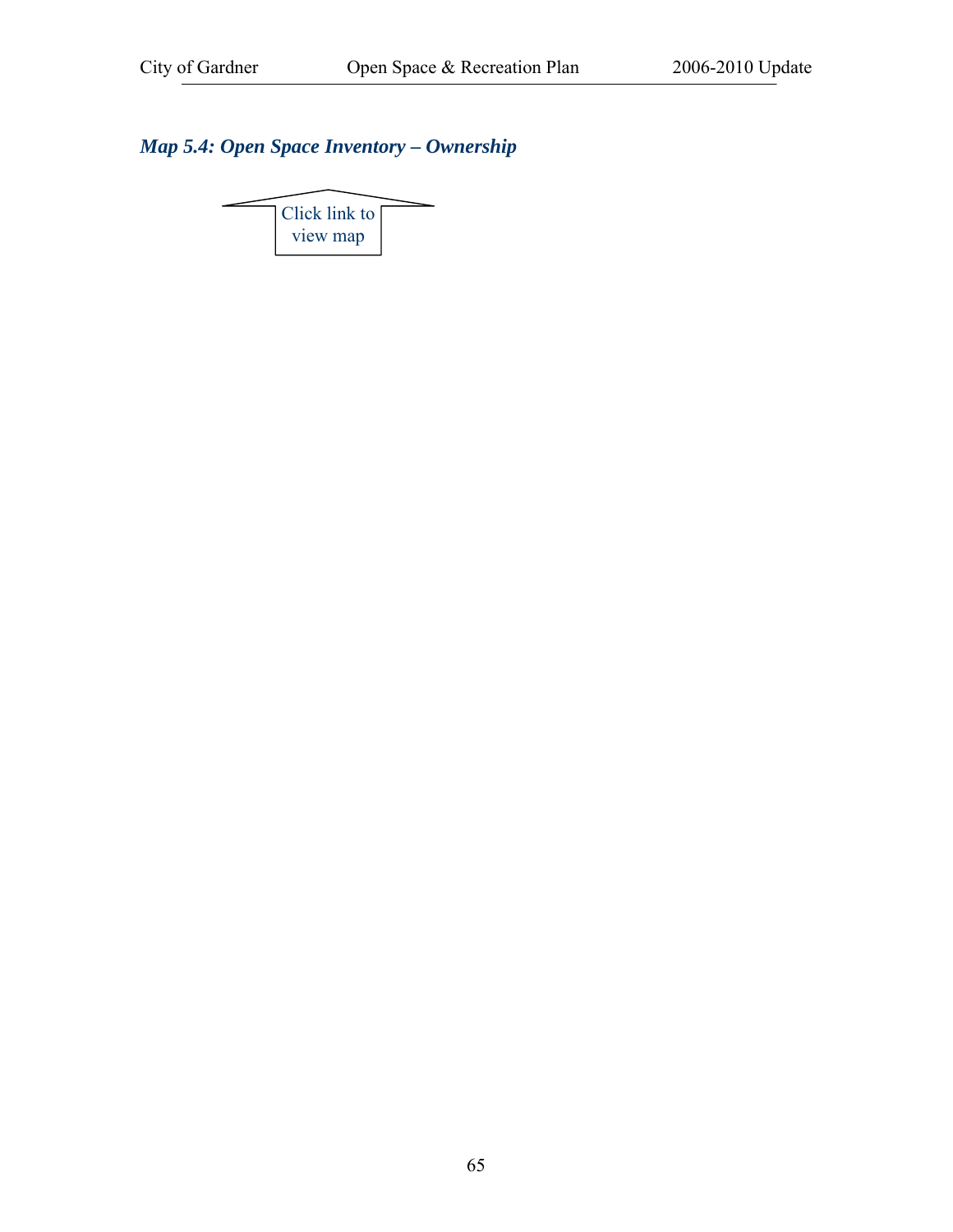## *[Map 5.4: Open Space Inventory – Ownership](http://www.gardner-ma.gov/Pages/GardnerMA_CommDev/OS/Map5.4.pdf)*

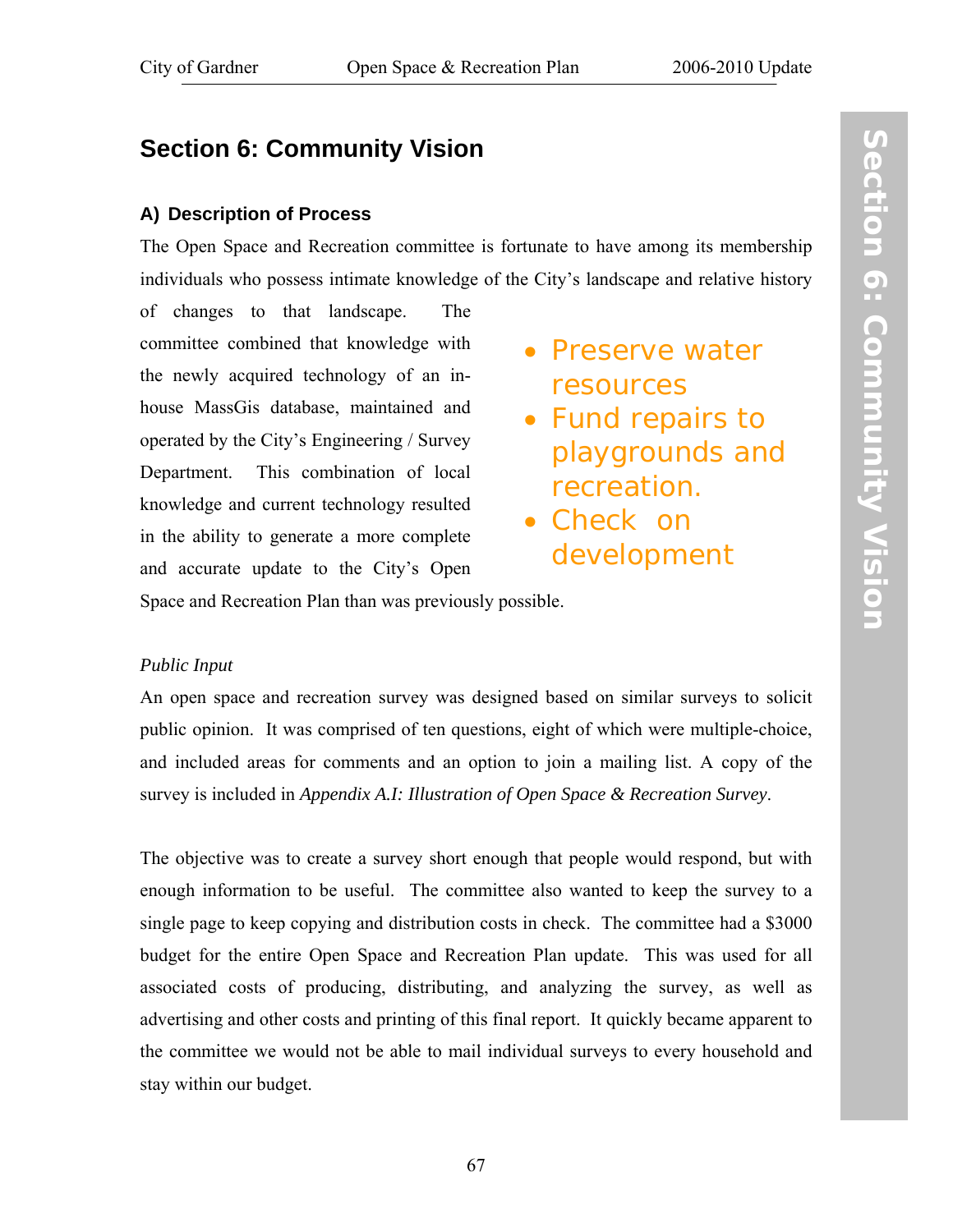# **Section 6: Community Vision**

#### **A) Description of Process**

The Open Space and Recreation committee is fortunate to have among its membership individuals who possess intimate knowledge of the City's landscape and relative history

of changes to that landscape. The committee combined that knowledge with the newly acquired technology of an inhouse MassGis database, maintained and operated by the City's Engineering / Survey Department. This combination of local knowledge and current technology resulted in the ability to generate a more complete and accurate update to the City's Open

- Preserve water resources
- Fund repairs to playgrounds and recreation.
- Check on development

Space and Recreation Plan than was previously possible.

#### *Public Input*

An open space and recreation survey was designed based on similar surveys to solicit public opinion. It was comprised of ten questions, eight of which were multiple-choice, and included areas for comments and an option to join a mailing list. A copy of the survey is included in *[Appendix A.I: Illustration of Open Space & Recreation Survey](#page-92-0)*.

The objective was to create a survey short enough that people would respond, but with enough information to be useful. The committee also wanted to keep the survey to a single page to keep copying and distribution costs in check. The committee had a \$3000 budget for the entire Open Space and Recreation Plan update. This was used for all associated costs of producing, distributing, and analyzing the survey, as well as advertising and other costs and printing of this final report. It quickly became apparent to the committee we would not be able to mail individual surveys to every household and stay within our budget.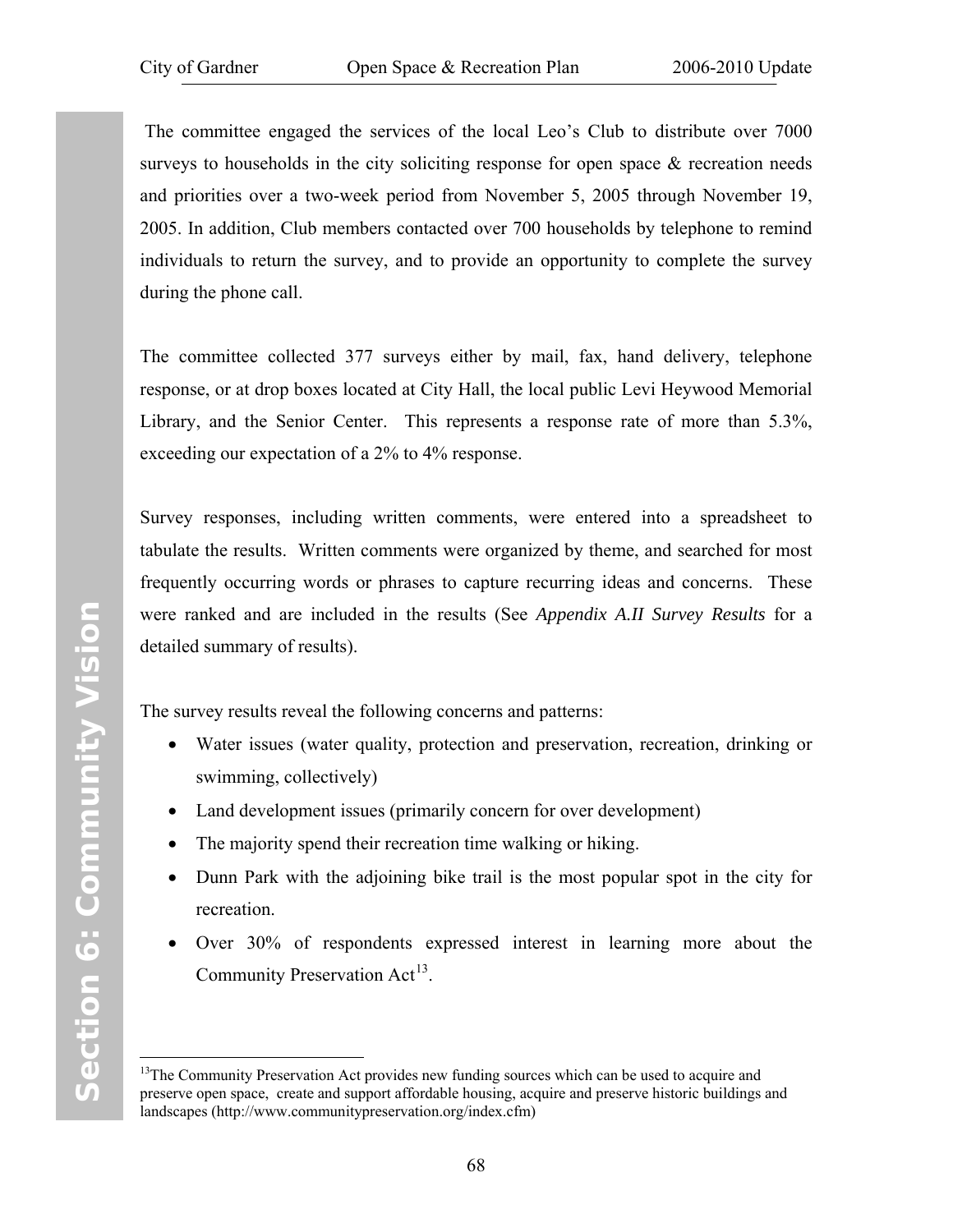The committee engaged the services of the local Leo's Club to distribute over 7000 surveys to households in the city soliciting response for open space  $\&$  recreation needs and priorities over a two-week period from November 5, 2005 through November 19, 2005. In addition, Club members contacted over 700 households by telephone to remind individuals to return the survey, and to provide an opportunity to complete the survey during the phone call.

The committee collected 377 surveys either by mail, fax, hand delivery, telephone response, or at drop boxes located at City Hall, the local public Levi Heywood Memorial Library, and the Senior Center. This represents a response rate of more than 5.3%, exceeding our expectation of a 2% to 4% response.

Survey responses, including written comments, were entered into a spreadsheet to tabulate the results. Written comments were organized by theme, and searched for most frequently occurring words or phrases to capture recurring ideas and concerns. These were ranked and are included in the results (See *[Appendix A.II Survey Results](#page-93-0)* for a detailed summary of results).

The survey results reveal the following concerns and patterns:

- Water issues (water quality, protection and preservation, recreation, drinking or swimming, collectively)
- Land development issues (primarily concern for over development)
- The majority spend their recreation time walking or hiking.
- Dunn Park with the adjoining bike trail is the most popular spot in the city for recreation.
- Over 30% of respondents expressed interest in learning more about the Community Preservation Act<sup>[1](#page-75-0)3</sup>.

 $\overline{a}$ 

<span id="page-75-0"></span><sup>&</sup>lt;sup>13</sup>The Community Preservation Act provides new funding sources which can be used to acquire and preserve open space, create and support affordable housing, acquire and preserve historic buildings and landscapes (http://www.communitypreservation.org/index.cfm)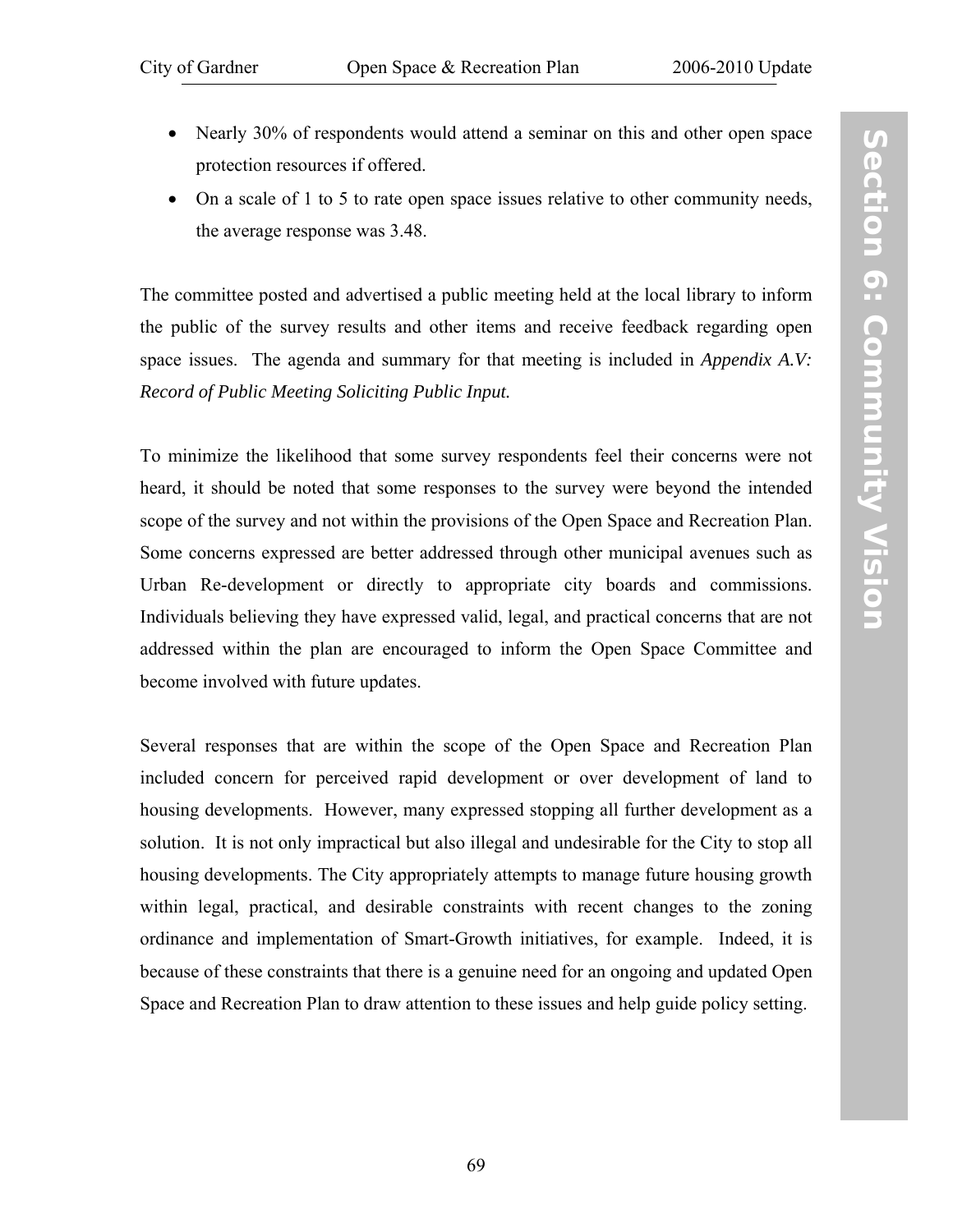- Nearly 30% of respondents would attend a seminar on this and other open space protection resources if offered.
- On a scale of 1 to 5 to rate open space issues relative to other community needs, the average response was 3.48.

The committee posted and advertised a public meeting held at the local library to inform the public of the survey results and other items and receive feedback regarding open space issues. The agenda and summary for that meeting is included in *[Appendix A.V](#page-97-0): [Record of Public Meeting Soliciting Public Input](#page-97-0).*

To minimize the likelihood that some survey respondents feel their concerns were not heard, it should be noted that some responses to the survey were beyond the intended scope of the survey and not within the provisions of the Open Space and Recreation Plan. Some concerns expressed are better addressed through other municipal avenues such as Urban Re-development or directly to appropriate city boards and commissions. Individuals believing they have expressed valid, legal, and practical concerns that are not addressed within the plan are encouraged to inform the Open Space Committee and become involved with future updates.

Several responses that are within the scope of the Open Space and Recreation Plan included concern for perceived rapid development or over development of land to housing developments. However, many expressed stopping all further development as a solution. It is not only impractical but also illegal and undesirable for the City to stop all housing developments. The City appropriately attempts to manage future housing growth within legal, practical, and desirable constraints with recent changes to the zoning ordinance and implementation of Smart-Growth initiatives, for example. Indeed, it is because of these constraints that there is a genuine need for an ongoing and updated Open Space and Recreation Plan to draw attention to these issues and help guide policy setting.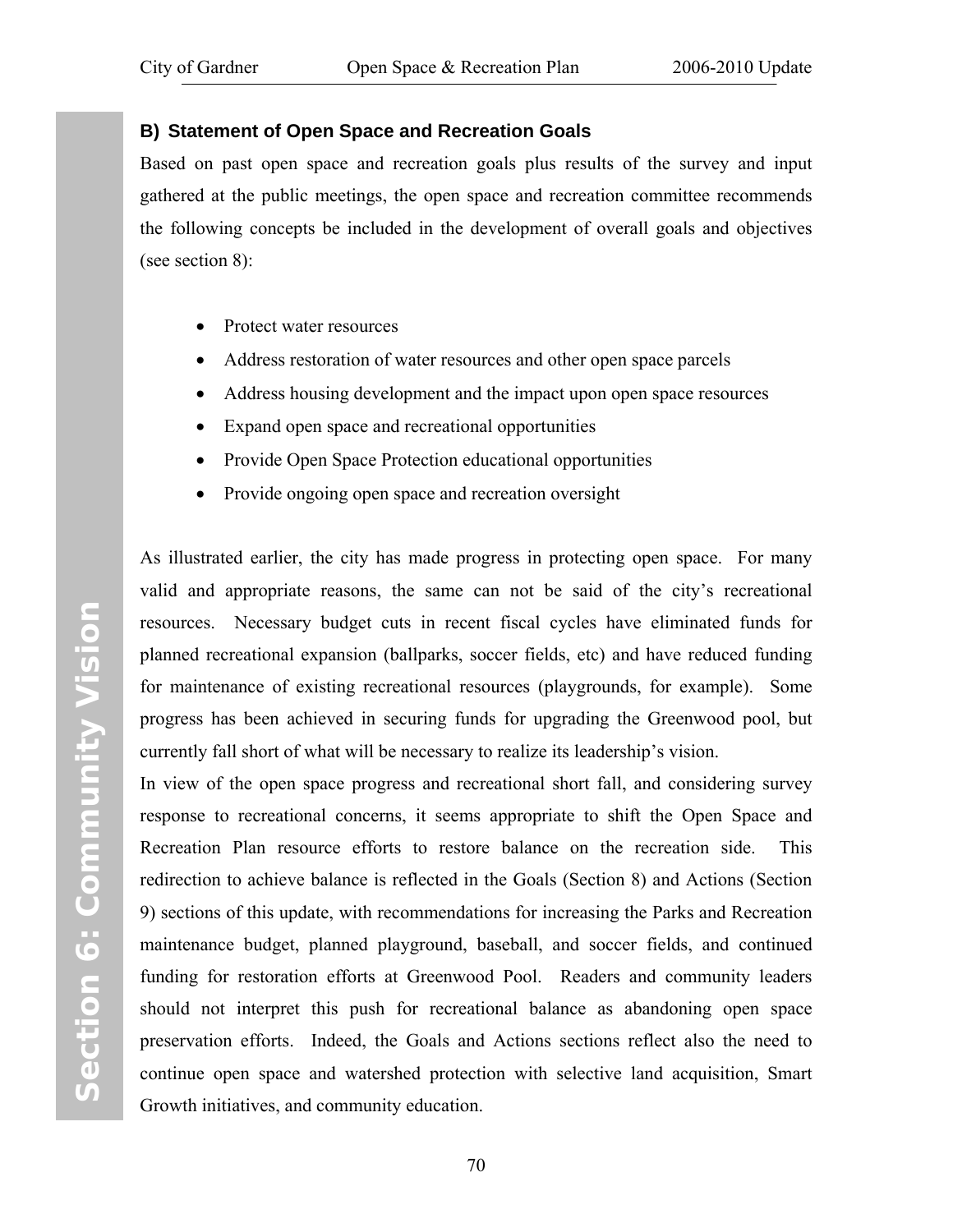#### **B) Statement of Open Space and Recreation Goals**

Based on past open space and recreation goals plus results of the survey and input gathered at the public meetings, the open space and recreation committee recommends the following concepts be included in the development of overall goals and objectives (see [section 8](#page-82-0)):

- Protect water resources
- Address restoration of water resources and other open space parcels
- Address housing development and the impact upon open space resources
- Expand open space and recreational opportunities
- Provide Open Space Protection educational opportunities
- Provide ongoing open space and recreation oversight

As illustrated earlier, the city has made progress in protecting open space. For many valid and appropriate reasons, the same can not be said of the city's recreational resources. Necessary budget cuts in recent fiscal cycles have eliminated funds for planned recreational expansion (ballparks, soccer fields, etc) and have reduced funding for maintenance of existing recreational resources (playgrounds, for example). Some progress has been achieved in securing funds for upgrading the Greenwood pool, but currently fall short of what will be necessary to realize its leadership's vision.

In view of the open space progress and recreational short fall, and considering survey response to recreational concerns, it seems appropriate to shift the Open Space and Recreation Plan resource efforts to restore balance on the recreation side. This redirection to achieve balance is reflected in the Goals ([Section 8\)](#page-82-0) and Actions ([Section](#page-84-0)  [9](#page-84-0)) sections of this update, with recommendations for increasing the Parks and Recreation maintenance budget, planned playground, baseball, and soccer fields, and continued funding for restoration efforts at Greenwood Pool. Readers and community leaders should not interpret this push for recreational balance as abandoning open space preservation efforts. Indeed, the Goals and Actions sections reflect also the need to continue open space and watershed protection with selective land acquisition, Smart Growth initiatives, and community education.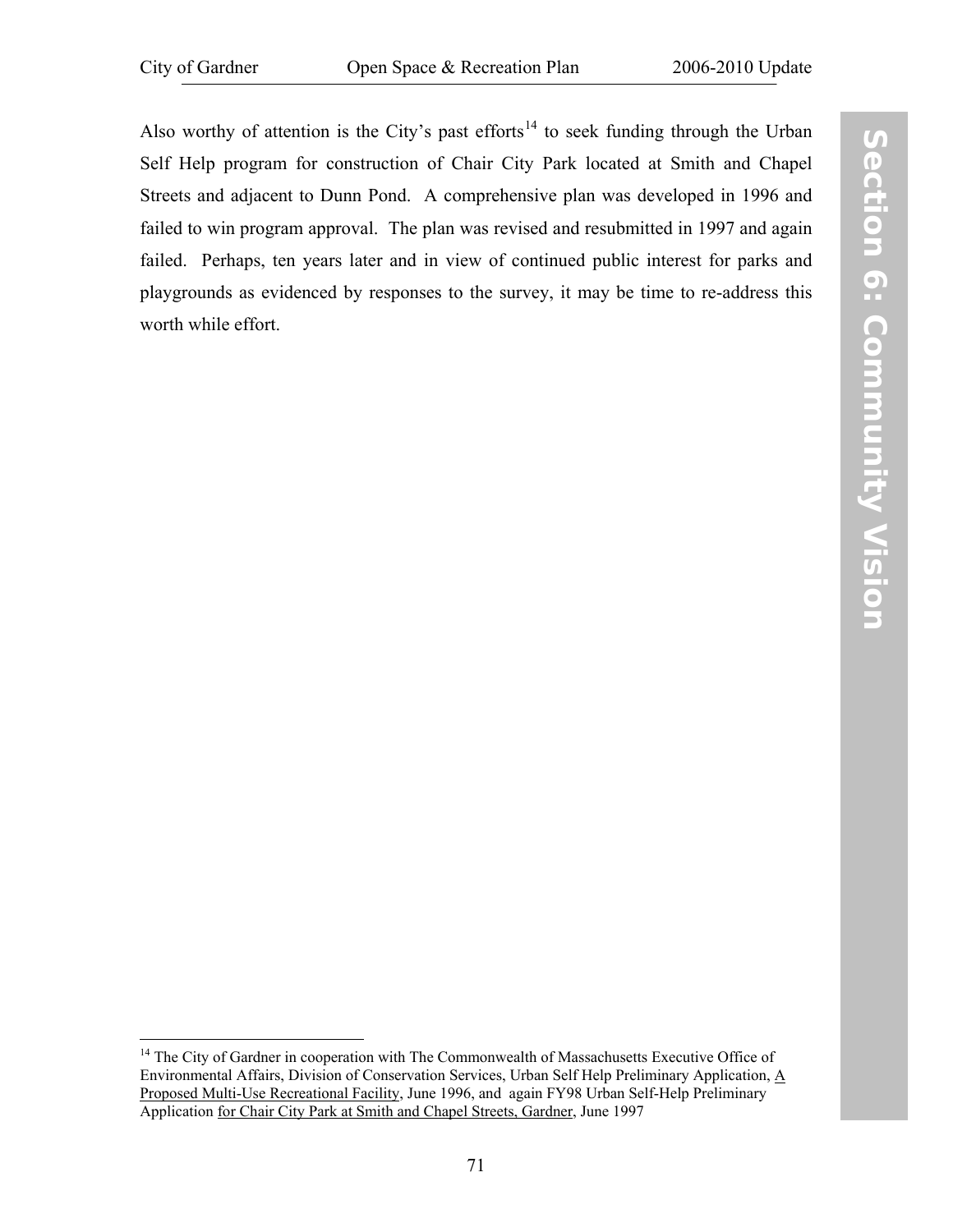Also worthy of attention is the City's past efforts<sup>[1](#page-78-0)4</sup> to seek funding through the Urban Self Help program for construction of Chair City Park located at Smith and Chapel Streets and adjacent to Dunn Pond. A comprehensive plan was developed in 1996 and failed to win program approval. The plan was revised and resubmitted in 1997 and again failed. Perhaps, ten years later and in view of continued public interest for parks and playgrounds as evidenced by responses to the survey, it may be time to re-address this worth while effort.

<span id="page-78-0"></span><sup>&</sup>lt;u>.</u> <sup>14</sup> The City of Gardner in cooperation with The Commonwealth of Massachusetts Executive Office of Environmental Affairs, Division of Conservation Services, Urban Self Help Preliminary Application, A Proposed Multi-Use Recreational Facility, June 1996, and again FY98 Urban Self-Help Preliminary Application for Chair City Park at Smith and Chapel Streets, Gardner, June 1997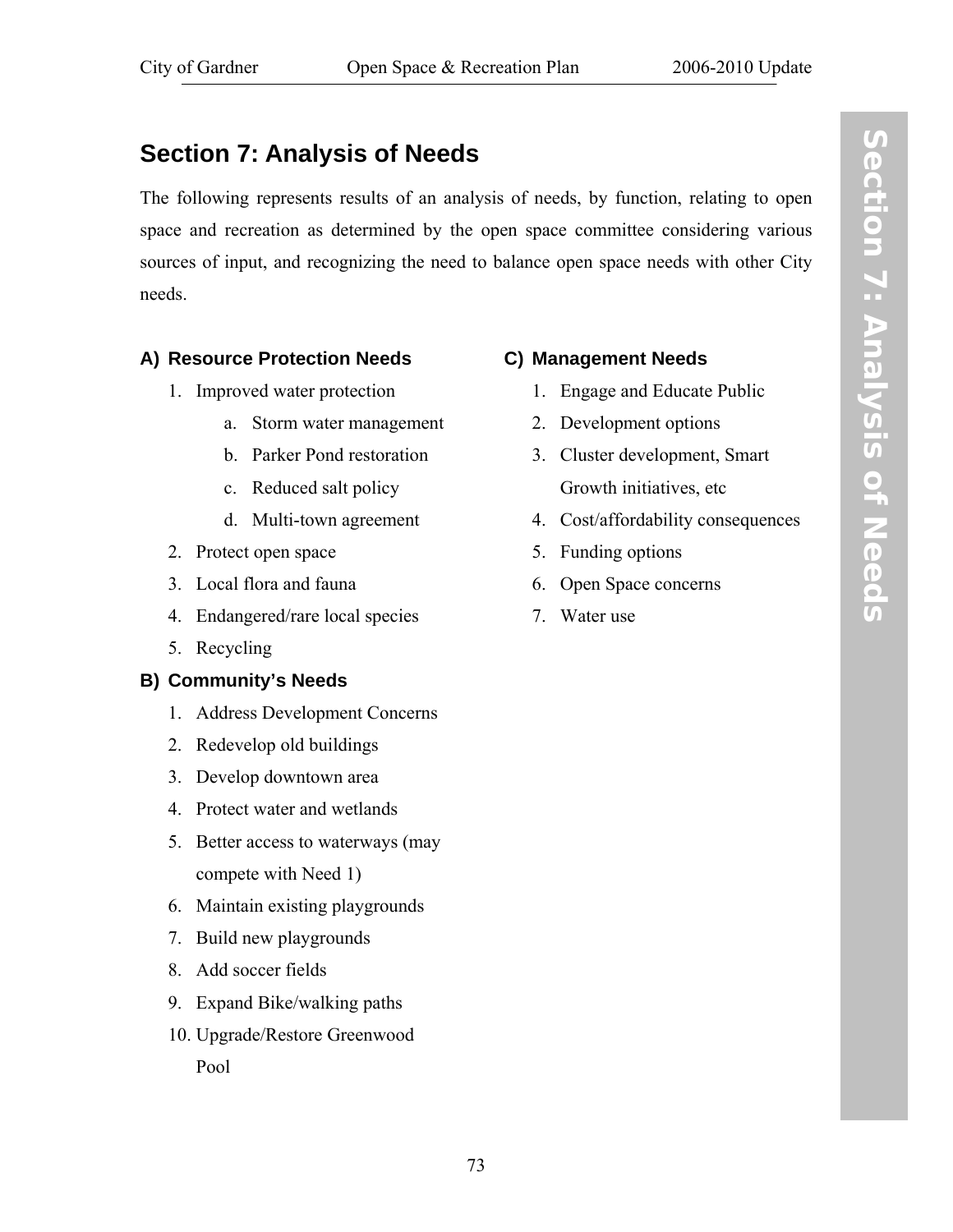# **Section 7: Analysis of Needs**

The following represents results of an analysis of needs, by function, relating to open space and recreation as determined by the open space committee considering various sources of input, and recognizing the need to balance open space needs with other City needs.

#### **A) Resource Protection Needs**

- 1. Improved water protection
	- a. Storm water management
	- b. Parker Pond restoration
	- c. Reduced salt policy
	- d. Multi-town agreement
- 2. Protect open space
- 3. Local flora and fauna
- 4. Endangered/rare local species
- 5. Recycling

#### **B) Community's Needs**

- 1. Address Development Concerns
- 2. Redevelop old buildings
- 3. Develop downtown area
- 4. Protect water and wetlands
- 5. Better access to waterways (may compete with Need 1)
- 6. Maintain existing playgrounds
- 7. Build new playgrounds
- 8. Add soccer fields
- 9. Expand Bike/walking paths
- 10. Upgrade/Restore Greenwood Pool

#### **C) Management Needs**

- 1. Engage and Educate Public
- 2. Development options
- 3. Cluster development, Smart Growth initiatives, etc
- 4. Cost/affordability consequences
- 5. Funding options
- 6. Open Space concerns
- 7. Water use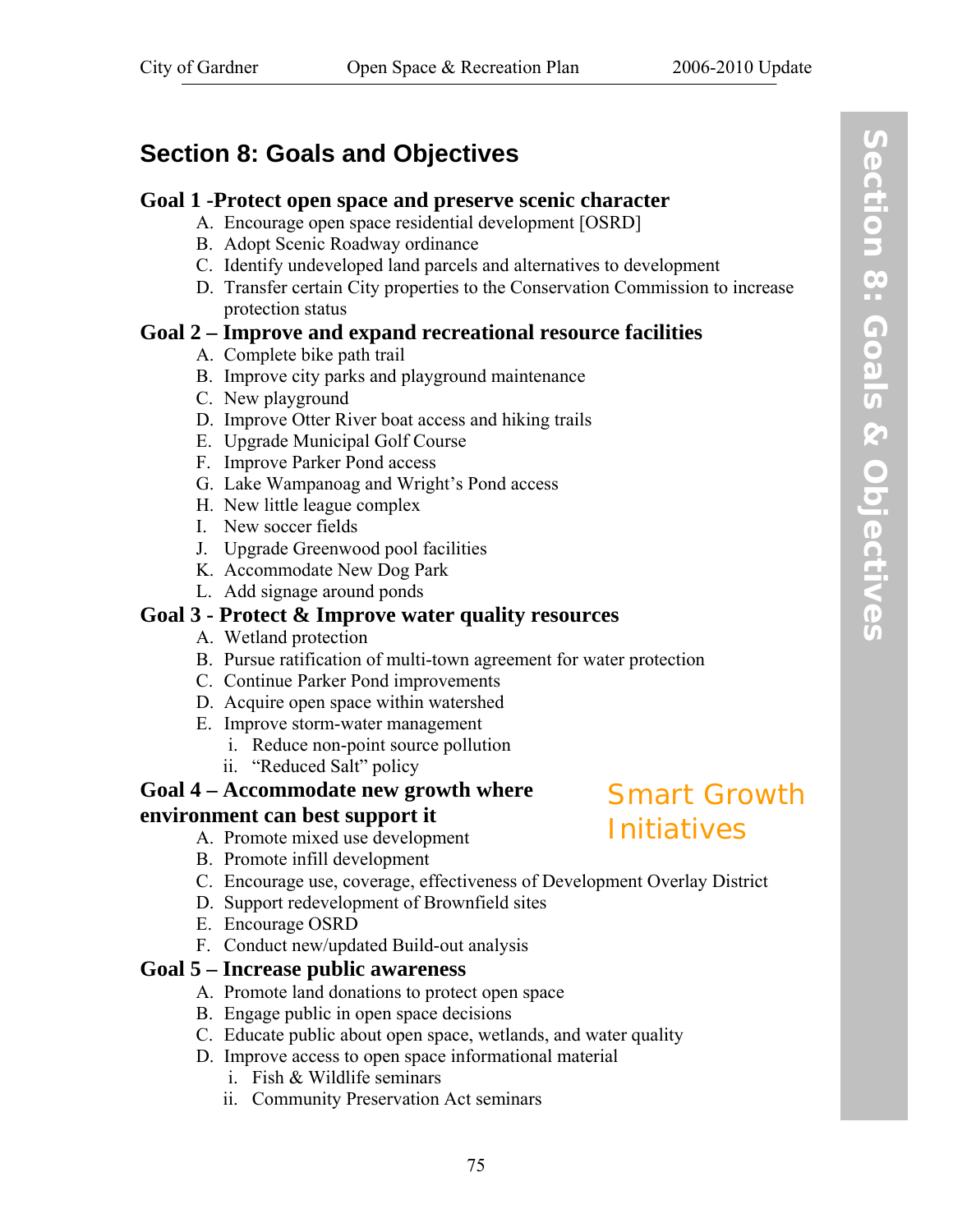# <span id="page-82-0"></span>**Section 8: Goals and Objectives**

#### **Goal 1 -Protect open space and preserve scenic character**

- A. Encourage open space residential development [OSRD]
- B. Adopt Scenic Roadway ordinance
- C. Identify undeveloped land parcels and alternatives to development
- D. Transfer certain City properties to the Conservation Commission to increase protection status

#### **Goal 2 – Improve and expand recreational resource facilities**

- A. Complete bike path trail
- B. Improve city parks and playground maintenance
- C. New playground
- D. Improve Otter River boat access and hiking trails
- E. Upgrade Municipal Golf Course
- F. Improve Parker Pond access
- G. Lake Wampanoag and Wright's Pond access
- H. New little league complex
- I. New soccer fields
- J. Upgrade Greenwood pool facilities
- K. Accommodate New Dog Park
- L. Add signage around ponds

### **Goal 3 - Protect & Improve water quality resources**

- A. Wetland protection
- B. Pursue ratification of multi-town agreement for water protection
- C. Continue Parker Pond improvements
- D. Acquire open space within watershed
- E. Improve storm-water management
	- i. Reduce non-point source pollution
	- ii. "Reduced Salt" policy

#### **Goal 4 – Accommodate new growth where environment can best support it**

- A. Promote mixed use development
- B. Promote infill development
- C. Encourage use, coverage, effectiveness of Development Overlay District
- D. Support redevelopment of Brownfield sites
- E. Encourage OSRD
- F. Conduct new/updated Build-out analysis

## **Goal 5 – Increase public awareness**

- A. Promote land donations to protect open space
- B. Engage public in open space decisions
- C. Educate public about open space, wetlands, and water quality
- D. Improve access to open space informational material
	- i. Fish & Wildlife seminars
	- ii. Community Preservation Act seminars

# Smart Growth Initiatives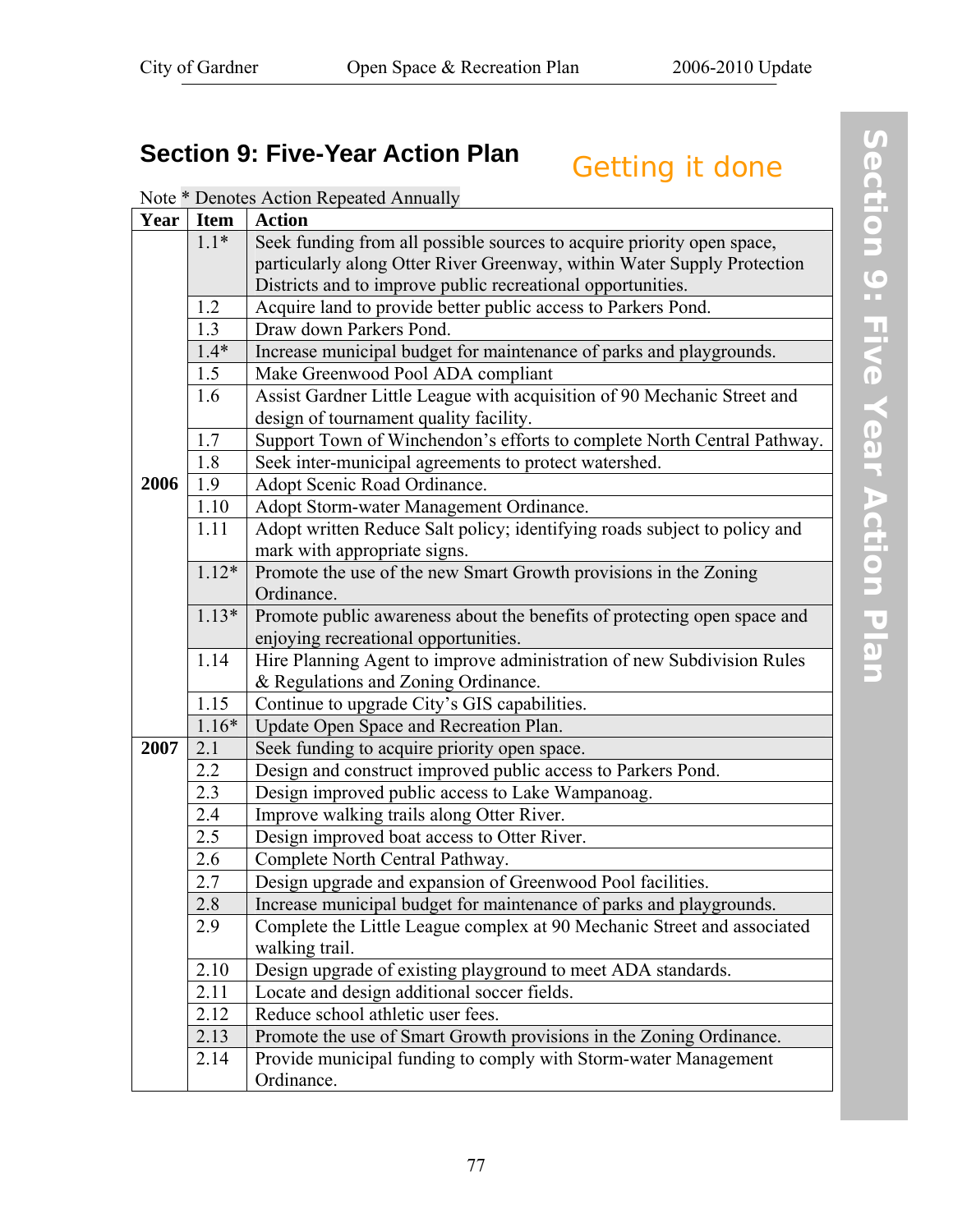# <span id="page-84-0"></span>**Section 9: Five-Year Action Plan Getting it done**

| Year | <b>Item</b> | <b>Action</b>                                                             |  |  |  |  |  |
|------|-------------|---------------------------------------------------------------------------|--|--|--|--|--|
|      | $1.1*$      | Seek funding from all possible sources to acquire priority open space,    |  |  |  |  |  |
|      |             | particularly along Otter River Greenway, within Water Supply Protection   |  |  |  |  |  |
|      |             | Districts and to improve public recreational opportunities.               |  |  |  |  |  |
|      | 1.2         | Acquire land to provide better public access to Parkers Pond.             |  |  |  |  |  |
|      | 1.3         | Draw down Parkers Pond.                                                   |  |  |  |  |  |
|      | $1.4*$      | Increase municipal budget for maintenance of parks and playgrounds.       |  |  |  |  |  |
|      | 1.5         | Make Greenwood Pool ADA compliant                                         |  |  |  |  |  |
|      | 1.6         | Assist Gardner Little League with acquisition of 90 Mechanic Street and   |  |  |  |  |  |
|      |             | design of tournament quality facility.                                    |  |  |  |  |  |
|      | 1.7         | Support Town of Winchendon's efforts to complete North Central Pathway.   |  |  |  |  |  |
|      | 1.8         | Seek inter-municipal agreements to protect watershed.                     |  |  |  |  |  |
| 2006 | 1.9         | Adopt Scenic Road Ordinance.                                              |  |  |  |  |  |
|      | 1.10        | Adopt Storm-water Management Ordinance.                                   |  |  |  |  |  |
|      | 1.11        | Adopt written Reduce Salt policy; identifying roads subject to policy and |  |  |  |  |  |
|      |             | mark with appropriate signs.                                              |  |  |  |  |  |
|      | $1.12*$     | Promote the use of the new Smart Growth provisions in the Zoning          |  |  |  |  |  |
|      |             | Ordinance.                                                                |  |  |  |  |  |
|      | $1.13*$     | Promote public awareness about the benefits of protecting open space and  |  |  |  |  |  |
|      |             | enjoying recreational opportunities.                                      |  |  |  |  |  |
|      | 1.14        | Hire Planning Agent to improve administration of new Subdivision Rules    |  |  |  |  |  |
|      |             | & Regulations and Zoning Ordinance.                                       |  |  |  |  |  |
|      | 1.15        | Continue to upgrade City's GIS capabilities.                              |  |  |  |  |  |
|      | $1.16*$     | Update Open Space and Recreation Plan.                                    |  |  |  |  |  |
| 2007 | 2.1         | Seek funding to acquire priority open space.                              |  |  |  |  |  |
|      | 2.2         | Design and construct improved public access to Parkers Pond.              |  |  |  |  |  |
|      | 2.3         | Design improved public access to Lake Wampanoag.                          |  |  |  |  |  |
|      | 2.4         | Improve walking trails along Otter River.                                 |  |  |  |  |  |
|      | 2.5         | Design improved boat access to Otter River.                               |  |  |  |  |  |
|      | 2.6         | Complete North Central Pathway.                                           |  |  |  |  |  |
|      | 2.7         | Design upgrade and expansion of Greenwood Pool facilities.                |  |  |  |  |  |
|      | 2.8         | Increase municipal budget for maintenance of parks and playgrounds.       |  |  |  |  |  |
|      | 2.9         | Complete the Little League complex at 90 Mechanic Street and associated   |  |  |  |  |  |
|      |             | walking trail.                                                            |  |  |  |  |  |
|      | 2.10        | Design upgrade of existing playground to meet ADA standards.              |  |  |  |  |  |
|      | 2.11        | Locate and design additional soccer fields.                               |  |  |  |  |  |
|      | 2.12        | Reduce school athletic user fees.                                         |  |  |  |  |  |
|      | 2.13        | Promote the use of Smart Growth provisions in the Zoning Ordinance.       |  |  |  |  |  |
|      | 2.14        | Provide municipal funding to comply with Storm-water Management           |  |  |  |  |  |
|      |             | Ordinance.                                                                |  |  |  |  |  |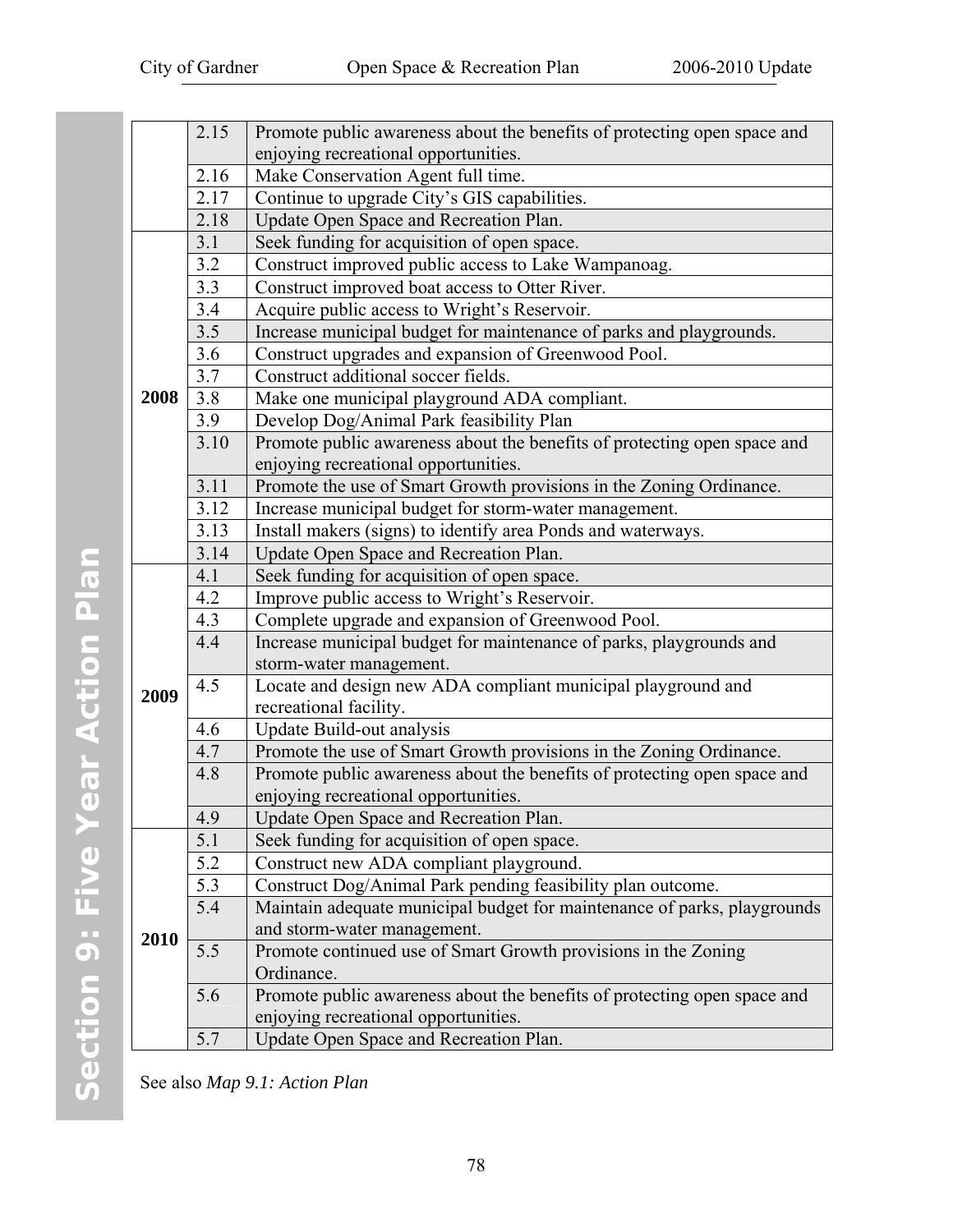|      | 2.15              | Promote public awareness about the benefits of protecting open space and |
|------|-------------------|--------------------------------------------------------------------------|
|      |                   | enjoying recreational opportunities.                                     |
|      | 2.16              | Make Conservation Agent full time.                                       |
|      | $\overline{2.17}$ | Continue to upgrade City's GIS capabilities.                             |
|      | 2.18              | Update Open Space and Recreation Plan.                                   |
|      | 3.1               | Seek funding for acquisition of open space.                              |
|      | $\overline{3.2}$  | Construct improved public access to Lake Wampanoag.                      |
|      | 3.3               | Construct improved boat access to Otter River.                           |
|      | $\overline{3.4}$  | Acquire public access to Wright's Reservoir.                             |
|      | 3.5               | Increase municipal budget for maintenance of parks and playgrounds.      |
|      | 3.6               | Construct upgrades and expansion of Greenwood Pool.                      |
|      | 3.7               | Construct additional soccer fields.                                      |
| 2008 | 3.8               | Make one municipal playground ADA compliant.                             |
|      | 3.9               | Develop Dog/Animal Park feasibility Plan                                 |
|      | 3.10              | Promote public awareness about the benefits of protecting open space and |
|      |                   | enjoying recreational opportunities.                                     |
|      | 3.11              | Promote the use of Smart Growth provisions in the Zoning Ordinance.      |
|      | 3.12              | Increase municipal budget for storm-water management.                    |
|      | 3.13              | Install makers (signs) to identify area Ponds and waterways.             |
|      | 3.14              | Update Open Space and Recreation Plan.                                   |
|      | 4.1               | Seek funding for acquisition of open space.                              |
|      | 4.2               | Improve public access to Wright's Reservoir.                             |
|      | 4.3               | Complete upgrade and expansion of Greenwood Pool.                        |
|      | 4.4               | Increase municipal budget for maintenance of parks, playgrounds and      |
|      |                   | storm-water management.                                                  |
| 2009 | 4.5               | Locate and design new ADA compliant municipal playground and             |
|      |                   | recreational facility.                                                   |
|      | 4.6               | Update Build-out analysis                                                |
|      | 4.7               | Promote the use of Smart Growth provisions in the Zoning Ordinance.      |
|      | 4.8               | Promote public awareness about the benefits of protecting open space and |
|      |                   | enjoying recreational opportunities.                                     |
|      | 4.9               | Update Open Space and Recreation Plan.                                   |
|      | 5.1               | Seek funding for acquisition of open space.                              |
|      | 5.2               | Construct new ADA compliant playground.                                  |
|      | 5.3               | Construct Dog/Animal Park pending feasibility plan outcome.              |
|      | 5.4               | Maintain adequate municipal budget for maintenance of parks, playgrounds |
| 2010 |                   | and storm-water management.                                              |
|      | 5.5               | Promote continued use of Smart Growth provisions in the Zoning           |
|      |                   | Ordinance.                                                               |
|      | 5.6               | Promote public awareness about the benefits of protecting open space and |
|      |                   | enjoying recreational opportunities.                                     |
|      | 5.7               | Update Open Space and Recreation Plan.                                   |

See also *[Map 9.1: Action Plan](http://www.gardner-ma.gov/Pages/GardnerMA_CommDev/OS/Map9.1.pdf)*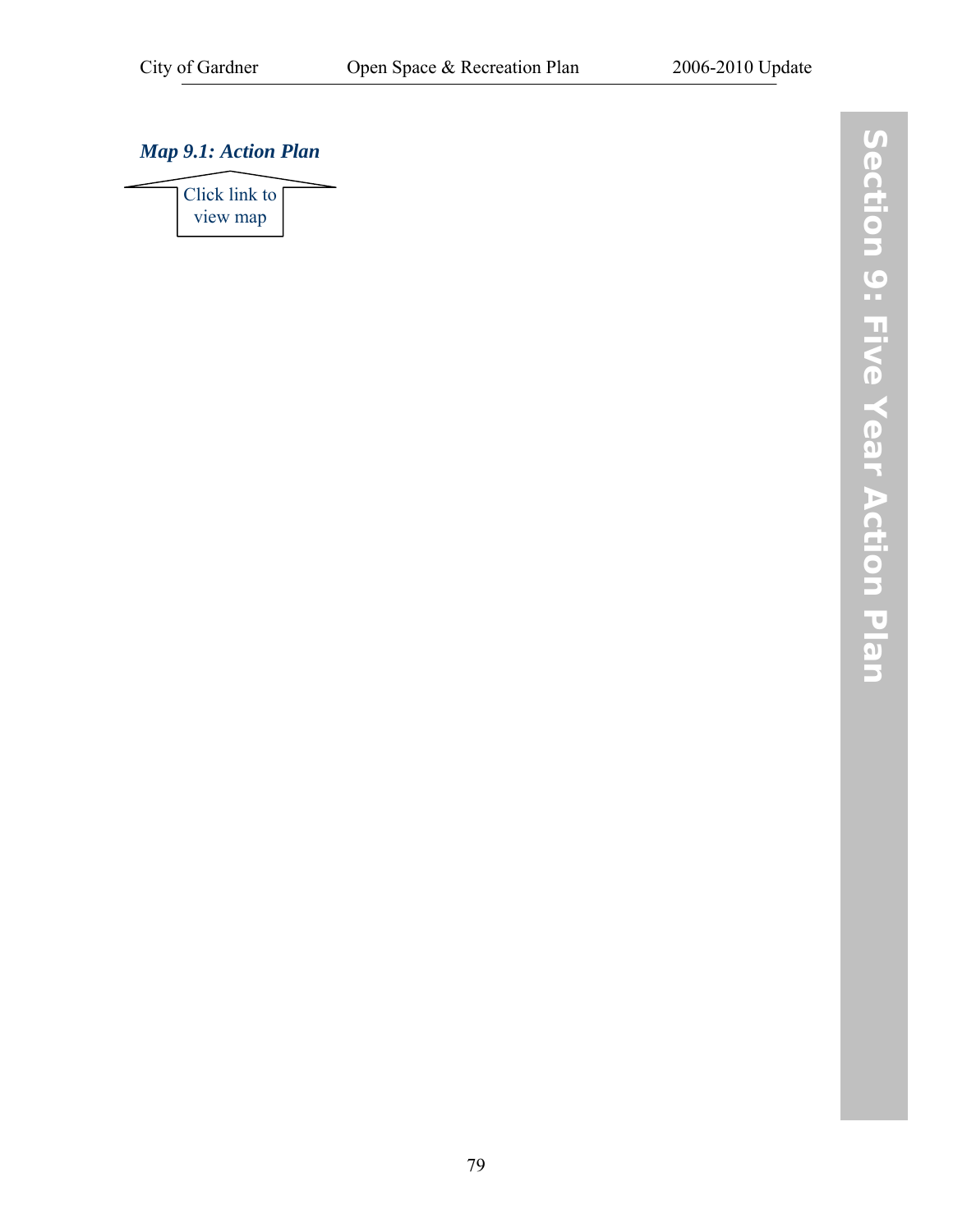### *[Map 9.1: Action Plan](http://www.gardner-ma.gov/Pages/GardnerMA_CommDev/OS/Map9.1.pdf)*

Click link to view map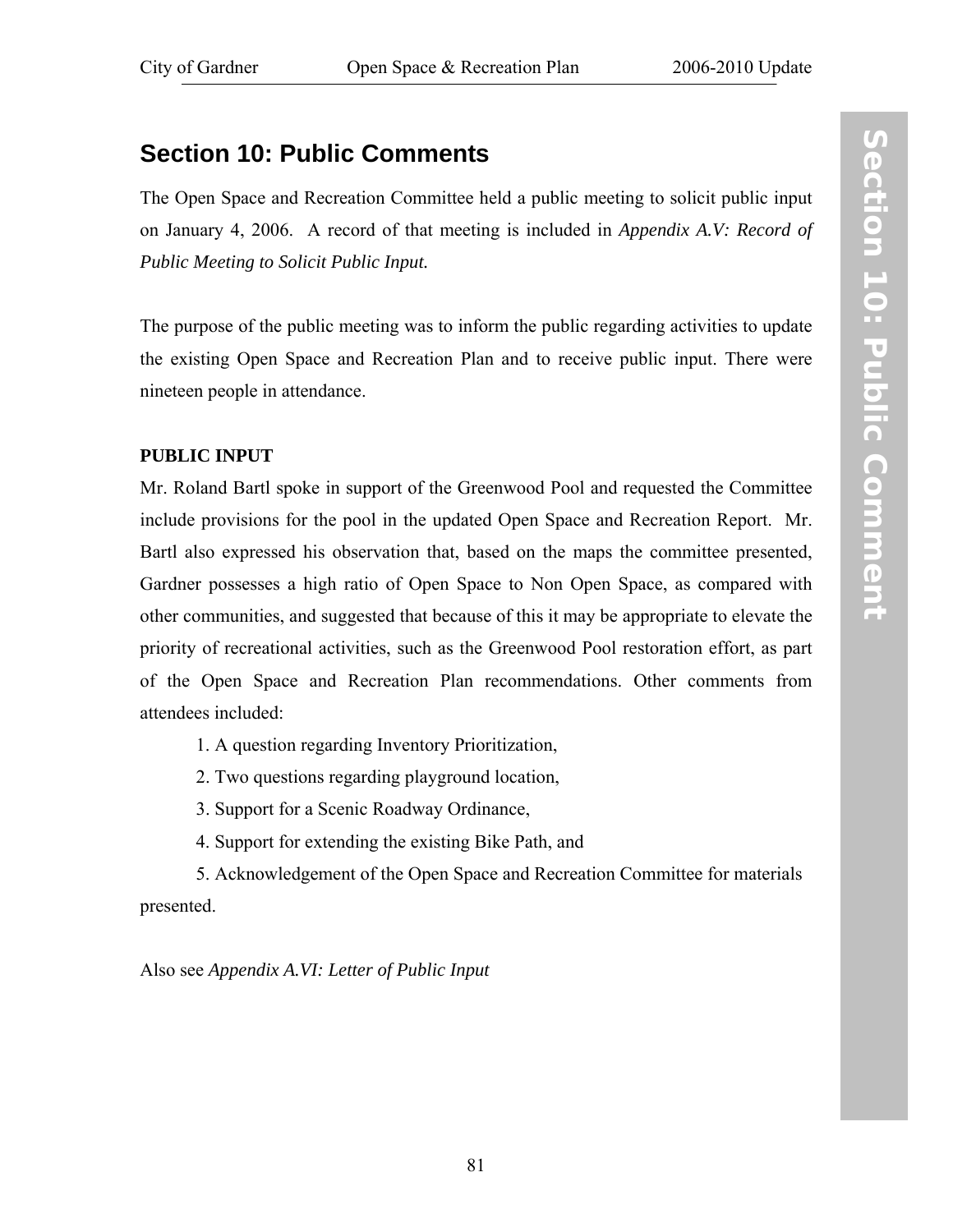# **Section 10: Public Comments**

The Open Space and Recreation Committee held a public meeting to solicit public input on January 4, 2006. A record of that meeting is included in *[Appendix A.V: Record of](#page-97-0) [Public Meeting to Solicit Public Input](#page-97-0).*

The purpose of the public meeting was to inform the public regarding activities to update the existing Open Space and Recreation Plan and to receive public input. There were nineteen people in attendance.

#### **PUBLIC INPUT**

Mr. Roland Bartl spoke in support of the Greenwood Pool and requested the Committee include provisions for the pool in the updated Open Space and Recreation Report. Mr. Bartl also expressed his observation that, based on the maps the committee presented, Gardner possesses a high ratio of Open Space to Non Open Space, as compared with other communities, and suggested that because of this it may be appropriate to elevate the priority of recreational activities, such as the Greenwood Pool restoration effort, as part of the Open Space and Recreation Plan recommendations. Other comments from attendees included:

1. A question regarding Inventory Prioritization,

2. Two questions regarding playground location,

3. Support for a Scenic Roadway Ordinance,

4. Support for extending the existing Bike Path, and

 5. Acknowledgement of the Open Space and Recreation Committee for materials presented.

Also see *[Appendix A.VI: Letter of Public Input](#page-99-0)*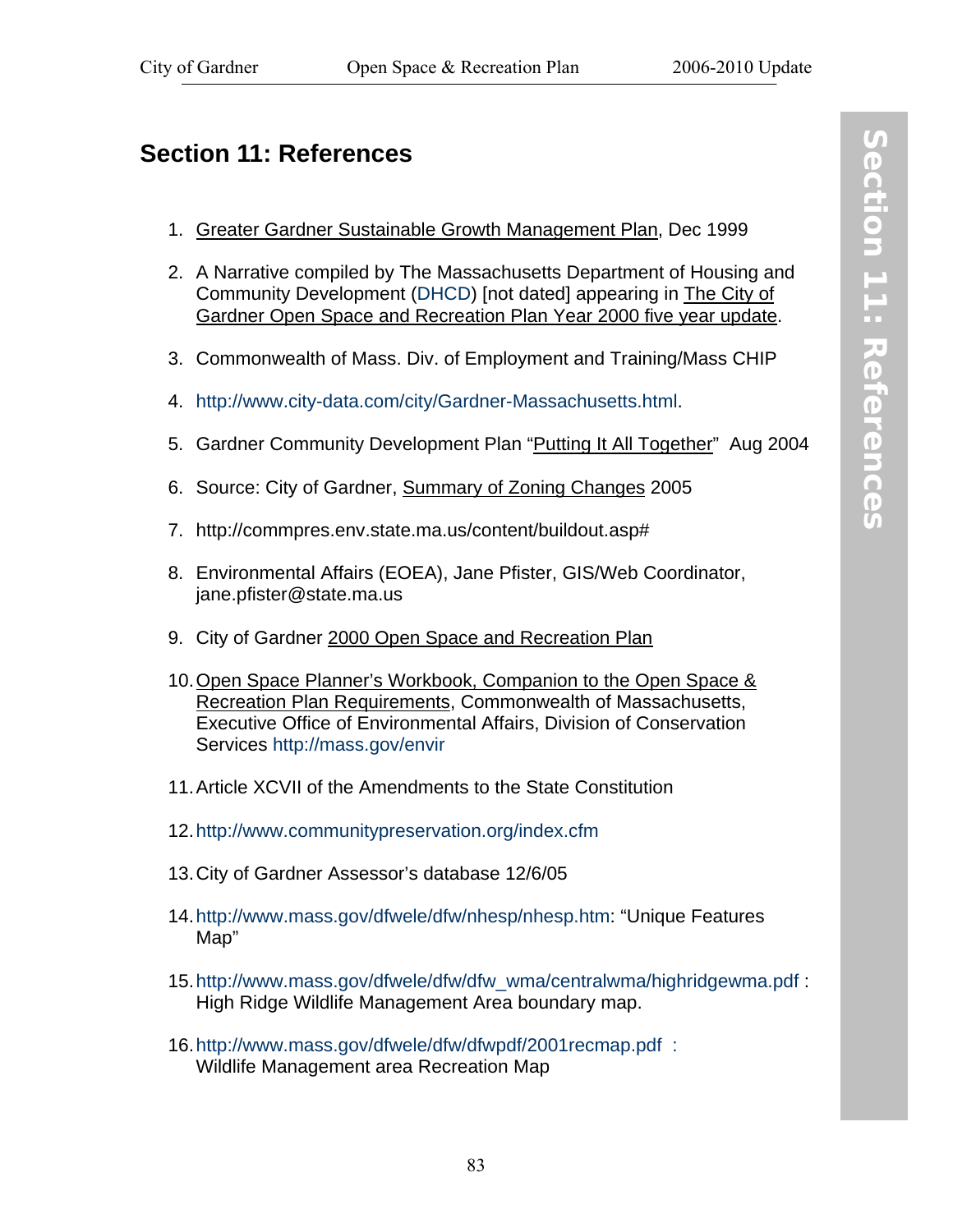## **Section 11: References**

- 1. Greater Gardner Sustainable Growth Management Plan, Dec 1999
- 2. A Narrative compiled by The Massachusetts Department of Housing and Community Development (DHCD) [not dated] appearing in The City of Gardner Open Space and Recreation Plan Year 2000 five year update.
- 3. Commonwealth of Mass. Div. of Employment and Training/Mass CHIP
- 4. http://www.city-data.com/city/Gardner-Massachusetts.html.
- 5. Gardner Community Development Plan "Putting It All Together" Aug 2004
- 6. Source: City of Gardner, Summary of Zoning Changes 2005
- 7. http://commpres.env.state.ma.us/content/buildout.asp#
- 8. Environmental Affairs (EOEA), Jane Pfister, GIS/Web Coordinator, jane.pfister@state.ma.us
- 9. City of Gardner 2000 Open Space and Recreation Plan
- 10. Open Space Planner's Workbook, Companion to the Open Space & Recreation Plan Requirements, Commonwealth of Massachusetts, Executive Office of Environmental Affairs, Division of Conservation Services http://mass.gov/envir
- 11. Article XCVII of the Amendments to the State Constitution
- 12. http://www.communitypreservation.org/index.cfm
- 13. City of Gardner Assessor's database 12/6/05
- 14. http://www.mass.gov/dfwele/dfw/nhesp/nhesp.htm: "Unique Features Map"
- 15. http://www.mass.gov/dfwele/dfw/dfw\_wma/centralwma/highridgewma.pdf : High Ridge Wildlife Management Area boundary map.
- 16. http://www.mass.gov/dfwele/dfw/dfwpdf/2001recmap.pdf : Wildlife Management area Recreation Map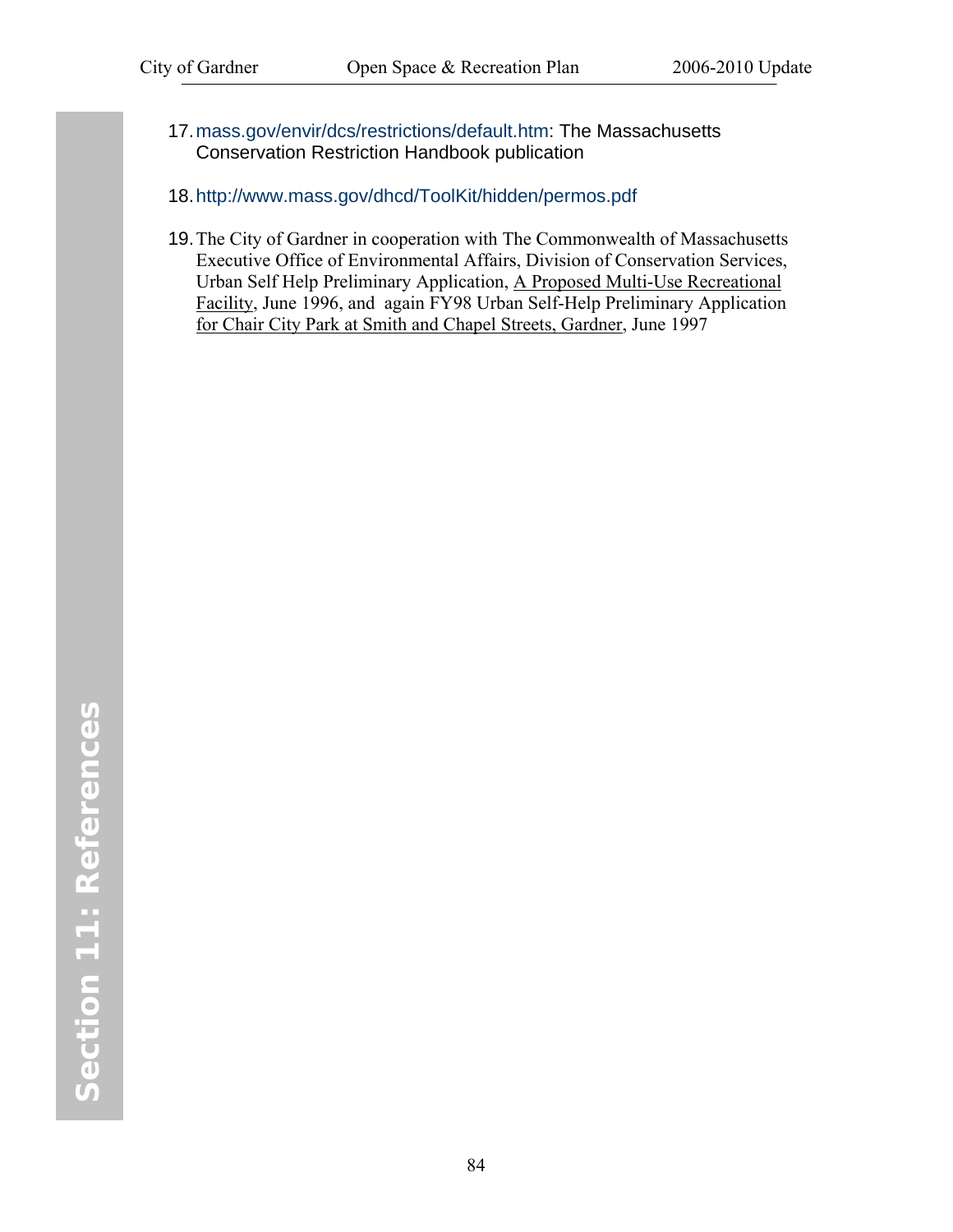- 17. mass.gov/envir/dcs/restrictions/default.htm: The Massachusetts Conservation Restriction Handbook publication
- 18. http://www.mass.gov/dhcd/ToolKit/hidden/permos.pdf
- 19. The City of Gardner in cooperation with The Commonwealth of Massachusetts Executive Office of Environmental Affairs, Division of Conservation Services, Urban Self Help Preliminary Application, A Proposed Multi-Use Recreational Facility, June 1996, and again FY98 Urban Self-Help Preliminary Application for Chair City Park at Smith and Chapel Streets, Gardner, June 1997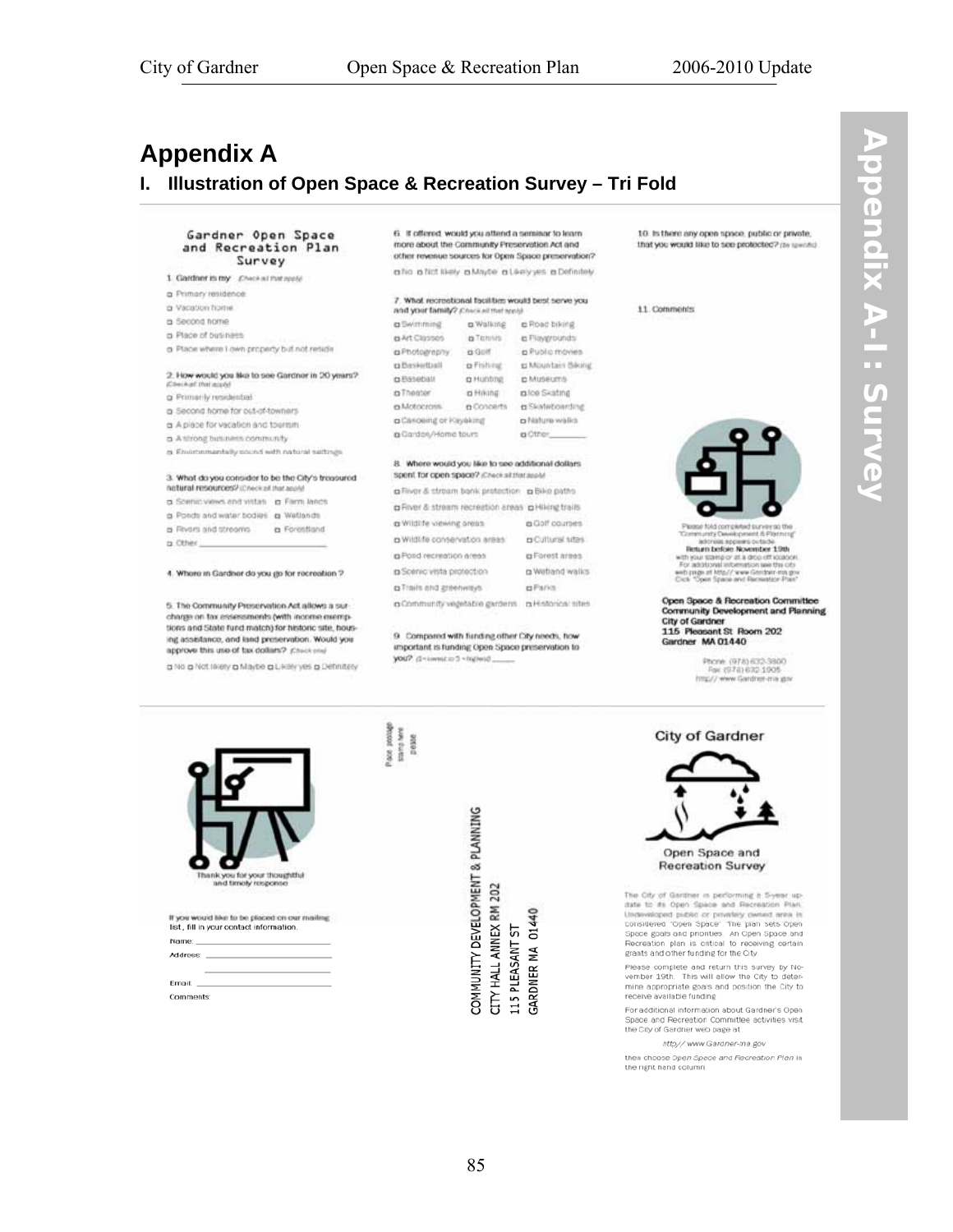# <span id="page-92-0"></span>**Appendix A**

#### I. Illustration of Open Space & Recreation Survey - Tri Fold

#### Gardner Open Space and Recreation Plan Survey

- 1. Gardner is my Check at thit reale
- a Primary residence
- a Vacation home
- a Second home
- a Place of business
- a Place where I own property but not retade

#### 2. How would you blot to see Gardner in 20 years?

- a Primarily residential
- a Second home for out-of-towners
- a Apiece for vacation and tournm.
- a Antrong business community
- a Environmentally sound with natural settings

#### 3. What do you consider to be the City's treasured hateral resources? (Check of that a

- a Source views and vistas a Farm lands
- a Ponds and water bodies a Wetlands
- a Rivers and streams a Forestland
- $a$  Other

#### 4. Where in Gardner do you go for recreation ?

5. The Community Preservation Act allows a surcharge on tax assessments (with income exemptions and State fund match) for historic site, housing assistance, and land preservation. Would you approve this use of tax dollars? Check and

a No a Not revery a Maybe a Likely ves a Definitiely

#### 6. If offered, would you attend a seminar to learn more about the Community Preservation Act and other revenue sources for Open Space preservation?

a No a Not Nely a Milyte a Likely yes a Definitely

| 7. What recreational facilities would best serve you |
|------------------------------------------------------|
| and your family? Chara all that annul                |
| The party of the first state of the con-             |

| <b>CA COMMUNITY RESIDENCE</b>                | <b>LI TY IN BUILDING</b> | <b>C</b> LONG NUCK                                 |
|----------------------------------------------|--------------------------|----------------------------------------------------|
| <b>BArt Classes</b>                          | a Tennis                 | e Playgrounds:                                     |
| a Photography                                | ts Golf                  | <b>p</b> Public movies                             |
| tladfreeding                                 | p Fishing                | g Miuntais Biking                                  |
| a Baseball                                   | a Hunting                | p Museums                                          |
| a Theater                                    | o Hiking                 | raice Skating                                      |
| a Motocrass.                                 | a Concerts               | <b>D</b> Skilleboarding                            |
| a Canceing or Kayaking                       |                          | a Nature walks                                     |
| a Gardon/Home tours                          |                          | a Cther                                            |
| Spent for open space? (Check all that apple) |                          | 8. Where would you like to see additional dollars. |
|                                              |                          | a River & stream bank pretection a Bike paths      |
|                                              |                          | p Fiver & stream recreation areas p Hilling trails |
| a Wildlife viewing orean                     | a Golf courses           |                                                    |
| a Wildlife conservation areas:               |                          | <b>p</b> Cultural sites:                           |
| a Pond recreation areas                      |                          | a Forest areas                                     |
| a Scénic vista protection                    |                          | ra Wetland walks                                   |

a Community vegetable gardens a Historical sites

**p**Parks

a Trails and greenways

9. Compared with funding other City needs, how important is funding Open Space preservation to breitain Corporate D. Stroy

10. In there any open space, public or private, that you would like to see protected? (se seems)

11. Comments



tus behalams Tammung Development & Pastman<br>
Indicate a power outside<br>
When below November 1986<br>
Why was stamp or all a drop off looked<br>
Why was stamp or all at drop off looked the<br>
why pays after the wave Generator Past<br>
Why was Space

Open Space & Recreation Committee Community Development and Planning City of Gardner<br>115 Pleasant St Room 202<br>Gardner MA 01440

> Phone: (978) 632-3800<br>Fax: (978) 632-1905 http://www.Gardner-ma.gov



If you would like to be placed on our mailing.<br>list, fill in your contact information. Name: Address:

Email: Comments

sanplene<br>peace ace posts

> COMMUNITY DEVELOPMENT & PLANNING CITY HALL ANNEX RM 202 01440 L15 PLEASANT ST ≸ GARDNER



The Oity of Gertiner in performing a S-year up-<br>date to its Open Space and Recreation Plan. Underweisert public or privating owned and it<br>considered Topen Space . The plan sets Open<br>Space goals and priorities. An Open Space and Recreation plan is critical to receiving certain grants and other funding for the City.

Please complete and return this survey by November 19th. This will allow the City to determine appropriate goals and position the City to receive available funding.

For additional information about Gardner's Open<br>Space and Recreation Committee activities visit the City of Gardner web page at:

http//.www.Gardner-ma.gov

then choose Open Space and Recreation Plan in the right hand column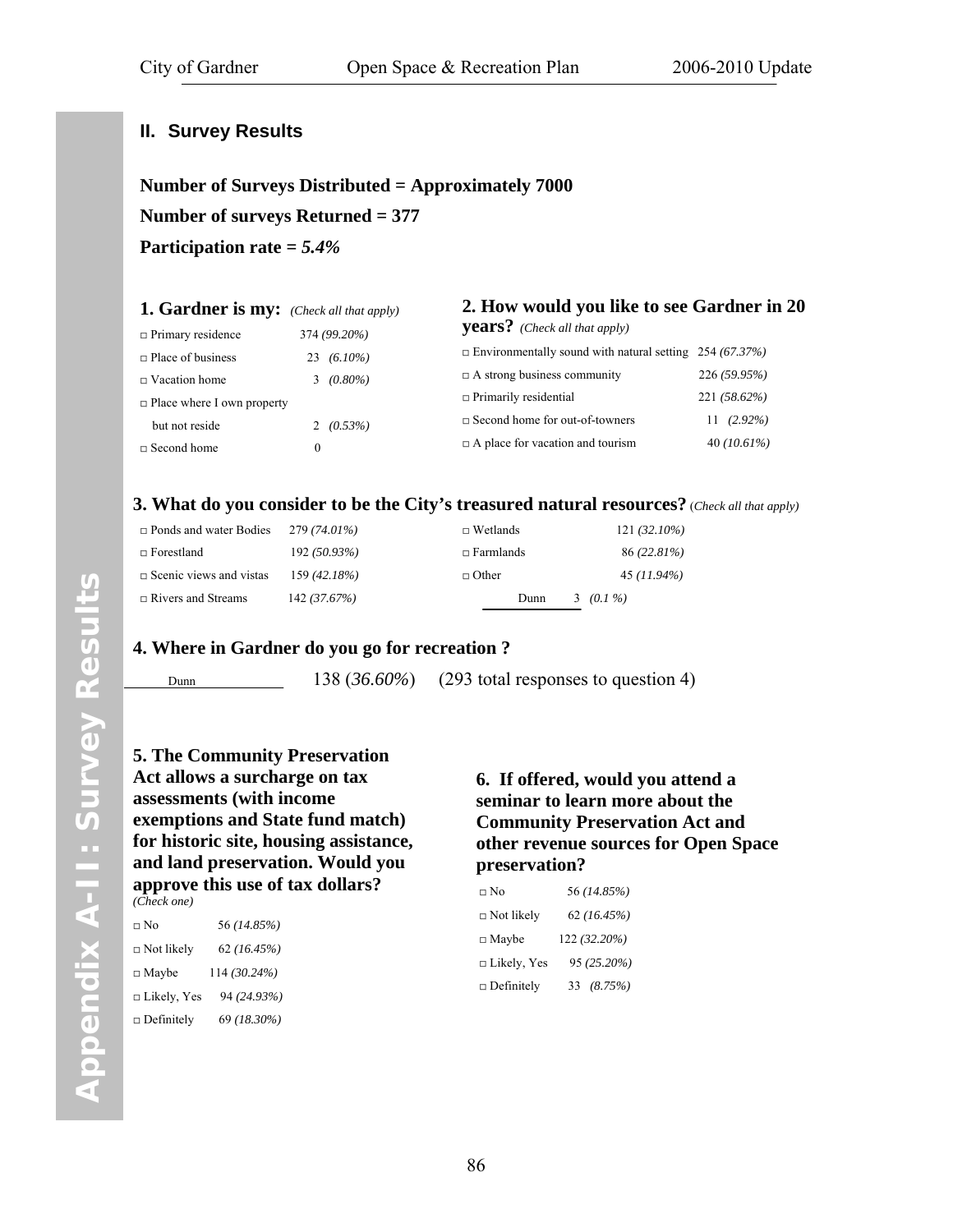#### <span id="page-93-0"></span>**II. Survey Results**

**Number of Surveys Distributed = Approximately 7000 Number of surveys Returned = 377 Participation rate =** *5.4%* 

| <b>1. Gardner is my:</b> (Check all that apply) |          |               | 2. How would you like to see Gardner in 20                     |                |
|-------------------------------------------------|----------|---------------|----------------------------------------------------------------|----------------|
| $\Box$ Primary residence                        |          | 374 (99.20%)  | <b>years?</b> (Check all that apply)                           |                |
| $\Box$ Place of business                        |          | 23 $(6.10\%)$ | $\Box$ Environmentally sound with natural setting 254 (67.37%) |                |
| $\Box$ Vacation home                            |          | $3(0.80\%)$   | $\Box$ A strong business community                             | 226 (59.95%)   |
| $\Box$ Place where I own property               |          |               | $\Box$ Primarily residential                                   | 221 (58.62%)   |
| but not reside                                  |          | 2 $(0.53\%)$  | $\Box$ Second home for out-of-towners                          | $(2.92\%)$     |
| $\Box$ Second home                              | $\theta$ |               | $\Box$ A place for vacation and tourism                        | 40 $(10.61\%)$ |

#### **3. What do you consider to be the City's treasured natural resources?** (*Check all that apply)*

| $\Box$ Ponds and water Bodies  | 279 (74.01%) | $\Box$ Wetlands  | $121(32.10\%)$ |
|--------------------------------|--------------|------------------|----------------|
| $\Box$ Forestland              | 192 (50.93%) | $\Box$ Farmlands | 86 (22.81%)    |
| $\Box$ Scenic views and vistas | 159 (42.18%) | $\Box$ Other     | 45 (11.94%)    |
| $\Box$ Rivers and Streams      | 142 (37.67%) | Dunn             | 3 $(0.1\%)$    |

#### **4. Where in Gardner do you go for recreation ?**

Dunn 138 (36.60%) (293 total responses to question 4)

**5. The Community Preservation Act allows a surcharge on tax assessments (with income exemptions and State fund match) for historic site, housing assistance, and land preservation. Would you approve this use of tax dollars?**  *(Check one)*

□ No 56 *(14.85%)* □ Not likely 62 *(16.45%)* □ Maybe 114 *(30.24%)* □ Likely, Yes 94 *(24.93%)* □ Definitely 69 *(18.30%)* 

#### **6. If offered, would you attend a seminar to learn more about the Community Preservation Act and other revenue sources for Open Space preservation?**

| □ No               | 56 (14.85%)   |
|--------------------|---------------|
| $\Box$ Not likely  | 62(16.45%)    |
| $\Box$ Maybe       | 122 (32.20%)  |
| $\Box$ Likely, Yes | 95 (25.20%)   |
| $\Box$ Definitely  | (8.75%)<br>33 |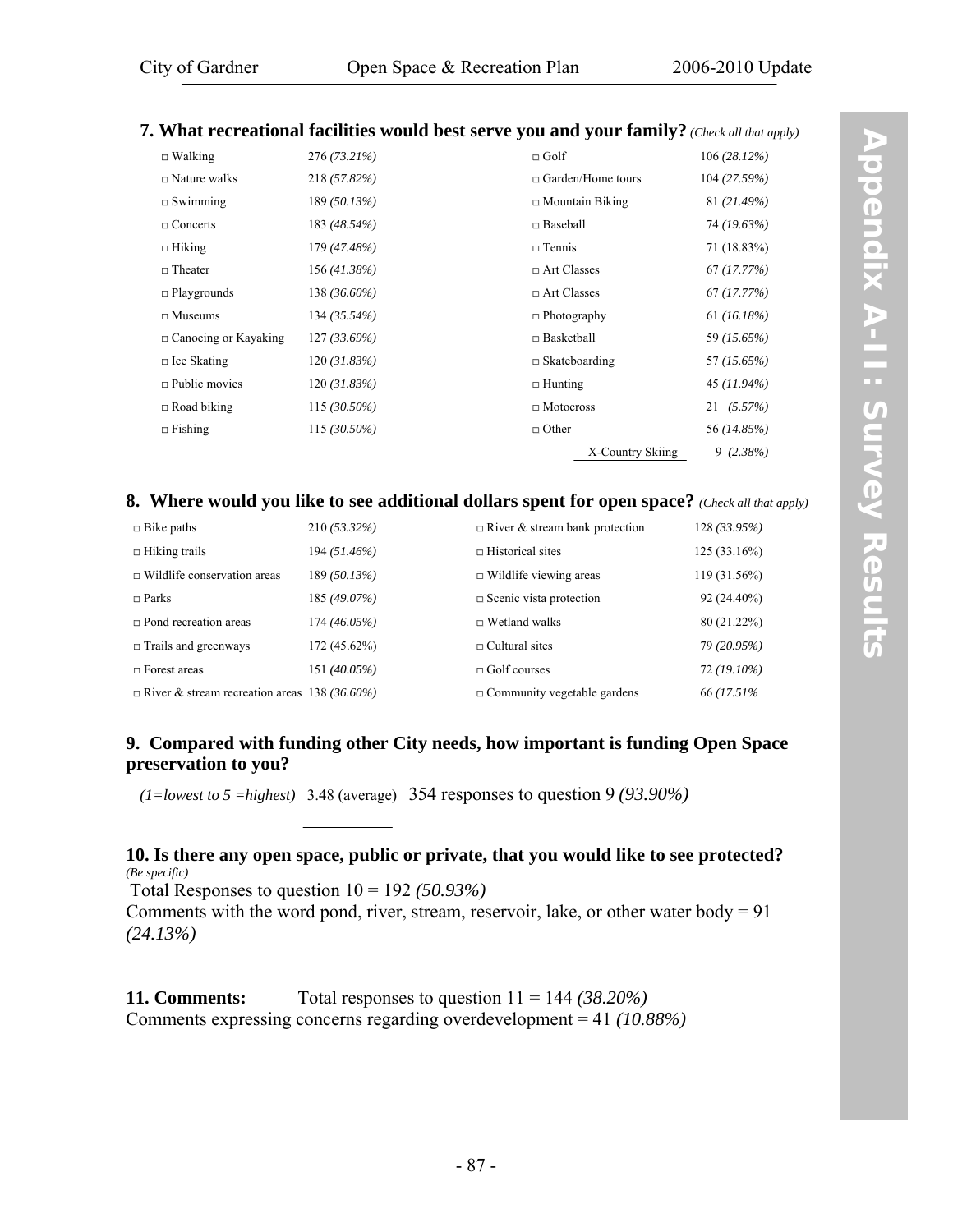# **7. What recreational facilities would best serve you and your family?** *(Check all that apply)*

| $\Box$ Walking              | 276 (73.21%)   | $\Box$ Golf              | 106 (28.12%)   |
|-----------------------------|----------------|--------------------------|----------------|
| $\Box$ Nature walks         | 218 (57.82%)   | $\Box$ Garden/Home tours | 104 (27.59%)   |
| $\Box$ Swimming             | 189 (50.13%)   | $\Box$ Mountain Biking   | 81 (21.49%)    |
| $\Box$ Concerts             | 183 (48.54%)   | $\Box$ Baseball          | 74 (19.63%)    |
| $\Box$ Hiking               | 179 (47.48%)   | $\Box$ Tennis            | 71 (18.83%)    |
| $\Box$ Theater              | 156 (41.38%)   | $\Box$ Art Classes       | 67 (17.77%)    |
| $\Box$ Playgrounds          | 138 (36.60%)   | $\Box$ Art Classes       | 67 (17.77%)    |
| $\Box$ Museums              | $134(35.54\%)$ | $\Box$ Photography       | $61 (16.18\%)$ |
| $\Box$ Canoeing or Kayaking | 127(33.69%)    | $\Box$ Basketball        | 59 (15.65%)    |
| $\Box$ Ice Skating          | 120(31.83%)    | $\Box$ Skateboarding     | 57 (15.65%)    |
| $\Box$ Public movies        | 120(31.83%)    | $\Box$ Hunting           | 45 (11.94%)    |
| $\Box$ Road biking          | $115(30.50\%)$ | $\Box$ Motocross         | 21(5.57%)      |
| $\Box$ Fishing              | $115(30.50\%)$ | $\Box$ Other             | 56 (14.85%)    |
|                             |                | X-Country Skiing         | $9(2.38\%)$    |

#### **8. Where would you like to see additional dollars spent for open space?** *(Check all that apply)*

| $\Box$ Bike paths                                   | 210 (53.32%) | $\Box$ River & stream bank protection | 128(33.95%)   |
|-----------------------------------------------------|--------------|---------------------------------------|---------------|
| $\Box$ Hiking trails                                | 194 (51.46%) | $\Box$ Historical sites               | 125(33.16%)   |
| $\Box$ Wildlife conservation areas                  | 189 (50.13%) | $\Box$ Wildlife viewing areas         | 119 (31.56%)  |
| $\Box$ Parks                                        | 185 (49.07%) | $\Box$ Scenic vista protection        | $92(24.40\%)$ |
| $\Box$ Pond recreation areas                        | 174 (46.05%) | $\Box$ Wetland walks                  | 80 (21.22%)   |
| $\Box$ Trails and greenways                         | 172 (45.62%) | $\Box$ Cultural sites                 | 79 (20.95%)   |
| $\Box$ Forest areas                                 | 151 (40.05%) | $\Box$ Golf courses                   | 72 (19.10%)   |
| $\Box$ River & stream recreation areas 138 (36.60%) |              | $\Box$ Community vegetable gardens    | 66 (17.51%)   |

#### **9. Compared with funding other City needs, how important is funding Open Space preservation to you?**

*(1=lowest to 5 =highest)* 3.48 (average) 354 responses to question 9 *(93.90%)* 

#### **10. Is there any open space, public or private, that you would like to see protected?**  *(Be specific)*

Total Responses to question 10 = 192 *(50.93%)* Comments with the word pond, river, stream, reservoir, lake, or other water body =  $91$ *(24.13%)* 

**11. Comments:** Total responses to question 11 = 144 *(38.20%)* Comments expressing concerns regarding overdevelopment = 41 *(10.88%)*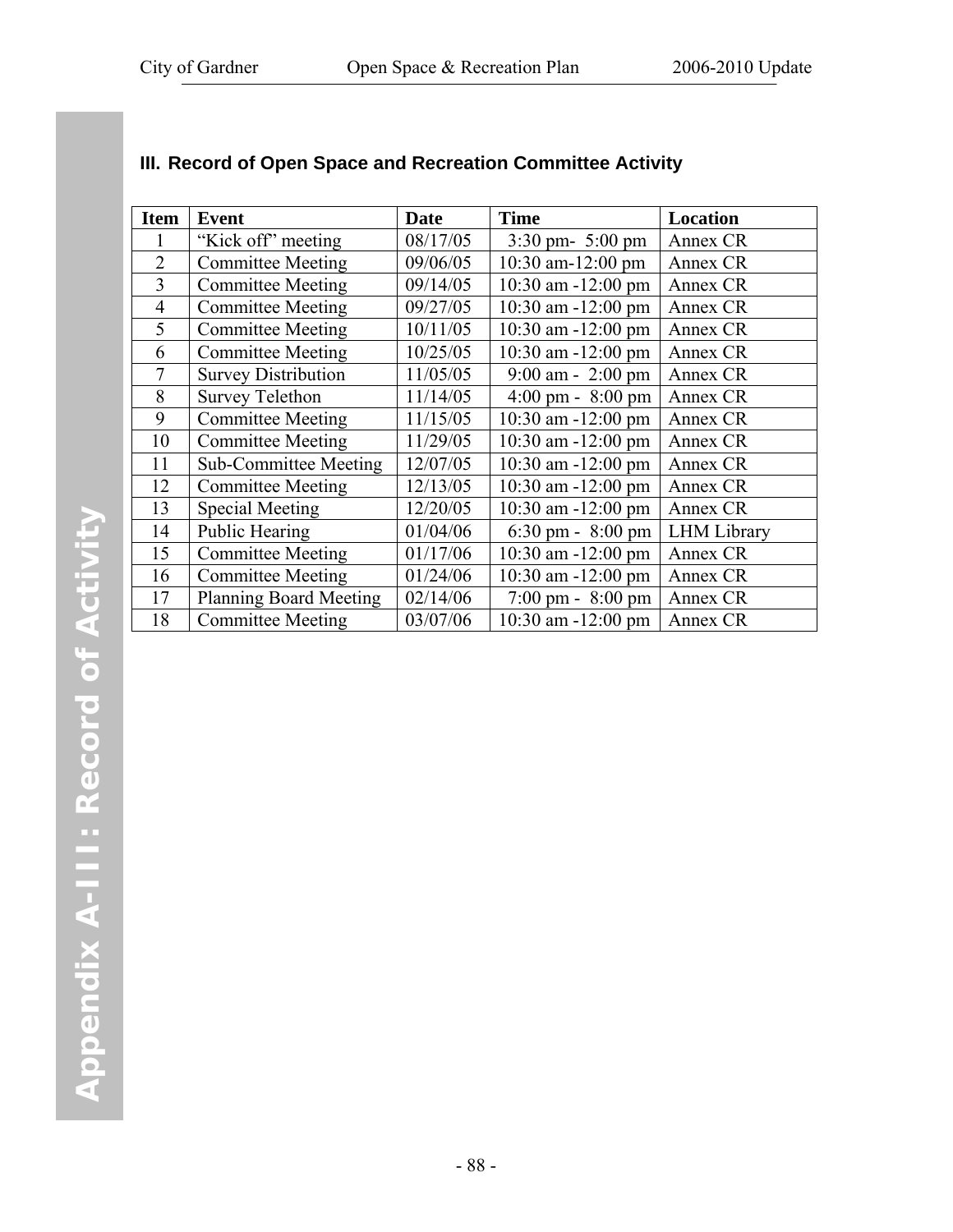| <b>Item</b>    | <b>Event</b>                  | Date     | <b>Time</b>                         | Location           |
|----------------|-------------------------------|----------|-------------------------------------|--------------------|
| 1              | "Kick off" meeting            | 08/17/05 | $3:30 \text{ pm} - 5:00 \text{ pm}$ | Annex CR           |
| $\overline{2}$ | <b>Committee Meeting</b>      | 09/06/05 | 10:30 am-12:00 pm                   | Annex CR           |
| 3              | <b>Committee Meeting</b>      | 09/14/05 | 10:30 am -12:00 pm                  | Annex CR           |
| $\overline{4}$ | <b>Committee Meeting</b>      | 09/27/05 | 10:30 am -12:00 pm                  | Annex CR           |
| 5              | <b>Committee Meeting</b>      | 10/11/05 | $10:30$ am $-12:00$ pm              | Annex CR           |
| 6              | <b>Committee Meeting</b>      | 10/25/05 | 10:30 am -12:00 pm                  | Annex CR           |
| 7              | <b>Survey Distribution</b>    | 11/05/05 | $9:00$ am - 2:00 pm                 | Annex CR           |
| 8              | <b>Survey Telethon</b>        | 11/14/05 | $4:00 \text{ pm} - 8:00 \text{ pm}$ | Annex CR           |
| 9              | <b>Committee Meeting</b>      | 11/15/05 | $10:30$ am $-12:00$ pm              | Annex CR           |
| 10             | <b>Committee Meeting</b>      | 11/29/05 | $10:30$ am $-12:00$ pm              | Annex CR           |
| 11             | <b>Sub-Committee Meeting</b>  | 12/07/05 | $10:30$ am $-12:00$ pm              | Annex CR           |
| 12             | <b>Committee Meeting</b>      | 12/13/05 | $10:30$ am $-12:00$ pm              | Annex CR           |
| 13             | <b>Special Meeting</b>        | 12/20/05 | $10:30$ am $-12:00$ pm              | Annex CR           |
| 14             | <b>Public Hearing</b>         | 01/04/06 | 6:30 pm - $8:00$ pm                 | <b>LHM</b> Library |
| 15             | <b>Committee Meeting</b>      | 01/17/06 | $10:30$ am $-12:00$ pm              | Annex CR           |
| 16             | <b>Committee Meeting</b>      | 01/24/06 | $10:30$ am $-12:00$ pm              | Annex CR           |
| 17             | <b>Planning Board Meeting</b> | 02/14/06 | $7:00 \text{ pm} - 8:00 \text{ pm}$ | Annex CR           |
| 18             | <b>Committee Meeting</b>      | 03/07/06 | $10:30$ am $-12:00$ pm              | Annex CR           |

#### **III. Record of Open Space and Recreation Committee Activity**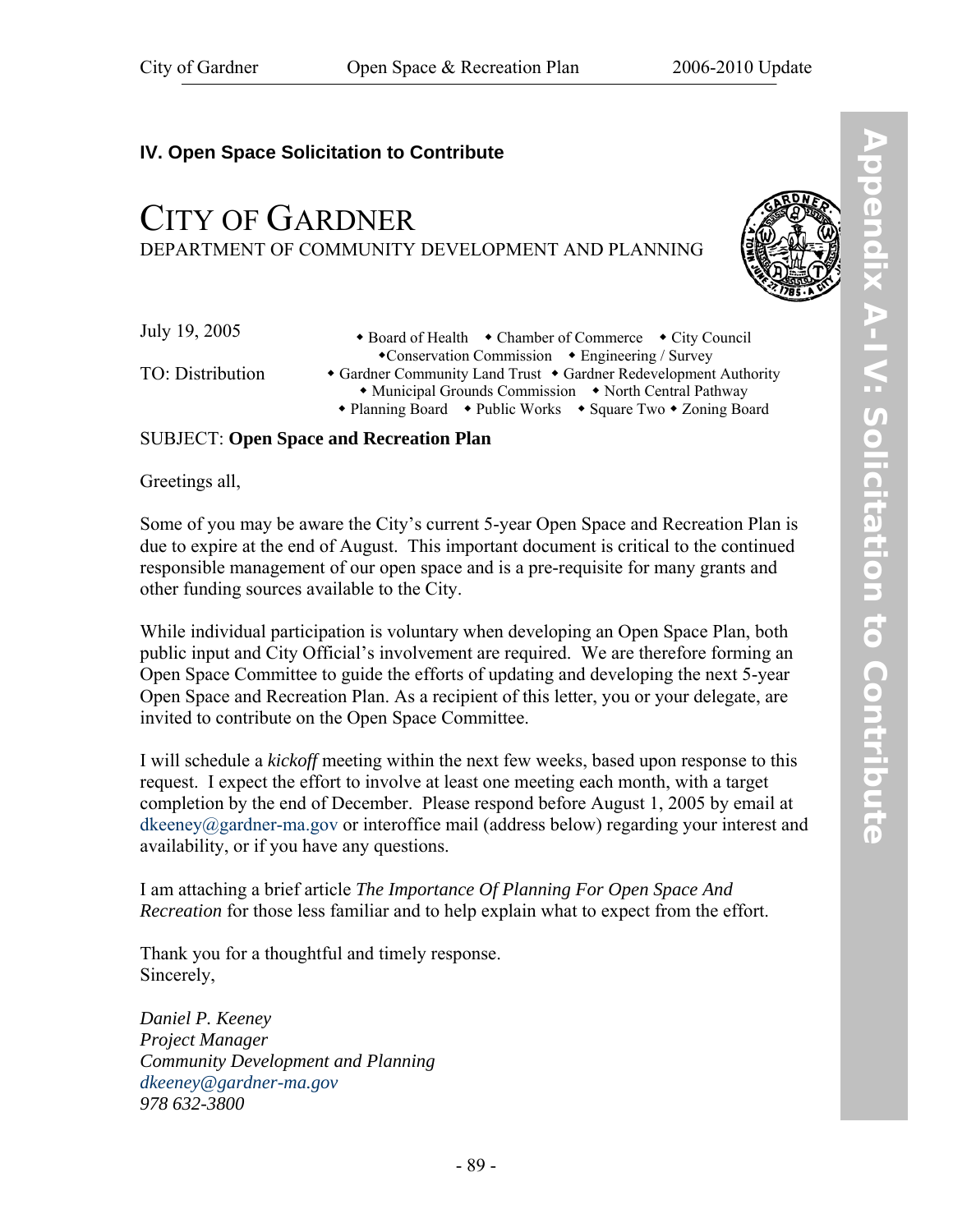## **IV. Open Space Solicitation to Contribute**

# CITY OF GARDNER DEPARTMENT OF COMMUNITY DEVELOPMENT AND PLANNING



July 19, 2005

TO: Distribution

• Board of Health • Chamber of Commerce • City Council Conservation Commission Engineering / Survey • Gardner Community Land Trust • Gardner Redevelopment Authority • Municipal Grounds Commission • North Central Pathway • Planning Board • Public Works • Square Two • Zoning Board

#### SUBJECT: **Open Space and Recreation Plan**

Greetings all,

Some of you may be aware the City's current 5-year Open Space and Recreation Plan is due to expire at the end of August. This important document is critical to the continued responsible management of our open space and is a pre-requisite for many grants and other funding sources available to the City.

While individual participation is voluntary when developing an Open Space Plan, both public input and City Official's involvement are required. We are therefore forming an Open Space Committee to guide the efforts of updating and developing the next 5-year Open Space and Recreation Plan. As a recipient of this letter, you or your delegate, are invited to contribute on the Open Space Committee.

I will schedule a *kickoff* meeting within the next few weeks, based upon response to this request. I expect the effort to involve at least one meeting each month, with a target completion by the end of December. Please respond before August 1, 2005 by email at  $d$ keeney@gardner-ma.gov or interoffice mail (address below) regarding your interest and availability, or if you have any questions.

I am attaching a brief article *The Importance Of Planning For Open Space And Recreation* for those less familiar and to help explain what to expect from the effort.

Thank you for a thoughtful and timely response. Sincerely,

*Daniel P. Keeney Project Manager Community Development and Planning dkeeney@gardner-ma.gov 978 632-3800*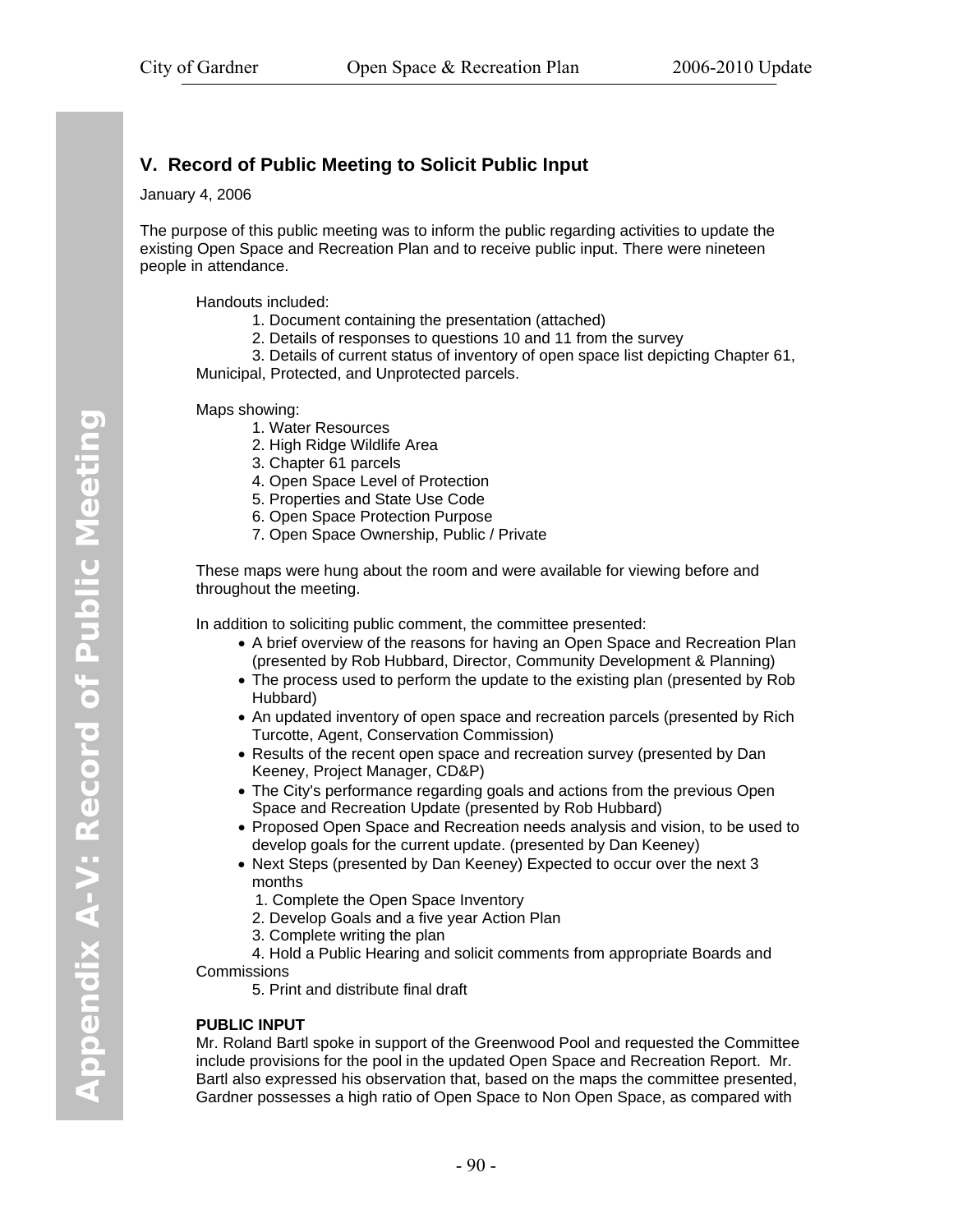#### <span id="page-97-0"></span>**V. Record of Public Meeting to Solicit Public Input**

January 4, 2006

The purpose of this public meeting was to inform the public regarding activities to update the existing Open Space and Recreation Plan and to receive public input. There were nineteen people in attendance.

Handouts included:

- 1. Document containing the presentation (attached)
- 2. Details of responses to questions 10 and 11 from the survey

3. Details of current status of inventory of open space list depicting Chapter 61,

Municipal, Protected, and Unprotected parcels.

Maps showing:

- 1. Water Resources
- 2. High Ridge Wildlife Area
- 3. Chapter 61 parcels
- 4. Open Space Level of Protection
- 5. Properties and State Use Code
- 6. Open Space Protection Purpose
- 7. Open Space Ownership, Public / Private

These maps were hung about the room and were available for viewing before and throughout the meeting.

In addition to soliciting public comment, the committee presented:

- A brief overview of the reasons for having an Open Space and Recreation Plan (presented by Rob Hubbard, Director, Community Development & Planning)
- The process used to perform the update to the existing plan (presented by Rob Hubbard)
- An updated inventory of open space and recreation parcels (presented by Rich Turcotte, Agent, Conservation Commission)
- Results of the recent open space and recreation survey (presented by Dan Keeney, Project Manager, CD&P)
- The City's performance regarding goals and actions from the previous Open Space and Recreation Update (presented by Rob Hubbard)
- Proposed Open Space and Recreation needs analysis and vision, to be used to develop goals for the current update. (presented by Dan Keeney)
- Next Steps (presented by Dan Keeney) Expected to occur over the next 3 months
	- 1. Complete the Open Space Inventory
	- 2. Develop Goals and a five year Action Plan
	- 3. Complete writing the plan

 4. Hold a Public Hearing and solicit comments from appropriate Boards and **Commissions** 

5. Print and distribute final draft

#### **PUBLIC INPUT**

Mr. Roland Bartl spoke in support of the Greenwood Pool and requested the Committee include provisions for the pool in the updated Open Space and Recreation Report. Mr. Bartl also expressed his observation that, based on the maps the committee presented, Gardner possesses a high ratio of Open Space to Non Open Space, as compared with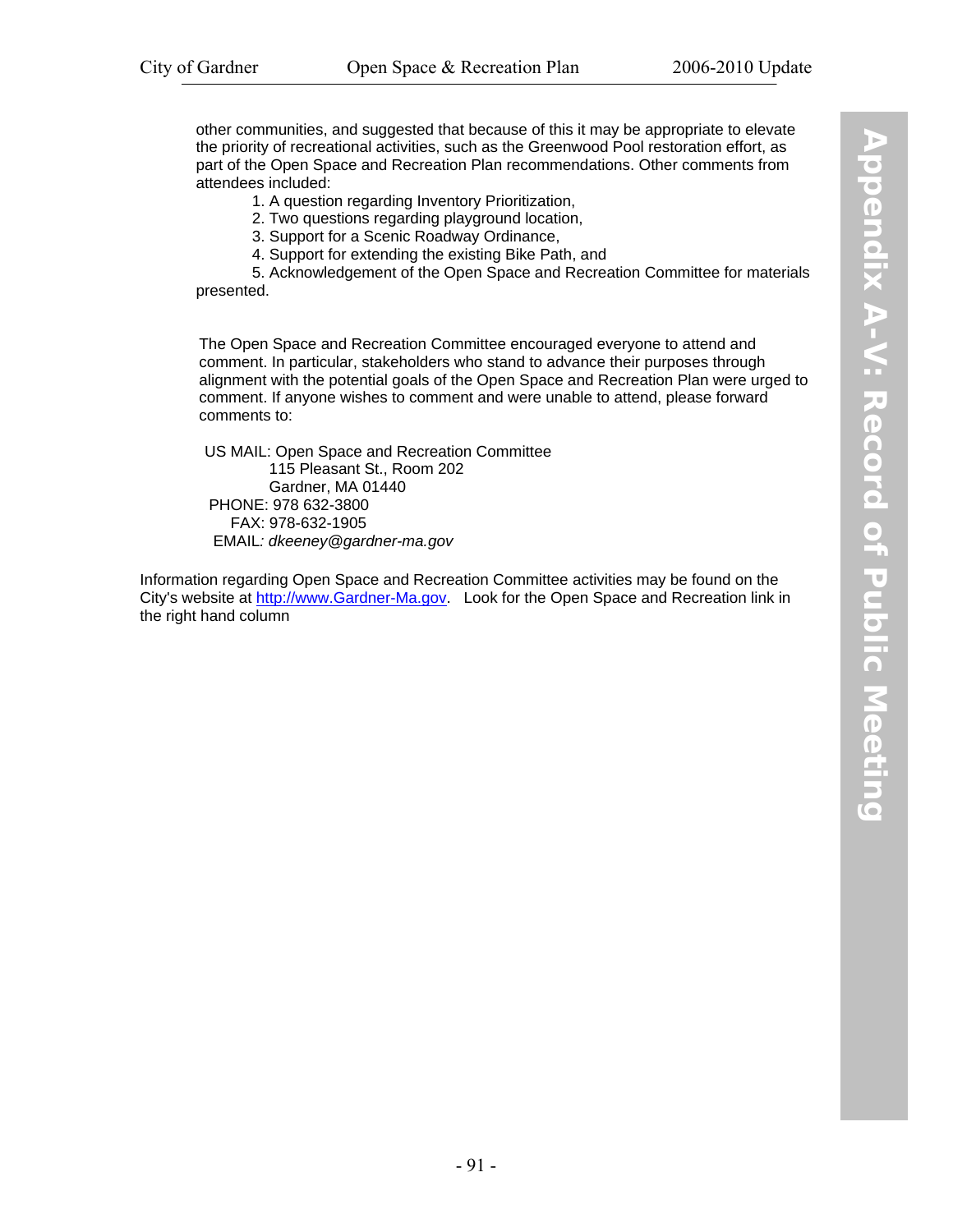other communities, and suggested that because of this it may be appropriate to elevate the priority of recreational activities, such as the Greenwood Pool restoration effort, as part of the Open Space and Recreation Plan recommendations. Other comments from attendees included:

1. A question regarding Inventory Prioritization,

2. Two questions regarding playground location,

3. Support for a Scenic Roadway Ordinance,

4. Support for extending the existing Bike Path, and

 5. Acknowledgement of the Open Space and Recreation Committee for materials presented.

The Open Space and Recreation Committee encouraged everyone to attend and comment. In particular, stakeholders who stand to advance their purposes through alignment with the potential goals of the Open Space and Recreation Plan were urged to comment. If anyone wishes to comment and were unable to attend, please forward comments to:

 US MAIL: Open Space and Recreation Committee 115 Pleasant St., Room 202 Gardner, MA 01440 PHONE: 978 632-3800 FAX: 978-632-1905 EMAIL*: dkeeney@gardner-ma.gov*

Information regarding Open Space and Recreation Committee activities may be found on the City's website at http://www.Gardner-Ma.gov. Look for the Open Space and Recreation link in the right hand column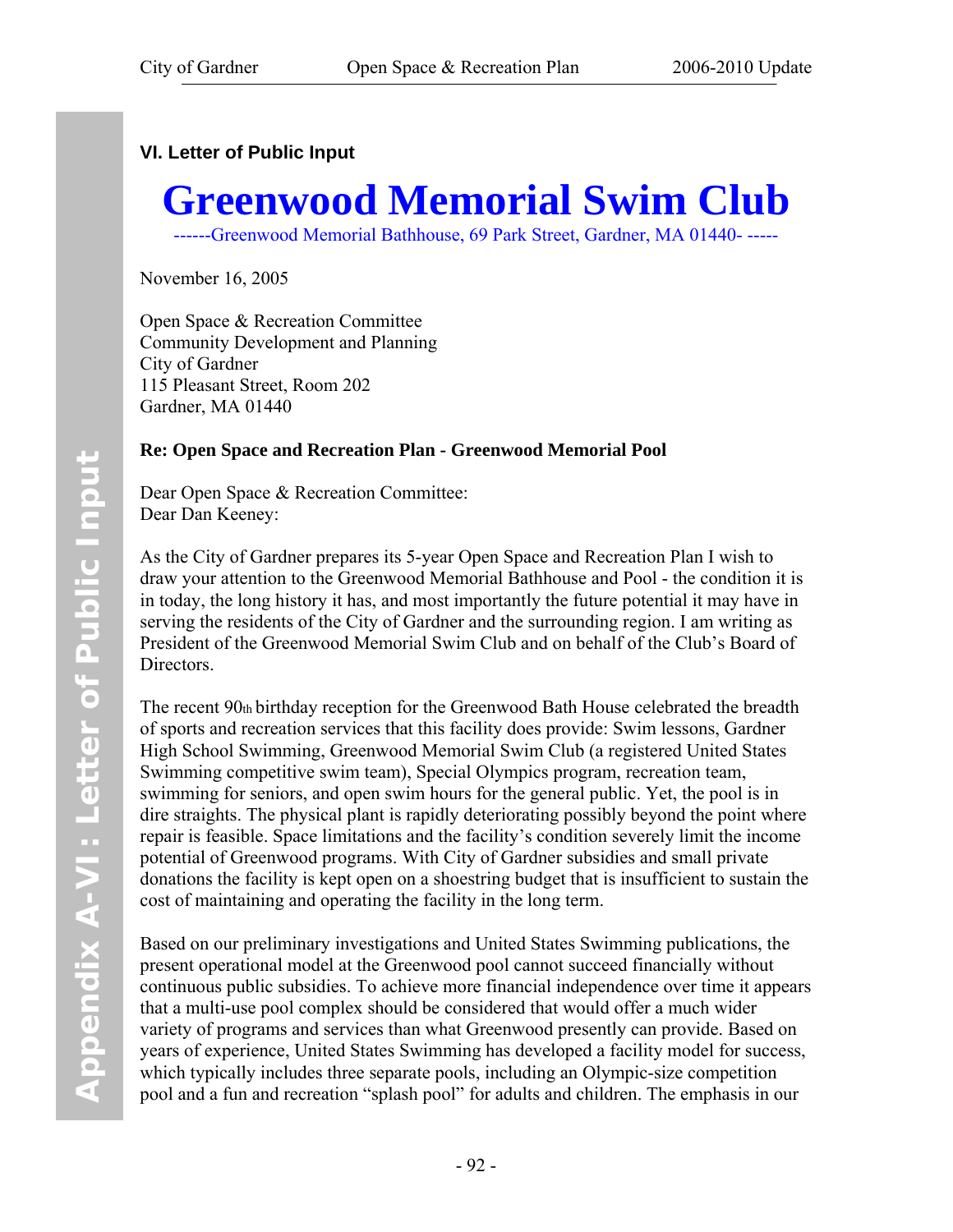## <span id="page-99-0"></span>**VI. Letter of Public Input**

# **Greenwood Memorial Swim Club**

------Greenwood Memorial Bathhouse, 69 Park Street, Gardner, MA 01440- -----

November 16, 2005

Open Space & Recreation Committee Community Development and Planning City of Gardner 115 Pleasant Street, Room 202 Gardner, MA 01440

#### **Re: Open Space and Recreation Plan - Greenwood Memorial Pool**

Dear Open Space & Recreation Committee: Dear Dan Keeney:

As the City of Gardner prepares its 5-year Open Space and Recreation Plan I wish to draw your attention to the Greenwood Memorial Bathhouse and Pool - the condition it is in today, the long history it has, and most importantly the future potential it may have in serving the residents of the City of Gardner and the surrounding region. I am writing as President of the Greenwood Memorial Swim Club and on behalf of the Club's Board of Directors.

The recent 90th birthday reception for the Greenwood Bath House celebrated the breadth of sports and recreation services that this facility does provide: Swim lessons, Gardner High School Swimming, Greenwood Memorial Swim Club (a registered United States Swimming competitive swim team), Special Olympics program, recreation team, swimming for seniors, and open swim hours for the general public. Yet, the pool is in dire straights. The physical plant is rapidly deteriorating possibly beyond the point where repair is feasible. Space limitations and the facility's condition severely limit the income potential of Greenwood programs. With City of Gardner subsidies and small private donations the facility is kept open on a shoestring budget that is insufficient to sustain the cost of maintaining and operating the facility in the long term.

Based on our preliminary investigations and United States Swimming publications, the present operational model at the Greenwood pool cannot succeed financially without continuous public subsidies. To achieve more financial independence over time it appears that a multi-use pool complex should be considered that would offer a much wider variety of programs and services than what Greenwood presently can provide. Based on years of experience, United States Swimming has developed a facility model for success, which typically includes three separate pools, including an Olympic-size competition pool and a fun and recreation "splash pool" for adults and children. The emphasis in our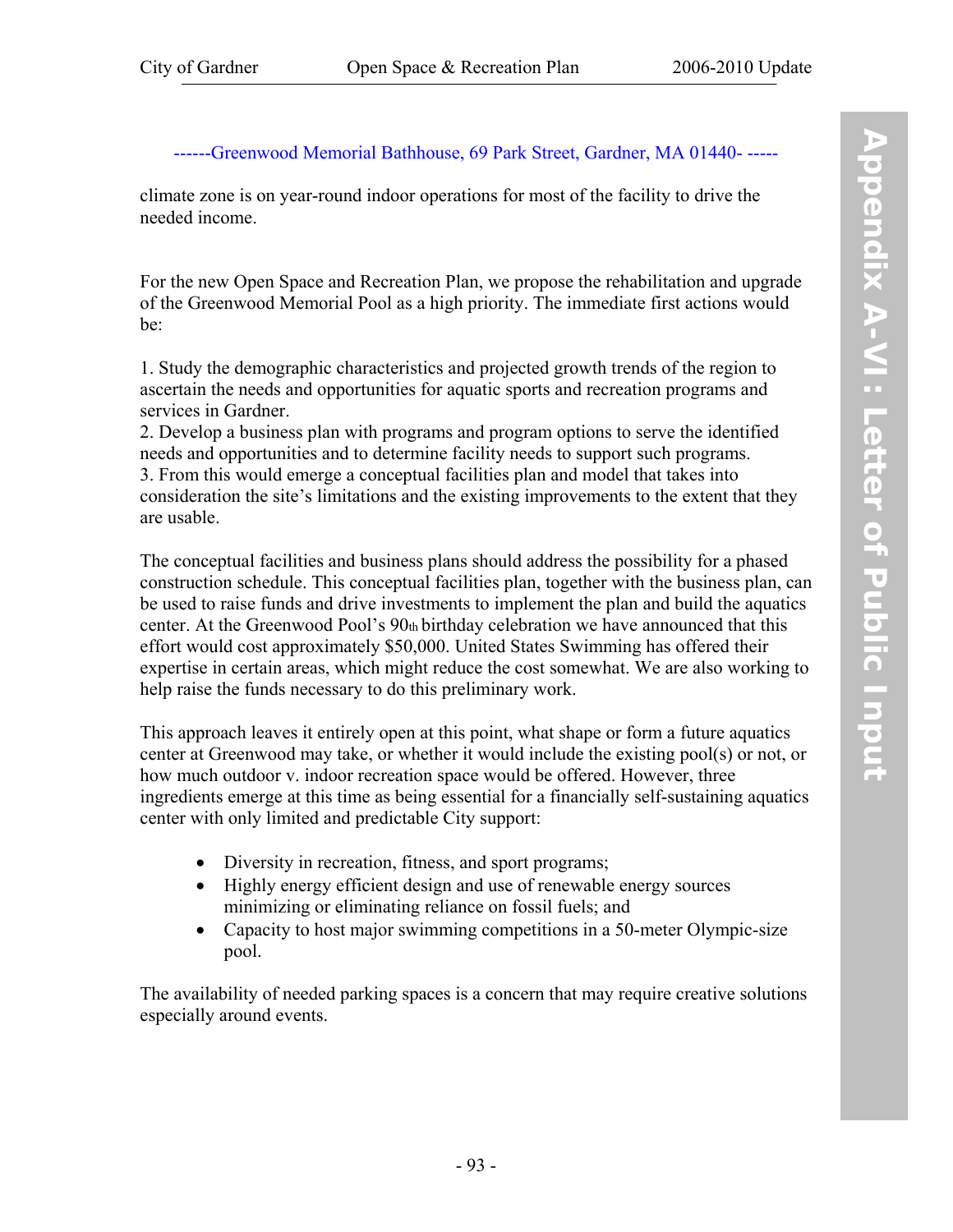#### ------Greenwood Memorial Bathhouse, 69 Park Street, Gardner, MA 01440- -----

climate zone is on year-round indoor operations for most of the facility to drive the needed income.

For the new Open Space and Recreation Plan, we propose the rehabilitation and upgrade of the Greenwood Memorial Pool as a high priority. The immediate first actions would be:

1. Study the demographic characteristics and projected growth trends of the region to ascertain the needs and opportunities for aquatic sports and recreation programs and services in Gardner.

2. Develop a business plan with programs and program options to serve the identified needs and opportunities and to determine facility needs to support such programs. 3. From this would emerge a conceptual facilities plan and model that takes into consideration the site's limitations and the existing improvements to the extent that they are usable.

The conceptual facilities and business plans should address the possibility for a phased construction schedule. This conceptual facilities plan, together with the business plan, can be used to raise funds and drive investments to implement the plan and build the aquatics center. At the Greenwood Pool's 90th birthday celebration we have announced that this effort would cost approximately \$50,000. United States Swimming has offered their expertise in certain areas, which might reduce the cost somewhat. We are also working to help raise the funds necessary to do this preliminary work.

This approach leaves it entirely open at this point, what shape or form a future aquatics center at Greenwood may take, or whether it would include the existing pool(s) or not, or how much outdoor v. indoor recreation space would be offered. However, three ingredients emerge at this time as being essential for a financially self-sustaining aquatics center with only limited and predictable City support:

- Diversity in recreation, fitness, and sport programs;
- Highly energy efficient design and use of renewable energy sources minimizing or eliminating reliance on fossil fuels; and
- Capacity to host major swimming competitions in a 50-meter Olympic-size pool.

The availability of needed parking spaces is a concern that may require creative solutions especially around events.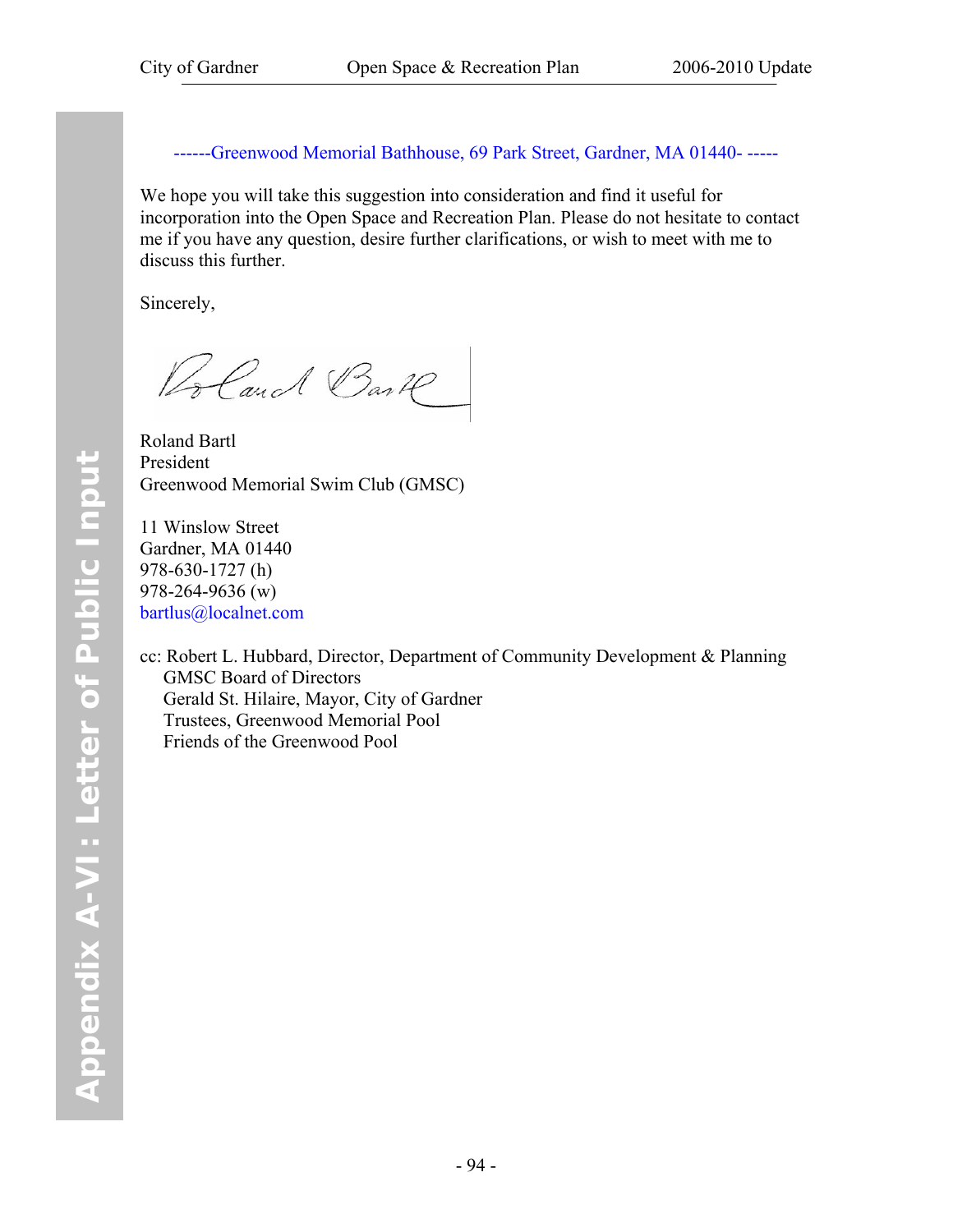------Greenwood Memorial Bathhouse, 69 Park Street, Gardner, MA 01440- -----

We hope you will take this suggestion into consideration and find it useful for incorporation into the Open Space and Recreation Plan. Please do not hesitate to contact me if you have any question, desire further clarifications, or wish to meet with me to discuss this further.

Sincerely,

Bland Bark

Roland Bartl President Greenwood Memorial Swim Club (GMSC)

11 Winslow Street Gardner, MA 01440 978-630-1727 (h) 978-264-9636 (w) bartlus@localnet.com

cc: Robert L. Hubbard, Director, Department of Community Development & Planning GMSC Board of Directors Gerald St. Hilaire, Mayor, City of Gardner Trustees, Greenwood Memorial Pool Friends of the Greenwood Pool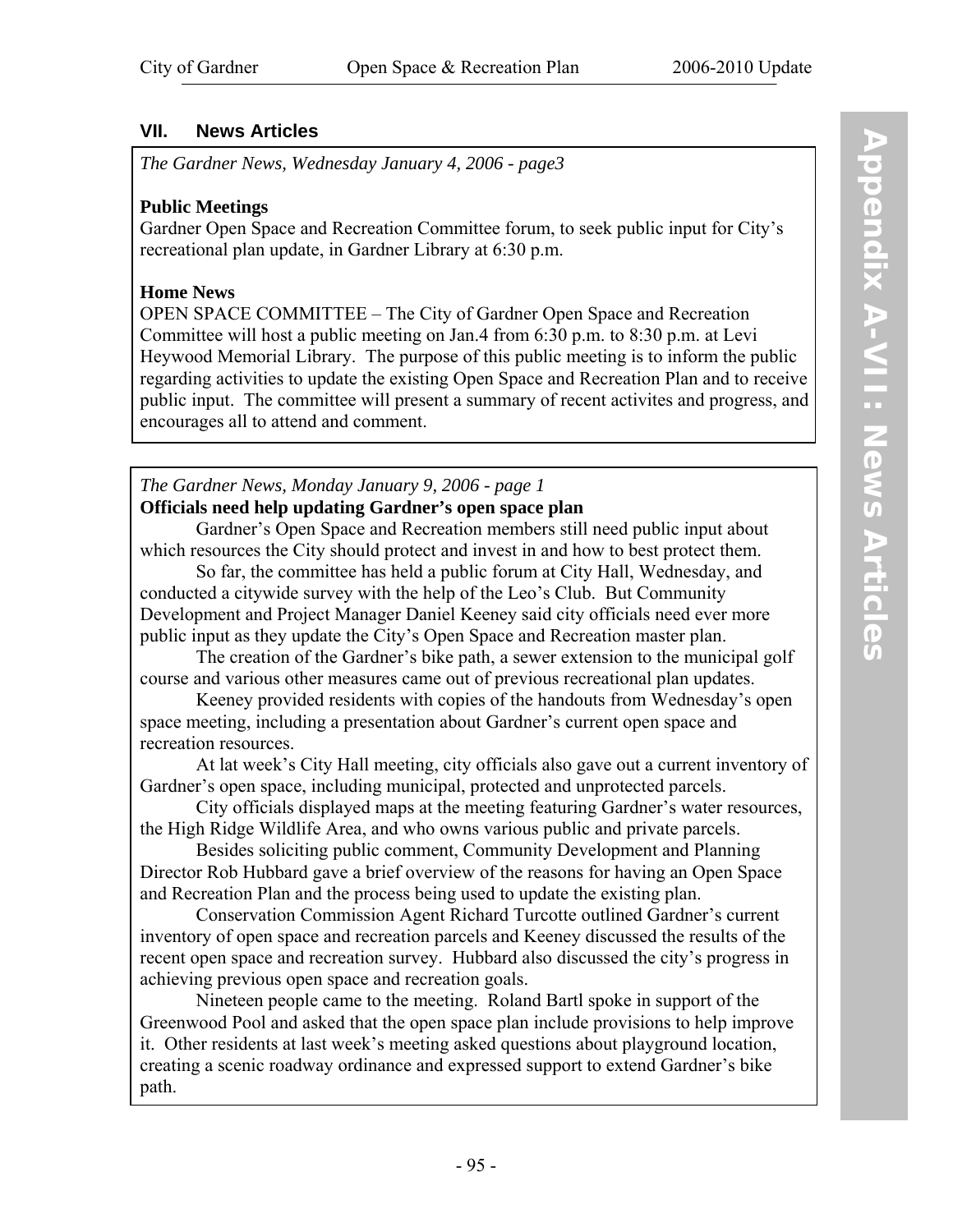#### **VII. News Articles**

*The Gardner News, Wednesday January 4, 2006 - page3* 

#### **Public Meetings**

Gardner Open Space and Recreation Committee forum, to seek public input for City's recreational plan update, in Gardner Library at 6:30 p.m.

#### **Home News**

OPEN SPACE COMMITTEE – The City of Gardner Open Space and Recreation Committee will host a public meeting on Jan.4 from 6:30 p.m. to 8:30 p.m. at Levi Heywood Memorial Library. The purpose of this public meeting is to inform the public regarding activities to update the existing Open Space and Recreation Plan and to receive public input. The committee will present a summary of recent activites and progress, and encourages all to attend and comment.

#### *The Gardner News, Monday January 9, 2006 - page 1*  **Officials need help updating Gardner's open space plan**

Gardner's Open Space and Recreation members still need public input about which resources the City should protect and invest in and how to best protect them.

So far, the committee has held a public forum at City Hall, Wednesday, and conducted a citywide survey with the help of the Leo's Club. But Community Development and Project Manager Daniel Keeney said city officials need ever more public input as they update the City's Open Space and Recreation master plan.

The creation of the Gardner's bike path, a sewer extension to the municipal golf course and various other measures came out of previous recreational plan updates.

Keeney provided residents with copies of the handouts from Wednesday's open space meeting, including a presentation about Gardner's current open space and recreation resources.

At lat week's City Hall meeting, city officials also gave out a current inventory of Gardner's open space, including municipal, protected and unprotected parcels.

City officials displayed maps at the meeting featuring Gardner's water resources, the High Ridge Wildlife Area, and who owns various public and private parcels.

 Besides soliciting public comment, Community Development and Planning Director Rob Hubbard gave a brief overview of the reasons for having an Open Space and Recreation Plan and the process being used to update the existing plan.

 Conservation Commission Agent Richard Turcotte outlined Gardner's current inventory of open space and recreation parcels and Keeney discussed the results of the recent open space and recreation survey. Hubbard also discussed the city's progress in achieving previous open space and recreation goals.

 Nineteen people came to the meeting. Roland Bartl spoke in support of the Greenwood Pool and asked that the open space plan include provisions to help improve it. Other residents at last week's meeting asked questions about playground location, creating a scenic roadway ordinance and expressed support to extend Gardner's bike path.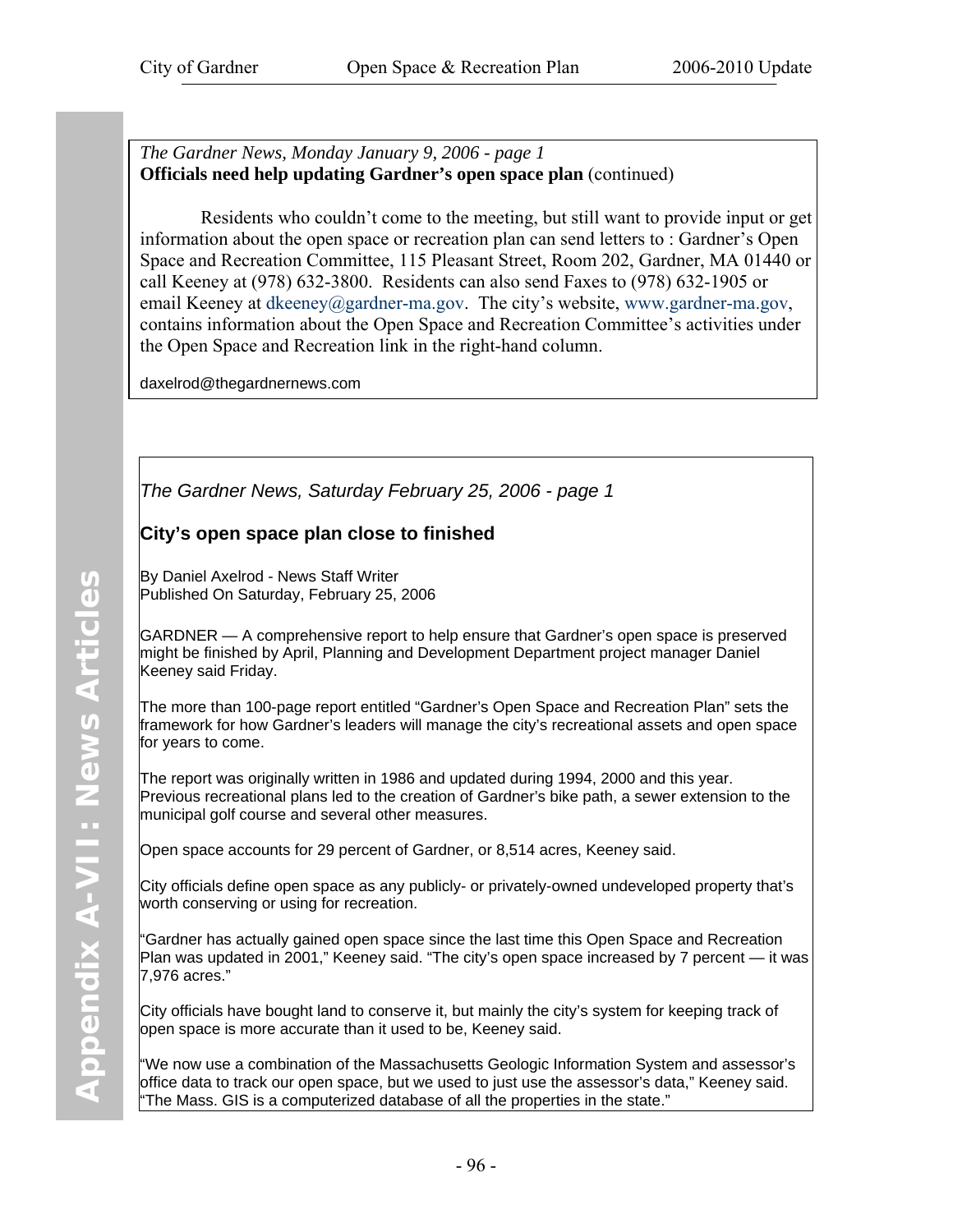*The Gardner News, Monday January 9, 2006 - page 1*  **Officials need help updating Gardner's open space plan** (continued)

 Residents who couldn't come to the meeting, but still want to provide input or get information about the open space or recreation plan can send letters to : Gardner's Open Space and Recreation Committee, 115 Pleasant Street, Room 202, Gardner, MA 01440 or call Keeney at (978) 632-3800. Residents can also send Faxes to (978) 632-1905 or email Keeney at dkeeney@gardner-ma.gov. The city's website, www.gardner-ma.gov, contains information about the Open Space and Recreation Committee's activities under the Open Space and Recreation link in the right-hand column.

daxelrod@thegardnernews.com

*The Gardner News, Saturday February 25, 2006 - page 1* 

#### **City's open space plan close to finished**

By Daniel Axelrod - News Staff Writer Published On Saturday, February 25, 2006

GARDNER — A comprehensive report to help ensure that Gardner's open space is preserved might be finished by April, Planning and Development Department project manager Daniel Keeney said Friday.

The more than 100-page report entitled "Gardner's Open Space and Recreation Plan" sets the framework for how Gardner's leaders will manage the city's recreational assets and open space for years to come.

The report was originally written in 1986 and updated during 1994, 2000 and this year. Previous recreational plans led to the creation of Gardner's bike path, a sewer extension to the municipal golf course and several other measures.

Open space accounts for 29 percent of Gardner, or 8,514 acres, Keeney said.

City officials define open space as any publicly- or privately-owned undeveloped property that's worth conserving or using for recreation.

"Gardner has actually gained open space since the last time this Open Space and Recreation Plan was updated in 2001," Keeney said. "The city's open space increased by 7 percent — it was 7,976 acres."

City officials have bought land to conserve it, but mainly the city's system for keeping track of open space is more accurate than it used to be, Keeney said.

"We now use a combination of the Massachusetts Geologic Information System and assessor's office data to track our open space, but we used to just use the assessor's data," Keeney said. "The Mass. GIS is a computerized database of all the properties in the state."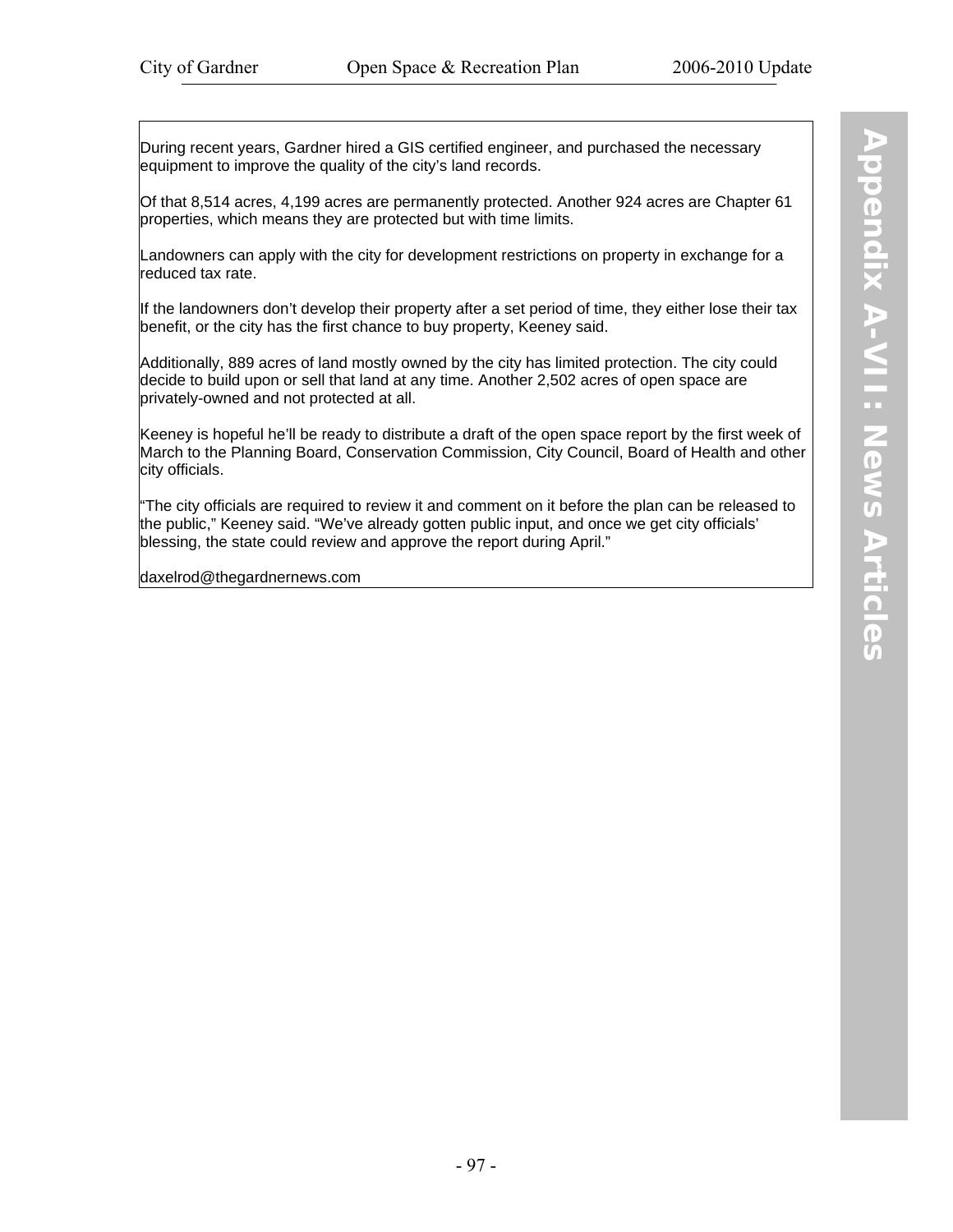During recent years, Gardner hired a GIS certified engineer, and purchased the necessary equipment to improve the quality of the city's land records.

Of that 8,514 acres, 4,199 acres are permanently protected. Another 924 acres are Chapter 61 properties, which means they are protected but with time limits.

Landowners can apply with the city for development restrictions on property in exchange for a reduced tax rate.

If the landowners don't develop their property after a set period of time, they either lose their tax benefit, or the city has the first chance to buy property, Keeney said.

Additionally, 889 acres of land mostly owned by the city has limited protection. The city could decide to build upon or sell that land at any time. Another 2,502 acres of open space are privately-owned and not protected at all.

Keeney is hopeful he'll be ready to distribute a draft of the open space report by the first week of March to the Planning Board, Conservation Commission, City Council, Board of Health and other city officials.

"The city officials are required to review it and comment on it before the plan can be released to the public," Keeney said. "We've already gotten public input, and once we get city officials' blessing, the state could review and approve the report during April."

daxelrod@thegardnernews.com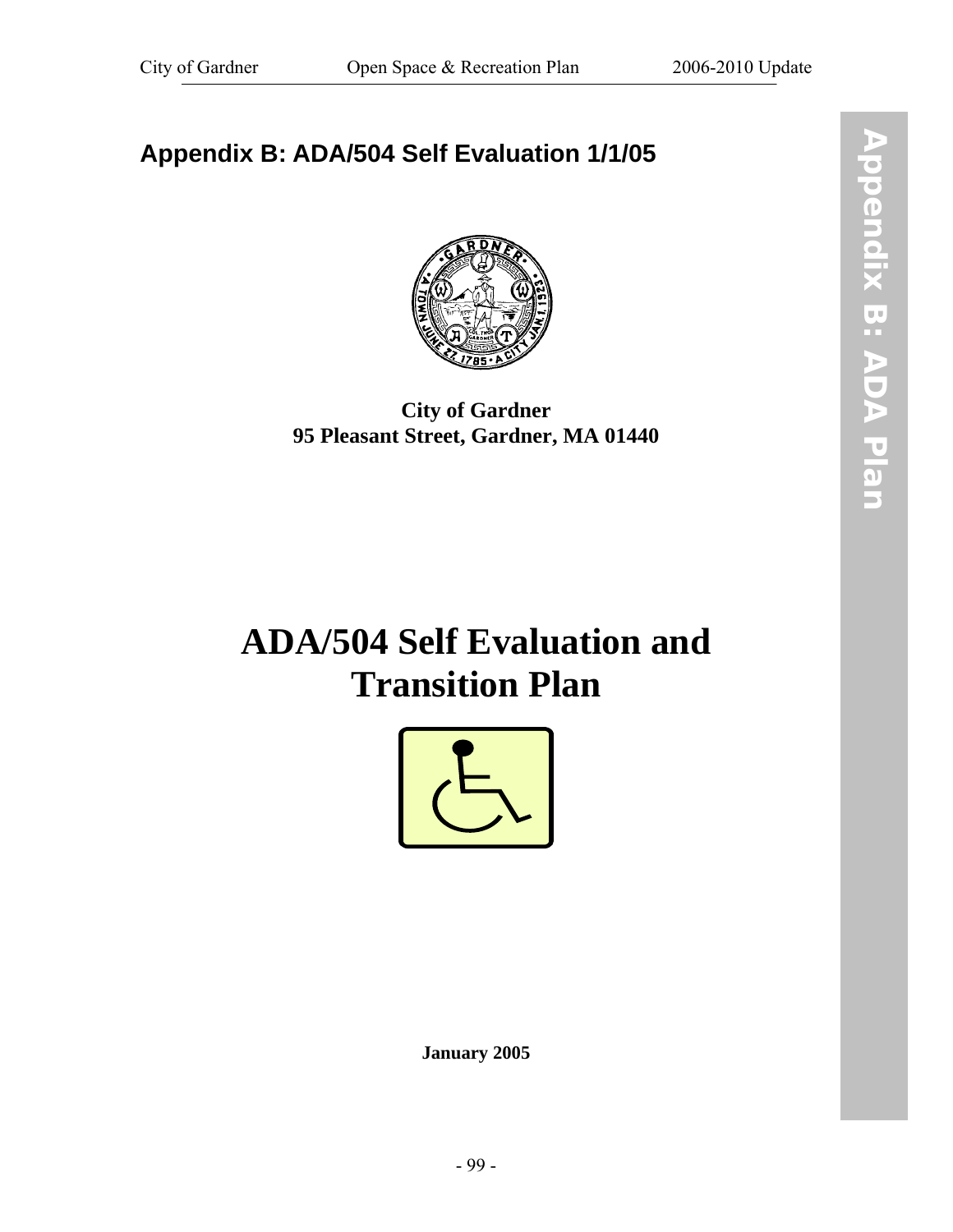# **Appendix B: ADA/504 Self Evaluation 1/1/05**



## **City of Gardner 95 Pleasant Street, Gardner, MA 01440**

# **ADA/504 Self Evaluation and Transition Plan**



**January 2005**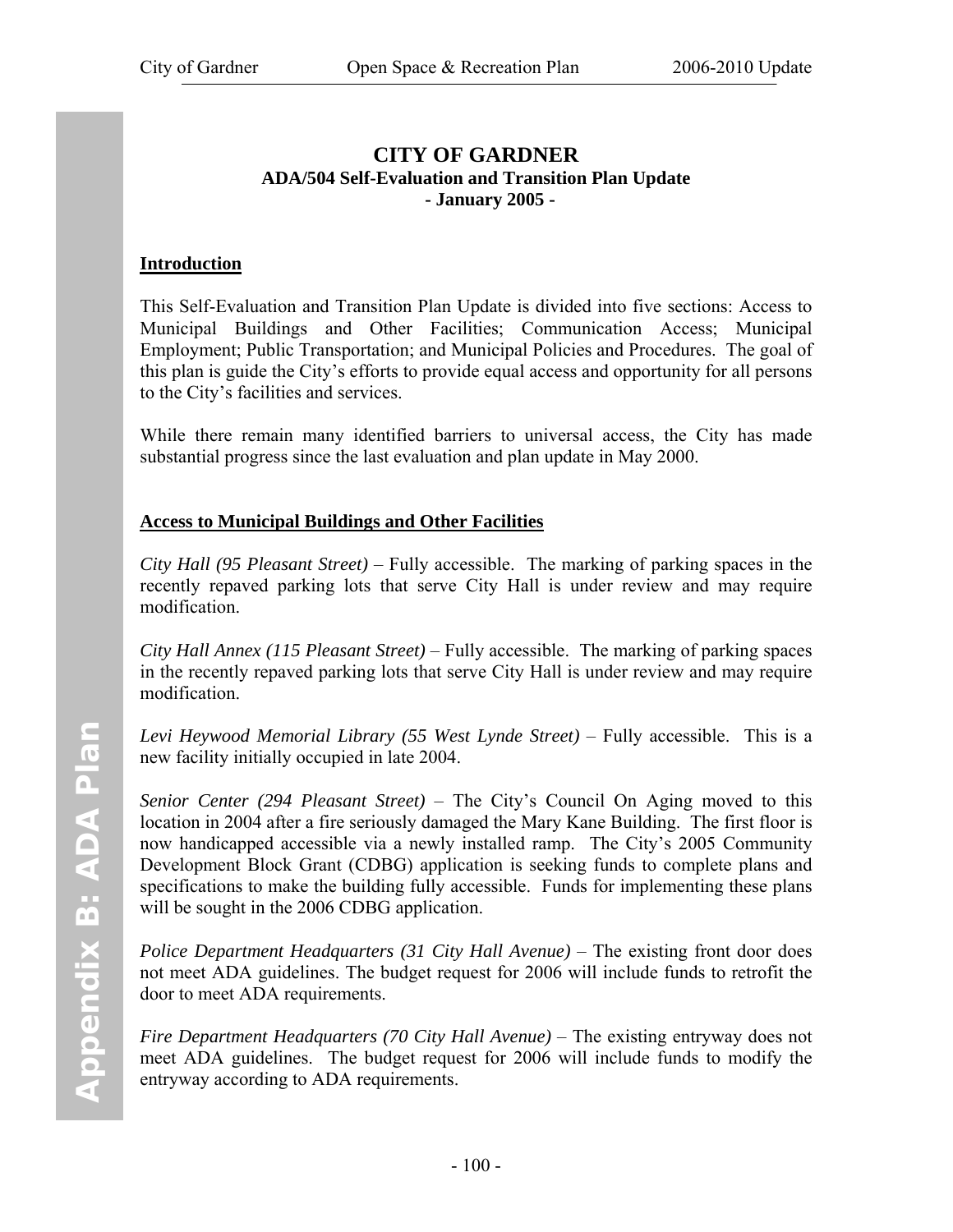#### **CITY OF GARDNER ADA/504 Self-Evaluation and Transition Plan Update - January 2005 -**

#### **Introduction**

This Self-Evaluation and Transition Plan Update is divided into five sections: Access to Municipal Buildings and Other Facilities; Communication Access; Municipal Employment; Public Transportation; and Municipal Policies and Procedures. The goal of this plan is guide the City's efforts to provide equal access and opportunity for all persons to the City's facilities and services.

While there remain many identified barriers to universal access, the City has made substantial progress since the last evaluation and plan update in May 2000.

#### **Access to Municipal Buildings and Other Facilities**

*City Hall (95 Pleasant Street)* – Fully accessible. The marking of parking spaces in the recently repaved parking lots that serve City Hall is under review and may require modification.

*City Hall Annex (115 Pleasant Street)* – Fully accessible. The marking of parking spaces in the recently repaved parking lots that serve City Hall is under review and may require modification.

*Levi Heywood Memorial Library (55 West Lynde Street)* – Fully accessible. This is a new facility initially occupied in late 2004.

*Senior Center (294 Pleasant Street)* – The City's Council On Aging moved to this location in 2004 after a fire seriously damaged the Mary Kane Building. The first floor is now handicapped accessible via a newly installed ramp. The City's 2005 Community Development Block Grant (CDBG) application is seeking funds to complete plans and specifications to make the building fully accessible. Funds for implementing these plans will be sought in the 2006 CDBG application.

*Police Department Headquarters (31 City Hall Avenue)* – The existing front door does not meet ADA guidelines. The budget request for 2006 will include funds to retrofit the door to meet ADA requirements.

*Fire Department Headquarters (70 City Hall Avenue)* – The existing entryway does not meet ADA guidelines. The budget request for 2006 will include funds to modify the entryway according to ADA requirements.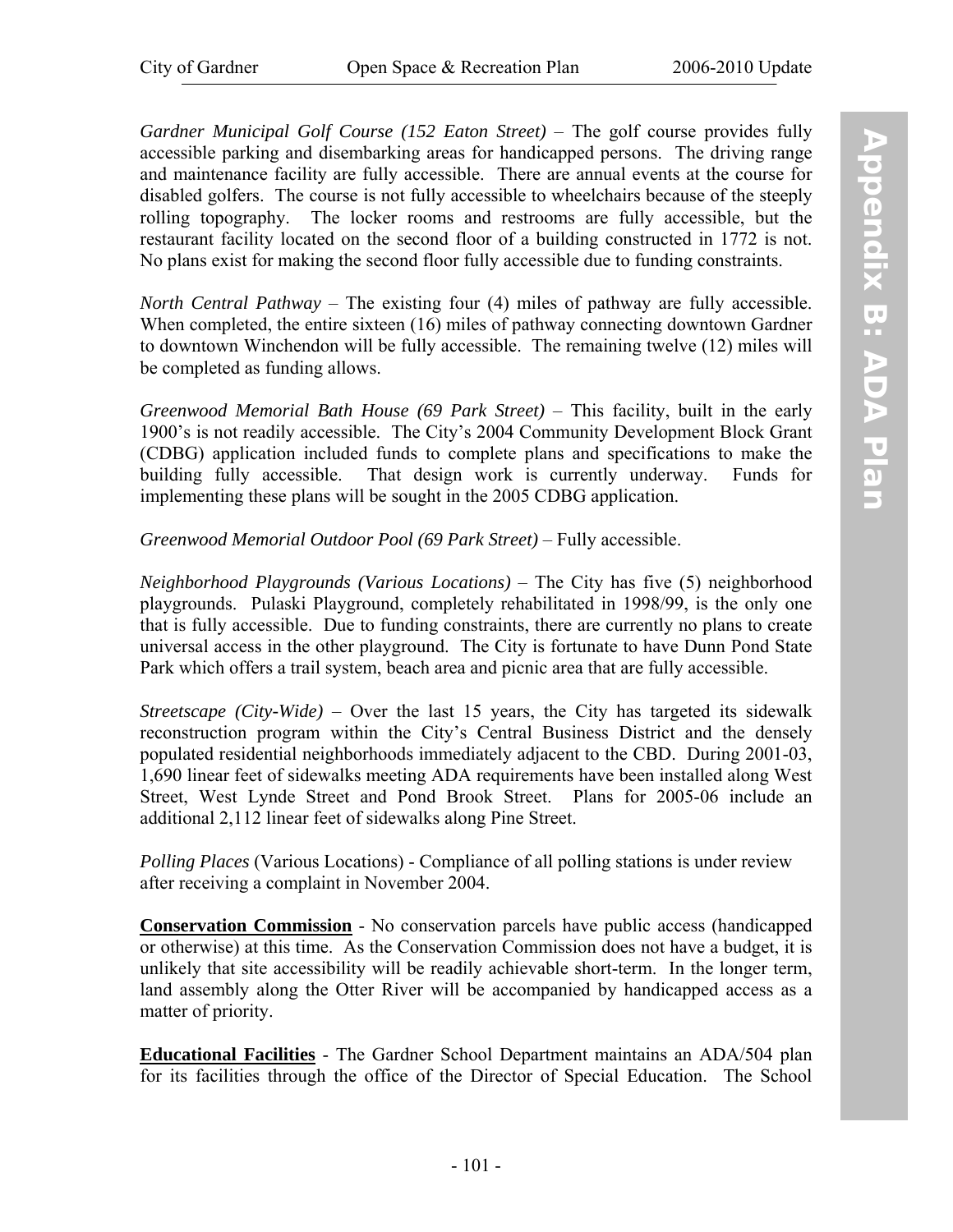*Gardner Municipal Golf Course (152 Eaton Street)* – The golf course provides fully accessible parking and disembarking areas for handicapped persons. The driving range and maintenance facility are fully accessible. There are annual events at the course for disabled golfers. The course is not fully accessible to wheelchairs because of the steeply rolling topography. The locker rooms and restrooms are fully accessible, but the restaurant facility located on the second floor of a building constructed in 1772 is not. No plans exist for making the second floor fully accessible due to funding constraints.

*North Central Pathway* – The existing four (4) miles of pathway are fully accessible. When completed, the entire sixteen (16) miles of pathway connecting downtown Gardner to downtown Winchendon will be fully accessible. The remaining twelve (12) miles will be completed as funding allows.

*Greenwood Memorial Bath House (69 Park Street)* – This facility, built in the early 1900's is not readily accessible. The City's 2004 Community Development Block Grant (CDBG) application included funds to complete plans and specifications to make the building fully accessible. That design work is currently underway. Funds for implementing these plans will be sought in the 2005 CDBG application.

#### *Greenwood Memorial Outdoor Pool (69 Park Street)* – Fully accessible.

*Neighborhood Playgrounds (Various Locations)* – The City has five (5) neighborhood playgrounds. Pulaski Playground, completely rehabilitated in 1998/99, is the only one that is fully accessible. Due to funding constraints, there are currently no plans to create universal access in the other playground. The City is fortunate to have Dunn Pond State Park which offers a trail system, beach area and picnic area that are fully accessible.

*Streetscape (City-Wide)* – Over the last 15 years, the City has targeted its sidewalk reconstruction program within the City's Central Business District and the densely populated residential neighborhoods immediately adjacent to the CBD. During 2001-03, 1,690 linear feet of sidewalks meeting ADA requirements have been installed along West Street, West Lynde Street and Pond Brook Street. Plans for 2005-06 include an additional 2,112 linear feet of sidewalks along Pine Street.

*Polling Places* (Various Locations) - Compliance of all polling stations is under review after receiving a complaint in November 2004.

**Conservation Commission** - No conservation parcels have public access (handicapped or otherwise) at this time. As the Conservation Commission does not have a budget, it is unlikely that site accessibility will be readily achievable short-term. In the longer term, land assembly along the Otter River will be accompanied by handicapped access as a matter of priority.

**Educational Facilities** - The Gardner School Department maintains an ADA/504 plan for its facilities through the office of the Director of Special Education. The School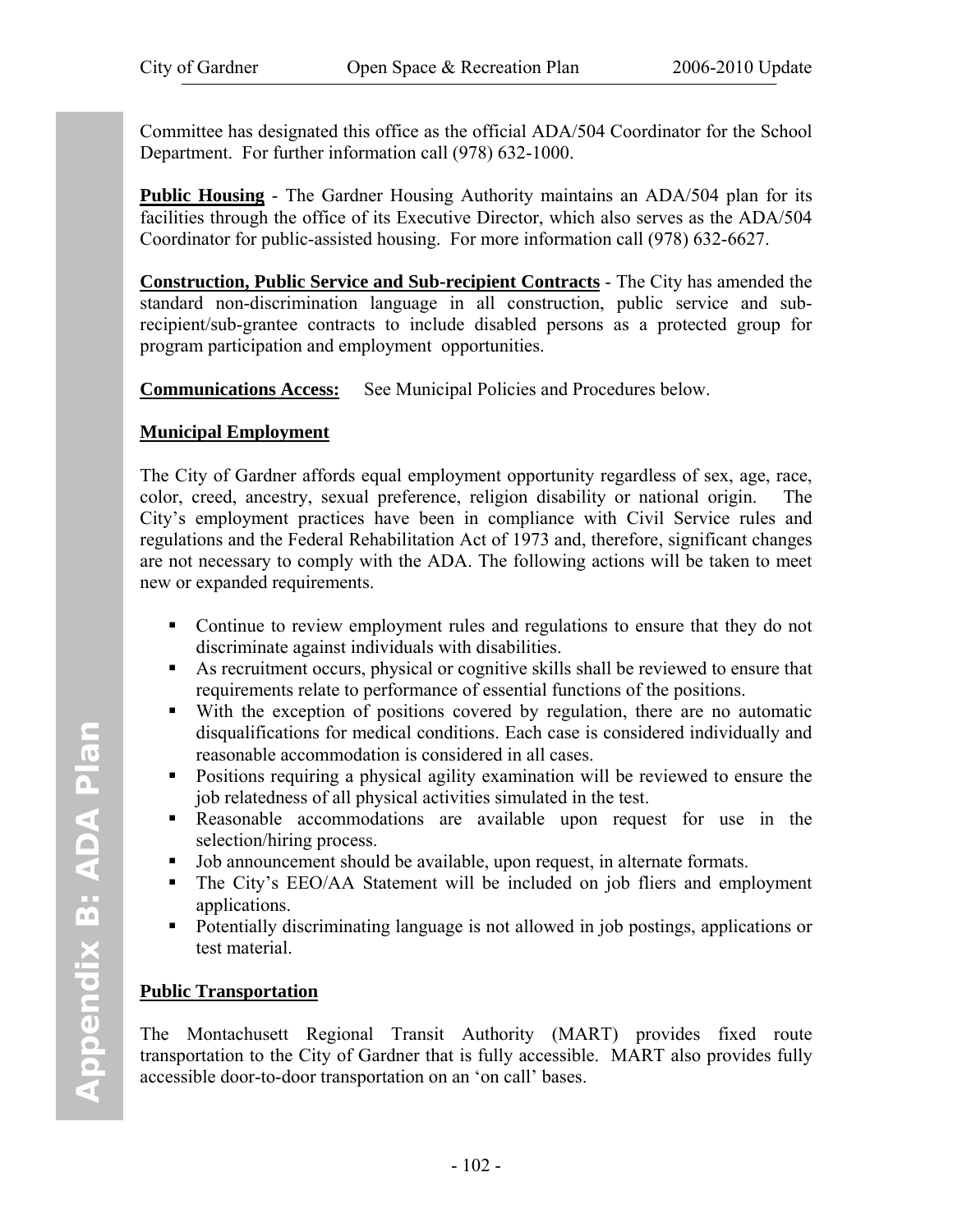Committee has designated this office as the official ADA/504 Coordinator for the School Department. For further information call (978) 632-1000.

**Public Housing** - The Gardner Housing Authority maintains an ADA/504 plan for its facilities through the office of its Executive Director, which also serves as the ADA/504 Coordinator for public-assisted housing. For more information call (978) 632-6627.

**Construction, Public Service and Sub-recipient Contracts** - The City has amended the standard non-discrimination language in all construction, public service and subrecipient/sub-grantee contracts to include disabled persons as a protected group for program participation and employment opportunities.

**Communications Access:** See Municipal Policies and Procedures below.

#### **Municipal Employment**

The City of Gardner affords equal employment opportunity regardless of sex, age, race, color, creed, ancestry, sexual preference, religion disability or national origin. The City's employment practices have been in compliance with Civil Service rules and regulations and the Federal Rehabilitation Act of 1973 and, therefore, significant changes are not necessary to comply with the ADA. The following actions will be taken to meet new or expanded requirements.

- Continue to review employment rules and regulations to ensure that they do not discriminate against individuals with disabilities.
- As recruitment occurs, physical or cognitive skills shall be reviewed to ensure that requirements relate to performance of essential functions of the positions.
- With the exception of positions covered by regulation, there are no automatic disqualifications for medical conditions. Each case is considered individually and reasonable accommodation is considered in all cases.
- Positions requiring a physical agility examination will be reviewed to ensure the job relatedness of all physical activities simulated in the test.
- Reasonable accommodations are available upon request for use in the selection/hiring process.
- Job announcement should be available, upon request, in alternate formats.
- The City's EEO/AA Statement will be included on job fliers and employment applications.
- Potentially discriminating language is not allowed in job postings, applications or test material.

#### **Public Transportation**

The Montachusett Regional Transit Authority (MART) provides fixed route transportation to the City of Gardner that is fully accessible. MART also provides fully accessible door-to-door transportation on an 'on call' bases.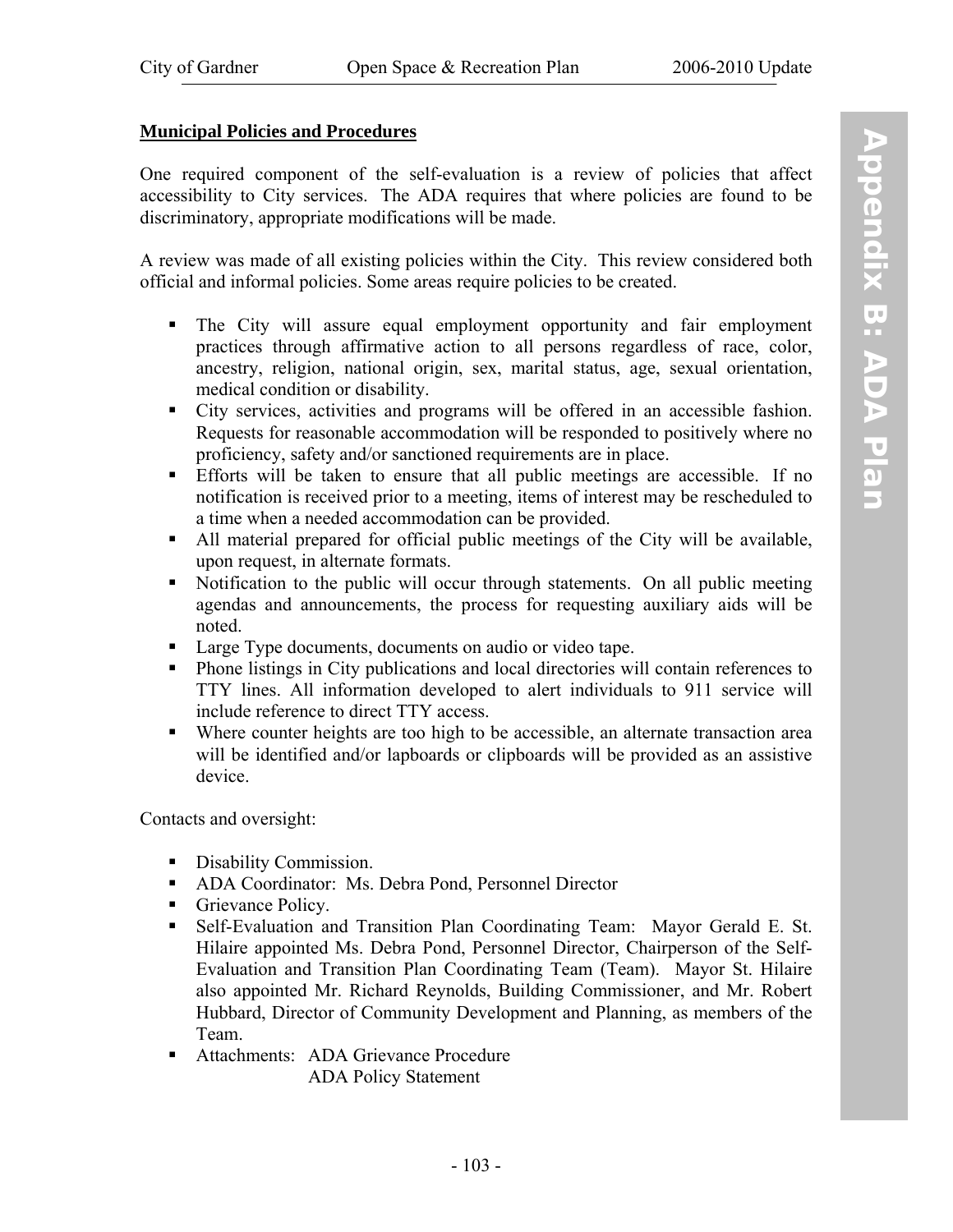#### **Municipal Policies and Procedures**

One required component of the self-evaluation is a review of policies that affect accessibility to City services. The ADA requires that where policies are found to be discriminatory, appropriate modifications will be made.

A review was made of all existing policies within the City. This review considered both official and informal policies. Some areas require policies to be created.

- The City will assure equal employment opportunity and fair employment practices through affirmative action to all persons regardless of race, color, ancestry, religion, national origin, sex, marital status, age, sexual orientation, medical condition or disability.
- City services, activities and programs will be offered in an accessible fashion. Requests for reasonable accommodation will be responded to positively where no proficiency, safety and/or sanctioned requirements are in place.
- Efforts will be taken to ensure that all public meetings are accessible. If no notification is received prior to a meeting, items of interest may be rescheduled to a time when a needed accommodation can be provided.
- All material prepared for official public meetings of the City will be available, upon request, in alternate formats.
- Notification to the public will occur through statements. On all public meeting agendas and announcements, the process for requesting auxiliary aids will be noted.
- Large Type documents, documents on audio or video tape.
- Phone listings in City publications and local directories will contain references to TTY lines. All information developed to alert individuals to 911 service will include reference to direct TTY access.
- Where counter heights are too high to be accessible, an alternate transaction area will be identified and/or lapboards or clipboards will be provided as an assistive device.

Contacts and oversight:

- Disability Commission.
- ADA Coordinator: Ms. Debra Pond, Personnel Director
- Grievance Policy.
- Self-Evaluation and Transition Plan Coordinating Team: Mayor Gerald E. St. Hilaire appointed Ms. Debra Pond, Personnel Director, Chairperson of the Self-Evaluation and Transition Plan Coordinating Team (Team). Mayor St. Hilaire also appointed Mr. Richard Reynolds, Building Commissioner, and Mr. Robert Hubbard, Director of Community Development and Planning, as members of the Team.
- Attachments: ADA Grievance Procedure ADA Policy Statement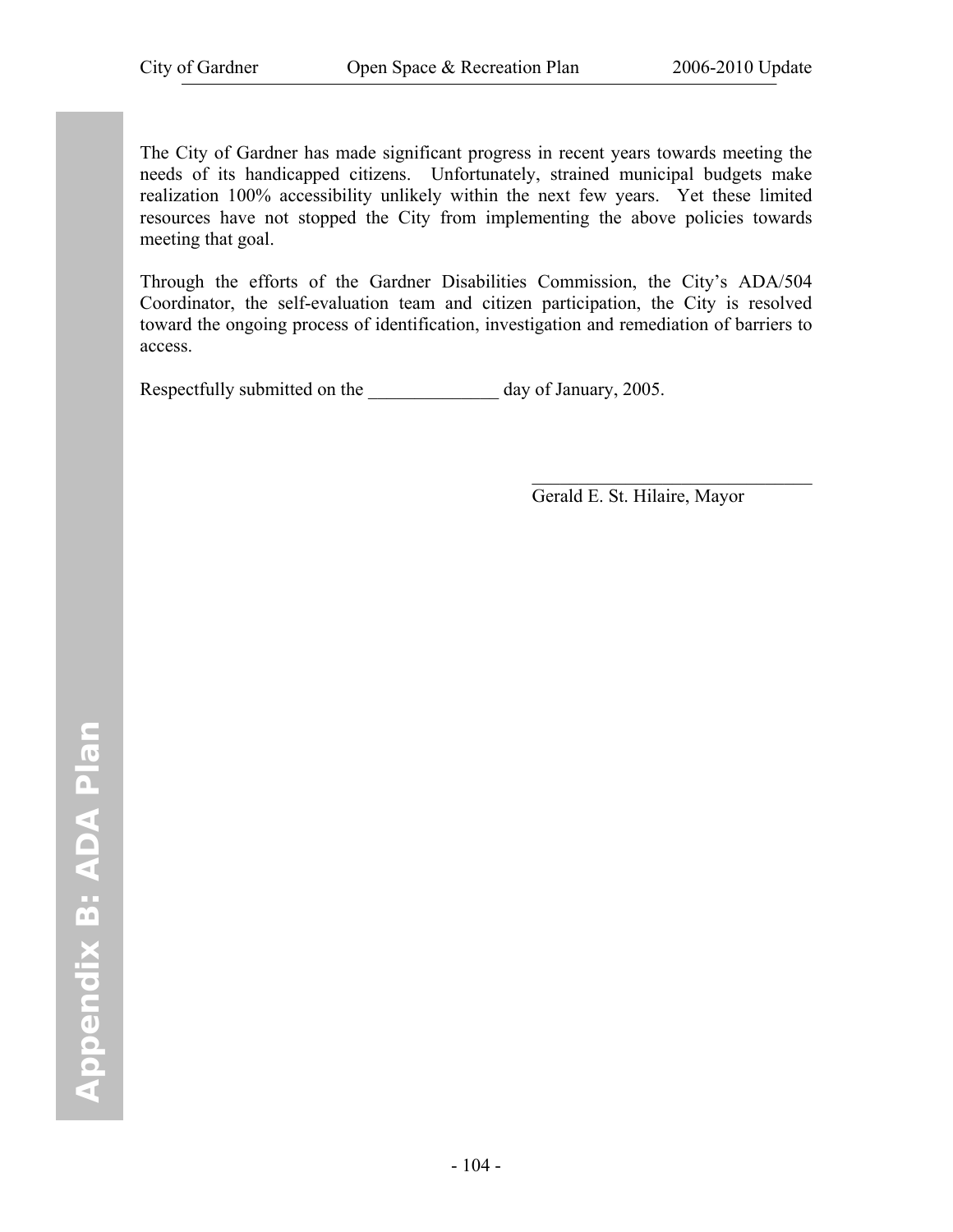The City of Gardner has made significant progress in recent years towards meeting the needs of its handicapped citizens. Unfortunately, strained municipal budgets make realization 100% accessibility unlikely within the next few years. Yet these limited resources have not stopped the City from implementing the above policies towards meeting that goal.

Through the efforts of the Gardner Disabilities Commission, the City's ADA/504 Coordinator, the self-evaluation team and citizen participation, the City is resolved toward the ongoing process of identification, investigation and remediation of barriers to access.

 $\mathcal{L}_\text{max}$  and  $\mathcal{L}_\text{max}$  and  $\mathcal{L}_\text{max}$  and  $\mathcal{L}_\text{max}$  and  $\mathcal{L}_\text{max}$ 

Respectfully submitted on the \_\_\_\_\_\_\_\_\_\_\_\_\_\_ day of January, 2005.

Gerald E. St. Hilaire, Mayor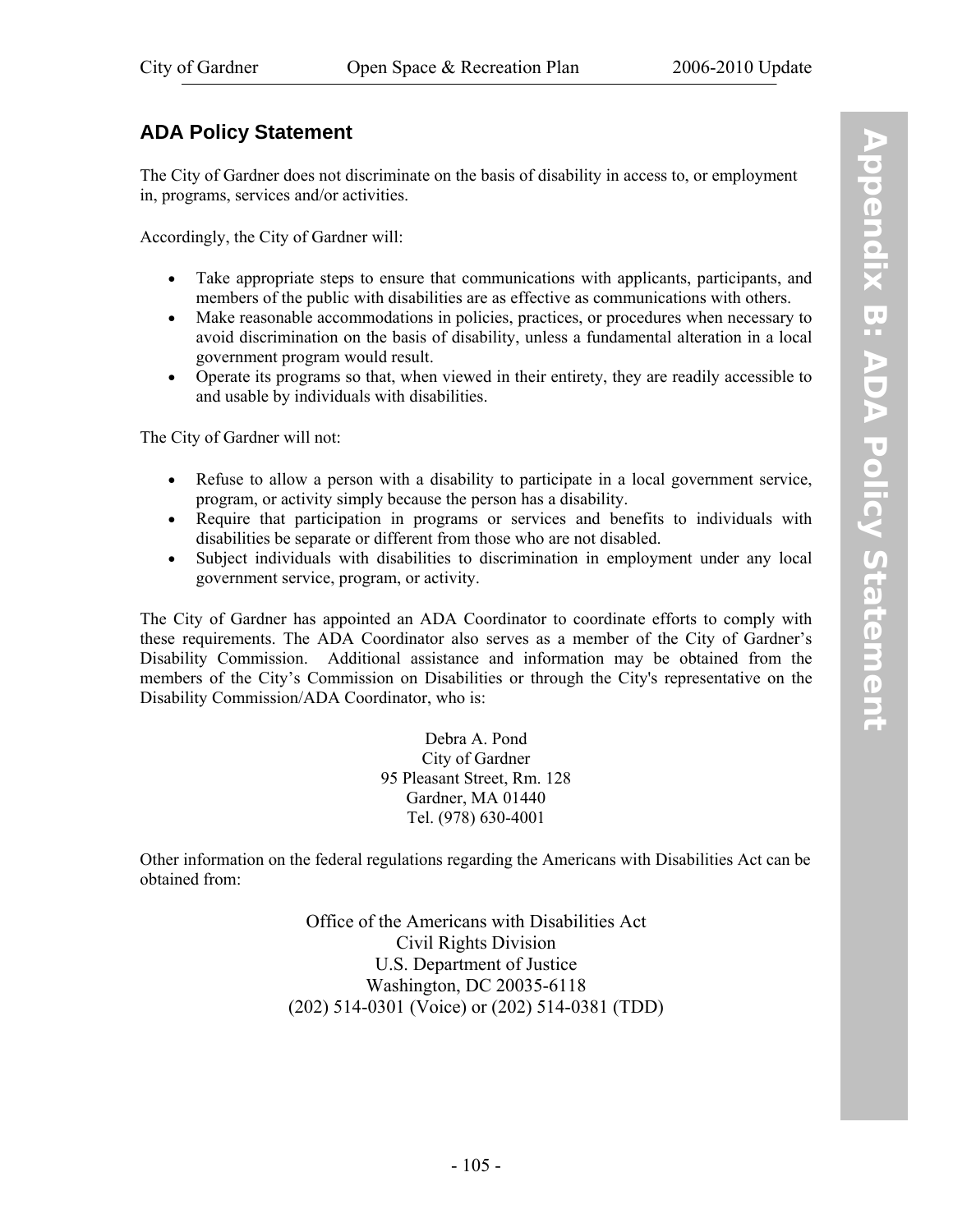#### **ADA Policy Statement**

The City of Gardner does not discriminate on the basis of disability in access to, or employment in, programs, services and/or activities.

Accordingly, the City of Gardner will:

- Take appropriate steps to ensure that communications with applicants, participants, and members of the public with disabilities are as effective as communications with others.
- Make reasonable accommodations in policies, practices, or procedures when necessary to avoid discrimination on the basis of disability, unless a fundamental alteration in a local government program would result.
- Operate its programs so that, when viewed in their entirety, they are readily accessible to and usable by individuals with disabilities.

The City of Gardner will not:

- Refuse to allow a person with a disability to participate in a local government service, program, or activity simply because the person has a disability.
- Require that participation in programs or services and benefits to individuals with disabilities be separate or different from those who are not disabled.
- Subject individuals with disabilities to discrimination in employment under any local government service, program, or activity.

The City of Gardner has appointed an ADA Coordinator to coordinate efforts to comply with these requirements. The ADA Coordinator also serves as a member of the City of Gardner's Disability Commission. Additional assistance and information may be obtained from the members of the City's Commission on Disabilities or through the City's representative on the Disability Commission/ADA Coordinator, who is:

> Debra A. Pond City of Gardner 95 Pleasant Street, Rm. 128 Gardner, MA 01440 Tel. (978) 630-4001

Other information on the federal regulations regarding the Americans with Disabilities Act can be obtained from:

> Office of the Americans with Disabilities Act Civil Rights Division U.S. Department of Justice Washington, DC 20035-6118 (202) 514-0301 (Voice) or (202) 514-0381 (TDD)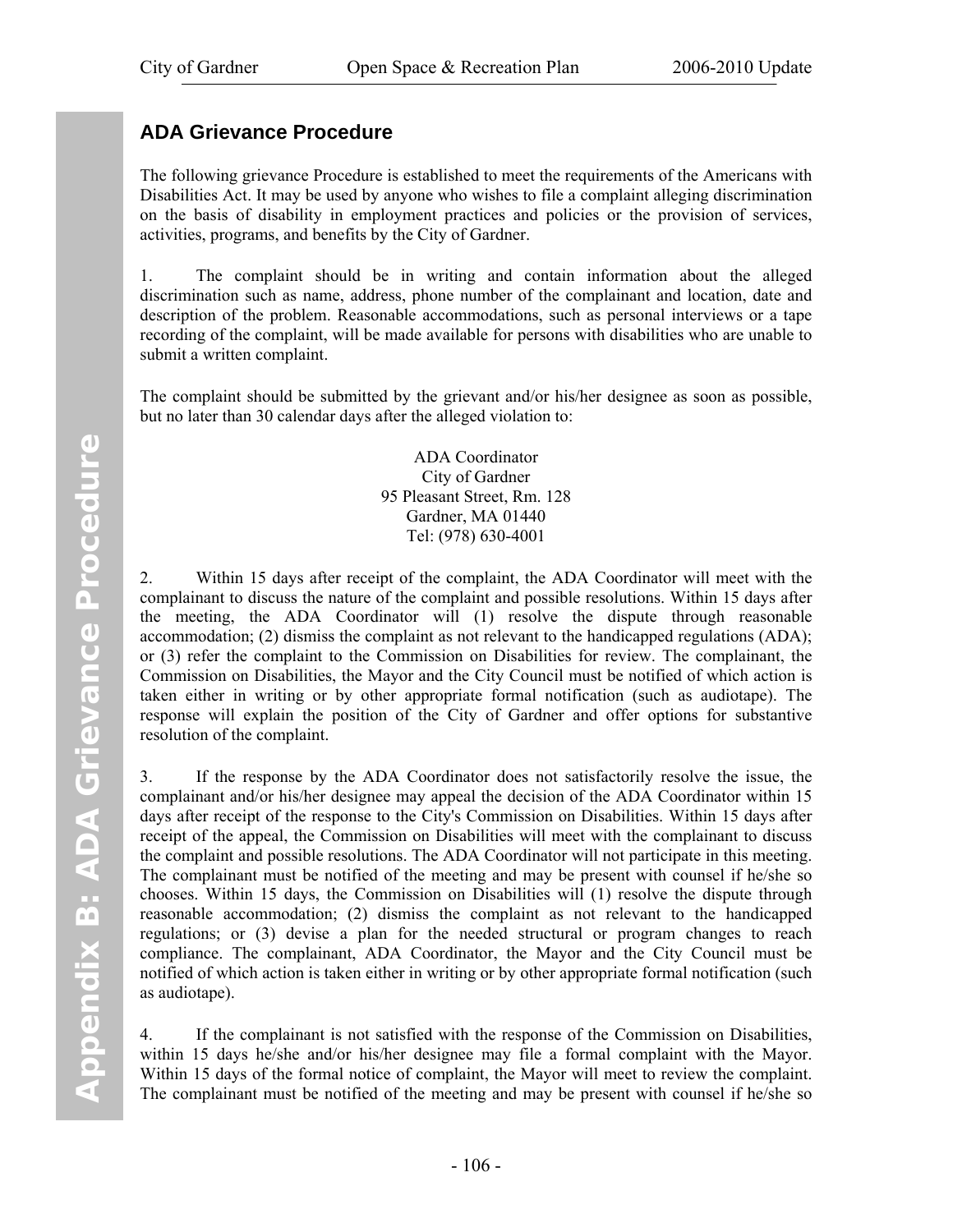## **ADA Grievance Procedure**

The following grievance Procedure is established to meet the requirements of the Americans with Disabilities Act. It may be used by anyone who wishes to file a complaint alleging discrimination on the basis of disability in employment practices and policies or the provision of services, activities, programs, and benefits by the City of Gardner.

1. The complaint should be in writing and contain information about the alleged discrimination such as name, address, phone number of the complainant and location, date and description of the problem. Reasonable accommodations, such as personal interviews or a tape recording of the complaint, will be made available for persons with disabilities who are unable to submit a written complaint.

The complaint should be submitted by the grievant and/or his/her designee as soon as possible, but no later than 30 calendar days after the alleged violation to:

> ADA Coordinator City of Gardner 95 Pleasant Street, Rm. 128 Gardner, MA 01440 Tel: (978) 630-4001

2. Within 15 days after receipt of the complaint, the ADA Coordinator will meet with the complainant to discuss the nature of the complaint and possible resolutions. Within 15 days after the meeting, the ADA Coordinator will (1) resolve the dispute through reasonable accommodation; (2) dismiss the complaint as not relevant to the handicapped regulations (ADA); or (3) refer the complaint to the Commission on Disabilities for review. The complainant, the Commission on Disabilities, the Mayor and the City Council must be notified of which action is taken either in writing or by other appropriate formal notification (such as audiotape). The response will explain the position of the City of Gardner and offer options for substantive resolution of the complaint.

3. If the response by the ADA Coordinator does not satisfactorily resolve the issue, the complainant and/or his/her designee may appeal the decision of the ADA Coordinator within 15 days after receipt of the response to the City's Commission on Disabilities. Within 15 days after receipt of the appeal, the Commission on Disabilities will meet with the complainant to discuss the complaint and possible resolutions. The ADA Coordinator will not participate in this meeting. The complainant must be notified of the meeting and may be present with counsel if he/she so chooses. Within 15 days, the Commission on Disabilities will (1) resolve the dispute through reasonable accommodation; (2) dismiss the complaint as not relevant to the handicapped regulations; or (3) devise a plan for the needed structural or program changes to reach compliance. The complainant, ADA Coordinator, the Mayor and the City Council must be notified of which action is taken either in writing or by other appropriate formal notification (such as audiotape).

4. If the complainant is not satisfied with the response of the Commission on Disabilities, within 15 days he/she and/or his/her designee may file a formal complaint with the Mayor. Within 15 days of the formal notice of complaint, the Mayor will meet to review the complaint. The complainant must be notified of the meeting and may be present with counsel if he/she so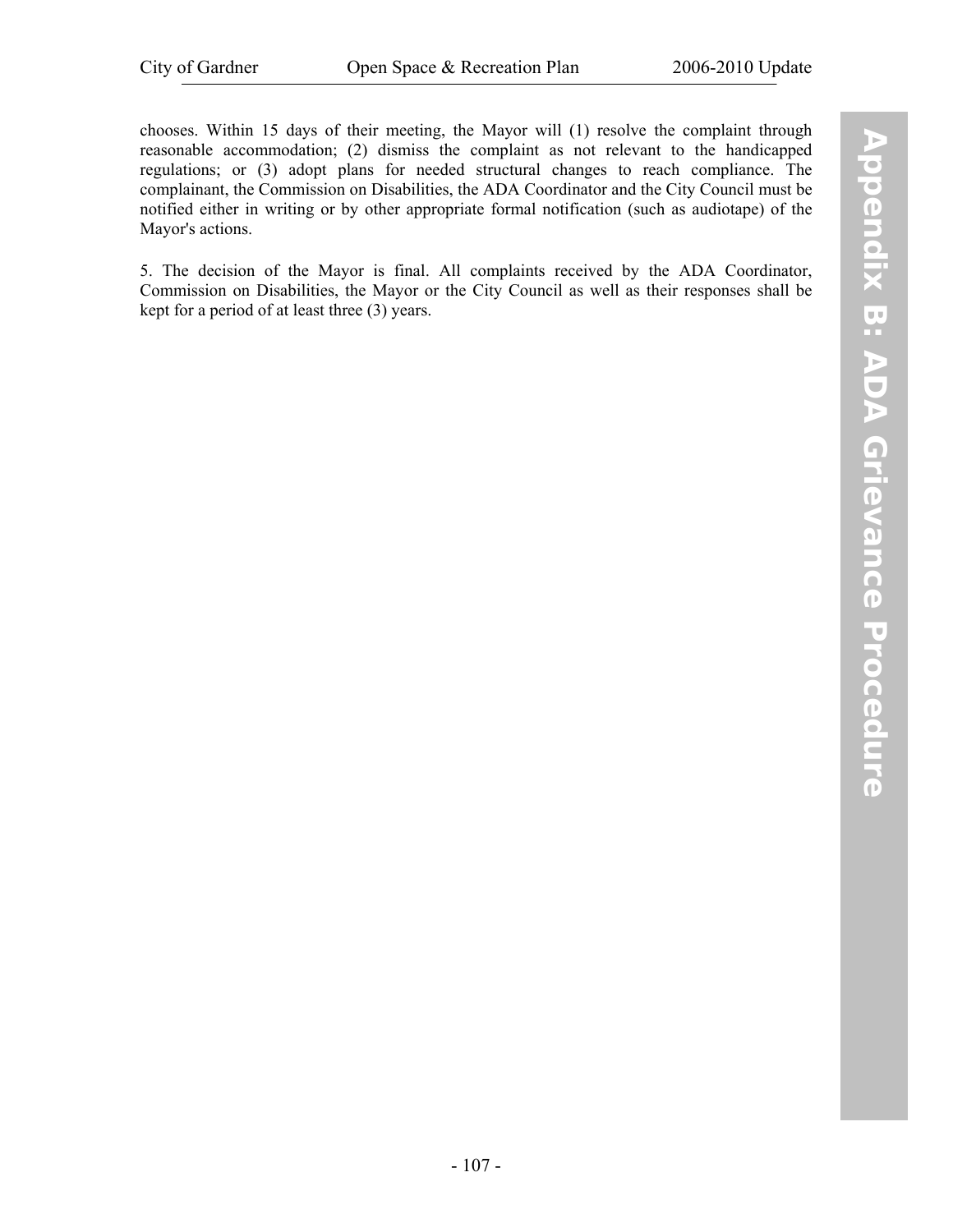chooses. Within 15 days of their meeting, the Mayor will (1) resolve the complaint through reasonable accommodation; (2) dismiss the complaint as not relevant to the handicapped regulations; or (3) adopt plans for needed structural changes to reach compliance. The complainant, the Commission on Disabilities, the ADA Coordinator and the City Council must be notified either in writing or by other appropriate formal notification (such as audiotape) of the Mayor's actions.

5. The decision of the Mayor is final. All complaints received by the ADA Coordinator, Commission on Disabilities, the Mayor or the City Council as well as their responses shall be kept for a period of at least three (3) years.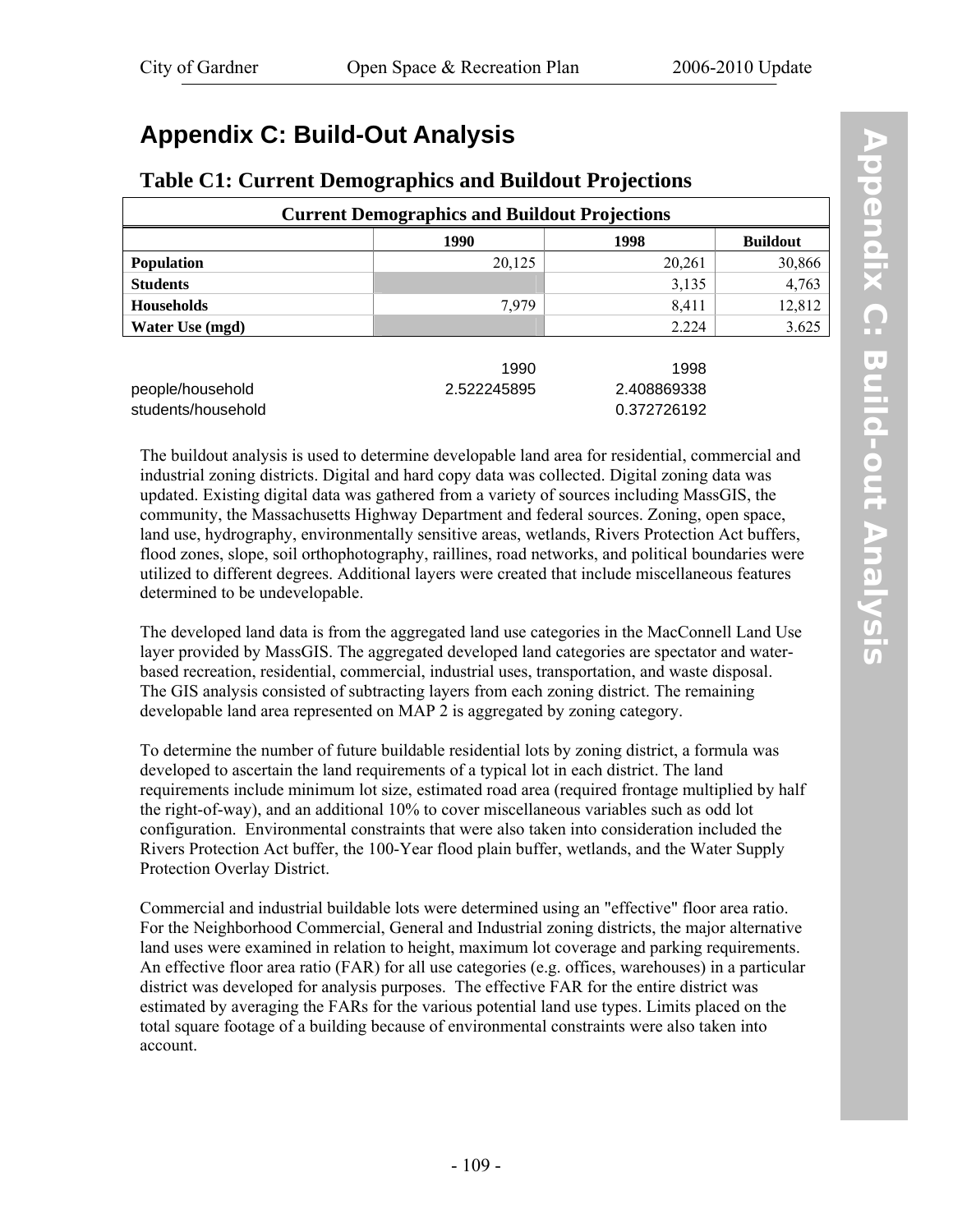# **Appendix C: Build-Out Analysis**

#### **Table C1: Current Demographics and Buildout Projections**

| <b>Current Demographics and Buildout Projections</b> |             |                            |                 |  |  |  |
|------------------------------------------------------|-------------|----------------------------|-----------------|--|--|--|
|                                                      | 1990        | 1998                       | <b>Buildout</b> |  |  |  |
| <b>Population</b>                                    | 20,125      | 20,261                     | 30,866          |  |  |  |
| <b>Students</b>                                      |             | 3,135                      | 4,763           |  |  |  |
| <b>Households</b>                                    | 7,979       | 8,411                      | 12,812          |  |  |  |
| <b>Water Use (mgd)</b>                               |             | 2.224                      | 3.625           |  |  |  |
|                                                      | 1990        | 1998                       |                 |  |  |  |
| people/household<br>students/household               | 2.522245895 | 2.408869338<br>0.372726192 |                 |  |  |  |

The buildout analysis is used to determine developable land area for residential, commercial and industrial zoning districts. Digital and hard copy data was collected. Digital zoning data was updated. Existing digital data was gathered from a variety of sources including MassGIS, the community, the Massachusetts Highway Department and federal sources. Zoning, open space, land use, hydrography, environmentally sensitive areas, wetlands, Rivers Protection Act buffers, flood zones, slope, soil orthophotography, raillines, road networks, and political boundaries were utilized to different degrees. Additional layers were created that include miscellaneous features determined to be undevelopable.

The developed land data is from the aggregated land use categories in the MacConnell Land Use layer provided by MassGIS. The aggregated developed land categories are spectator and waterbased recreation, residential, commercial, industrial uses, transportation, and waste disposal. The GIS analysis consisted of subtracting layers from each zoning district. The remaining developable land area represented on MAP 2 is aggregated by zoning category.

To determine the number of future buildable residential lots by zoning district, a formula was developed to ascertain the land requirements of a typical lot in each district. The land requirements include minimum lot size, estimated road area (required frontage multiplied by half the right-of-way), and an additional 10% to cover miscellaneous variables such as odd lot configuration. Environmental constraints that were also taken into consideration included the Rivers Protection Act buffer, the 100-Year flood plain buffer, wetlands, and the Water Supply Protection Overlay District.

Commercial and industrial buildable lots were determined using an "effective" floor area ratio. For the Neighborhood Commercial, General and Industrial zoning districts, the major alternative land uses were examined in relation to height, maximum lot coverage and parking requirements. An effective floor area ratio (FAR) for all use categories (e.g. offices, warehouses) in a particular district was developed for analysis purposes. The effective FAR for the entire district was estimated by averaging the FARs for the various potential land use types. Limits placed on the total square footage of a building because of environmental constraints were also taken into account.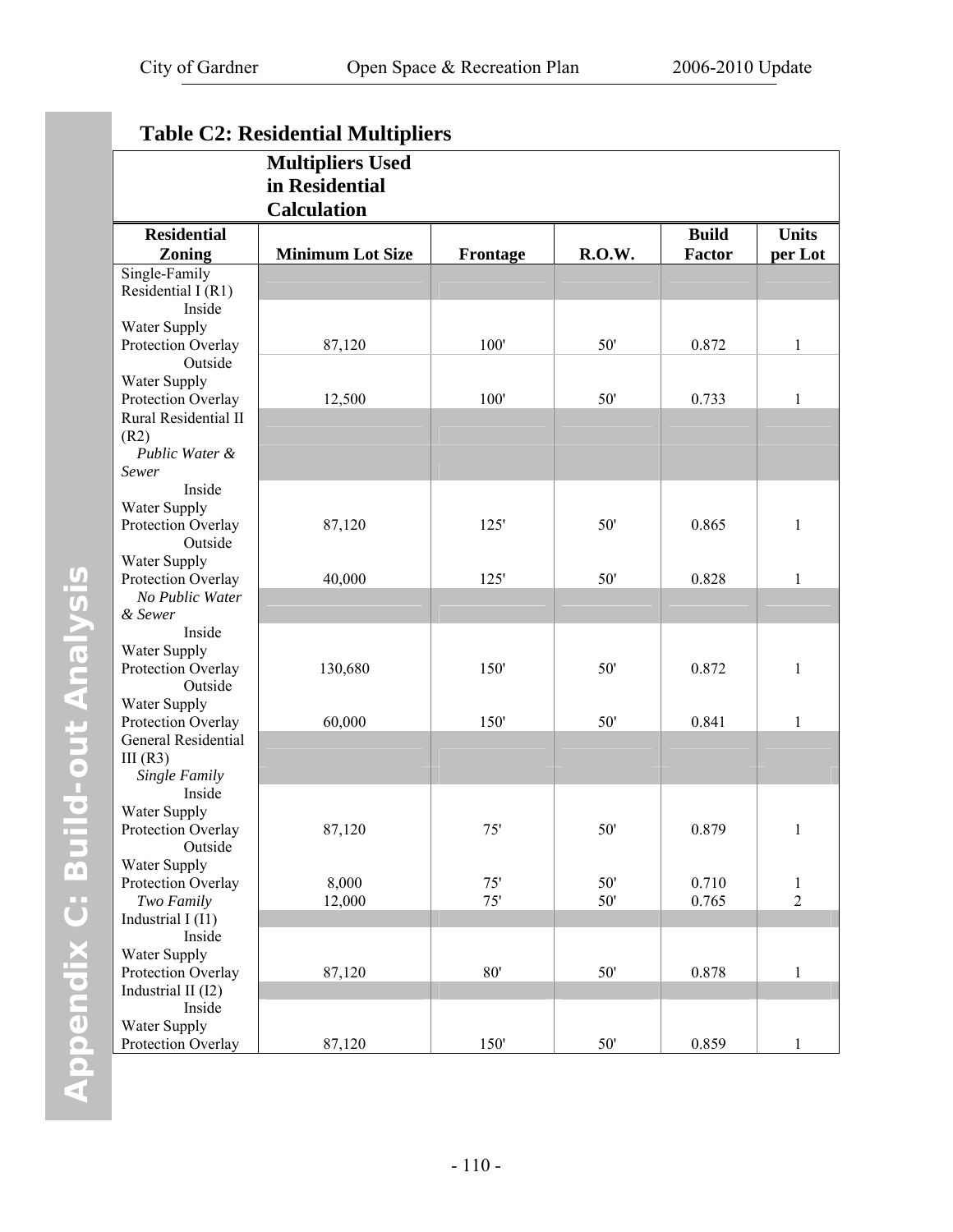|                                    | <b>Table C2: Residential Multipliers</b>                        |          |        |               |                |
|------------------------------------|-----------------------------------------------------------------|----------|--------|---------------|----------------|
|                                    | <b>Multipliers Used</b><br>in Residential<br><b>Calculation</b> |          |        |               |                |
| <b>Residential</b>                 |                                                                 |          |        | <b>Build</b>  | <b>Units</b>   |
| <b>Zoning</b>                      | <b>Minimum Lot Size</b>                                         | Frontage | R.O.W. | <b>Factor</b> | per Lot        |
| Single-Family                      |                                                                 |          |        |               |                |
| Residential I (R1)                 |                                                                 |          |        |               |                |
| Inside                             |                                                                 |          |        |               |                |
| Water Supply                       |                                                                 |          |        |               |                |
| Protection Overlay<br>Outside      | 87,120                                                          | 100'     | 50'    | 0.872         | $\mathbf{1}$   |
| Water Supply                       |                                                                 |          |        |               |                |
| Protection Overlay                 | 12,500                                                          | 100'     | 50'    | 0.733         | 1              |
| Rural Residential II               |                                                                 |          |        |               |                |
| (R2)                               |                                                                 |          |        |               |                |
| Public Water &                     |                                                                 |          |        |               |                |
| Sewer                              |                                                                 |          |        |               |                |
| Inside                             |                                                                 |          |        |               |                |
| Water Supply                       |                                                                 |          |        |               |                |
| Protection Overlay                 | 87,120                                                          | 125'     | 50'    | 0.865         | $\mathbf{1}$   |
| Outside                            |                                                                 |          |        |               |                |
| Water Supply                       |                                                                 |          |        |               |                |
| Protection Overlay                 | 40,000                                                          | 125'     | 50'    | 0.828         | 1              |
| No Public Water<br>& Sewer         |                                                                 |          |        |               |                |
| Inside                             |                                                                 |          |        |               |                |
| Water Supply                       |                                                                 |          |        |               |                |
| Protection Overlay                 | 130,680                                                         | 150'     | 50'    | 0.872         | 1              |
| Outside                            |                                                                 |          |        |               |                |
| Water Supply                       |                                                                 |          |        |               |                |
| Protection Overlay                 | 60,000                                                          | 150'     | 50'    | 0.841         | 1              |
| General Residential                |                                                                 |          |        |               |                |
| III $(R3)$                         |                                                                 |          |        |               |                |
| Single Family                      |                                                                 |          |        |               |                |
| Inside                             |                                                                 |          |        |               |                |
| Water Supply<br>Protection Overlay | 87,120                                                          | 75'      | $50'$  | 0.879         |                |
| Outside                            |                                                                 |          |        |               | $\mathbf{1}$   |
| Water Supply                       |                                                                 |          |        |               |                |
| Protection Overlay                 | 8,000                                                           | 75'      | 50'    | 0.710         | $\mathbf{1}$   |
| Two Family                         | 12,000                                                          | 75'      | $50'$  | 0.765         | $\overline{2}$ |
| Industrial $I(11)$                 |                                                                 |          |        |               |                |
| Inside                             |                                                                 |          |        |               |                |
| Water Supply                       |                                                                 |          |        |               |                |
| Protection Overlay                 | 87,120                                                          | 80'      | $50'$  | 0.878         | $\mathbf{1}$   |
| Industrial II (I2)                 |                                                                 |          |        |               |                |
| Inside                             |                                                                 |          |        |               |                |
| Water Supply                       |                                                                 |          |        |               |                |
| Protection Overlay                 | 87,120                                                          | 150'     | $50'$  | 0.859         | 1              |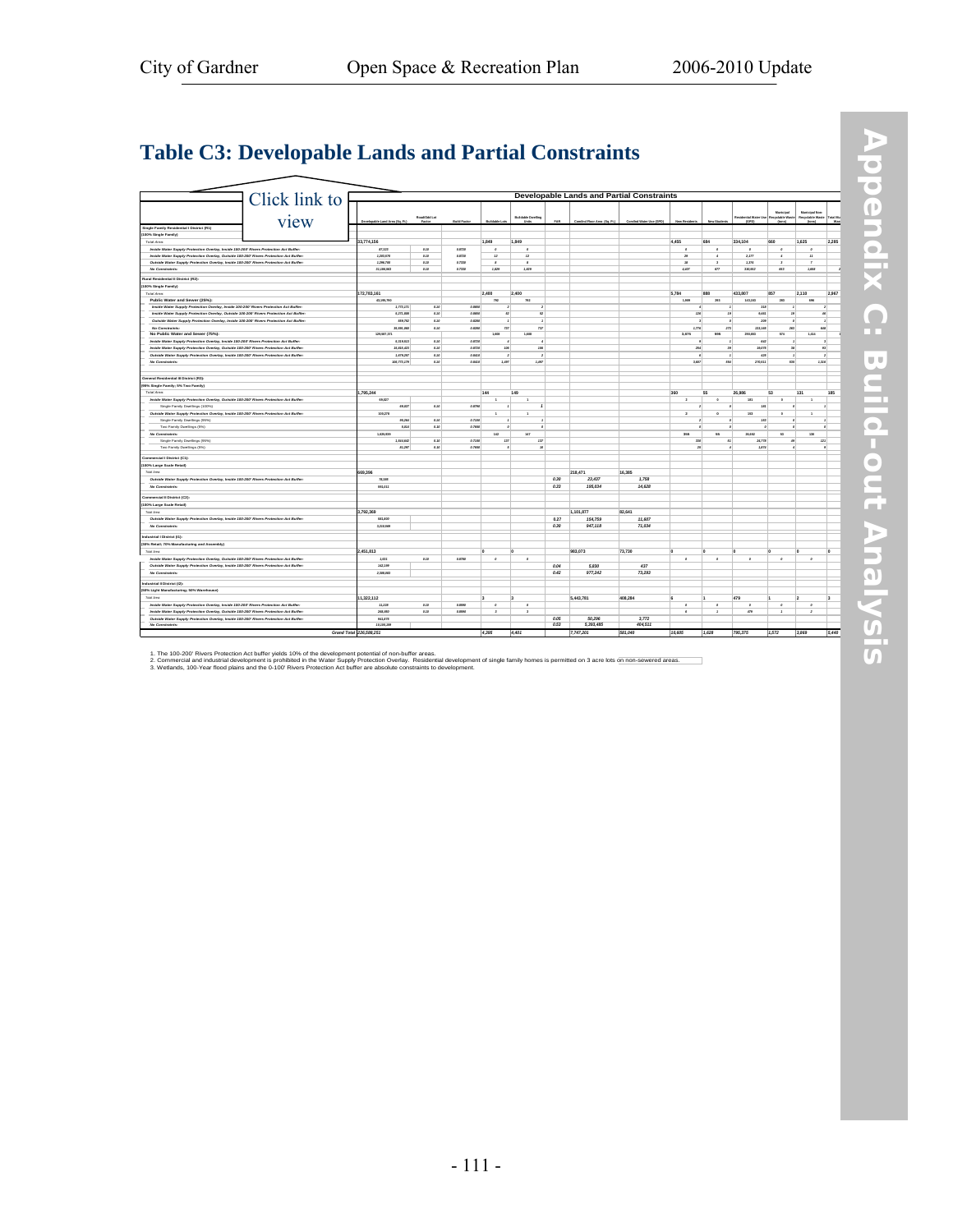÷,

## **[Table C3: Developable Lands and Partial Constraints](http://www.gardner-ma.gov/Pages/GardnerMA_CommDev/OS/TableC3.pdf)**

|                                                                                        | Click link to | <b>Developable Lands and Partial Constraints</b> |                        |                     |                      |                                    |            |                             |                        |                          |                |                                       |                                               |                                                       |        |
|----------------------------------------------------------------------------------------|---------------|--------------------------------------------------|------------------------|---------------------|----------------------|------------------------------------|------------|-----------------------------|------------------------|--------------------------|----------------|---------------------------------------|-----------------------------------------------|-------------------------------------------------------|--------|
|                                                                                        | view          | Developable Land Area (So. Ft.)                  | Road/Odd Lot<br>Factor | <b>Build Factor</b> | <b>Buildable Lot</b> | <b>Buildable Dwelling</b><br>Units | <b>TAR</b> | Comfrd Floor Area (So. Ft.) | Comind Water Use (GPD) | New Resident             | New Student    | <b>Residential Water Use</b><br>(CPD) | Municipal<br><b>Recyclable Waste</b><br>(hom) | Municipal Non-<br>Recyclable Waste Total Mu<br>(born) | Was    |
| Single Family Realdential I District (R1)                                              |               |                                                  |                        |                     |                      |                                    |            |                             |                        |                          |                |                                       |                                               |                                                       |        |
| (100% Single Family)                                                                   |               |                                                  |                        |                     |                      |                                    |            |                             |                        |                          |                |                                       |                                               |                                                       |        |
| <b>Trial Area</b>                                                                      |               | 33.774.156                                       |                        |                     | 1.849                | 1.849                              |            |                             |                        | 4.455                    | 684            | 334.104                               | 660                                           | 1.625                                                 | 2.285  |
| Inside Water Supply Protection Overlay, Inside 100-200' Rivers Protection Act Buffer:  |               | 47.171                                           | 0.32                   | 0.8720              | $\overline{a}$       | $\mathcal{L}$                      |            |                             |                        | $\mathfrak{o}$           | $\mathfrak{a}$ | $\mathcal{L}$                         | $\mathcal{Q}$                                 | $\overline{a}$                                        |        |
| Inside Water Supply Protection Overlay, Outside 100-200' Rivers Protection Act Buffer: |               | 1,202,570                                        | 0.30                   | 0.8720              | 12                   | $\boldsymbol{12}$                  |            |                             |                        | 29                       | $\overline{4}$ | 2,177                                 | $\epsilon$                                    | $^{\prime\prime}$                                     |        |
| Outside Water Supply Protection Overlay, Inside 100-200' Rivers Protection Act Buffer: |               | 1,296,700                                        | 0.30                   | 0.7330              | $\mathcal{L}$        | $\mathbf{r}$                       |            |                             |                        | 18 <sup>°</sup>          | $\overline{z}$ | 1,274                                 | $\mathcal{I}$                                 | $\mathcal{F}$                                         |        |
| No Constraints:                                                                        |               | J1, 106,563                                      | a xo                   | 0.7330              | 1.029                | 1,829                              |            |                             |                        | 4.407                    | 677            | 330,552                               | 452                                           | 1,608                                                 |        |
|                                                                                        |               |                                                  |                        |                     |                      |                                    |            |                             |                        |                          |                |                                       |                                               |                                                       |        |
| Rural Residential II District (R2):                                                    |               |                                                  |                        |                     |                      |                                    |            |                             |                        |                          |                |                                       |                                               |                                                       |        |
| (100% Single Family)                                                                   |               |                                                  |                        |                     |                      |                                    |            |                             |                        |                          |                |                                       |                                               |                                                       |        |
| Total Area:                                                                            |               | 172,783,161                                      |                        |                     | 2,400                | 2.400                              |            |                             |                        | 5.784                    | <b>SSR</b>     | 433.807                               | 857                                           | 2110                                                  | 2.967  |
| Public Water and Sewer (25%):                                                          |               | 43.195.790                                       |                        |                     | 792                  | 792                                |            |                             |                        | 1.909                    | 293            | 143.153                               | 283                                           | 696                                                   |        |
| Inside Water Supply Protection Overlay, Inside 100-200' Rivers Protection Act Buffer:  |               | 1.773.177                                        | 0.70                   | 0.0650              |                      |                                    |            |                             |                        |                          |                | 718                                   |                                               |                                                       |        |
| Inside Water Supply Protection Overlay, Outside 100-200' Rivers Protection Act Buffer: |               | 5,271,000                                        | ato                    | asso                | $\varpi$             | sz.                                |            |                             |                        | za:                      | 19             | 9,467                                 | 29                                            |                                                       | $44\,$ |
| Outside Water Supply Protection Overlay, Inside 100-200' Rivers Protection Act Buffer: |               | 559,752                                          | 0.70                   | asoso               |                      |                                    |            |                             |                        |                          |                | 209                                   |                                               |                                                       |        |
| No Constraints:                                                                        |               | 15 507 040                                       | 0.30                   | 0.8700              | m                    | $\tau\tau$                         |            |                             |                        | 7.726                    | 271            | 111145                                | 281                                           | <b>AR</b>                                             |        |
| No Public Water and Sewer (75%):                                                       |               | 120 507 171                                      |                        |                     | 1,608                | 1,608                              |            |                             |                        | 3.875                    | 595            | 290,653                               | 574                                           | 1.414                                                 |        |
| Inside Water Supply Protection Overlay, Inside 100-200' Rivers Protection Act Buffer:  |               | 5,379.533                                        | 0.70                   | 0.8720              | $\lambda$            |                                    |            |                             |                        | $\bullet$                |                | 4Q                                    |                                               |                                                       | ×      |
| Inside Water Supply Protection Overlay, Outside 100-200' Rivers Protection Act Buffer: |               | 15,815,422                                       | 0.70                   | 0.8720              | <b>N&amp;</b>        | 306                                |            |                             |                        | 254                      | 3s             | 19,075                                | $\overline{\mathbf{x}}$                       |                                                       | 92     |
| Outside Water Supply Protection Overlay, Inside 100-200' Rivers Protection Act Buffer: |               | 1,479,257                                        | a10                    | 0.0410              |                      |                                    |            |                             |                        |                          |                | 425                                   |                                               |                                                       |        |
| No Constraints:                                                                        |               | 106,773,179                                      | a10                    | 0.5410              | 1,487                | 1.497                              |            |                             |                        | 7,607                    | w              | 270517                                | <b>ABS</b>                                    | $1$ The                                               |        |
|                                                                                        |               |                                                  |                        |                     |                      |                                    |            |                             |                        |                          |                |                                       |                                               |                                                       |        |
| General Residential III District (R3)                                                  |               |                                                  |                        |                     |                      |                                    |            |                             |                        |                          |                |                                       |                                               |                                                       |        |
| (95% Single Family; 5% Two Family)                                                     |               |                                                  |                        |                     |                      |                                    |            |                             |                        |                          |                |                                       |                                               |                                                       |        |
| <b>Total Area</b>                                                                      |               | 1.795.244                                        |                        |                     | 144                  | 149                                |            |                             |                        | 360                      | SS.            | 26.986                                | 53                                            | 131                                                   | 185    |
| Inside Water Supply Protection Overlay, Outside 100-200' Rivers Protection Act Buffer. |               | 69.027                                           |                        |                     |                      | ı.                                 |            |                             |                        | $\overline{z}$           | $\circ$        | 187                                   | $\circ$                                       | $\mathbf{r}$                                          |        |
| Single Family Dwellings (100%)                                                         |               | 49,027                                           | 0.70                   | 0.8790              |                      |                                    |            |                             |                        |                          |                | 147                                   |                                               |                                                       |        |
| Outside Water Supply Protection Overlay, Inside 100-200' Rivers Protection Act Buffer: |               | 100,278                                          |                        |                     | $\mathbf{1}$         | $\mathbf{I}$                       |            |                             |                        | $\overline{z}$           | $\circ$        | 153                                   | $\circ$                                       | $\mathbf{1}$                                          |        |
| Single Family Dwellings (95%)                                                          |               | 95,264                                           | 0.70                   | 0.7700              |                      |                                    |            |                             |                        |                          |                | 157                                   |                                               |                                                       |        |
| Two Family Dwellings (5%)                                                              |               | 5,014                                            | a xo                   | 0.7650              |                      |                                    |            |                             |                        |                          |                |                                       |                                               |                                                       |        |
| No Constraints:                                                                        |               | 1475 919                                         |                        |                     | 142                  | 147                                |            |                             |                        | 355                      | 55             | 36,652                                | 51.                                           | 110                                                   |        |
| Single Family Dwellings (95%)                                                          |               | 154460                                           | a xa                   | 0.7700              | 117                  | 117                                |            |                             |                        | T20                      | 57             | 24,778                                | $\overline{a}$                                | $\overline{u}$                                        |        |
| Two Family Dwellings (5%)                                                              |               | 81,297                                           | a xo                   | 0.7650              |                      | 10                                 |            |                             |                        | $\overline{\mathcal{Z}}$ |                | 1.074                                 |                                               |                                                       |        |
|                                                                                        |               |                                                  |                        |                     |                      |                                    |            |                             |                        |                          |                |                                       |                                               |                                                       |        |
| Commercial I District (C1):                                                            |               |                                                  |                        |                     |                      |                                    |            |                             |                        |                          |                |                                       |                                               |                                                       |        |
| (100% Large Scale Retail)                                                              |               |                                                  |                        |                     |                      |                                    |            |                             |                        |                          |                |                                       |                                               |                                                       |        |
| <b>Tréal Anna</b>                                                                      |               | 669.396                                          |                        |                     |                      |                                    |            | 218.471                     | 16.385                 |                          |                |                                       |                                               |                                                       |        |
| Outside Water Supply Protection Overlay, Inside 100-200' Rivers Protection Act Buffer: |               | 70,385                                           |                        |                     |                      |                                    | 0.30       | 23.437                      | 1.758                  |                          |                |                                       |                                               |                                                       |        |
| No Constraints                                                                         |               | 597,077                                          |                        |                     |                      |                                    | 0.33       | 195,034                     | 14,628                 |                          |                |                                       |                                               |                                                       |        |
|                                                                                        |               |                                                  |                        |                     |                      |                                    |            |                             |                        |                          |                |                                       |                                               |                                                       |        |
| Commercial II District (C2):                                                           |               |                                                  |                        |                     |                      |                                    |            |                             |                        |                          |                |                                       |                                               |                                                       |        |
| (100% Large Scale Retail)                                                              |               |                                                  |                        |                     |                      |                                    |            |                             |                        |                          |                |                                       |                                               |                                                       |        |
| Total Area                                                                             |               | 3.792.369                                        |                        |                     |                      |                                    |            | 1.101.877                   | 82.641                 |                          |                |                                       |                                               |                                                       |        |
| Outside Water Supply Protection Overlay, Inside 100-200' Rivers Protection Act Buffer: |               | 581,800                                          |                        |                     |                      |                                    | 0.27       | 154.759                     | 11.607                 |                          |                |                                       |                                               |                                                       |        |
| No Constraints                                                                         |               | 3,210,569                                        |                        |                     |                      |                                    | 0.30       | 947,118                     | 71,034                 |                          |                |                                       |                                               |                                                       |        |
| Industrial I District (I1)                                                             |               |                                                  |                        |                     |                      |                                    |            |                             |                        |                          |                |                                       |                                               |                                                       |        |
| (30% Retail; 70% Manufacturing and Assembly)                                           |               |                                                  |                        |                     |                      |                                    |            |                             |                        |                          |                |                                       |                                               |                                                       |        |
|                                                                                        |               | 2.451.813                                        |                        |                     |                      |                                    |            | 983,073                     | 73,730                 | l٥                       |                | l۵                                    | ١o                                            | $\sqrt{2}$                                            | lo.    |
| Total Ann                                                                              |               | 1537                                             | 0.30                   | 0.8700              | $\mathcal{Q}$        | $\sigma$                           |            |                             |                        | $\circ$                  | $\mathfrak{o}$ | $\mathfrak{o}$                        | $\mathcal{Q}$                                 | $\mathcal{Q}$                                         |        |
| Inside Water Supply Protection Overlay, Outside 100-200' Rivers Protection Act Buffer: |               |                                                  |                        |                     |                      |                                    |            |                             |                        |                          |                |                                       |                                               |                                                       |        |
| Outside Water Supply Protection Overlay, Inside 100-200' Rivers Protection Act Buffer. |               | 142,199                                          |                        |                     |                      |                                    | 0.04       | 5.830                       | 437                    |                          |                |                                       |                                               |                                                       |        |
| No Constraints:                                                                        |               | 2,308,007                                        |                        |                     |                      |                                    | 0.42       | 977,242                     | 73,293                 |                          |                |                                       |                                               |                                                       |        |
| Industrial II District (12):                                                           |               |                                                  |                        |                     |                      |                                    |            |                             |                        |                          |                |                                       |                                               |                                                       |        |
| (50% Light Manufacturing: 50% Warehouse)                                               |               |                                                  |                        |                     |                      |                                    |            |                             |                        |                          |                |                                       |                                               |                                                       |        |
| <b>Tréal Anna</b>                                                                      |               | 11.322.112                                       |                        |                     |                      |                                    |            | 5.443.781                   | 408.284                | ١ĸ                       |                | 479                                   | h                                             | $\overline{2}$                                        | la.    |
| Inside Water Supply Protection Overlay, Inside 100-200' Rivers Protection Act Buffer:  |               | 11,228                                           | 0.30                   | 0.8590              | $\mathcal{Q}$        | $\sigma$                           |            |                             |                        | $\circ$                  | $\sigma$       | $\mathfrak{o}$                        | $\mathcal{Q}$                                 | $\mathcal{Q}$                                         |        |
| Inside Water Supply Protection Overlay, Outside 100-200' Rivers Protection Act Buffer: |               | 268,850                                          | 0.30                   | 0.8590              | $\mathcal{I}$        | $\overline{z}$                     |            |                             |                        | $\epsilon$               | $\overline{z}$ | 479                                   | $\mathbf{r}$                                  | $\overline{z}$                                        |        |
| Outside Water Supply Protection Overlay, Inside 100-200' Rivers Protection Act Buffer: |               | 941,875                                          |                        |                     |                      |                                    | 0.05       | 50.296                      | 3.772                  |                          |                |                                       |                                               |                                                       |        |
|                                                                                        |               |                                                  |                        |                     |                      |                                    |            |                             |                        |                          |                |                                       |                                               |                                                       |        |
| No Constraints:                                                                        |               | 10.100.159                                       |                        |                     |                      |                                    | 0.53       | 5,393,485                   | 404.511                |                          |                |                                       |                                               |                                                       |        |

1. The 100-200' Rivers Protection Act buffer yields 10% of the development potential of non-buffer areas.<br>2. Commercial and industrial development is prohibited in the Water Supply Protection Overlay. Residential developme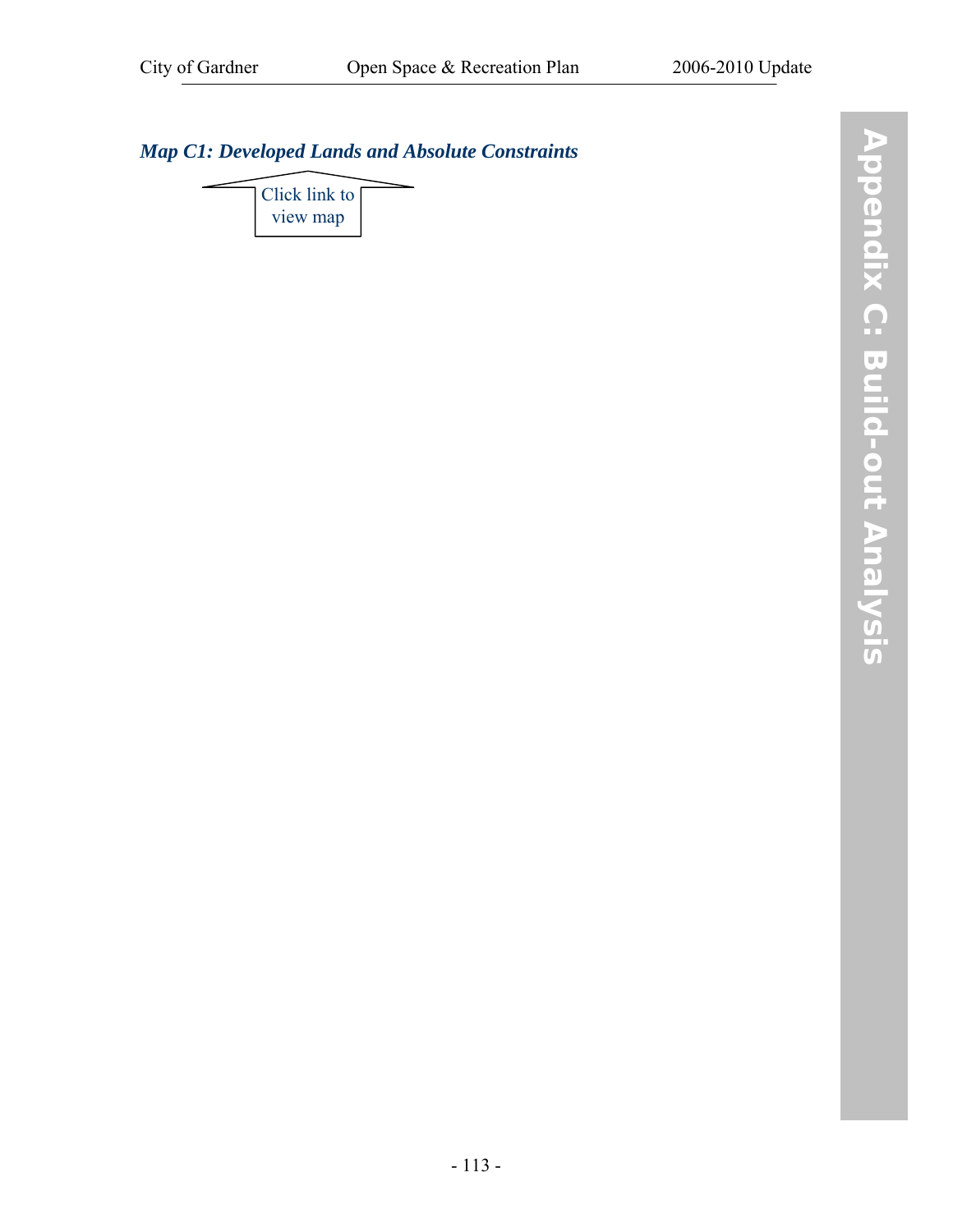## *[Map C1: Developed Lands and Absolute Constraints](http://www.gardner-ma.gov/Pages/GardnerMA_CommDev/OS/MapC1.pdf)*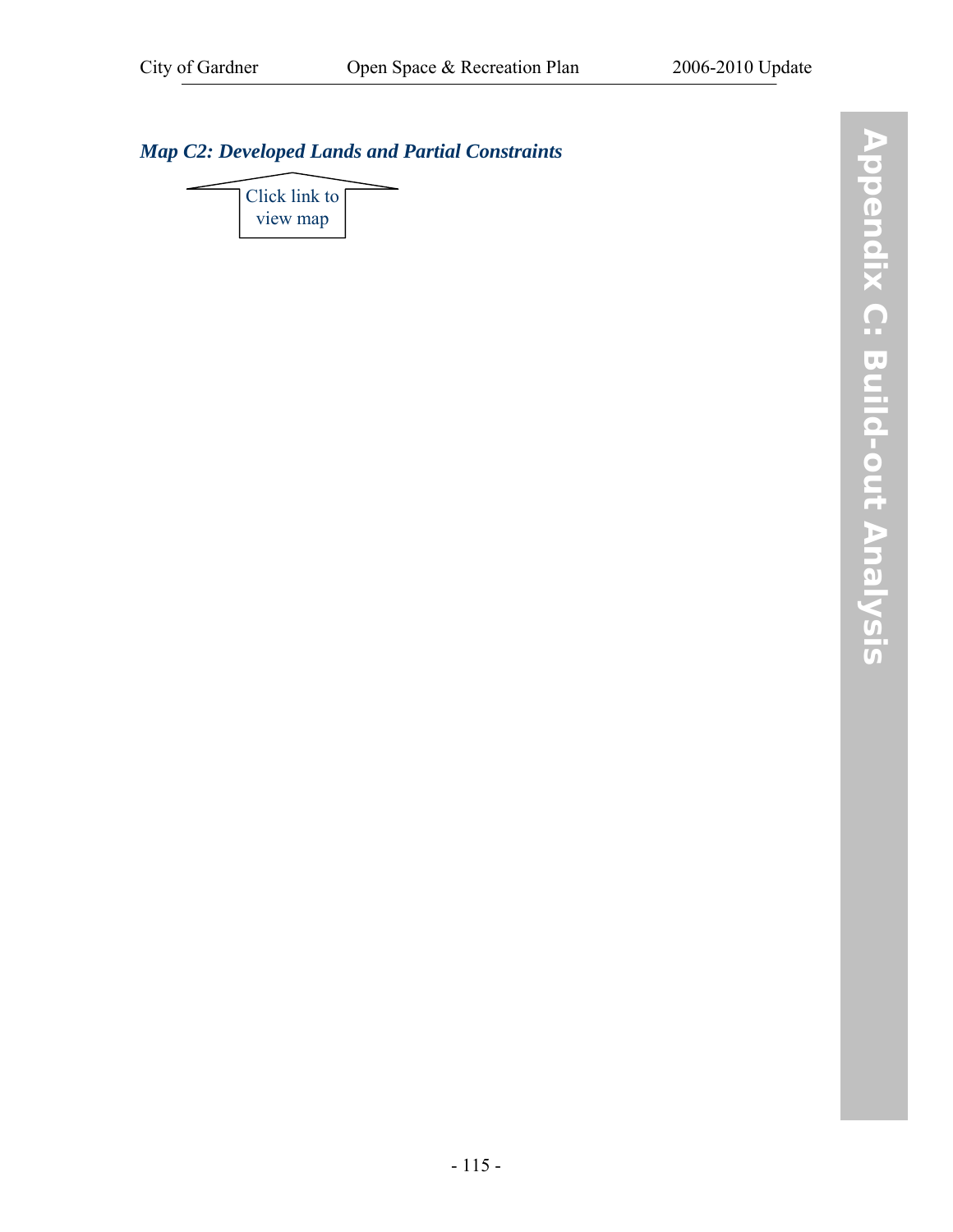## *[Map C2: Developed Lands and Partial Constraints](http://www.gardner-ma.gov/Pages/GardnerMA_CommDev/OS/MapC2.pdf)*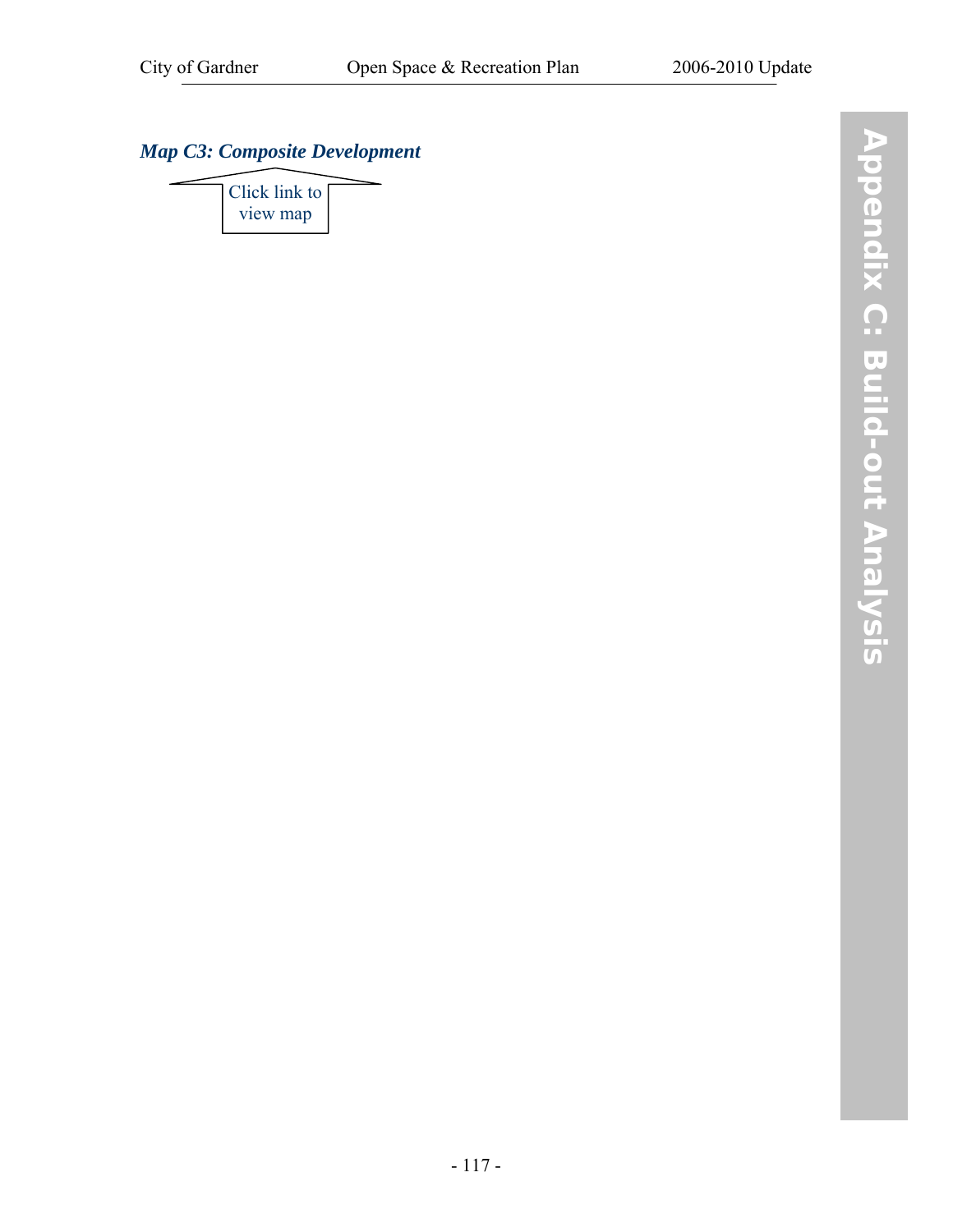## *[Map C3: Composite Development](http://www.gardner-ma.gov/Pages/GardnerMA_CommDev/OS/MapC3.pdf)*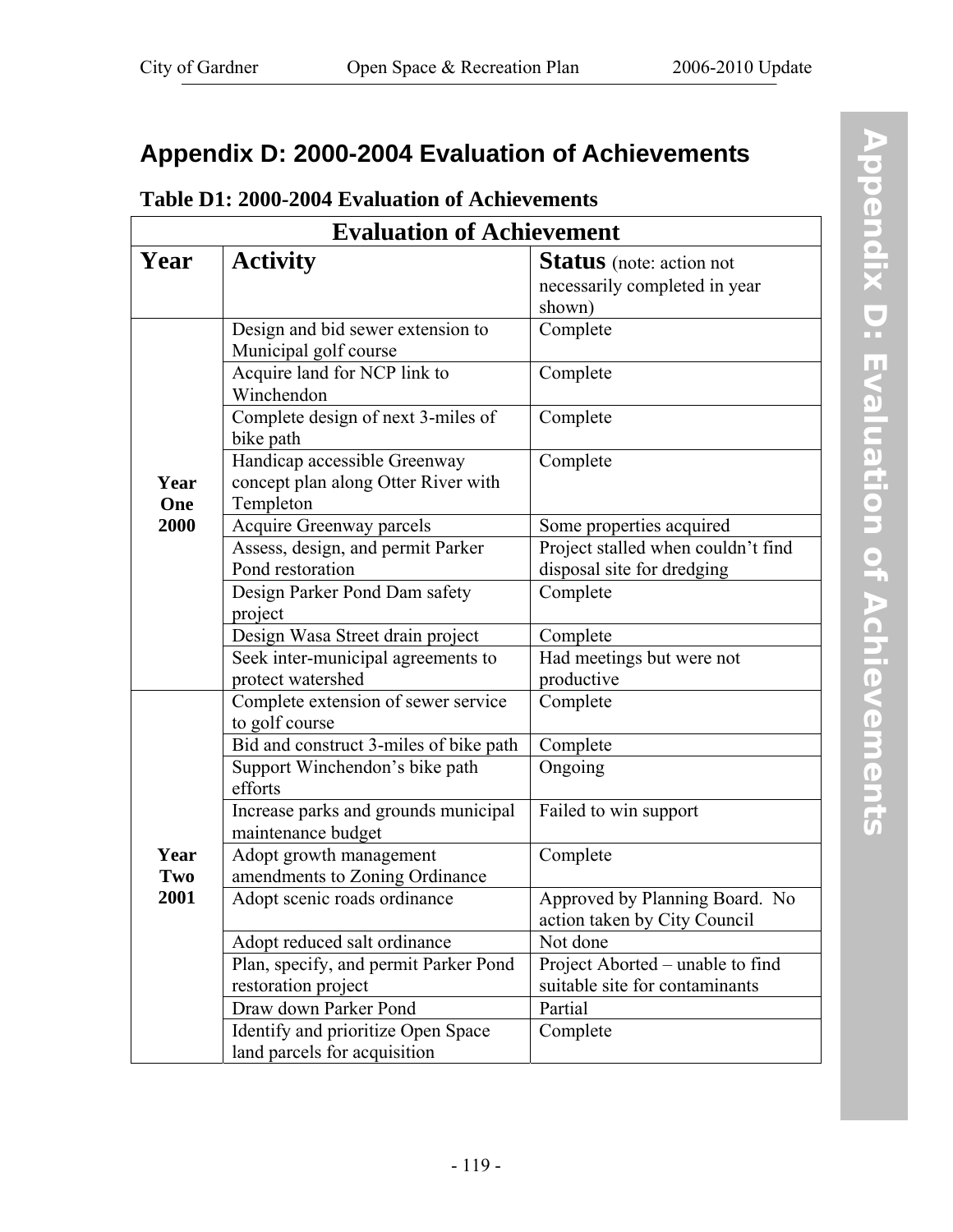## **Appendix D: 2000-2004 Evaluation of Achievements**

## **Table D1: 2000-2004 Evaluation of Achievements**

| <b>Evaluation of Achievement</b> |                                                                                  |                                                                            |  |  |  |  |
|----------------------------------|----------------------------------------------------------------------------------|----------------------------------------------------------------------------|--|--|--|--|
| Year                             | <b>Activity</b>                                                                  | <b>Status</b> (note: action not<br>necessarily completed in year<br>shown) |  |  |  |  |
|                                  | Design and bid sewer extension to<br>Municipal golf course                       | Complete                                                                   |  |  |  |  |
|                                  | Acquire land for NCP link to<br>Winchendon                                       | Complete                                                                   |  |  |  |  |
|                                  | Complete design of next 3-miles of<br>bike path                                  | Complete                                                                   |  |  |  |  |
| Year<br>One                      | Handicap accessible Greenway<br>concept plan along Otter River with<br>Templeton | Complete                                                                   |  |  |  |  |
| 2000                             | <b>Acquire Greenway parcels</b>                                                  | Some properties acquired                                                   |  |  |  |  |
|                                  | Assess, design, and permit Parker                                                | Project stalled when couldn't find                                         |  |  |  |  |
|                                  | Pond restoration                                                                 | disposal site for dredging                                                 |  |  |  |  |
|                                  | Design Parker Pond Dam safety                                                    | Complete                                                                   |  |  |  |  |
|                                  | project                                                                          |                                                                            |  |  |  |  |
|                                  | Design Wasa Street drain project                                                 | Complete                                                                   |  |  |  |  |
|                                  | Seek inter-municipal agreements to                                               | Had meetings but were not                                                  |  |  |  |  |
|                                  | protect watershed                                                                | productive                                                                 |  |  |  |  |
|                                  | Complete extension of sewer service                                              | Complete                                                                   |  |  |  |  |
|                                  | to golf course                                                                   |                                                                            |  |  |  |  |
|                                  | Bid and construct 3-miles of bike path                                           | Complete                                                                   |  |  |  |  |
|                                  | Support Winchendon's bike path                                                   | Ongoing                                                                    |  |  |  |  |
|                                  | efforts                                                                          |                                                                            |  |  |  |  |
|                                  | Increase parks and grounds municipal<br>maintenance budget                       | Failed to win support                                                      |  |  |  |  |
| Year                             | Adopt growth management                                                          | Complete                                                                   |  |  |  |  |
| Two                              | amendments to Zoning Ordinance                                                   |                                                                            |  |  |  |  |
| 2001                             | Adopt scenic roads ordinance                                                     | Approved by Planning Board. No<br>action taken by City Council             |  |  |  |  |
|                                  | Adopt reduced salt ordinance                                                     | Not done                                                                   |  |  |  |  |
|                                  | Plan, specify, and permit Parker Pond                                            | Project Aborted – unable to find                                           |  |  |  |  |
|                                  | restoration project                                                              | suitable site for contaminants                                             |  |  |  |  |
|                                  | Draw down Parker Pond                                                            | Partial                                                                    |  |  |  |  |
|                                  | Identify and prioritize Open Space                                               | Complete                                                                   |  |  |  |  |
|                                  | land parcels for acquisition                                                     |                                                                            |  |  |  |  |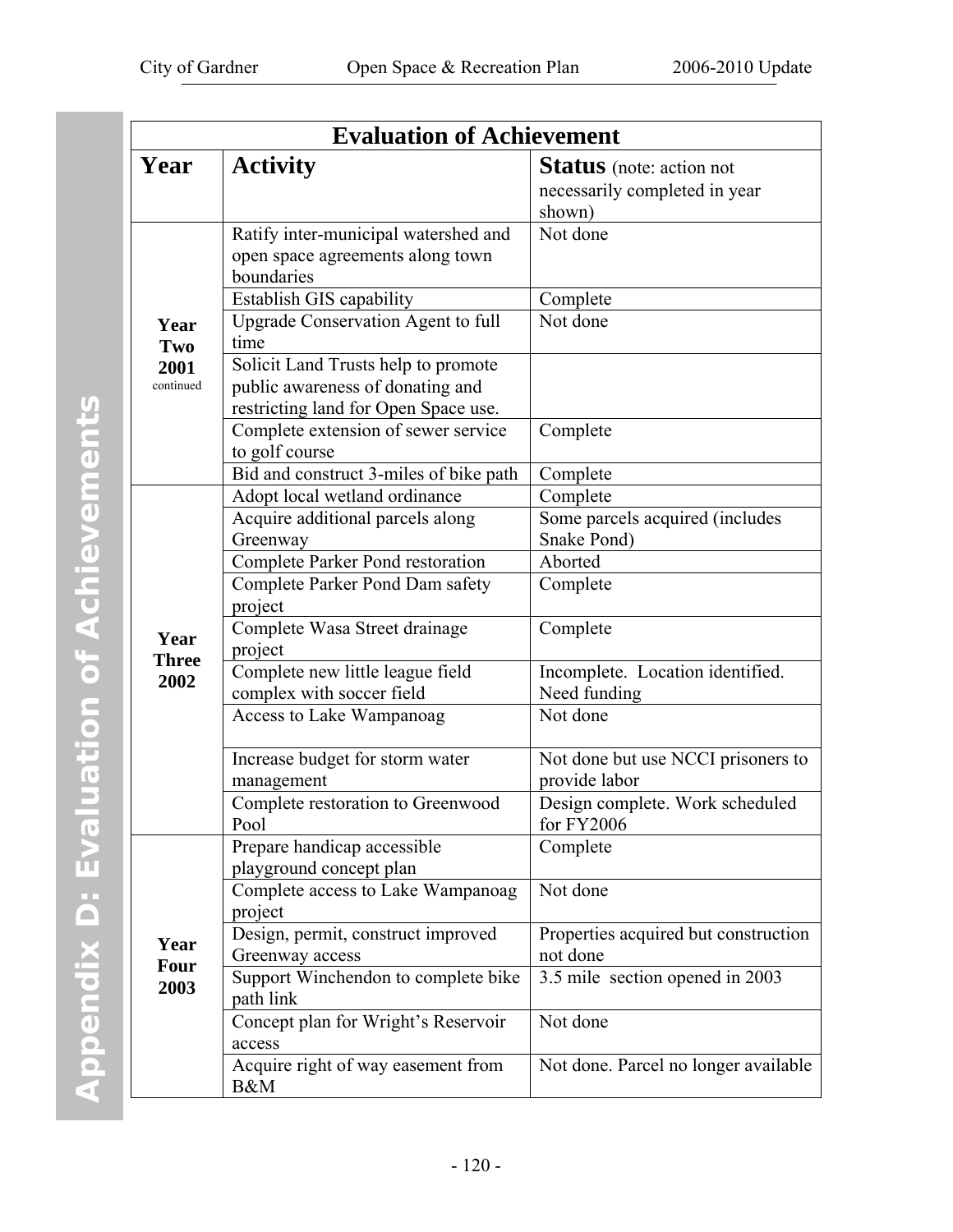| <b>Evaluation of Achievement</b> |                                                                                                                         |                                                                            |  |  |  |
|----------------------------------|-------------------------------------------------------------------------------------------------------------------------|----------------------------------------------------------------------------|--|--|--|
| Year                             | <b>Activity</b>                                                                                                         | <b>Status</b> (note: action not<br>necessarily completed in year<br>shown) |  |  |  |
|                                  | Ratify inter-municipal watershed and<br>open space agreements along town<br>boundaries                                  | Not done                                                                   |  |  |  |
| Year<br>Two<br>2001<br>continued | Establish GIS capability<br><b>Upgrade Conservation Agent to full</b>                                                   | Complete<br>Not done                                                       |  |  |  |
|                                  | time<br>Solicit Land Trusts help to promote<br>public awareness of donating and<br>restricting land for Open Space use. |                                                                            |  |  |  |
|                                  | Complete extension of sewer service<br>to golf course                                                                   | Complete                                                                   |  |  |  |
|                                  | Bid and construct 3-miles of bike path                                                                                  | Complete                                                                   |  |  |  |
|                                  | Adopt local wetland ordinance                                                                                           | Complete                                                                   |  |  |  |
|                                  | Acquire additional parcels along                                                                                        | Some parcels acquired (includes                                            |  |  |  |
|                                  | Greenway                                                                                                                | Snake Pond)                                                                |  |  |  |
|                                  | Complete Parker Pond restoration                                                                                        | Aborted                                                                    |  |  |  |
|                                  | Complete Parker Pond Dam safety<br>project                                                                              | Complete                                                                   |  |  |  |
| Year<br><b>Three</b>             | Complete Wasa Street drainage<br>project                                                                                | Complete                                                                   |  |  |  |
| 2002                             | Complete new little league field<br>complex with soccer field                                                           | Incomplete. Location identified.<br>Need funding                           |  |  |  |
|                                  | Access to Lake Wampanoag                                                                                                | Not done                                                                   |  |  |  |
|                                  | Increase budget for storm water<br>management                                                                           | Not done but use NCCI prisoners to<br>provide labor                        |  |  |  |
|                                  | Complete restoration to Greenwood<br>Pool                                                                               | Design complete. Work scheduled<br>for FY2006                              |  |  |  |
|                                  | Prepare handicap accessible<br>playground concept plan                                                                  | Complete                                                                   |  |  |  |
|                                  | Complete access to Lake Wampanoag<br>project                                                                            | Not done                                                                   |  |  |  |
| Year                             | Design, permit, construct improved<br>Greenway access                                                                   | Properties acquired but construction<br>not done                           |  |  |  |
| Four<br>2003                     | Support Winchendon to complete bike<br>path link                                                                        | 3.5 mile section opened in 2003                                            |  |  |  |
|                                  | Concept plan for Wright's Reservoir<br>access                                                                           | Not done                                                                   |  |  |  |
|                                  | Acquire right of way easement from<br>B&M                                                                               | Not done. Parcel no longer available                                       |  |  |  |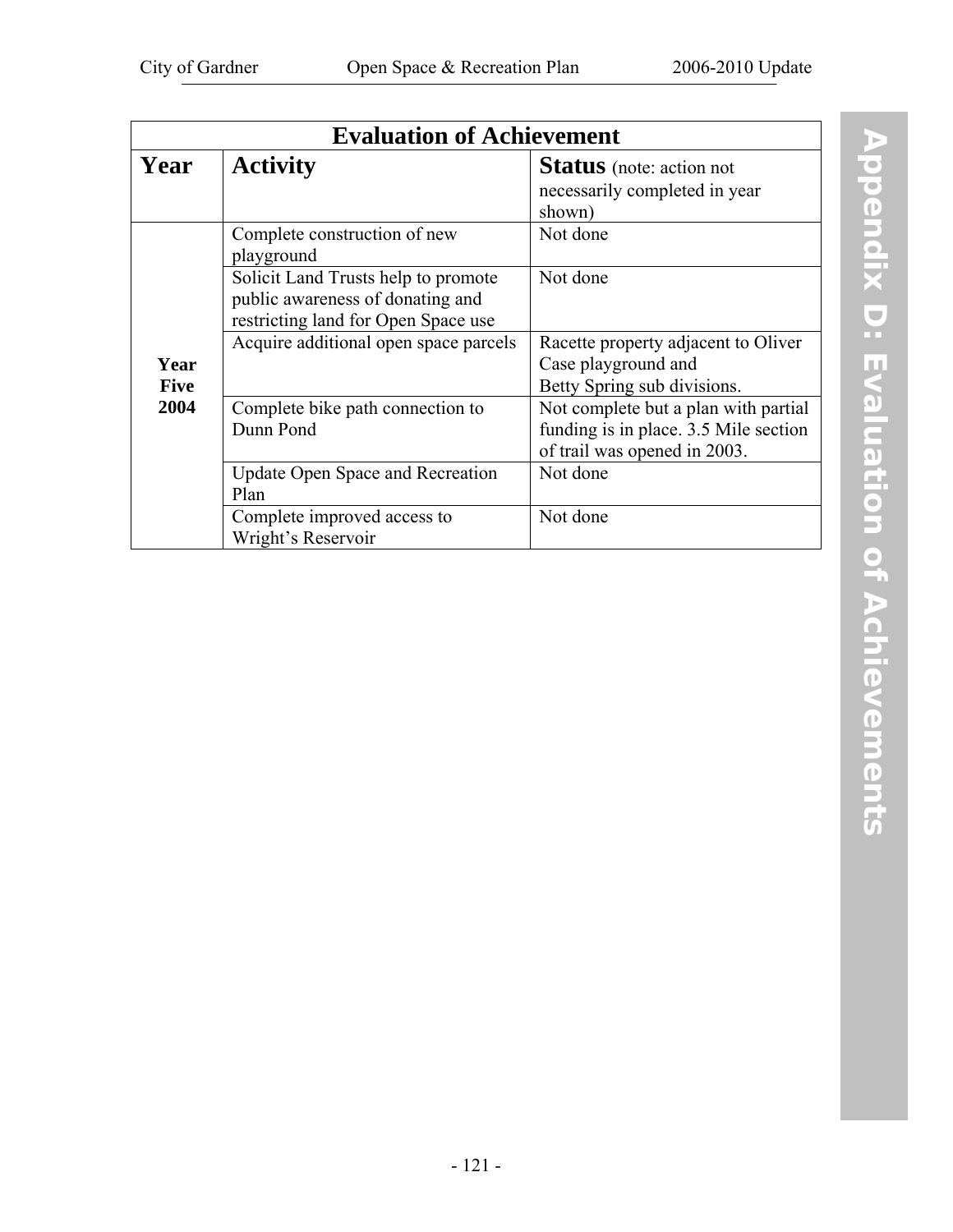|                     | <b>Evaluation of Achievement</b>                                                                               |                                                                                                               |  |  |  |  |
|---------------------|----------------------------------------------------------------------------------------------------------------|---------------------------------------------------------------------------------------------------------------|--|--|--|--|
| Year                | <b>Activity</b>                                                                                                | <b>Status</b> (note: action not<br>necessarily completed in year<br>shown)                                    |  |  |  |  |
|                     | Complete construction of new<br>playground                                                                     | Not done                                                                                                      |  |  |  |  |
|                     | Solicit Land Trusts help to promote<br>public awareness of donating and<br>restricting land for Open Space use | Not done                                                                                                      |  |  |  |  |
| Year<br><b>Five</b> | Acquire additional open space parcels                                                                          | Racette property adjacent to Oliver<br>Case playground and<br>Betty Spring sub divisions.                     |  |  |  |  |
| 2004                | Complete bike path connection to<br>Dunn Pond                                                                  | Not complete but a plan with partial<br>funding is in place. 3.5 Mile section<br>of trail was opened in 2003. |  |  |  |  |
|                     | <b>Update Open Space and Recreation</b><br>Plan                                                                | Not done                                                                                                      |  |  |  |  |
|                     | Complete improved access to<br>Wright's Reservoir                                                              | Not done                                                                                                      |  |  |  |  |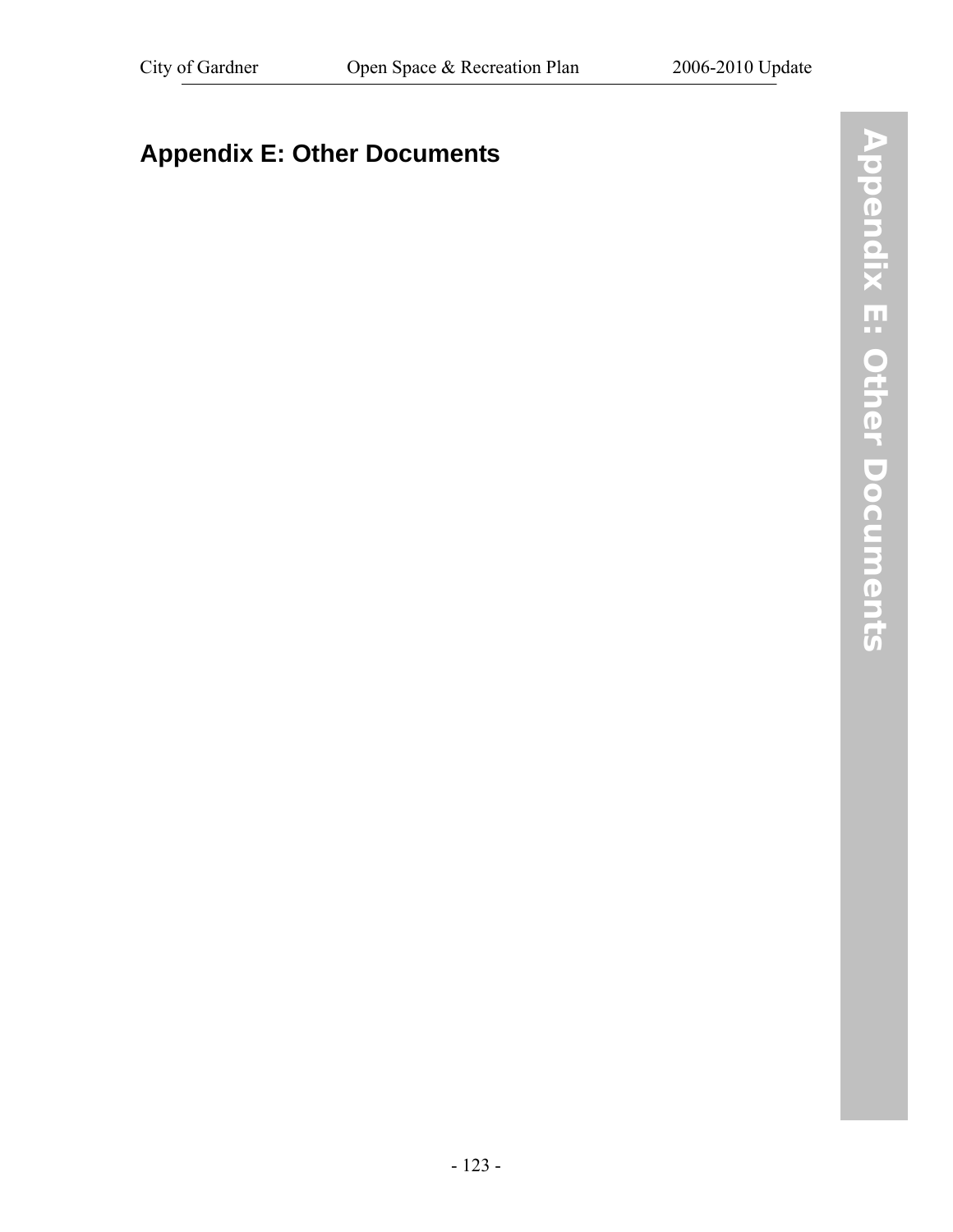# **Appendix E: Other Documents**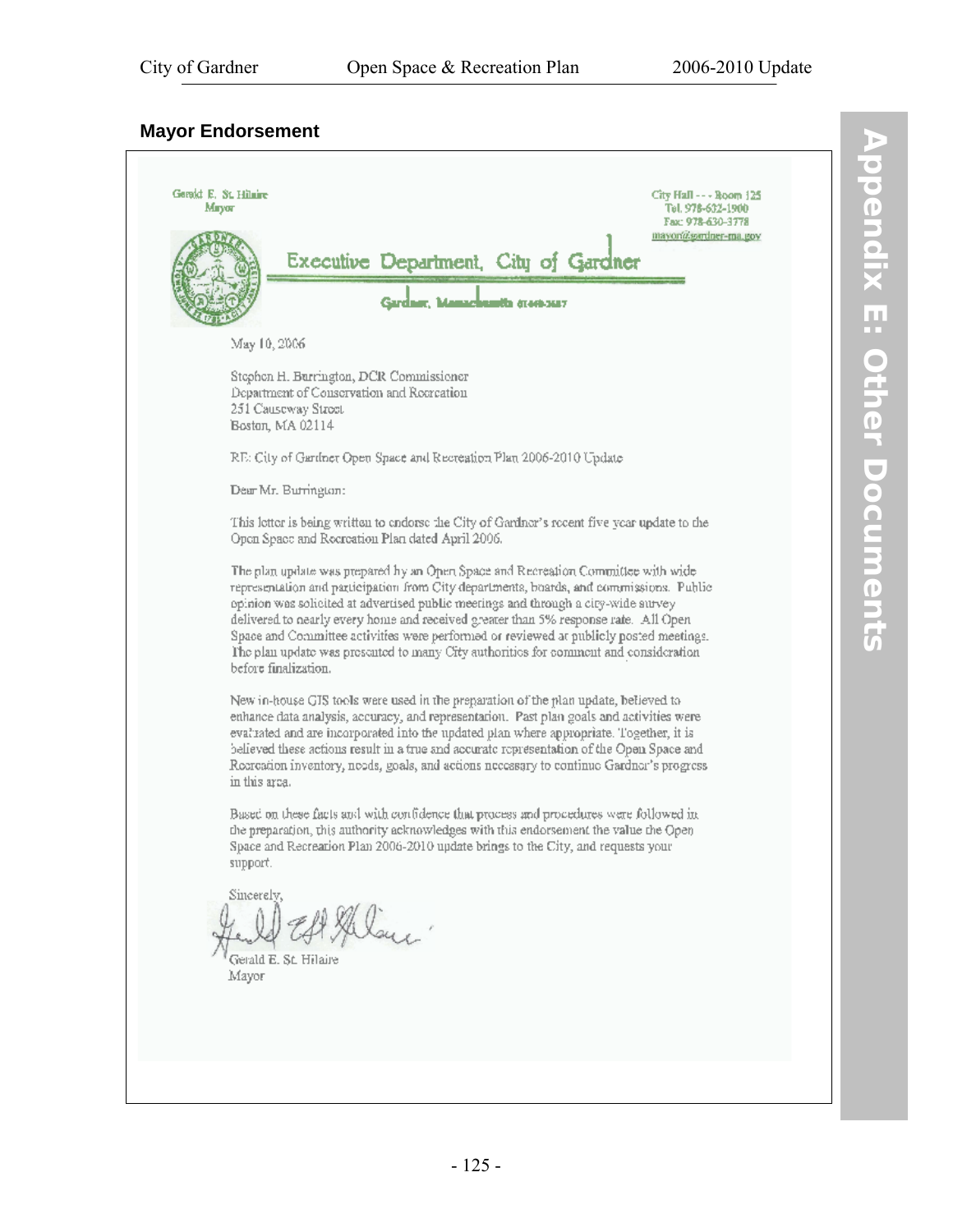#### **Mayor Endorsement**

Gerald E. St. Hilaire City Hall - - - Room 125 Tel. 978-632-1900 Mayor Fax: 978-630-3778 mayoria.sordner-ma.gov Executive Department, City of Gardner Gardner, Mamachumth (1969-3617 May 10, 2006 Stephen H. Burrington, DCR Commissioner Department of Conservation and Recreation 251 Causeway Street Boston, MA 02114 RE: City of Gardner Open Space and Recreation Plan 2006-2010 Update Dear Mr. Burrington: This letter is being written to endorse the City of Gardner's recent five year update to the Open Space and Recreation Plan dated April 2006. The plan update was prepared by an Open Space and Recreation Committee with wide representation and participation from City departments, boards, and commissions. Public opinion was solicited at advertised public meetings and through a city-wide aurvey delivered to nearly every home and received greater than 5% response rate. All Open-Space and Committee activities were performed or reviewed at publicly posted meetings. The plan update was presented to many City authorities for comment and consideration before finalization. New in-house GIS tools were used in the preparation of the plan update, believed to enhance data analysis, accuracy, and representation. Past plan goals and activities were evaluated and are incorporated into the updated plan where appropriate. Together, it is believed these actions result in a true and accurate representation of the Open Space and Recreation inventory, needs, goals, and actions necessary to continue Gardner's progress in this area. Based on these facts and with confidence that process and procedures were followed in the preparation, this authority acknowledges with this endorsement the value the Open-Space and Recreation Plan 2006-2010 update brings to the City, and requests your support. Sincerely,  $au<sub>1</sub>$ Gerald E. St. Hilaire Mayor

DF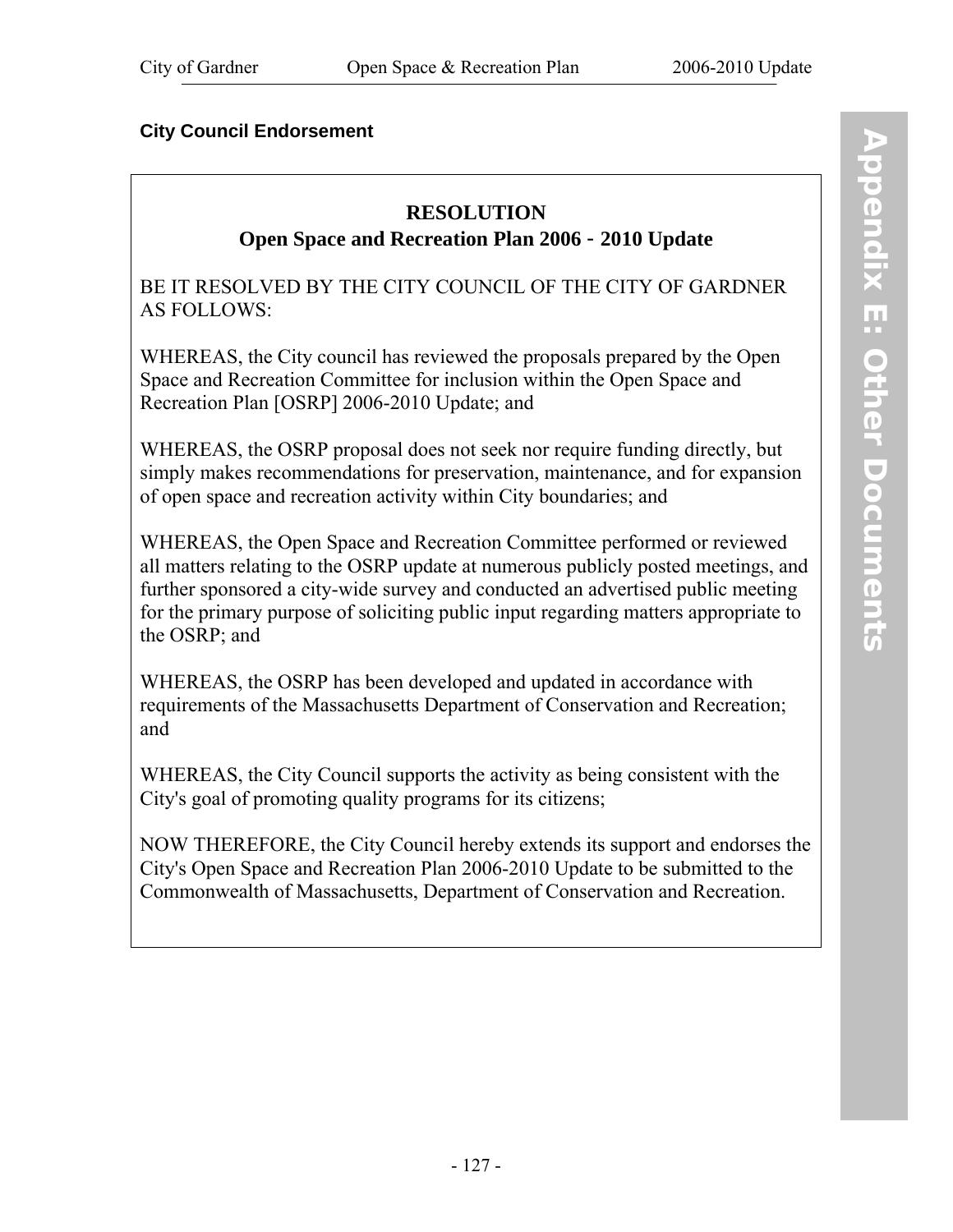## **City Council Endorsement**

# **RESOLUTION**

**Open Space and Recreation Plan 2006** - **2010 Update** 

BE IT RESOLVED BY THE CITY COUNCIL OF THE CITY OF GARDNER AS FOLLOWS:

WHEREAS, the City council has reviewed the proposals prepared by the Open Space and Recreation Committee for inclusion within the Open Space and Recreation Plan [OSRP] 2006-2010 Update; and

WHEREAS, the OSRP proposal does not seek nor require funding directly, but simply makes recommendations for preservation, maintenance, and for expansion of open space and recreation activity within City boundaries; and

WHEREAS, the Open Space and Recreation Committee performed or reviewed all matters relating to the OSRP update at numerous publicly posted meetings, and further sponsored a city-wide survey and conducted an advertised public meeting for the primary purpose of soliciting public input regarding matters appropriate to the OSRP; and

WHEREAS, the OSRP has been developed and updated in accordance with requirements of the Massachusetts Department of Conservation and Recreation; and

WHEREAS, the City Council supports the activity as being consistent with the City's goal of promoting quality programs for its citizens;

NOW THEREFORE, the City Council hereby extends its support and endorses the City's Open Space and Recreation Plan 2006-2010 Update to be submitted to the Commonwealth of Massachusetts, Department of Conservation and Recreation.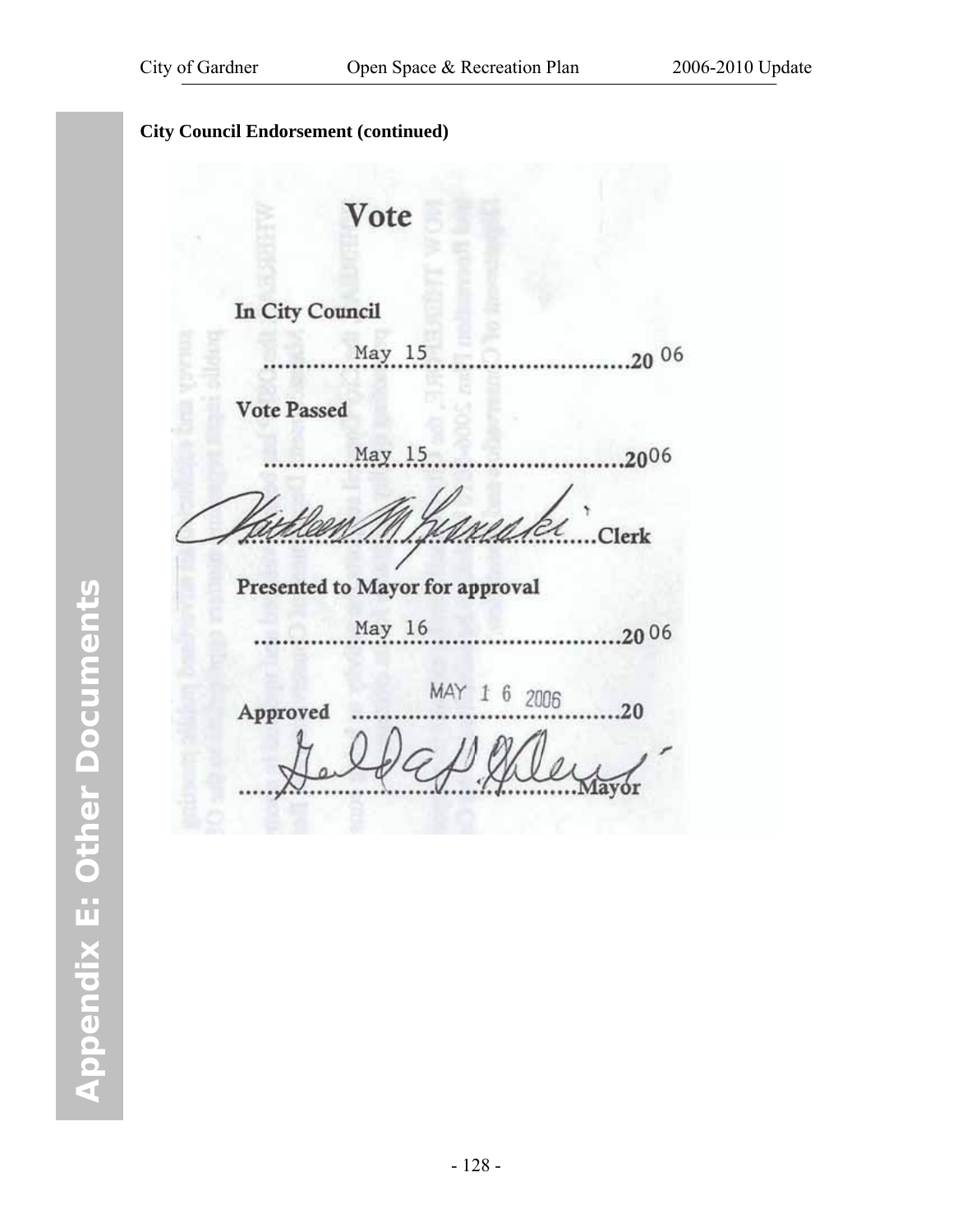|                                 | Vote   |              |           |
|---------------------------------|--------|--------------|-----------|
| <b>In City Council</b>          |        |              |           |
|                                 | May 15 |              | $20^{06}$ |
| <b>Vote Passed</b>              |        |              |           |
|                                 | May 15 |              | ,2006     |
|                                 |        |              | Clerk     |
| Presented to Mayor for approval |        |              |           |
|                                 | May 16 |              | 2006      |
| Approved                        |        | MAY 1 6 2006 | 20        |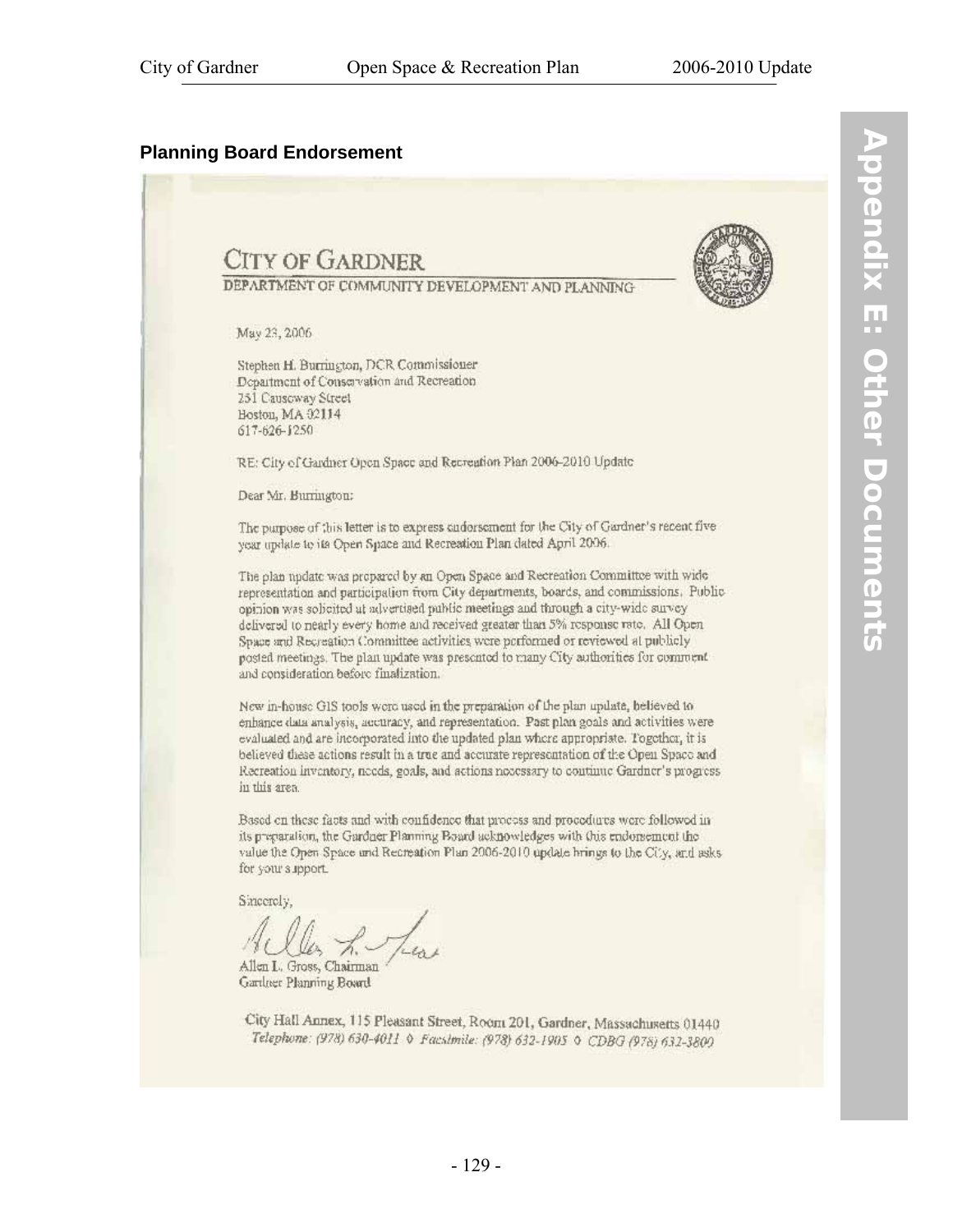#### **Planning Board Endorsement**



**Appendix E: Other Documents Nobendix E: Other Documents** 

City Hall Annex, 115 Pleasant Street, Room 201, Gardner, Massachusetts 01440 Telephone: (978) 630-4011 \ Facsimile: (978) 632-1905 \ CDBG (978) 632-3800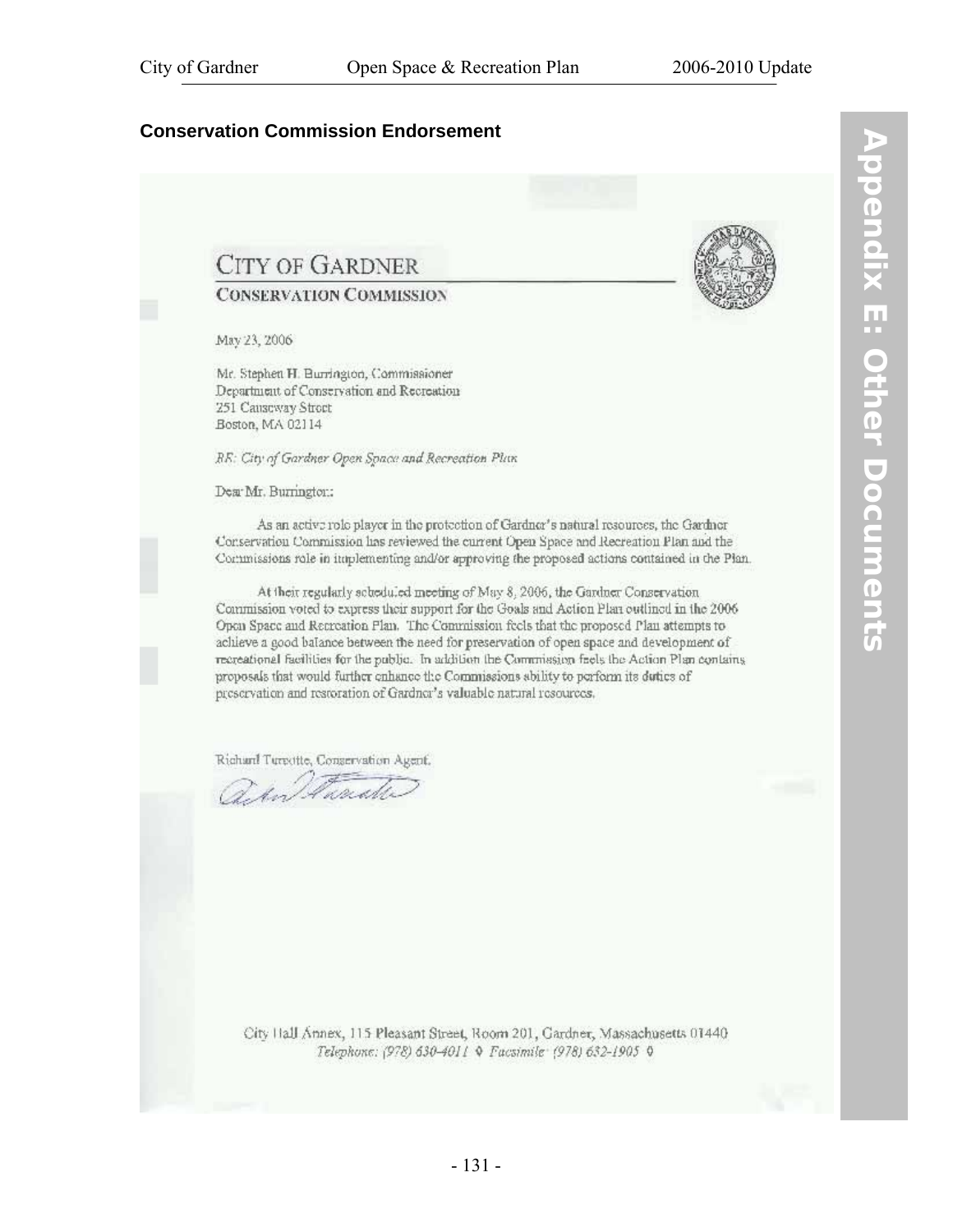#### **Conservation Commission Endorsement**

## **CITY OF GARDNER**

#### **CONSERVATION COMMISSION**

May 23, 2006

Mr. Stephen H. Burrington, Commissioner Department of Conservation and Recreation 251 Causeway Street Boston, MA 02114

RE: City of Gardner Open Space and Recreation Plan

Dear Mr. Burnington:

As an active role player in the protection of Gardner's natural resources, the Gardner Conservation Commission has reviewed the current Open Space and Recreation Plan and the Commissions role in implementing and/or approving the proposed actions contained in the Plan.

At their regularly scheduled meeting of May 8, 2006, the Gardner Conservation Commission voted to express their support for the Goals and Action Plan outlined in the 2006 Open Space and Recreation Plan. The Commission feels that the proposed Plan attempts to achieve a good balance between the need for preservation of open space and development of recreational facilities for the public. In addition the Commission facts the Action Plan contains proposals that would further enhance the Commissions ability to perform its duties of preservation and restoration of Gardner's valuable natural resources.

Richard Tureotte, Conservation Agent.

an Frank

City Hall Annex, 115 Pleasant Street, Room 201, Gardner, Massachusetts 01440 Telephone: (978) 630-4011 Q Facsimile (978) 632-1905 Q

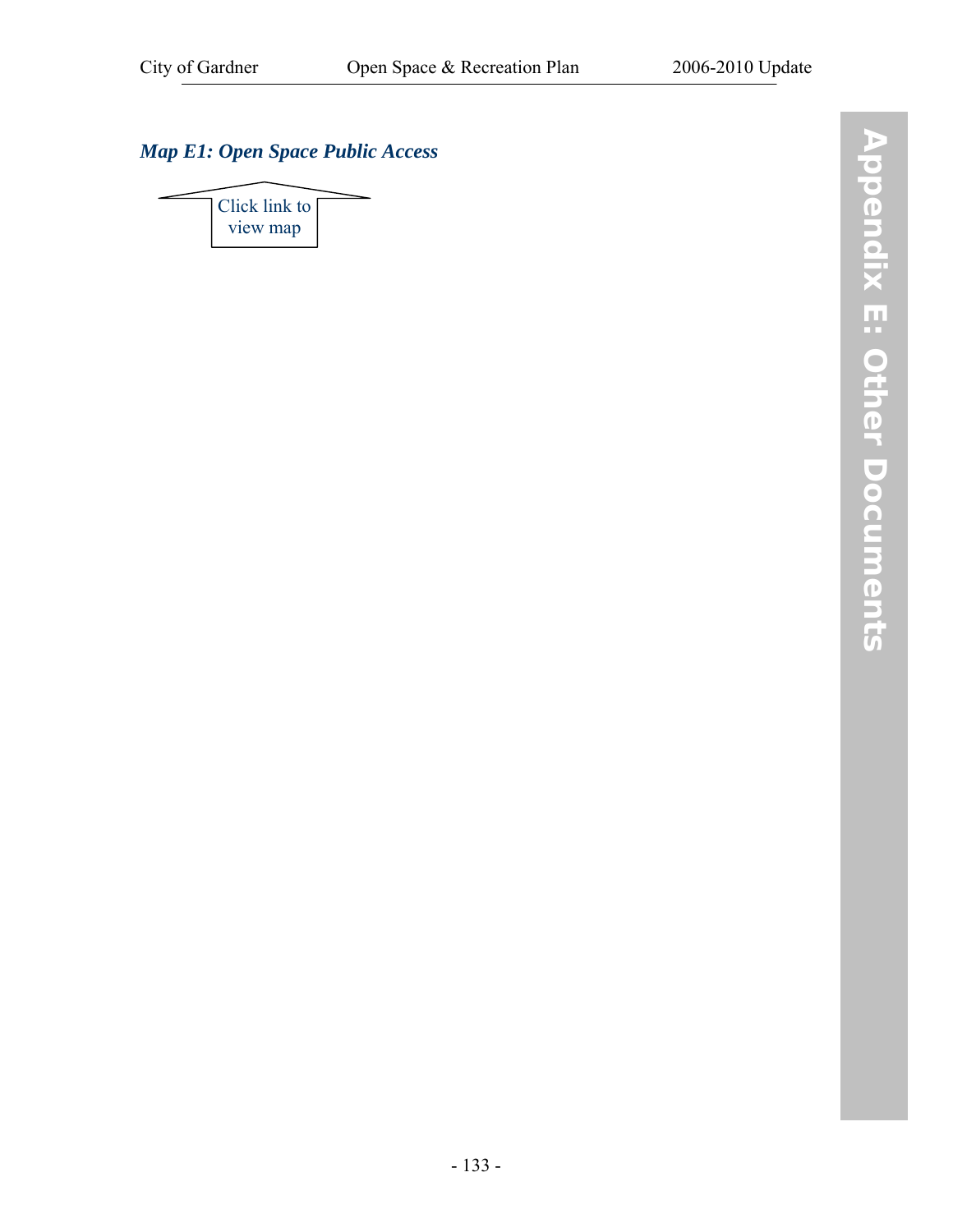## *[Map E1: Open Space Public Access](http://www.gardner-ma.gov/Pages/GardnerMA_CommDev/OS/MapE1.pdf)*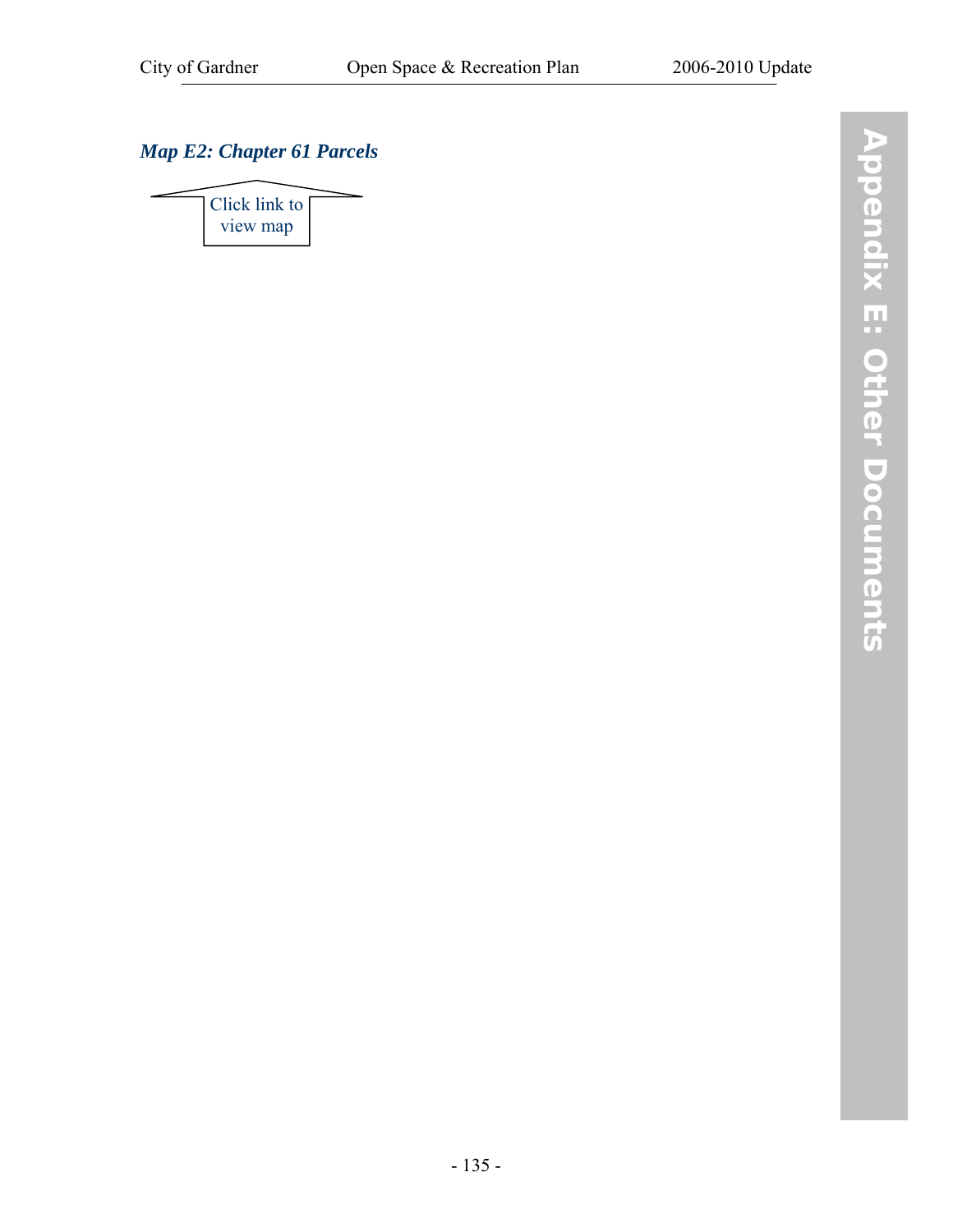## *[Map E2: Chapter 61 Parcels](http://www.gardner-ma.gov/Pages/GardnerMA_CommDev/OS/MapE2.pdf)*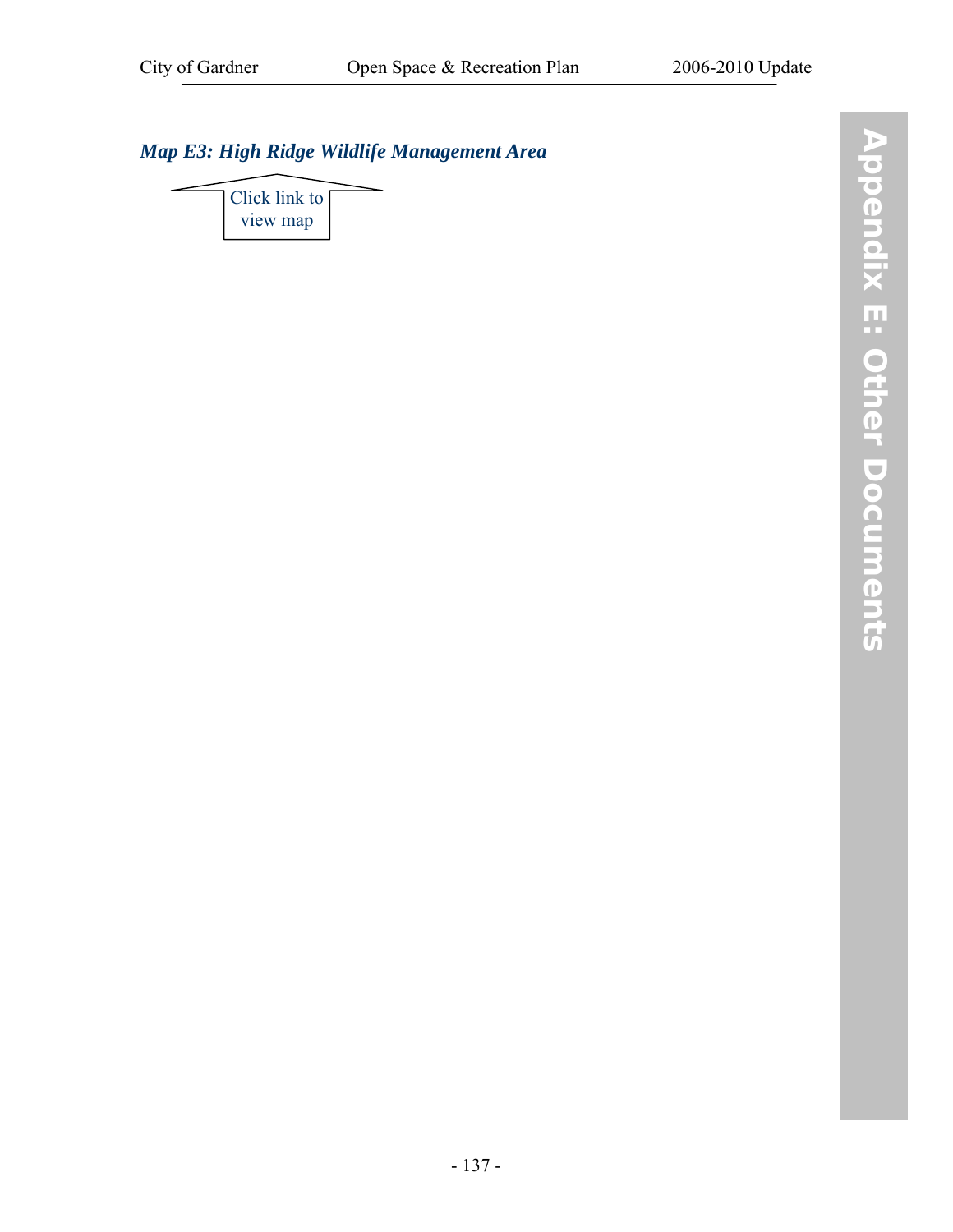## *[Map E3: High Ridge Wildlife Management Area](http://www.gardner-ma.gov/Pages/GardnerMA_CommDev/OS/MapE3.pdf)*

[Click link to](http://www.gardner-ma.gov/Pages/GardnerMA_CommDev/OS/MapE3.pdf)  view map